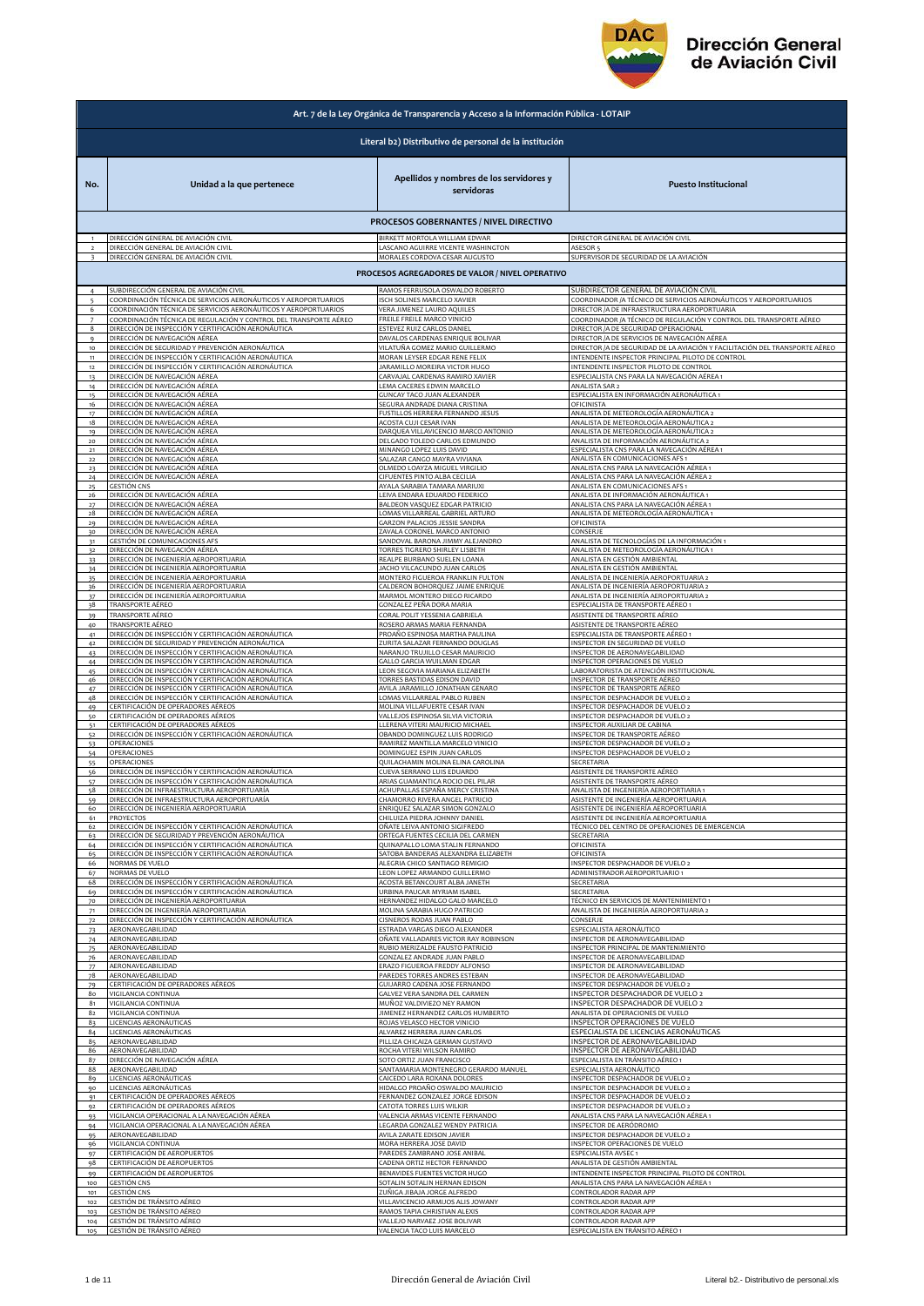

|                | Art. 7 de la Ley Orgánica de Transparencia y Acceso a la Información Pública - LOTAIP |                                                                                              |                                                                                                           |  |
|----------------|---------------------------------------------------------------------------------------|----------------------------------------------------------------------------------------------|-----------------------------------------------------------------------------------------------------------|--|
|                | Literal b2) Distributivo de personal de la institución                                |                                                                                              |                                                                                                           |  |
| No.            | Unidad a la que pertenece                                                             | Apellidos y nombres de los servidores y<br>servidoras                                        | <b>Puesto Institucional</b>                                                                               |  |
|                |                                                                                       |                                                                                              |                                                                                                           |  |
|                | DIRECCIÓN GENERAL DE AVIACIÓN CIVIL                                                   | PROCESOS GOBERNANTES / NIVEL DIRECTIVO<br>BIRKETT MORTOLA WILLIAM EDWAP                      | DIRECTOR GENERAL DE AVIACIÓN CIVIL                                                                        |  |
|                | DIRECCIÓN GENERAL DE AVIACIÓN CIVIL                                                   | LASCANO AGUIRRE VICENTE WASHINGTON                                                           | <b>ASESOR</b>                                                                                             |  |
|                | DIRECCIÓN GENERAL DE AVIACIÓN CIVIL                                                   | MORALES CORDOVA CESAR AUGUSTO                                                                | SUPERVISOR DE SEGURIDAD DE LA AVIACIÓN                                                                    |  |
|                |                                                                                       | PROCESOS AGREGADORES DE VALOR / NIVEL OPERATIVO                                              |                                                                                                           |  |
|                | SUBDIRECCIÓN GENERAL DE AVIACIÓN CIVIL                                                | RAMOS FERRUSOLA OSWALDO ROBERTO                                                              | SUBDIRECTOR GENERAL DE AVIACIÓN CIVIL                                                                     |  |
| 6              | OORDINACIÓN TÉCNICA DE SERVICIOS AERONÁUTICOS Y AEROPORTUARIOS:                       | ISCH SOLINES MARCELO XAVIER                                                                  | COORDINADOR /A TÉCNICO DE SERVICIOS AERONÁUTICOS Y AEROPORTUARIOS                                         |  |
|                | COORDINACIÓN TÉCNICA DE SERVICIOS AERONÁUTICOS Y AEROPORTUARIOS                       | VERA JIMENEZ LAURO AQUILES                                                                   | DIRECTOR / A DE INFRAESTRUCTURA AEROPORTUARIA                                                             |  |
| 8              | COORDINACIÓN TÉCNICA DE REGULACIÓN Y CONTROL DEL TRANSPORTE AÉREO                     | FREILE FREILE MARCO VINICIO                                                                  | COORDINADOR /A TÉCNICO DE REGULACIÓN Y CONTROL DEL TRANSPORTE AÉREO                                       |  |
|                | DIRECCIÓN DE INSPECCIÓN Y CERTIFICACIÓN AERONÁUTICA                                   | <b>ESTEVEZ RUIZ CARLOS DANIEL</b>                                                            | DIRECTOR / A DE SEGURIDAD OPERACIONAL                                                                     |  |
| $\mathbf{Q}$   | DIRECCIÓN DE NAVEGACIÓN AÉREA                                                         | DAVALOS CARDENAS ENRIQUE BOLIVAR                                                             | DIRECTOR /A DE SERVICIOS DE NAVEGACIÓN AÉREA                                                              |  |
| 10             | DIRECCIÓN DE SEGURIDAD Y PREVENCIÓN AERONÁUTICA                                       | VILATUÑA GOMEZ MARIO GUILLERMO                                                               | DIRECTOR /A DE SEGURIDAD DE LA AVIACIÓN Y FACILITACIÓN DEL TRANSPORTE AÉREO                               |  |
| $11\,$         | DIRECCIÓN DE INSPECCIÓN Y CERTIFICACIÓN AERONÁUTICA                                   | MORAN LEYSER EDGAR RENE FELIX                                                                | INTENDENTE INSPECTOR PRINCIPAL PILOTO DE CONTROL                                                          |  |
| 12             | DIRECCIÓN DE INSPECCIÓN Y CERTIFICACIÓN AERONÁUTICA                                   | JARAMILLO MOREIRA VICTOR HUGO                                                                | INTENDENTE INSPECTOR PILOTO DE CONTROL                                                                    |  |
| 13             | DIRECCIÓN DE NAVEGACIÓN AÉREA                                                         | CARVAJAL CARDENAS RAMIRO XAVIER                                                              | ESPECIALISTA CNS PARA LA NAVEGACIÓN AÉREA 1                                                               |  |
| 14             | DIRECCIÓN DE NAVEGACIÓN AÉREA                                                         | LEMA CACERES EDWIN MARCELO                                                                   | ANALISTA SAR 2                                                                                            |  |
| 15             | DIRECCIÓN DE NAVEGACIÓN AÉREA                                                         | GUNCAY TACO JUAN ALEXANDER                                                                   | ESPECIALISTA EN INFORMACIÓN AERONÁUTICA 1                                                                 |  |
| 16             | DIRECCIÓN DE NAVEGACIÓN AÉREA                                                         | SEGURA ANDRADE DIANA CRISTINA                                                                | OFICINISTA                                                                                                |  |
| 17             | <u>DIRECCIÓN DE NAVEGACIÓN AÉREA</u>                                                  | FUSTILLOS HERRERA FERNANDO JESUS                                                             | ANALISTA DE METEOROLOGÍA AERONÁUTICA 2                                                                    |  |
| 18             | DIRECCIÓN DE NAVEGACIÓN AÉREA                                                         | <b>ACOSTA CUJI CESAR IVAN</b>                                                                | ANALISTA DE METEOROLOGÍA AERONÁUTICA 2                                                                    |  |
| 19             | DIRECCIÓN DE NAVEGACIÓN AÉREA                                                         | DARQUEA VILLAVICENCIO MARCO ANTONIO                                                          | ANALISTA DE METEOROLOGÍA AERONÁUTICA 2                                                                    |  |
| 20             | DIRECCIÓN DE NAVEGACIÓN AÉREA                                                         | DELGADO TOLEDO CARLOS EDMUNDO                                                                | ANALISTA DE INFORMACIÓN AERONÁUTICA 2                                                                     |  |
| 21             | DIRECCIÓN DE NAVEGACIÓN AÉREA                                                         | MINANGO LOPEZ LUIS DAVID                                                                     | ESPECIALISTA CNS PARA LA NAVEGACIÓN AÉREA 1                                                               |  |
| $_{22}$        | DIRECCIÓN DE NAVEGACIÓN AÉREA                                                         | SALAZAR CANGO MAYRA VIVIANA                                                                  | ANALISTA EN COMUNICACIONES AFS 1                                                                          |  |
| 23             | DIRECCIÓN DE NAVEGACIÓN AÉREA                                                         | OLMEDO LOAYZA MIGUEL VIRGILIO                                                                | ANALISTA CNS PARA LA NAVEGACIÓN AÉREA 1                                                                   |  |
| 24             | DIRECCIÓN DE NAVEGACIÓN AÉREA                                                         | CIFUENTES PINTO ALBA CECILIA                                                                 | ANALISTA CNS PARA LA NAVEGACIÓN AÉREA 2                                                                   |  |
| 26             | GESTIÓN CNS                                                                           | AYALA SARABIA TAMARA MARIUXI                                                                 | ANALISTA EN COMUNICACIONES AFS 1                                                                          |  |
|                | DIRECCIÓN DE NAVEGACIÓN AÉREA                                                         | LEIVA ENDARA EDUARDO FEDERICO                                                                | ANALISTA DE INFORMACIÓN AERONÁUTICA 1                                                                     |  |
| 28             | DIRECCIÓN DE NAVEGACIÓN AÉREA                                                         | BALDEON VASQUEZ EDGAR PATRICIO                                                               | ANALISTA CNS PARA LA NAVEGACIÓN AÉREA 1                                                                   |  |
|                | DIRECCIÓN DE NAVEGACIÓN AÉREA                                                         | LOMAS VILLARREAL GABRIEL ARTURO                                                              | ANALISTA DE METEOROLOGÍA AERONÁUTICA 1                                                                    |  |
| 2q             | DIRECCIÓN DE NAVEGACIÓN AÉREA                                                         | GARZON PALACIOS JESSIE SANDRA                                                                | OFICINISTA                                                                                                |  |
| 30             | DIRECCIÓN DE NAVEGACIÓN AÉREA                                                         | ZAVALA CORONEL MARCO ANTONIO                                                                 | CONSERJE                                                                                                  |  |
| 31             | GESTIÓN DE COMUNICACIONES AFS                                                         | SANDOVAL BARONA JIMMY ALEJANDRO                                                              | ANALISTA DE TECNOLOGÍAS DE LA INFORMACIÓN 1                                                               |  |
| 32             | DIRECCIÓN DE NAVEGACIÓN AÉREA                                                         | TORRES TIGRERO SHIRLEY LISBETH                                                               | ANALISTA DE METEOROLOGÍA AERONÁUTICA 1                                                                    |  |
| 33             | DIRECCIÓN DE INGENIERÍA AEROPORTUARIA                                                 | REALPE BURBANO SUELEN LOANA                                                                  | ANALISTA EN GESTIÓN AMBIENTAL                                                                             |  |
| 34             | DIRECCIÓN DE INGENIERÍA AEROPORTUARIA                                                 | JACHO VILCACUNDO JUAN CARLOS                                                                 | ANALISTA EN GESTIÓN AMBIENTAL                                                                             |  |
| 35             | DIRECCIÓN DE INGENIERÍA AEROPORTUARIA                                                 | MONTERO FIGUEROA FRANKLIN FULTON                                                             | ANALISTA DE INGENIERÍA AEROPORTUARIA 2                                                                    |  |
| 36             | DIRECCIÓN DE INGENIERÍA AEROPORTUARIA                                                 | CALDERON BOHORQUEZ JAIME ENRIQUE                                                             | ANALISTA DE INGENIERÍA AEROPORTUARIA 2                                                                    |  |
| 37             | DIRECCIÓN DE INGENIERÍA AEROPORTUARIA                                                 | MARMOL MONTERO DIEGO RICARDO                                                                 | ANALISTA DE INGENIERÍA AEROPORTUARIA 2                                                                    |  |
| 38             | TRANSPORTE AÉREO                                                                      | GONZALEZ PEÑA DORA MARIA                                                                     | ESPECIALISTA DE TRANSPORTE AÉREO 1                                                                        |  |
| 39             | TRANSPORTE AÉREO                                                                      | CORAL POLIT YESSENIA GABRIELA                                                                | ASISTENTE DE TRANSPORTE AÉREO                                                                             |  |
| 40             | TRANSPORTE AÉREO                                                                      | ROSERO ARMAS MARIA FERNANDA                                                                  | ASISTENTE DE TRANSPORTE AÉREO                                                                             |  |
| 41             | DIRECCIÓN DE INSPECCIÓN Y CERTIFICACIÓN AERONÁUTICA                                   | PROAÑO ESPINOSA MARTHA PAULINA                                                               | ESPECIALISTA DE TRANSPORTE AÉREO 1                                                                        |  |
| 42             | DIRECCIÓN DE SEGURIDAD Y PREVENCIÓN AERONÁUTICA                                       | ZURITA SALAZAR FERNANDO DOUGLAS                                                              | INSPECTOR EN SEGURIDAD DE VUELO                                                                           |  |
| 43             | DIRECCIÓN DE INSPECCIÓN Y CERTIFICACIÓN AERONÁUTICA                                   | NARANJO TRUJILLO CESAR MAURICIO                                                              | INSPECTOR DE AERONAVEGABILIDAD                                                                            |  |
| 44             | DIRECCIÓN DE INSPECCIÓN Y CERTIFICACIÓN AERONÁUTICA                                   | GALLO GARCIA WUILMAN EDGAR                                                                   | INSPECTOR OPERACIONES DE VUELO                                                                            |  |
| 45             | DIRECCIÓN DE INSPECCIÓN Y CERTIFICACIÓN AERONÁUTICA                                   | LEON SEGOVIA MARIANA ELIZABETH                                                               | LABORATORISTA DE ATENCIÓN INSTITUCIONAL                                                                   |  |
| 46             | DIRECCIÓN DE INSPECCIÓN Y CERTIFICACIÓN AERONÁUTICA                                   | TORRES BASTIDAS EDISON DAVID                                                                 | INSPECTOR DE TRANSPORTE AÉREO                                                                             |  |
| 47             | DIRECCIÓN DE INSPECCIÓN Y CERTIFICACIÓN AERONÁUTICA                                   | AVILA JARAMILLO JONATHAN GENARO                                                              | INSPECTOR DE TRANSPORTE AÉREO                                                                             |  |
| 48             | DIRECCIÓN DE INSPECCIÓN Y CERTIFICACIÓN AERONÁUTICA                                   | LOMAS VILLARREAL PABLO RUBEN                                                                 | INSPECTOR DESPACHADOR DE VUELO 2                                                                          |  |
| 49             | CERTIFICACIÓN DE OPERADORES AÉREOS                                                    | MOLINA VILLAFUERTE CESAR IVAN                                                                | INSPECTOR DESPACHADOR DE VUELO 2                                                                          |  |
| 50             | CERTIFICACIÓN DE OPERADORES AÉREOS                                                    | VALLEJOS ESPINOSA SILVIA VICTORIA                                                            | INSPECTOR DESPACHADOR DE VUELO 2                                                                          |  |
| 51             | <u>CERTIFICACIÓN DE OPERADORES AÉREOS</u>                                             | LLERENA VITERI MAURICIO MICHAEL                                                              | INSPECTOR AUXILIAR DE CABINA                                                                              |  |
| 52             | DIRECCIÓN DE INSPECCIÓN Y CERTIFICACIÓN AERONÁUTICA                                   | OBANDO DOMINGUEZ LUIS RODRIGO                                                                | INSPECTOR DE TRANSPORTE AÉREO                                                                             |  |
| 53             | <b>OPERACIONES</b>                                                                    | RAMIREZ MANTILLA MARCELO VINICIO                                                             | INSPECTOR DESPACHADOR DE VUELO 2                                                                          |  |
| 54             | OPERACIONES                                                                           | DOMINGUEZ ESPIN JUAN CARLOS                                                                  | INSPECTOR DESPACHADOR DE VUELO 2                                                                          |  |
| 55             | OPERACIONES                                                                           | QUILACHAMIN MOLINA ELINA CAROLINA                                                            | SECRETARIA                                                                                                |  |
| 56             | DIRECCIÓN DE INSPECCIÓN Y CERTIFICACIÓN AERONÁUTICA                                   | CUEVA SERRANO LUIS EDUARDO                                                                   | ASISTENTE DE TRANSPORTE AÉREO                                                                             |  |
| 57             | DIRECCIÓN DE INSPECCIÓN Y CERTIFICACIÓN AERONÁUTICA                                   | ARIAS GUAMANTICA ROCIO DEL PILAR                                                             | ASISTENTE DE TRANSPORTE AÉREO                                                                             |  |
| 58             | DIRECCIÓN DE INFRAESTRUCTURA AEROPORTUARÍA                                            | ACHUPALLAS ESPAÑA MERCY CRISTINA                                                             | ANALISTA DE INGENIERÍA AEROPORTIARIA 1                                                                    |  |
| 60             | DIRECCIÓN DE INFRAESTRUCTURA AEROPORTUARIA                                            | <u> CHAMORRO RIVERA ANGEL PATRICIO</u>                                                       | <u>NSISTENTE DE INGENIERIA AEROPORTUARIA</u>                                                              |  |
|                | DIRECCIÓN DE INGENIERÍA AEROPORTUARIA                                                 | ENRIQUEZ SALAZAR SIMON GONZALO                                                               | ASISTENTE DE INGENIERÍA AEROPORTUARIA                                                                     |  |
| 61             | PROYECTOS                                                                             | CHILUIZA PIEDRA JOHNNY DANIEL                                                                | ASISTENTE DE INGENIERÍA AEROPORTUARIA                                                                     |  |
| 62             | <u>DIRECCIÓN DE INSPECCIÓN Y CERTIFICACIÓN AERONÁUTICA</u>                            | OÑATE LEIVA ANTONIO SIGIFREDO                                                                | TÉCNICO DEL CENTRO DE OPERACIONES DE EMERGENCIA                                                           |  |
| 63             | DIRECCIÓN DE SEGURIDAD Y PREVENCIÓN AERONÁUTICA                                       | ORTEGA FUENTES CECILIA DEL CARMEN                                                            | SECRETARIA                                                                                                |  |
| 64             | DIRECCIÓN DE INSPECCIÓN Y CERTIFICACIÓN AERONÁUTICA                                   | QUINAPALLO LOMA STALIN FERNANDO                                                              | OFICINISTA                                                                                                |  |
| 66             | DIRECCIÓN DE INSPECCIÓN Y CERTIFICACIÓN AERONÁUTICA                                   | <b>SATOBA BANDERAS ALEXANDRA ELIZABETH</b>                                                   | OFICINISTA                                                                                                |  |
|                | NORMAS DE VUELO                                                                       | ALEGRIA CHICO SANTIAGO REMIGIO                                                               | INSPECTOR DESPACHADOR DE VUELO 2                                                                          |  |
| 67             | NORMAS DE VUELO                                                                       | LEON LOPEZ ARMANDO GUILLERMO                                                                 | ADMINISTRADOR AEROPORTUARIO 1                                                                             |  |
| 68             | DIRECCIÓN DE INSPECCIÓN Y CERTIFICACIÓN AERONÁUTICA                                   | <b>ACOSTA BETANCOURT ALBA JANETH</b>                                                         | SECRETARIA                                                                                                |  |
| 69             | DIRECCIÓN DE INSPECCIÓN Y CERTIFICACIÓN AERONÁUTICA                                   | URBINA PAUCAR MYRIAM ISABEL                                                                  | SECRETARIA                                                                                                |  |
| 70             | DIRECCIÓN DE INGENIERÍA AEROPORTUARIA                                                 | HERNANDEZ HIDALGO GALO MARCELO                                                               | TÉCNICO EN SERVICIOS DE MANTENIMIENTO 1                                                                   |  |
| 71             | DIRECCIÓN DE INGENIERÍA AEROPORTUARIA                                                 | MOLINA SARABIA HUGO PATRICIO                                                                 | ANALISTA DE INGENIERÍA AEROPORTUARIA 2                                                                    |  |
| 72             | DIRECCIÓN DE INSPECCIÓN Y CERTIFICACIÓN AERONÁUTICA                                   | CISNEROS RODAS JUAN PABLO                                                                    | CONSERJE                                                                                                  |  |
| 73             | AERONAVEGABILIDAD                                                                     | <b>ESTRADA VARGAS DIEGO ALEXANDER</b>                                                        | ESPECIALISTA AERONÁUTICO                                                                                  |  |
| 74             | AERONAVEGABILIDAD                                                                     | DÑATE VALLADARES VICTOR RAY ROBINSON                                                         | NSPECTOR DE AERONAVEGABILIDAD                                                                             |  |
| 75             | AERONAVEGABILIDAD                                                                     | RUBIO MERIZALDE FAUSTO PATRICIO                                                              | INSPECTOR PRINCIPAL DE MANTENIMIENTO                                                                      |  |
| 76             | AERONAVEGABILIDAD                                                                     | GONZALEZ ANDRADE JUAN PABLO                                                                  | INSPECTOR DE AERONAVEGABILIDAD                                                                            |  |
| 77             | AERONAVEGABILIDAD                                                                     | ERAZO FIGUEROA FREDDY ALFONSO                                                                | INSPECTOR DE AERONAVEGABILIDAD                                                                            |  |
| 78             | AERONAVEGABILIDAD                                                                     | PAREDES TORRES ANDRES ESTEBAN                                                                | INSPECTOR DE AERONAVEGABILIDAD                                                                            |  |
| 79             | CERTIFICACIÓN DE OPERADORES AÉREOS                                                    | GUIJARRO CADENA JOSE FERNANDO                                                                | INSPECTOR DESPACHADOR DE VUELO :                                                                          |  |
| 80             | VIGILANCIA CONTINUA                                                                   | GALVEZ VERA SANDRA DEL CARMEN                                                                | INSPECTOR DESPACHADOR DE VUELO 2                                                                          |  |
| 81             | VIGILANCIA CONTINUA                                                                   | MUÑOZ VALDIVIEZO NEY RAMON                                                                   | INSPECTOR DESPACHADOR DE VUELO 2                                                                          |  |
| 82             | VIGILANCIA CONTINUA                                                                   | JIMENEZ HERNANDEZ CARLOS HUMBERTO                                                            | ANALISTA DE OPERACIONES DE VUELO                                                                          |  |
| 83             | LICENCIAS AERONÁUTICAS                                                                | ROJAS VELASCO HECTOR VINICIO                                                                 | INSPECTOR OPERACIONES DE VUELO                                                                            |  |
| 84<br>85       | LICENCIAS AERONÁUTICAS<br>AERONAVEGABILIDAD<br>AERONAVEGABILIDAD                      | ALVAREZ HERRERA JUAN CARLOS<br>PILLIZA CHICAIZA GERMAN GUSTAVO<br>ROCHA VITERI WILSON RAMIRO | SPECIALISTA DE LICENCIAS AERONÁUTICAS<br>INSPECTOR DE AERONAVEGABILIDAD<br>INSPECTOR DE AERONAVEGABILIDAD |  |
| 86<br>87<br>88 | DIRECCIÓN DE NAVEGACIÓN AÉREA<br>AERONAVEGABILIDAD                                    | SOTO ORTIZ JUAN FRANCISCO<br>SANTAMARIA MONTENEGRO GERARDO MANUEL                            | ESPECIALISTA EN TRÁNSITO AÉREO 1<br>ESPECIALISTA AERONÁUTICO                                              |  |
| 89             | LICENCIAS AERONÁUTICAS                                                                | CAICEDO LARA ROXANA DOLORES                                                                  | INSPECTOR DESPACHADOR DE VUELO 2                                                                          |  |
| 90             | LICENCIAS AERONÁUTICAS                                                                | HIDALGO PROAÑO OSWALDO MAURICIO                                                              | INSPECTOR DESPACHADOR DE VUELO 2                                                                          |  |
| 91             | CERTIFICACIÓN DE OPERADORES AÉREOS                                                    | FERNANDEZ GONZALEZ JORGE EDISON                                                              | INSPECTOR DESPACHADOR DE VUELO 2                                                                          |  |
| 92             | ERTIFICACIÓN DE OPERADORES AÉREOS                                                     | <b>ATOTA TORRES LUIS WILKIR</b>                                                              | <b>INSPECTOR DESPACHADOR DE VUELO 2</b>                                                                   |  |
| 93             | VIGILANCIA OPERACIONAL A LA NAVEGACIÓN AÉREA                                          | ALENCIA ARMAS VICENTE FERNANDO                                                               | ANALISTA CNS PARA LA NAVEGACIÓN AÉREA 1                                                                   |  |
|                | VIGILANCIA OPERACIONAL A LA NAVEGACIÓN AÉREA                                          | LEGARDA GONZALEZ WENDY PATRICIA                                                              | INSPECTOR DE AERÓDROMO                                                                                    |  |
| 94             | AERONAVEGABILIDAD                                                                     | AVILA ZARATE EDISON JAVIER                                                                   | INSPECTOR DESPACHADOR DE VUELO 2                                                                          |  |
| 95             | VIGILANCIA CONTINUA                                                                   | MORA HERRERA JOSE DAVID                                                                      | INSPECTOR OPERACIONES DE VUELO                                                                            |  |
| 96<br>97       | CERTIFICACIÓN DE AEROPUERTOS                                                          | PAREDES ZAMBRANO JOSE ANIBAL                                                                 | ESPECIALISTA AVSEC 1                                                                                      |  |
| 98             | CERTIFICACIÓN DE AEROPUERTOS                                                          | CADENA ORTIZ HECTOR FERNANDO                                                                 | ANALISTA DE GESTIÓN AMBIENTAL                                                                             |  |
| 99             | CERTIFICACIÓN DE AEROPUERTOS                                                          | BENAVIDES FUENTES VICTOR HUGO                                                                | INTENDENTE INSPECTOR PRINCIPAL PILOTO DE CONTROL                                                          |  |
| 100            | <b>GESTIÓN CNS</b>                                                                    | SOTALIN SOTALIN HERNAN EDISON                                                                | ANALISTA CNS PARA LA NAVEGACIÓN AÉREA 1                                                                   |  |
| 101            | <b>GESTIÓN CNS</b>                                                                    | ZUÑIGA JIBAJA JORGE ALFREDO                                                                  | CONTROLADOR RADAR APP                                                                                     |  |
| 102            | GESTIÓN DE TRÁNSITO AÉREO                                                             | VILLAVICENCIO ARMIJOS ALIS JOWANY                                                            | CONTROLADOR RADAR APP                                                                                     |  |
| 103            | GESTIÓN DE TRÁNSITO AÉREO                                                             | RAMOS TAPIA CHRISTIAN ALEXIS                                                                 | CONTROLADOR RADAR APP                                                                                     |  |
| 104            | GESTIÓN DE TRÁNSITO AÉREO                                                             | VALLEJO NARVAEZ JOSE BOLIVAR                                                                 | CONTROLADOR RADAR APP                                                                                     |  |
| 105            | GESTIÓN DE TRÁNSITO AÉREO                                                             | VALENCIA TACO LUIS MARCELO                                                                   | ESPECIALISTA EN TRÁNSITO AÉREO 1                                                                          |  |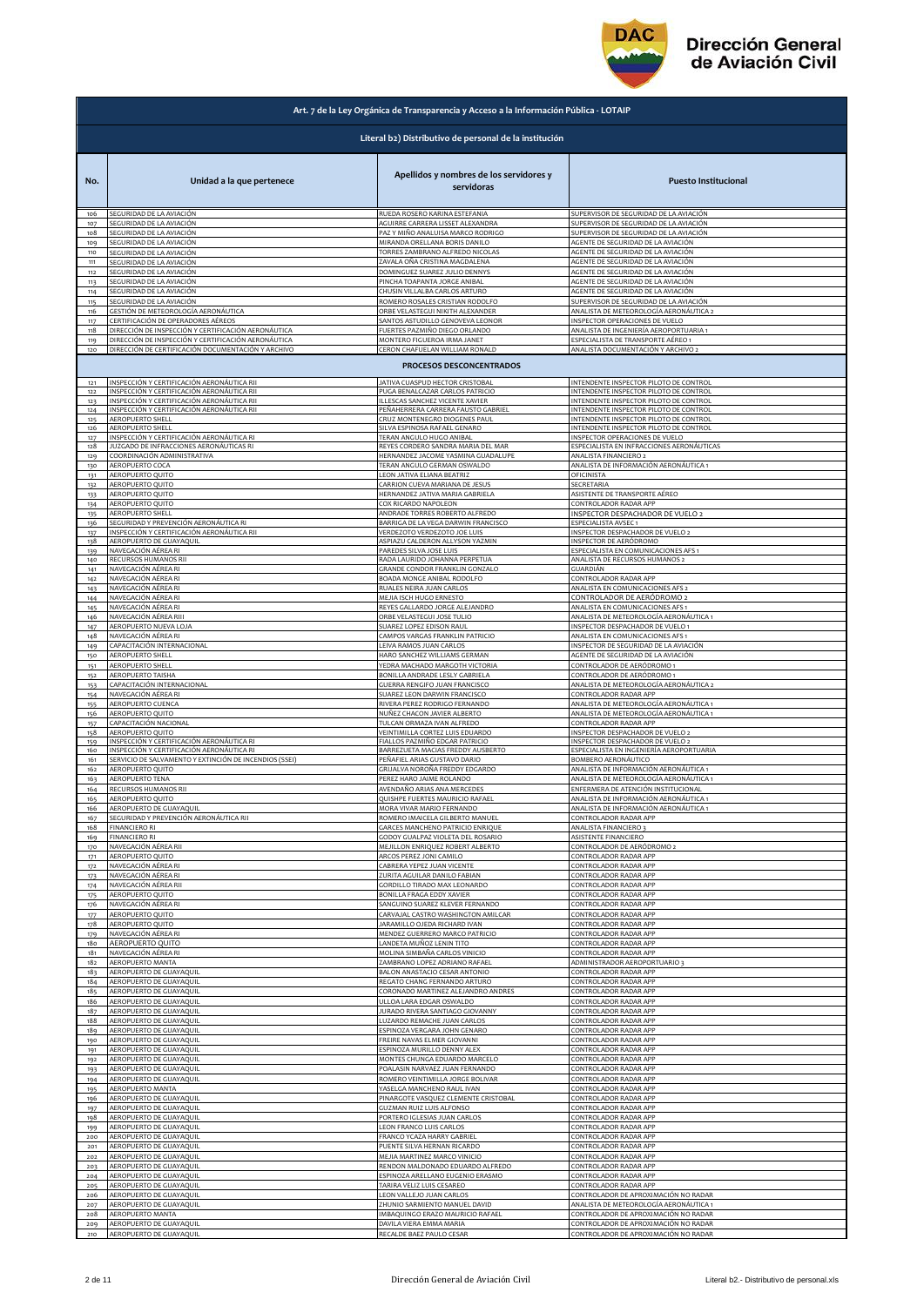

|                 | Art. 7 de la Ley Orgánica de Transparencia y Acceso a la Información Pública - LOTAIP     |                                                              |                                                                          |
|-----------------|-------------------------------------------------------------------------------------------|--------------------------------------------------------------|--------------------------------------------------------------------------|
|                 |                                                                                           | Literal b2) Distributivo de personal de la institución       |                                                                          |
| No.             | Unidad a la que pertenece                                                                 | Apellidos y nombres de los servidores y<br>servidoras        | <b>Puesto Institucional</b>                                              |
| 106             | SEGURIDAD DE LA AVIACIÓN                                                                  | RUEDA ROSERO KARINA ESTEFANIA                                | SUPERVISOR DE SEGURIDAD DE LA AVIACIÓN                                   |
| 107             | SEGURIDAD DE LA AVIACIÓN                                                                  | AGUIRRE CARRERA LISSET ALEXANDRA                             | SUPERVISOR DE SEGURIDAD DE LA AVIACIÓN                                   |
| 108             | SEGURIDAD DE LA AVIACIÓN                                                                  | PAZ Y MIÑO ANALUISA MARCO RODRIGO                            | SUPERVISOR DE SEGURIDAD DE LA AVIACIÓN                                   |
| 109             | SEGURIDAD DE LA AVIACIÓN                                                                  | MIRANDA ORELLANA BORIS DANILO                                | AGENTE DE SEGURIDAD DE LA AVIACIÓN                                       |
| 110             | SEGURIDAD DE LA AVIACIÓN                                                                  | TORRES ZAMBRANO ALFREDO NICOLAS                              | AGENTE DE SEGURIDAD DE LA AVIACIÓN                                       |
| 111             | SEGURIDAD DE LA AVIACIÓN                                                                  | ZAVALA OÑA CRISTINA MAGDALENA                                | AGENTE DE SEGURIDAD DE LA AVIACIÓN                                       |
| 112             | SEGURIDAD DE LA AVIACIÓN                                                                  | DOMINGUEZ SUAREZ JULIO DENNYS                                | AGENTE DE SEGURIDAD DE LA AVIACIÓN                                       |
| 113             | SEGURIDAD DE LA AVIACIÓN                                                                  | PINCHA TOAPANTA JORGE ANIBAL                                 | AGENTE DE SEGURIDAD DE LA AVIACIÓN                                       |
| 114             | SEGURIDAD DE LA AVIACIÓN                                                                  | CHUSIN VILLALBA CARLOS ARTURO                                | AGENTE DE SEGURIDAD DE LA AVIACIÓN                                       |
| 115             | SEGURIDAD DE LA AVIACIÓN                                                                  | ROMERO ROSALES CRISTIAN RODOLFO                              | SUPERVISOR DE SEGURIDAD DE LA AVIACIÓN                                   |
| 116             | GESTIÓN DE METEOROLOGÍA AERONÁUTICA                                                       | ORBE VELASTEGUI NIKITH ALEXANDER                             | ANALISTA DE METEOROLOGÍA AERONÁUTICA 2                                   |
| 117             | CERTIFICACIÓN DE OPERADORES AÉREOS<br>DIRECCIÓN DE INSPECCIÓN Y CERTIFICACIÓN AERONÁUTICA | SANTOS ASTUDILLO GENOVEVA LEONOR                             | INSPECTOR OPERACIONES DE VUELO<br>ANALISTA DE INGENIERÍA AEROPORTUARIA 1 |
| 118<br>119      | DIRECCIÓN DE INSPECCIÓN Y CERTIFICACIÓN AERONÁUTICA                                       | FUERTES PAZMIÑO DIEGO ORLANDO<br>MONTERO FIGUEROA IRMA JANET | ESPECIALISTA DE TRANSPORTE AÉREO 1                                       |
| 120             | DIRECCIÓN DE CERTIFICACIÓN DOCUMENTACIÓN Y ARCHIVO                                        | CERON CHAFUELAN WILLIAM RONALD<br>PROCESOS DESCONCENTRADOS   | ANALISTA DOCUMENTACIÓN Y ARCHIVO 2                                       |
| 121             | INSPECCIÓN Y CERTIFICACIÓN AERONÁUTICA RII                                                | JATIVA CUASPUD HECTOR CRISTOBAL                              | INTENDENTE INSPECTOR PILOTO DE CONTROL                                   |
| 122             | INSPECCIÓN Y CERTIFICACIÓN AERONÁUTICA RII                                                | PUGA BENALCAZAR CARLOS PATRICIO                              | INTENDENTE INSPECTOR PILOTO DE CONTROL                                   |
| 123             | INSPECCIÓN Y CERTIFICACIÓN AERONÁUTICA RII                                                | ILLESCAS SANCHEZ VICENTE XAVIER                              | INTENDENTE INSPECTOR PILOTO DE CONTROL                                   |
| 124             | INSPECCIÓN Y CERTIFICACIÓN AERONÁUTICA RII                                                | PEÑAHERRERA CARRERA FAUSTO GABRIEL                           | INTENDENTE INSPECTOR PILOTO DE CONTROL                                   |
| 125             | <b>AEROPUERTO SHELL</b>                                                                   | CRUZ MONTENEGRO DIOGENES PAUL                                | INTENDENTE INSPECTOR PILOTO DE CONTROL                                   |
| 126             | AEROPUERTO SHELL<br>INSPECCIÓN Y CERTIFICACIÓN AERONÁUTICA RI                             | SILVA ESPINOSA RAFAEL GENARO                                 | INTENDENTE INSPECTOR PILOTO DE CONTROL                                   |
| 127             | JUZGADO DE INFRACCIONES AERONÁUTICAS RI                                                   | TERAN ANGULO HUGO ANIBAL                                     | INSPECTOR OPERACIONES DE VUELO                                           |
| 128             |                                                                                           | REYES CORDERO SANDRA MARIA DEL MAR                           | ESPECIALISTA EN INFRACCIONES AERONÁUTICAS                                |
| 129             | COORDINACIÓN ADMINISTRATIVA                                                               | HERNANDEZ JACOME YASMINA GUADALUPE                           | ANALISTA FINANCIERO 2                                                    |
| 130             | AEROPUERTO COCA                                                                           | TERAN ANGULO GERMAN OSWALDO                                  | ANALISTA DE INFORMACIÓN AERONÁUTICA 1                                    |
| 131             | AEROPUERTO QUITO                                                                          | LEON JATIVA ELIANA BEATRIZ                                   | OFICINISTA                                                               |
| 132             | AEROPUERTO QUITO                                                                          | CARRION CUEVA MARIANA DE JESUS                               | SECRETARIA                                                               |
| 133             | AEROPUERTO QUITO                                                                          | HERNANDEZ JATIVA MARIA GABRIELA                              | ASISTENTE DE TRANSPORTE AÉREO                                            |
| 134             | AEROPUERTO QUITO                                                                          | COX RICARDO NAPOLEON                                         | CONTROLADOR RADAR APP                                                    |
| 135             | AEROPUERTO SHELL                                                                          | ANDRADE TORRES ROBERTO ALFREDO                               | INSPECTOR DESPACHADOR DE VUELO 2                                         |
| 136             | SEGURIDAD Y PREVENCIÓN AERONÁUTICA RI                                                     | BARRIGA DE LA VEGA DARWIN FRANCISCO                          | ESPECIALISTA AVSEC 1                                                     |
| 137             | INSPECCIÓN Y CERTIFICACIÓN AERONÁUTICA RII                                                | VERDEZOTO VERDEZOTO JOE LUIS                                 | INSPECTOR DESPACHADOR DE VUELO 2                                         |
| 138             | AEROPUERTO DE GUAYAQUIL                                                                   | ASPIAZU CALDERON ALLYSON YAZMIN                              | INSPECTOR DE AERÓDROMO                                                   |
| 139             | NAVEGACIÓN AÉREA RI                                                                       | PAREDES SILVA JOSE LUIS                                      | ESPECIALISTA EN COMUNICACIONES AFS 1                                     |
| 140             | RECURSOS HUMANOS RII                                                                      | RADA LAURIDO JOHANNA PERPETUA                                | ANALISTA DE RECURSOS HUMANOS 2                                           |
| 141             | NAVEGACIÓN AÉREA RI                                                                       | GRANDE CONDOR FRANKLIN GONZALO                               | GUARDIÁN                                                                 |
|                 | NAVEGACIÓN AÉREA RI                                                                       | BOADA MONGE ANIBAL RODOLFO                                   | CONTROLADOR RADAR APP                                                    |
| 142<br>143      | NAVEGACIÓN AÉREA RI                                                                       | RUALES NEIRA JUAN CARLOS<br>MEJIA ISCH HUGO ERNESTO          | ANALISTA EN COMUNICACIONES AFS 2                                         |
| 144             | NAVEGACIÓN AÉREA RI                                                                       | REYES GALLARDO JORGE ALEJANDRO                               | CONTROLADOR DE AERÓDROMO 2                                               |
| 145             | NAVEGACIÓN AÉREA RI                                                                       |                                                              | ANALISTA EN COMUNICACIONES AFS 1                                         |
| 146             | NAVEGACIÓN AÉREA RIII                                                                     | ORBE VELASTEGUI JOSE TULIO                                   | ANALISTA DE METEOROLOGÍA AERONÁUTICA 1                                   |
| 147             | AEROPUERTO NUEVA LOJA                                                                     | SUAREZ LOPEZ EDISON RAUL                                     | INSPECTOR DESPACHADOR DE VUELO 1                                         |
| 148             | NAVEGACIÓN AÉREA RI                                                                       | CAMPOS VARGAS FRANKLIN PATRICIO                              | ANALISTA EN COMUNICACIONES AFS 1                                         |
| 149             | CAPACITACIÓN INTERNACIONAL                                                                | LEIVA RAMOS JUAN CARLOS                                      | INSPECTOR DE SEGURIDAD DE LA AVIACIÓN                                    |
| 150             | <b>AEROPUERTO SHELL</b>                                                                   | HARO SANCHEZ WILLIAMS GERMAN                                 | AGENTE DE SEGURIDAD DE LA AVIACIÓN                                       |
| 151             | AEROPUERTO SHELL                                                                          | YEDRA MACHADO MARGOTH VICTORIA                               | CONTROLADOR DE AERÓDROMO 1                                               |
| 152             | AEROPUERTO TAISHA                                                                         | BONILLA ANDRADE LESLY GABRIELA                               | CONTROLADOR DE AERÓDROMO 1                                               |
| 153             | CAPACITACIÓN INTERNACIONAL                                                                | GUERRA RENGIFO JUAN FRANCISCO                                | ANALISTA DE METEOROLOGÍA AERONÁUTICA 2                                   |
| 154             | NAVEGACIÓN AÉREA RI                                                                       | SUAREZ LEON DARWIN FRANCISCO                                 | CONTROLADOR RADAR APP                                                    |
| 155             | AEROPUERTO CUENCA                                                                         | RIVERA PEREZ RODRIGO FERNANDO                                | ANALISTA DE METEOROLOGÍA AERONÁUTICA 1                                   |
| 156             | AEROPUERTO QUITO                                                                          | NUÑEZ CHACON JAVIER ALBERTO                                  | ANALISTA DE METEOROLOGÍA AERONÁUTICA 1                                   |
|                 | CAPACITACIÓN NACIONAL                                                                     | TULCAN ORMAZA IVAN ALFREDO                                   | CONTROLADOR RADAR APP                                                    |
| 157             | AEROPUERTO QUITO                                                                          | VEINTIMILLA CORTEZ LUIS EDUARDO                              | INSPECTOR DESPACHADOR DE VUELO 2                                         |
| 158             | INSPECCIÓN Y CERTIFICACIÓN AERONÁUTICA RI                                                 | FIALLOS PAZMIÑO EDGAR PATRICIO                               | INSPECTOR DESPACHADOR DE VUELO 2                                         |
| 159             | INSPECCIÓN Y CERTIFICACIÓN AERONÁUTICA RI                                                 | BARREZUETA MACIAS FREDDY AUSBERTO                            | ESPECIALISTA EN INGENIERÍA AEROPORTUARIA                                 |
| 160             | SERVICIO DE SALVAMENTO Y EXTINCIÓN DE INCENDIOS (SSEI)                                    | PEÑAFIEL ARIAS GUSTAVO DARIO                                 | BOMBERO AERONÁUTICO                                                      |
| 161<br>162      | AEROPUERTO QUITO                                                                          | GRIJALVA NOROÑA FREDDY EDGARDO                               | ANALISTA DE INFORMACIÓN AERONÁUTICA 1                                    |
| 163             | AEROPUERTO TENA                                                                           | PEREZ HARO JAIME ROLANDO                                     | ANALISTA DE METEOROLOGÍA AERONÁUTICA 1                                   |
| 164             | RECURSOS HUMANOS RII                                                                      | AVENDAÑO ARIAS ANA MERCEDES                                  | ENFERMERA DE ATENCIÓN INSTITUCIONAL                                      |
| 166             | AEROPUERTO QUITO                                                                          | QUISHPE FUERTES MAURICIO RAFAEL                              | ANALISTA DE INFORMACIÓN AERONÁUTICA 1                                    |
|                 | AEROPUERTO DE GUAYAOUIL                                                                   | MORA VIVAR MARIO FERNANDO                                    | ANALISTA DE INFORMACIÓN AERONÁUTICA 1                                    |
| 167             | SEGURIDAD Y PREVENCIÓN AERONÁUTICA RII                                                    | ROMERO IMAICELA GILBERTO MANUEL                              | CONTROLADOR RADAR APP                                                    |
| 168             | FINANCIERO RI                                                                             | GARCES MANCHENO PATRICIO ENRIQUE                             | ANALISTA FINANCIERO 3                                                    |
| 16 <sub>9</sub> | <b>FINANCIERO RI</b>                                                                      | GODOY GUALPAZ VIOLETA DEL ROSARIO                            | ASISTENTE FINANCIERO                                                     |
| 170             | NAVEGACIÓN AÉREA RI                                                                       | MEJILLON ENRIQUEZ ROBERT ALBERTO                             | CONTROLADOR DE AERÓDROMO 2                                               |
| 171             | AEROPUERTO QUITO                                                                          | ARCOS PEREZ JONI CAMILO                                      | CONTROLADOR RADAR APP                                                    |
| 172             | NAVEGACIÓN AÉREA RI                                                                       | CABRERA YEPEZ JUAN VICENTE                                   | CONTROLADOR RADAR APP                                                    |
| 173             | NAVEGACIÓN AÉREA RI                                                                       | ZURITA AGUILAR DANILO FABIAN                                 | CONTROLADOR RADAR APP                                                    |
| 174             | NAVEGACIÓN AÉREA RII                                                                      | GORDILLO TIRADO MAX LEONARDO                                 | CONTROLADOR RADAR APP                                                    |
| 175             | AEROPUERTO QUITO                                                                          | BONILLA FRAGA EDDY XAVIER                                    | CONTROLADOR RADAR APP                                                    |
| 176             | NAVEGACIÓN AÉREA RI                                                                       | SANGUINO SUAREZ KLEVER FERNANDO                              | CONTROLADOR RADAR APP                                                    |
| 177             | AEROPUERTO QUITO                                                                          | CARVAJAL CASTRO WASHINGTON AMILCAR                           | CONTROLADOR RADAR APP                                                    |
| 178             | AEROPUERTO QUITO                                                                          | JARAMILLO OJEDA RICHARD IVAN                                 | CONTROLADOR RADAR APP                                                    |
| 179             | NAVEGACIÓN AÉREA RI                                                                       | MENDEZ GUERRERO MARCO PATRICIO                               | CONTROLADOR RADAR APP                                                    |
| 180             | AEROPUERTO QUITO                                                                          | LANDETA MUÑOZ LENIN TITO                                     | CONTROLADOR RADAR APP                                                    |
| 181             | NAVEGACIÓN AÉREA RI                                                                       | MOLINA SIMBAÑA CARLOS VINICIO                                | CONTROLADOR RADAR APP                                                    |
| 182             | AEROPUERTO MANTA                                                                          | ZAMBRANO LOPEZ ADRIANO RAFAEL                                | ADMINISTRADOR AEROPORTUARIO 3                                            |
| 183             | AEROPUERTO DE GUAYAQUIL                                                                   | BALON ANASTACIO CESAR ANTONIO                                | CONTROLADOR RADAR APP                                                    |
| 184             | AEROPUERTO DE GUAYAQUIL                                                                   | REGATO CHANG FERNANDO ARTURO                                 | CONTROLADOR RADAR APP                                                    |
| 185             | AEROPUERTO DE GUAYAQUIL                                                                   | CORONADO MARTINEZ ALEJANDRO ANDRES                           | CONTROLADOR RADAR APP                                                    |
| 186             | AEROPUERTO DE GUAYAQUIL                                                                   | ULLOA LARA EDGAR OSWALDO                                     | CONTROLADOR RADAR APP                                                    |
| 187             | AEROPUERTO DE GUAYAQUIL                                                                   | JURADO RIVERA SANTIAGO GIOVANNY                              | CONTROLADOR RADAR APP                                                    |
| 188             | AEROPUERTO DE GUAYAQUIL                                                                   | LUZARDO REMACHE JUAN CARLOS                                  | CONTROLADOR RADAR APP                                                    |
| 189             | AEROPUERTO DE GUAYAQUIL                                                                   | ESPINOZA VERGARA JOHN GENARO                                 | CONTROLADOR RADAR APP                                                    |
| 190             | AEROPUERTO DE GUAYAQUIL                                                                   | FREIRE NAVAS ELMER GIOVANNI                                  | CONTROLADOR RADAR APP                                                    |
| 191             | AEROPUERTO DE GUAYAQUIL                                                                   | ESPINOZA MURILLO DENNY ALEX                                  | CONTROLADOR RADAR APP                                                    |
| 192             | AEROPUERTO DE GUAYAQUIL                                                                   | MONTES CHUNGA EDUARDO MARCELO                                | CONTROLADOR RADAR APP                                                    |
| 193             | AEROPUERTO DE GUAYAQUIL                                                                   | POALASIN NARVAEZ JUAN FERNANDO                               | CONTROLADOR RADAR APP                                                    |
| 194             | AEROPUERTO DE GUAYAQUIL                                                                   | ROMERO VEINTIMILLA JORGE BOLIVAR                             | CONTROLADOR RADAR APP                                                    |
| 195             | AEROPUERTO MANTA                                                                          | YASELGA MANCHENO RAUL IVAN                                   | CONTROLADOR RADAR APP                                                    |
| 196             | AEROPUERTO DE GUAYAQUIL                                                                   | PINARGOTE VASQUEZ CLEMENTE CRISTOBAL                         | CONTROLADOR RADAR APP                                                    |
| 197             | AEROPUERTO DE GUAYAQUIL                                                                   | <b>GUZMAN RUIZ LUIS ALFONSO</b>                              | CONTROLADOR RADAR APP                                                    |
| 198             | AEROPUERTO DE GUAYAQUIL                                                                   | PORTERO IGLESIAS JUAN CARLOS                                 | CONTROLADOR RADAR APP                                                    |
| 199             | AEROPUERTO DE GUAYAQUIL                                                                   | LEON FRANCO LUIS CARLOS                                      | CONTROLADOR RADAR APP                                                    |
| 200             | AEROPUERTO DE GUAYAQUIL                                                                   | FRANCO YCAZA HARRY GABRIEL                                   | CONTROLADOR RADAR APP                                                    |
| 201             | AEROPUERTO DE GUAYAQUIL                                                                   | PUENTE SILVA HERNAN RICARDO                                  | CONTROLADOR RADAR APP                                                    |
| 202             | AEROPUERTO DE GUAYAQUIL                                                                   | MEJIA MARTINEZ MARCO VINICIO                                 | CONTROLADOR RADAR APP                                                    |
| 203             | AEROPUERTO DE GUAYAQUIL                                                                   | RENDON MALDONADO EDUARDO ALFREDO                             | CONTROLADOR RADAR APP                                                    |
| 204             | AEROPUERTO DE GUAYAQUIL                                                                   | ESPINOZA ARELLANO EUGENIO ERASMO                             | CONTROLADOR RADAR APP                                                    |
| 205             | AEROPUERTO DE GUAYAQUIL                                                                   | TARIRA VELIZ LUIS CESAREO                                    | CONTROLADOR RADAR APP                                                    |
| 206             | AEROPUERTO DE GUAYAQUIL                                                                   | LEON VALLEJO JUAN CARLOS                                     | CONTROLADOR DE APROXIMACIÓN NO RADAR                                     |
| 207             | AEROPUERTO DE GUAYAQUIL                                                                   | ZHUNIO SARMIENTO MANUEL DAVID                                | ANALISTA DE METEOROLOGÍA AERONÁUTICA 1                                   |
| 208             | AEROPUERTO MANTA                                                                          | IMBAQUINGO ERAZO MAURICIO RAFAEL                             | CONTROLADOR DE APROXIMACIÓN NO RADAR                                     |
| 209             | AEROPUERTO DE GUAYAQUIL                                                                   | DAVILA VIERA EMMA MARIA                                      | CONTROLADOR DE APROXIMACIÓN NO RADAR                                     |
| $210\,$         | AEROPUERTO DE GUAYAQUIL                                                                   | RECALDE BAEZ PAULO CESAR                                     | CONTROLADOR DE APROXIMACIÓN NO RADAR                                     |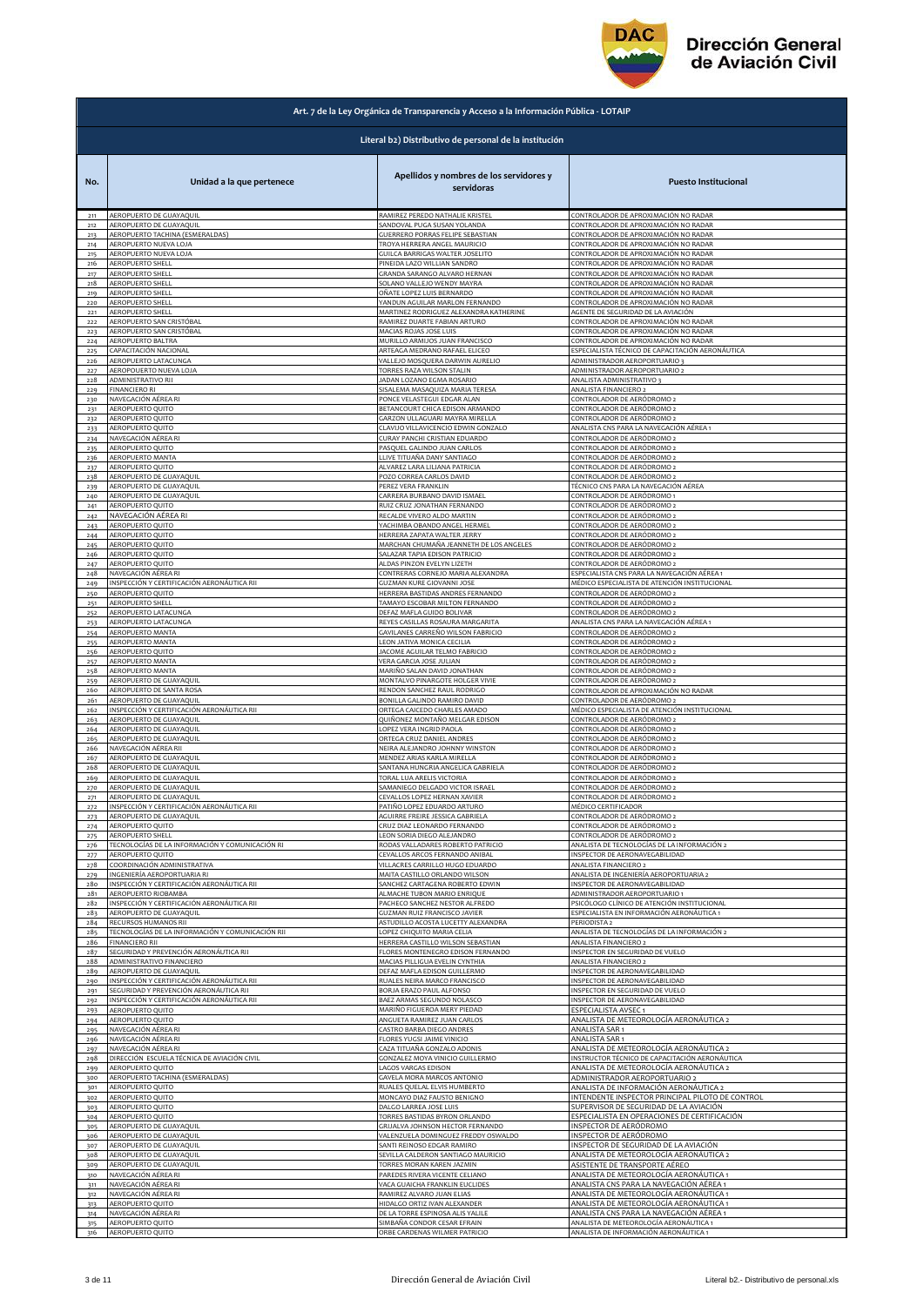

|            | Art. 7 de la Ley Orgánica de Transparencia y Acceso a la Información Pública - LOTAIP |                                                                        |                                                                            |  |
|------------|---------------------------------------------------------------------------------------|------------------------------------------------------------------------|----------------------------------------------------------------------------|--|
|            | Literal b2) Distributivo de personal de la institución                                |                                                                        |                                                                            |  |
| No.        | Unidad a la que pertenece                                                             | Apellidos y nombres de los servidores y<br>servidoras                  | <b>Puesto Institucional</b>                                                |  |
| 211        | AEROPUERTO DE GUAYAQUIL                                                               | RAMIREZ PEREDO NATHALIE KRISTEL                                        | CONTROLADOR DE APROXIMACIÓN NO RADAR                                       |  |
| 212        | AEROPUERTO DE GUAYAQUIL                                                               | SANDOVAL PUGA SUSAN YOLANDA                                            | CONTROLADOR DE APROXIMACIÓN NO RADAR                                       |  |
| 213        | AEROPUERTO TACHINA (ESMERALDAS)                                                       | GUERRERO PORRAS FELIPE SEBASTIAN                                       | CONTROLADOR DE APROXIMACIÓN NO RADAR                                       |  |
| 214        | AEROPUERTO NUEVA LOJA                                                                 | TROYA HERRERA ANGEL MAURICIO                                           | CONTROLADOR DE APROXIMACIÓN NO RADAR                                       |  |
| 215        | AEROPUERTO NUEVA LOJA                                                                 | GUILCA BARRIGAS WALTER JOSELITO                                        | CONTROLADOR DE APROXIMACIÓN NO RADAR                                       |  |
| 216        | <b>AEROPUERTO SHELL</b>                                                               | PINEIDA LAZO WILLIAN SANDRO                                            | CONTROLADOR DE APROXIMACIÓN NO RADAR                                       |  |
| 217        | <b>AEROPUERTO SHELL</b>                                                               | GRANDA SARANGO ALVARO HERNAN                                           | CONTROLADOR DE APROXIMACIÓN NO RADAR                                       |  |
| 218        | AEROPUERTO SHELL                                                                      | SOLANO VALLEJO WENDY MAYRA                                             | CONTROLADOR DE APROXIMACIÓN NO RADAR                                       |  |
| 219        | AEROPUERTO SHELL                                                                      | OÑATE LOPEZ LUIS BERNARDO                                              | CONTROLADOR DE APROXIMACIÓN NO RADAR                                       |  |
| 220        | AEROPUERTO SHELL<br>AEROPUERTO SHELL                                                  | YANDUN AGUILAR MARLON FERNANDO                                         | CONTROLADOR DE APROXIMACIÓN NO RADAR<br>AGENTE DE SEGURIDAD DE LA AVIACIÓN |  |
| 221<br>222 | AEROPUERTO SAN CRISTÓBAL                                                              | MARTINEZ RODRIGUEZ ALEXANDRA KATHERINE<br>RAMIREZ DUARTE FABIAN ARTURO | CONTROLADOR DE APROXIMACIÓN NO RADAR                                       |  |
| 223        | AEROPUERTO SAN CRISTÓBAL                                                              | MACIAS ROJAS JOSE LUIS                                                 | CONTROLADOR DE APROXIMACIÓN NO RADAR                                       |  |
| 224        | AEROPUERTO BALTRA                                                                     | MURILLO ARMIJOS JUAN FRANCISCO                                         | CONTROLADOR DE APROXIMACIÓN NO RADAR                                       |  |
| 225        | :APACITACIÓN NACIONAL                                                                 | ARTEAGA MEDRANO RAFAEL ELICEO                                          | ESPECIALISTA TÉCNICO DE CAPACITACIÓN AERONÁUTICA                           |  |
| 226        | <b><i>AEROPUERTO LATACUNGA</i></b>                                                    | VALLEJO MOSQUERA DARWIN AURELIO                                        | ADMINISTRADOR AEROPORTUARIO 3                                              |  |
| 227        | AEROPOUERTO NUEVA LOJA                                                                | TORRES RAZA WILSON STALIN                                              | ADMINISTRADOR AEROPORTUARIO 2                                              |  |
| 228        | ADMINISTRATIVO RII                                                                    | JADAN LOZANO EGMA ROSARIO                                              | ANALISTA ADMINISTRATIVO 3                                                  |  |
| 229        | <b>FINANCIERO RI</b>                                                                  | SISALEMA MASAQUIZA MARIA TERESA                                        | ANALISTA FINANCIERO 2                                                      |  |
|            | NAVEGACIÓN AÉREA RI                                                                   | PONCE VELASTEGUI EDGAR ALAN                                            | CONTROLADOR DE AERÓDROMO 2                                                 |  |
| 230<br>231 | AEROPUERTO QUITO                                                                      | BETANCOURT CHICA EDISON ARMANDO                                        | CONTROLADOR DE AERÓDROMO 2                                                 |  |
| 232        | AEROPUERTO QUITO                                                                      | GARZON ULLAGUARI MAYRA MIRELLA                                         | CONTROLADOR DE AERÓDROMO 2                                                 |  |
| 233        | <b>AEROPUERTO OUITO</b>                                                               | CLAVIJO VILLAVICENCIO EDWIN GONZALO                                    | ANALISTA CNS PARA LA NAVEGACIÓN AÉREA 1                                    |  |
| 234        | NAVEGACIÓN AÉREA RI                                                                   | CURAY PANCHI CRISTIAN EDUARDO                                          | CONTROLADOR DE AERÓDROMO 2                                                 |  |
| 235        | <b>AEROPUERTO QUITO</b>                                                               | PASQUEL GALINDO JUAN CARLOS                                            | CONTROLADOR DE AERÓDROMO 2                                                 |  |
| 236        | <b>AEROPUERTO MANTA</b>                                                               | LLIVE TITUAÑA DANY SANTIAGO                                            | CONTROLADOR DE AERÓDROMO 2                                                 |  |
| 237        | <b>AEROPUERTO QUITO</b>                                                               | ALVAREZ LARA LILIANA PATRICIA                                          | CONTROLADOR DE AERÓDROMO 2                                                 |  |
| 238        | AEROPUERTO DE GUAYAQUIL                                                               | POZO CORREA CARLOS DAVID                                               | CONTROLADOR DE AERÓDROMO 2                                                 |  |
|            | <b>AEROPUERTO DE GUAYAQUIL</b>                                                        | PEREZ VERA FRANKLIN                                                    | TÉCNICO CNS PARA LA NAVEGACIÓN AÉREA                                       |  |
| 239<br>240 | AEROPUERTO DE GUAYAQUIL                                                               | CARRERA BURBANO DAVID ISMAEL                                           | CONTROLADOR DE AERÓDROMO 1                                                 |  |
| 241        | AEROPUERTO QUITO                                                                      | RUIZ CRUZ JONATHAN FERNANDO                                            | CONTROLADOR DE AERÓDROMO 2                                                 |  |
| 242        | NAVEGACIÓN AÉREA RI                                                                   | RECALDE VIVERO ALDO MARTIN                                             | CONTROLADOR DE AERÓDROMO 2                                                 |  |
| 243        | AEROPUERTO QUITO                                                                      | YACHIMBA OBANDO ANGEL HERMEL                                           | CONTROLADOR DE AERÓDROMO 2                                                 |  |
| 244        | AEROPUERTO QUITO                                                                      | HERRERA ZAPATA WALTER JERRY                                            | CONTROLADOR DE AERÓDROMO 2                                                 |  |
| 245        | AEROPUERTO QUITO                                                                      | MARCHAN CHUMAÑA JEANNETH DE LOS ANGELES                                | CONTROLADOR DE AERÓDROMO 2                                                 |  |
| 246        | AEROPUERTO QUITO                                                                      | SALAZAR TAPIA EDISON PATRICIO                                          | CONTROLADOR DE AERÓDROMO 2                                                 |  |
| 247        | AEROPUERTO QUITO                                                                      | ALDAS PINZON EVELYN LIZETH                                             | CONTROLADOR DE AERÓDROMO 2                                                 |  |
| 248        | NAVEGACIÓN AÉREA RI                                                                   | CONTRERAS CORNEJO MARIA ALEXANDRA                                      | ESPECIALISTA CNS PARA LA NAVEGACIÓN AÉREA 1                                |  |
| 249        | INSPECCIÓN Y CERTIFICACIÓN AERONÁUTICA RII                                            | GUZMAN KURE GIOVANNI JOSE                                              | MÉDICO ESPECIALISTA DE ATENCIÓN INSTITUCIONAL                              |  |
| 250        | <b>AEROPUERTO QUITO</b>                                                               | HERRERA BASTIDAS ANDRES FERNANDO                                       | CONTROLADOR DE AERÓDROMO 2                                                 |  |
| 251        | <b>AEROPUERTO SHELL</b>                                                               | TAMAYO ESCOBAR MILTON FERNANDO                                         | ONTROLADOR DE AERÓDROMO 2                                                  |  |
| 252        | AEROPUERTO LATACUNGA                                                                  | DEFAZ MAFLA GUIDO BOLIVAR                                              | ONTROLADOR DE AERÓDROMO 2                                                  |  |
| 253        | AEROPUERTO LATACUNGA                                                                  | REYES CASILLAS ROSAURA MARGARITA                                       | ANALISTA CNS PARA LA NAVEGACIÓN AÉREA 1                                    |  |
| 254        | AEROPUERTO MANTA                                                                      | GAVILANES CARREÑO WILSON FABRICIO                                      | CONTROLADOR DE AERÓDROMO 2                                                 |  |
| 255        | AEROPUERTO MANTA                                                                      | LEON JATIVA MONICA CECILIA                                             | CONTROLADOR DE AERÓDROMO 2                                                 |  |
| 256        | AEROPUERTO QUITO                                                                      | JACOME AGUILAR TELMO FABRICIO                                          | CONTROLADOR DE AERÓDROMO 2                                                 |  |
| 257        | AEROPUERTO MANTA                                                                      | VERA GARCIA JOSE JULIAN                                                | CONTROLADOR DE AERÓDROMO 2                                                 |  |
| 258        | AEROPUERTO MANTA                                                                      | MARIÑO SALAN DAVID JONATHAN                                            | CONTROLADOR DE AERÓDROMO 2                                                 |  |
| 259        | <b>AEROPUERTO DE GUAYAQUIL</b>                                                        | MONTALVO PINARGOTE HOLGER VIVIE                                        | ONTROLADOR DE AERÓDROMO 2                                                  |  |
| 260        | AEROPUERTO DE SANTA ROSA                                                              | RENDON SANCHEZ RAUL RODRIGO                                            | CONTROLADOR DE APROXIMACIÓN NO RADAR                                       |  |
| 261        | <b>AEROPUERTO DE GUAYAQUIL</b>                                                        | BONILLA GALINDO RAMIRO DAVID                                           | CONTROLADOR DE AERÓDROMO 2                                                 |  |
| 262        | INSPECCIÓN Y CERTIFICACIÓN AERONÁUTICA RII                                            | ORTEGA CAICEDO CHARLES AMADO                                           | MÉDICO ESPECIALISTA DE ATENCIÓN INSTITUCIONAL                              |  |
| 263        | AEROPUERTO DE GUAYAQUIL                                                               | QUIÑONEZ MONTAÑO MELGAR EDISON                                         | CONTROLADOR DE AERÓDROMO 2                                                 |  |
| 264        | <b>AEROPUERTO DE GUAYAQUIL</b>                                                        | OPEZ VERA INGRID PAOLA                                                 | CONTROLADOR DE AERÓDROMO 2                                                 |  |
| 265        | AEROPUERTO DE GUAYAQUIL                                                               | ORTEGA CRUZ DANIEL ANDRES                                              | CONTROLADOR DE AERÓDROMO 2                                                 |  |
| 266        | NAVEGACIÓN AÉREA RII                                                                  | NEIRA ALEJANDRO JOHNNY WINSTON                                         | CONTROLADOR DE AERÓDROMO 2                                                 |  |
| 267        | AEROPUERTO DE GUAYAQUIL                                                               | MENDEZ ARIAS KARLA MIRELLA                                             | CONTROLADOR DE AERÓDROMO 2                                                 |  |
| 268        | AEROPUERTO DE GUAYAQUIL                                                               | SANTANA HUNGRIA ANGELICA GABRIELA                                      | CONTROLADOR DE AERÓDROMO 2                                                 |  |
| 269        | AEROPUERTO DE GUAYAQUIL<br>AEROPUERTO DE GUAYAQUIL                                    | TORAL LUA ARELIS VICTORIA<br>SAMANIEGO DELGADO VICTOR ISRAEL           | CONTROLADOR DE AERÓDROMO 2                                                 |  |
| 270<br>271 | <b>AFROPLIERTO DE GLIAVAOUL</b>                                                       | <b>FVALLOS LOPEZ HERNAN XAVIER</b>                                     | CONTROLADOR DE AERÓDROMO 2<br>ONTROLADOR DE AERÓDROMO                      |  |
| 272        | INSPECCIÓN Y CERTIFICACIÓN AERONÁUTICA RII                                            | PATIÑO LOPEZ EDUARDO ARTURO                                            | MÉDICO CERTIFICADOR                                                        |  |
| 273        | AEROPUERTO DE GUAYAQUIL                                                               | AGUIRRE FREIRE JESSICA GABRIELA                                        | :ONTROLADOR DE AERÓDROMO 2                                                 |  |
| 274        | AEROPUERTO QUITO                                                                      | CRUZ DIAZ LEONARDO FERNANDO                                            | CONTROLADOR DE AERÓDROMO 2                                                 |  |
| 275        | <b>AEROPUERTO SHELL</b>                                                               | EON SORIA DIEGO ALEJANDRO                                              | ONTROLADOR DE AERÓDROMO 2                                                  |  |
| 276        | TECNOLOGÍAS DE LA INFORMACIÓN Y COMUNICACIÓN RI                                       | RODAS VALLADARES ROBERTO PATRICIO                                      | ANALISTA DE TECNOLOGÍAS DE LA INFORMACIÓN 2                                |  |
| 277        | AEROPUERTO QUITO                                                                      | CEVALLOS ARCOS FERNANDO ANIBAL                                         | INSPECTOR DE AERONAVEGABILIDAD                                             |  |
| 278        | COORDINACIÓN ADMINISTRATIVA                                                           | VILLACRES CARRILLO HUGO EDUARDO                                        | ANALISTA FINANCIERO 2                                                      |  |
| 279        | INGENIERÍA AEROPORTUARIA RI                                                           | MAITA CASTILLO ORLANDO WILSON                                          | ANALISTA DE INGENIERÍA AEROPORTUARIA 2                                     |  |
| 280        | INSPECCIÓN Y CERTIFICACIÓN AERONÁUTICA RII                                            | SANCHEZ CARTAGENA ROBERTO EDWIN                                        | INSPECTOR DE AERONAVEGABILIDAD<br>ADMINISTRADOR AEROPORTUARIO1             |  |
| 281        | AEROPUERTO RIOBAMBA                                                                   | ALMACHE TUBON MARIO ENRIQUE                                            | PSICÓLOGO CLÍNICO DE ATENCIÓN INSTITUCIONAL                                |  |
| 282        | INSPECCIÓN Y CERTIFICACIÓN AERONÁUTICA RII                                            | PACHECO SANCHEZ NESTOR ALFREDO                                         |                                                                            |  |
| 283        | AEROPUERTO DE GUAYAQUIL                                                               | GUZMAN RUIZ FRANCISCO JAVIER                                           | ESPECIALISTA EN INFORMACIÓN AERONÁUTICA 1                                  |  |
| 284        | RECURSOS HUMANOS RII                                                                  | ASTUDILLO ACOSTA LUCETTY ALEXANDRA                                     | PERIODISTA 2                                                               |  |
| 285        | TECNOLOGÍAS DE LA INFORMACIÓN Y COMUNICACIÓN RII                                      | LOPEZ CHIQUITO MARIA CELIA                                             | ANALISTA DE TECNOLOGÍAS DE LA INFORMACIÓN 2                                |  |
| 286        | <b>FINANCIERO RII</b>                                                                 | HERRERA CASTILLO WILSON SEBASTIAN                                      | ANALISTA FINANCIERO 2                                                      |  |
| 287        | EGURIDAD Y PREVENCIÓN AERONÁUTICA RII                                                 | <b>FLORES MONTENEGRO EDISON FERNANDO</b>                               | INSPECTOR EN SEGURIDAD DE VUELO                                            |  |
| 288        | ADMINISTRATIVO FINANCIERO                                                             | MACIAS PILLIGUA EVELIN CYNTHIA                                         | ANALISTA FINANCIERO 2                                                      |  |
| 289        | AEROPUERTO DE GUAYAQUIL                                                               | DEFAZ MAFLA EDISON GUILLERMO                                           | INSPECTOR DE AERONAVEGABILIDAD                                             |  |
| 290        | NSPECCIÓN Y CERTIFICACIÓN AERONÁUTICA RII                                             | RUALES NEIRA MARCO FRANCISCO                                           | INSPECTOR DE AERONAVEGABILIDAD                                             |  |
| 291        | SEGURIDAD Y PREVENCIÓN AERONÁUTICA RII                                                | BORJA ERAZO PAUL ALFONSO                                               | INSPECTOR EN SEGURIDAD DE VUELO                                            |  |
|            | INSPECCIÓN Y CERTIFICACIÓN AERONÁUTICA RII                                            | BAEZ ARMAS SEGUNDO NOLASCO                                             | INSPECTOR DE AERONAVEGABILIDAD                                             |  |
| 292<br>293 | AEROPUERTO QUITO                                                                      | MARIÑO FIGUEROA MERY PIEDAD                                            | ESPECIALISTA AVSEC 1                                                       |  |
| 294        | AEROPUERTO QUITO                                                                      | ANGUETA RAMIREZ JUAN CARLOS                                            | ANALISTA DE METEOROLOGÍA AERONÁUTICA 2                                     |  |
| 295        | NAVEGACIÓN AÉREA RI                                                                   | CASTRO BARBA DIEGO ANDRES                                              | ANALISTA SAR 1                                                             |  |
| 296        | NAVEGACIÓN AÉREA RI                                                                   | FLORES YUGSI JAIME VINICIO                                             | ANALISTA SAR 1                                                             |  |
| 297        | NAVEGACIÓN AÉREA RI                                                                   | CAZA TITUAÑA GONZALO ADONIS                                            | ANALISTA DE METEOROLOGÍA AERONÁUTICA 2                                     |  |
| 298        | DIRECCIÓN ESCUELA TÉCNICA DE AVIACIÓN CIVIL                                           | GONZALEZ MOYA VINICIO GUILLERMO                                        | INSTRUCTOR TÉCNICO DE CAPACITACIÓN AERONÁUTICA                             |  |
| 299        | <b>AEROPUERTO QUITO</b>                                                               | LAGOS VARGAS EDISON                                                    | ANALISTA DE METEOROLOGÍA AERONÁUTICA 2                                     |  |
| 300        | AEROPUERTO TACHINA (ESMERALDAS)                                                       | GAVELA MORA MARCOS ANTONIO                                             | ADMINISTRADOR AEROPORTUARIO 2                                              |  |
| 301        | AEROPUERTO QUITO                                                                      | RUALES QUELAL ELVIS HUMBERTO                                           | ANALISTA DE INFORMACIÓN AERONÁUTICA 2                                      |  |
| 302        | AEROPUERTO QUITO                                                                      | MONCAYO DIAZ FAUSTO BENIGNO                                            | INTENDENTE INSPECTOR PRINCIPAL PILOTO DE CONTROL                           |  |
| 303        | AEROPUERTO QUITO                                                                      | DALGO LARREA JOSE LUIS                                                 | SUPERVISOR DE SEGURIDAD DE LA AVIACIÓN                                     |  |
| 304        | AEROPUERTO QUITO                                                                      | TORRES BASTIDAS BYRON ORLANDO                                          | ESPECIALISTA EN OPERACIONES DE CERTIFICACIÓN                               |  |
| 305        | AEROPUERTO DE GUAYAQUIL                                                               | GRIJALVA JOHNSON HECTOR FERNANDO                                       | INSPECTOR DE AERÓDROMO                                                     |  |
| 306        | AEROPUERTO DE GUAYAQUIL                                                               | VALENZUELA DOMINGUEZ FREDDY OSWALDO                                    | INSPECTOR DE AERÓDROMO                                                     |  |
| 307        | AEROPUERTO DE GUAYAQUIL                                                               | SANTI REINOSO EDGAR RAMIRO                                             | INSPECTOR DE SEGURIDAD DE LA AVIACIÓN                                      |  |
| 308        | AEROPUERTO DE GUAYAQUIL                                                               | SEVILLA CALDERON SANTIAGO MAURICIO                                     | ANALISTA DE METEOROLOGÍA AERONÁUTICA 2                                     |  |
| 309        | AEROPUERTO DE GUAYAQUIL                                                               | TORRES MORAN KAREN JAZMIN                                              | ASISTENTE DE TRANSPORTE AÉREO                                              |  |
| 310        | NAVEGACIÓN AÉREA RI                                                                   | PAREDES RIVERA VICENTE CELIANO                                         | ANALISTA DE METEOROLOGÍA AERONÁUTICA 1                                     |  |
| 311        | NAVEGACIÓN AÉREA RI                                                                   | VACA GUAICHA FRANKLIN EUCLIDES                                         | ANALISTA CNS PARA LA NAVEGACIÓN AÉREA 1                                    |  |
| 312        | NAVEGACIÓN AÉREA RI                                                                   | RAMIREZ ALVARO JUAN ELIAS                                              | ANALISTA DE METEOROLOGÍA AERONÁUTICA 1                                     |  |
| 313        | <b>AEROPUERTO QUITO</b>                                                               | HIDALGO ORTIZ IVAN ALEXANDER                                           | ANALISTA DE METEOROLOGÍA AERONÁUTICA 1                                     |  |
|            | NAVEGACIÓN AÉREA RI                                                                   | DE LA TORRE ESPINOSA ALIS YALILE                                       | ANALISTA CNS PARA LA NAVEGACIÓN AÉREA 1                                    |  |
| 314<br>315 | AEROPUERTO QUITO                                                                      | SIMBAÑA CONDOR CESAR EFRAIN                                            | ANALISTA DE METEOROLOGÍA AERONÁUTICA 1                                     |  |
| 316        | AEROPUERTO QUITO                                                                      | ORBE CARDENAS WILMER PATRICIO                                          | ANALISTA DE INFORMACIÓN AERONÁUTICA 1                                      |  |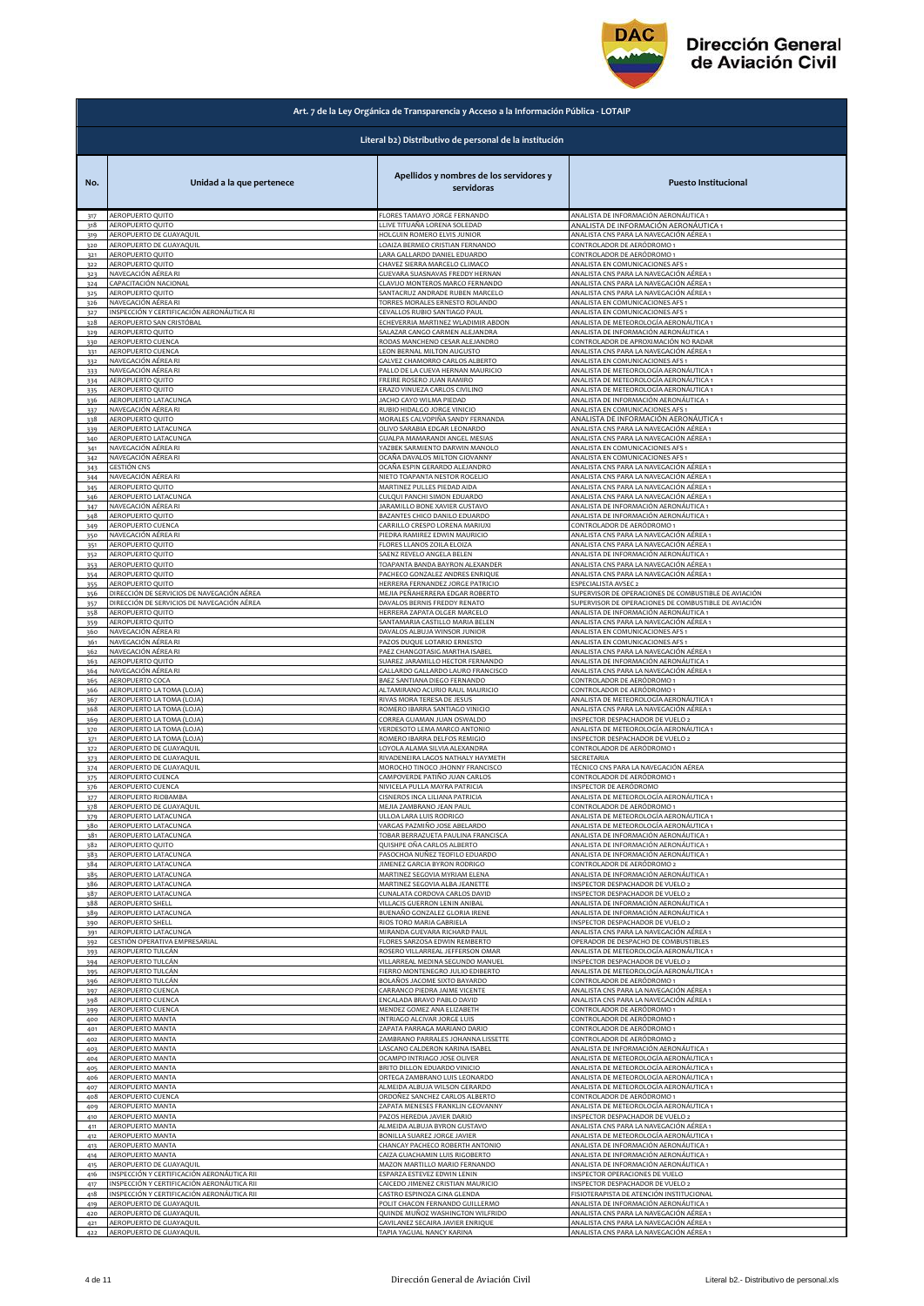

## **Dirección General** de Aviación Civil

|                   | Art. 7 de la Ley Orgánica de Transparencia y Acceso a la Información Pública - LOTAIP |                                                                                                          |                                                                                                                      |  |
|-------------------|---------------------------------------------------------------------------------------|----------------------------------------------------------------------------------------------------------|----------------------------------------------------------------------------------------------------------------------|--|
|                   | Literal b2) Distributivo de personal de la institución                                |                                                                                                          |                                                                                                                      |  |
| No.               | Unidad a la que pertenece                                                             | Apellidos y nombres de los servidores y<br>servidoras                                                    | <b>Puesto Institucional</b>                                                                                          |  |
| 317               | AEROPUERTO QUITO                                                                      | FLORES TAMAYO JORGE FERNANDO                                                                             | ANALISTA DE INFORMACIÓN AERONÁUTICA 1                                                                                |  |
| 318               | AEROPUERTO QUITO                                                                      | LLIVE TITUAÑA LORENA SOLEDAD                                                                             | ANALISTA DE INFORMACIÓN AERONÁUTICA 1                                                                                |  |
| 319               | AEROPUERTO DE GUAYAQUIL                                                               | HOLGUIN ROMERO ELVIS JUNIOR                                                                              | ANALISTA CNS PARA LA NAVEGACIÓN AÉREA 1                                                                              |  |
| 320               | AEROPUERTO DE GUAYAQUIL                                                               | LOAIZA BERMEO CRISTIAN FERNANDO                                                                          | CONTROLADOR DE AERÓDROMO 1                                                                                           |  |
| 321               | <b>AEROPUERTO QUITO</b>                                                               | LARA GALLARDO DANIEL EDUARDO                                                                             | CONTROLADOR DE AERÓDROMO 1                                                                                           |  |
| 322               | AEROPUERTO QUITO                                                                      | CHAVEZ SIERRA MARCELO CLIMACO                                                                            | ANALISTA EN COMUNICACIONES AFS 1                                                                                     |  |
| 323               | NAVEGACIÓN AÉREA RI                                                                   | GUEVARA SUASNAVAS FREDDY HERNAN                                                                          | ANALISTA CNS PARA LA NAVEGACIÓN AÉREA 1                                                                              |  |
| 324               | <b>APACITACIÓN NACIONAL</b>                                                           | CLAVIJO MONTEROS MARCO FERNANDO                                                                          | ANALISTA CNS PARA LA NAVEGACIÓN AÉREA 1                                                                              |  |
| 325               | AEROPUERTO QUITO                                                                      | SANTACRUZ ANDRADE RUBEN MARCELO                                                                          | ANALISTA CNS PARA LA NAVEGACIÓN AÉREA 1                                                                              |  |
| 326               | NAVEGACIÓN AÉREA RI                                                                   | TORRES MORALES ERNESTO ROLANDO                                                                           | ANALISTA EN COMUNICACIONES AFS 1                                                                                     |  |
| 327               | INSPECCIÓN Y CERTIFICACIÓN AERONÁUTICA RI                                             | CEVALLOS RUBIO SANTIAGO PAUL                                                                             | ANALISTA EN COMUNICACIONES AFS 1                                                                                     |  |
| 328               | AEROPUERTO SAN CRISTÓBAL                                                              | ECHEVERRIA MARTINEZ WLADIMIR ABDON                                                                       | ANALISTA DE METEOROLOGÍA AERONÁUTICA 1                                                                               |  |
| 329               | AEROPUERTO QUITO                                                                      | SALAZAR CANGO CARMEN ALEJANDRA                                                                           | ANALISTA DE INFORMACIÓN AERONÁUTICA 1                                                                                |  |
| 330               | <b>AEROPUERTO CUENCA</b>                                                              | RODAS MANCHENO CESAR ALEJANDRO                                                                           | CONTROLADOR DE APROXIMACIÓN NO RADAR                                                                                 |  |
| 331               | AEROPUERTO CUENCA                                                                     | LEON BERNAL MILTON AUGUSTO                                                                               | ANALISTA CNS PARA LA NAVEGACIÓN AÉREA 1                                                                              |  |
| 332               | NAVEGACIÓN AÉREA RI                                                                   | GALVEZ CHAMORRO CARLOS ALBERTO                                                                           | ANALISTA EN COMUNICACIONES AFS                                                                                       |  |
| 333               | NAVEGACIÓN AÉREA RI                                                                   | PALLO DE LA CUEVA HERNAN MAURICIO                                                                        | ANALISTA DE METEOROLOGÍA AERONÁUTICA 1                                                                               |  |
| 334               | AEROPUERTO QUITO                                                                      | FREIRE ROSERO JUAN RAMIRO                                                                                | ANALISTA DE METEOROLOGÍA AERONÁUTICA 1                                                                               |  |
| 335               | <b>AEROPUERTO QUITO</b>                                                               | ERAZO VINUEZA CARLOS CIVILINO                                                                            | ANALISTA DE METEOROLOGÍA AERONÁUTICA 1                                                                               |  |
| 336               | AEROPUERTO LATACUNGA                                                                  | JACHO CAYO WILMA PIEDAD                                                                                  | ANALISTA DE INFORMACIÓN AERONÁUTICA 1                                                                                |  |
| 337               | NAVEGACIÓN AÉREA RI                                                                   | RUBIO HIDALGO JORGE VINICIO                                                                              | ANALISTA EN COMUNICACIONES AFS 1                                                                                     |  |
| 338               | AEROPUERTO QUITO                                                                      | MORALES CALVOPIÑA SANDY FERNANDA                                                                         | ANALISTA DE INFORMACIÓN AERONÁUTICA 1                                                                                |  |
| 339               | AEROPUERTO LATACUNGA                                                                  | OLIVO SARABIA EDGAR LEONARDO                                                                             | ANALISTA CNS PARA LA NAVEGACIÓN AÉREA 1                                                                              |  |
| 340               | AEROPUERTO LATACUNGA                                                                  | GUALPA MAMARANDI ANGEL MESIAS                                                                            | ANALISTA CNS PARA LA NAVEGACIÓN AÉREA 1                                                                              |  |
| 341               | NAVEGACIÓN AÉREA RI                                                                   | YAZBEK SARMIENTO DARWIN MANOLO                                                                           | ANALISTA EN COMUNICACIONES AFS 1                                                                                     |  |
| 342               | NAVEGACIÓN AÉREA RI                                                                   | OCAÑA DAVALOS MILTON GIOVANNY                                                                            | ANALISTA EN COMUNICACIONES AFS 1                                                                                     |  |
| 343               | GESTIÓN CNS                                                                           | OCAÑA ESPIN GERARDO ALEJANDRO                                                                            | ANALISTA CNS PARA LA NAVEGACIÓN AÉREA 1                                                                              |  |
| 344               | NAVEGACIÓN AÉREA RI                                                                   | NIETO TOAPANTA NESTOR ROGELIO                                                                            | ANALISTA CNS PARA LA NAVEGACIÓN AÉREA 1                                                                              |  |
| 345               | AEROPUERTO QUITO                                                                      | MARTINEZ PULLES PIEDAD AIDA                                                                              | ANALISTA CNS PARA LA NAVEGACIÓN AÉREA 1                                                                              |  |
| 346               | <b>AEROPUERTO LATACUNGA</b>                                                           | CULQUI PANCHI SIMON EDUARDO                                                                              | ANALISTA CNS PARA LA NAVEGACIÓN AÉREA 1                                                                              |  |
| 347               | NAVEGACIÓN AÉREA RI                                                                   | JARAMILLO BONE XAVIER GUSTAVO                                                                            | ANALISTA DE INFORMACIÓN AERONÁUTICA 1                                                                                |  |
| 348               | AEROPUERTO QUITO                                                                      | BAZANTES CHICO DANILO EDUARDO                                                                            | ANALISTA DE INFORMACIÓN AERONÁUTICA 1                                                                                |  |
| 349               | AEROPUERTO CUENCA                                                                     | CARRILLO CRESPO LORENA MARIUXI                                                                           | CONTROLADOR DE AERÓDROMO 1                                                                                           |  |
| 350               | NAVEGACIÓN AÉREA RI                                                                   | PIEDRA RAMIREZ EDWIN MAURICIO                                                                            | ANALISTA CNS PARA LA NAVEGACIÓN AÉREA 1                                                                              |  |
| 351               | AEROPUERTO QUITO                                                                      | FLORES LLANOS ZOILA ELOIZA                                                                               | ANALISTA CNS PARA LA NAVEGACIÓN AÉREA 1                                                                              |  |
| 352               | AEROPUERTO QUITO                                                                      | SAENZ REVELO ANGELA BELEN                                                                                | ANALISTA DE INFORMACIÓN AERONÁUTICA 1                                                                                |  |
| 353               | AEROPUERTO QUITO                                                                      | TOAPANTA BANDA BAYRON ALEXANDER                                                                          | ANALISTA CNS PARA LA NAVEGACIÓN AÉREA 1                                                                              |  |
| 354               | AEROPUERTO QUITO                                                                      | PACHECO GONZALEZ ANDRES ENRIQUE                                                                          | ANALISTA CNS PARA LA NAVEGACIÓN AÉREA 1                                                                              |  |
| 355               | <b>AEROPUERTO QUITO</b>                                                               | HERRERA FERNANDEZ JORGE PATRICIO                                                                         | ESPECIALISTA AVSEC 2                                                                                                 |  |
| 356               | DIRECCIÓN DE SERVICIOS DE NAVEGACIÓN AÉREA                                            | MEJIA PEÑAHERRERA EDGAR ROBERTO                                                                          | SUPERVISOR DE OPERACIONES DE COMBUSTIBLE DE AVIACIÓN                                                                 |  |
| 357               | DIRECCIÓN DE SERVICIOS DE NAVEGACIÓN AÉREA                                            | DAVALOS BERNIS FREDDY RENATO                                                                             | SUPERVISOR DE OPERACIONES DE COMBUSTIBLE DE AVIACIÓN                                                                 |  |
| 358               | <b>AEROPUERTO QUITO</b>                                                               | HERRERA ZAPATA OLGER MARCELO                                                                             | ANALISTA DE INFORMACIÓN AERONÁUTICA 1                                                                                |  |
| 359               | AEROPUERTO QUITO                                                                      | SANTAMARIA CASTILLO MARIA BELEN                                                                          | ANALISTA CNS PARA LA NAVEGACIÓN AÉREA 1                                                                              |  |
| 360               | NAVEGACIÓN AÉREA RI                                                                   | DAVALOS ALBUJA WINSOR JUNIOR                                                                             | ANALISTA EN COMUNICACIONES AFS 1                                                                                     |  |
| 361               | NAVEGACIÓN AÉREA RI                                                                   | PAZOS DUQUE LOTARIO ERNESTO                                                                              | ANALISTA EN COMUNICACIONES AFS 1                                                                                     |  |
| 362               | NAVEGACIÓN AÉREA RI                                                                   | PAEZ CHANGOTASIG MARTHA ISABEL                                                                           | ANALISTA CNS PARA LA NAVEGACIÓN AÉREA 1                                                                              |  |
| 363               | AEROPUERTO QUITO                                                                      | SUAREZ JARAMILLO HECTOR FERNANDO                                                                         | ANALISTA DE INFORMACIÓN AERONÁUTICA 1                                                                                |  |
| 364               | NAVEGACIÓN AÉREA RI                                                                   | GALLARDO GALLARDO LAURO FRANCISCO                                                                        | ANALISTA CNS PARA LA NAVEGACIÓN AÉREA 1                                                                              |  |
| 365               | AEROPUERTO COCA                                                                       | BAEZ SANTIANA DIEGO FERNANDO                                                                             | CONTROLADOR DE AERÓDROMO 1                                                                                           |  |
| 366               | AEROPUERTO LA TOMA (LOJA)                                                             | ALTAMIRANO ACURIO RAUL MAURICIO                                                                          | CONTROLADOR DE AERÓDROMO 1                                                                                           |  |
| 367               | AEROPUERTO LA TOMA (LOJA)                                                             | RIVAS MORA TERESA DE JESUS                                                                               | ANALISTA DE METEOROLOGÍA AERONÁUTICA 1                                                                               |  |
| 368               | AEROPUERTO LA TOMA (LOJA)                                                             | ROMERO IBARRA SANTIAGO VINICIO                                                                           | ANALISTA CNS PARA LA NAVEGACIÓN AÉREA 1                                                                              |  |
| 369               | AEROPUERTO LA TOMA (LOJA)                                                             | CORREA GUAMAN JUAN OSWALDO                                                                               | INSPECTOR DESPACHADOR DE VUELO 2                                                                                     |  |
| 370               | AEROPUERTO LA TOMA (LOJA)                                                             | VERDESOTO LEMA MARCO ANTONIO                                                                             | ANALISTA DE METEOROLOGÍA AERONÁUTICA 1                                                                               |  |
| 371<br>372        | AEROPUERTO LA TOMA (LOJA)<br>AEROPUERTO DE GUAYAQUIL<br>AEROPUERTO DE GUAYAQUIL       | ROMERO IBARRA DELFOS REMIGIO<br>LOYOLA ALAMA SILVIA ALEXANDRA<br>RIVADENEIRA LAGOS NATHALY HAYMETH       | INSPECTOR DESPACHADOR DE VUELO 2<br>CONTROLADOR DE AERÓDROMO 1<br>SECRETARIA                                         |  |
| 373<br>374<br>375 | AEROPUERTO DE GUAYAQUIL<br>AEROPUERTO CUENCA                                          | MOROCHO TINOCO JHONNY FRANCISCO<br>CAMPOVERDE PATIÑO JUAN CARLOS                                         | TÉCNICO CNS PARA LA NAVEGACIÓN AÉREA<br>CONTROLADOR DE AERÓDROMO 1                                                   |  |
| 376               | AEROPUERTO CUENCA                                                                     | NIVICELA PULLA MAYRA PATRICIA                                                                            | INSPECTOR DE AERÓDROMO                                                                                               |  |
| 377               | AEROPUERTO RIOBAMBA                                                                   | CISNEROS INCA I II IANA PATRICIA                                                                         | ANALISTA DE METEOROLOGÍA AERONÁUTICA 1                                                                               |  |
| 378               | AEROPUERTO DE GUAYAOU                                                                 | MEJIA ZAMBRANO JEAN PAUL                                                                                 | CONTROLADOR DE AERÓDROMO 1                                                                                           |  |
| 379               | AEROPUERTO LATACUNGA                                                                  | ULLOA LARA LUIS RODRIGO                                                                                  | ANALISTA DE METEOROLOGÍA AERONÁUTICA 1                                                                               |  |
| 380               | AEROPUERTO LATACUNGA                                                                  | VARGAS PAZMIÑO JOSE ABELARDO                                                                             | ANALISTA DE METEOROLOGÍA AERONÁUTICA 1                                                                               |  |
| 381               | AEROPUERTO LATACUNGA                                                                  | TOBAR BERRAZUETA PAULINA FRANCISCA                                                                       | ANALISTA DE INFORMACIÓN AERONÁUTICA 1                                                                                |  |
| 382<br>383        | AEROPUERTO QUITO<br>AEROPUERTO LATACUNGA<br>AEROPUERTO LATACUNGA                      | QUISHPE OÑA CARLOS ALBERTO<br>PASOCHOA NUÑEZ TEOFILO EDUARDO<br>JIMENEZ GARCIA BYRON RODRIGO             | ANALISTA DE INFORMACIÓN AERONÁUTICA 1<br>ANALISTA DE INFORMACIÓN AERONÁUTICA 1<br>CONTROLADOR DE AERÓDROMO 2         |  |
| 384<br>385<br>386 | AEROPUERTO LATACUNGA<br>AEROPUERTO LATACUNGA                                          | MARTINEZ SEGOVIA MYRIAM ELENA<br>MARTINEZ SEGOVIA ALBA JEANETTE                                          | ANALISTA DE INFORMACIÓN AERONÁUTICA 1<br>INSPECTOR DESPACHADOR DE VUELO 2                                            |  |
| 387               | AEROPUERTO LATACUNGA                                                                  | CUNALATA CORDOVA CARLOS DAVID                                                                            | INSPECTOR DESPACHADOR DE VUELO 2                                                                                     |  |
| 388               | AEROPUERTO SHELL                                                                      | VILLACIS GUERRON LENIN ANIBAL                                                                            | ANALISTA DE INFORMACIÓN AERONÁUTICA 1                                                                                |  |
| 389               | AEROPUERTO LATACUNGA                                                                  | BUENAÑO GONZALEZ GLORIA IRENE                                                                            | ANALISTA DE INFORMACIÓN AERONÁUTICA 1                                                                                |  |
| 390               | AEROPUERTO SHELL                                                                      | RIOS TORO MARIA GABRIELA                                                                                 | INSPECTOR DESPACHADOR DE VUELO 2                                                                                     |  |
| 391               | AEROPUERTO LATACUNGA                                                                  | MIRANDA GUEVARA RICHARD PAUL                                                                             | ANALISTA CNS PARA LA NAVEGACIÓN AÉREA 1                                                                              |  |
| 392               | GESTIÓN OPERATIVA EMPRESARIAL                                                         | FLORES SARZOSA EDWIN REMBERTO                                                                            | OPERADOR DE DESPACHO DE COMBUSTIBLES                                                                                 |  |
| 393<br>394        | AEROPUERTO TULCÁN<br>AEROPUERTO TULCÁN                                                | ROSERO VILLARREAL JEFFERSON OMAR<br>VILLARREAL MEDINA SEGUNDO MANUEL<br>FIERRO MONTENEGRO JULIO EDIBERTO | ANALISTA DE METEOROLOGÍA AERONÁUTICA 1<br>INSPECTOR DESPACHADOR DE VUELO 2<br>ANALISTA DE METEOROLOGÍA AERONÁUTICA 1 |  |
| 395<br>396<br>397 | AEROPUERTO TULCÁN<br>AEROPUERTO TULCÁN<br><b><i>AEROPUERTO CUENCA</i></b>             | BOLAÑOS JACOME SIXTO BAYARDO<br>CARRANCO PIEDRA JAIME VICENTE                                            | CONTROLADOR DE AERÓDROMO 1<br>ANALISTA CNS PARA LA NAVEGACIÓN AÉREA 1                                                |  |
| 398               | <b>AEROPUERTO CUENCA</b>                                                              | ENCALADA BRAVO PABLO DAVID                                                                               | ANALISTA CNS PARA LA NAVEGACIÓN AÉREA 1                                                                              |  |
| 399               | AEROPUERTO CUENCA                                                                     | MENDEZ GOMEZ ANA ELIZABETH                                                                               | CONTROLADOR DE AERÓDROMO 1                                                                                           |  |
| 400               | AEROPUERTO MANTA                                                                      | INTRIAGO ALCIVAR JORGE LUIS                                                                              | CONTROLADOR DE AERÓDROMO 1                                                                                           |  |
| 401               | AEROPUERTO MANTA                                                                      | ZAPATA PARRAGA MARIANO DARIO                                                                             | CONTROLADOR DE AERÓDROMO 1                                                                                           |  |
| 402               | AEROPUERTO MANTA                                                                      | ZAMBRANO PARRALES JOHANNA LISSETTE                                                                       | CONTROLADOR DE AERÓDROMO 2                                                                                           |  |
| 403               | AEROPUERTO MANTA                                                                      | LASCANO CALDERON KARINA ISABEL                                                                           | ANALISTA DE INFORMACIÓN AERONÁUTICA 1                                                                                |  |
| 404               | AEROPUERTO MANTA                                                                      | OCAMPO INTRIAGO JOSE OLIVER                                                                              | ANALISTA DE METEOROLOGÍA AERONÁUTICA 1                                                                               |  |
| 405               | AEROPUERTO MANTA                                                                      | BRITO DILLON EDUARDO VINICIO                                                                             | ANALISTA DE METEOROLOGÍA AERONÁUTICA 1                                                                               |  |
| 406               | AEROPUERTO MANTA                                                                      | ORTEGA ZAMBRANO LUIS LEONARDO                                                                            | ANALISTA DE METEOROLOGÍA AERONÁUTICA 1                                                                               |  |
| 407               | AEROPUERTO MANTA                                                                      | ALMEIDA ALBUJA WILSON GERARDO                                                                            | ANALISTA DE METEOROLOGÍA AERONÁUTICA 1                                                                               |  |
| 408               | AEROPUERTO CUENCA                                                                     | ORDOÑEZ SANCHEZ CARLOS ALBERTO                                                                           | CONTROLADOR DE AERÓDROMO 1                                                                                           |  |
| 409               | <b>AEROPUERTO MANTA</b>                                                               | ZAPATA MENESES FRANKLIN GEOVANNY                                                                         | ANALISTA DE METEOROLOGÍA AERONÁUTICA 1                                                                               |  |
| 410               | AEROPUERTO MANTA                                                                      | PAZOS HEREDIA JAVIER DARIO                                                                               | INSPECTOR DESPACHADOR DE VUELO 2                                                                                     |  |
| 411               | AEROPUERTO MANTA                                                                      | ALMEIDA ALBUJA BYRON GUSTAVO                                                                             | ANALISTA CNS PARA LA NAVEGACIÓN AÉREA 1                                                                              |  |
| 412               | AEROPUERTO MANTA                                                                      | BONILLA SUAREZ JORGE JAVIER                                                                              | ANALISTA DE METEOROLOGÍA AERONÁUTICA 1                                                                               |  |
| 413               | AEROPUERTO MANTA                                                                      | CHANCAY PACHECO ROBERTH ANTONIO                                                                          | ANALISTA DE INFORMACIÓN AERONÁUTICA 1                                                                                |  |
| 414               | AEROPUERTO MANTA                                                                      | CAIZA GUACHAMIN LUIS RIGOBERTO                                                                           | ANALISTA DE INFORMACIÓN AERONÁUTICA 1                                                                                |  |
| 415               | AEROPUERTO DE GUAYAQUIL                                                               | MAZON MARTILLO MARIO FERNANDO                                                                            | ANALISTA DE INFORMACIÓN AERONÁUTICA 1                                                                                |  |
| 416               | INSPECCIÓN Y CERTIFICACIÓN AERONÁUTICA RII                                            | ESPARZA ESTEVEZ EDWIN LENIN                                                                              | INSPECTOR OPERACIONES DE VUELO                                                                                       |  |
| 417               | INSPECCIÓN Y CERTIFICACIÓN AERONÁUTICA RII                                            | CAICEDO JIMENEZ CRISTIAN MAURICIO                                                                        | INSPECTOR DESPACHADOR DE VUELO 2                                                                                     |  |
| 418               | INSPECCIÓN Y CERTIFICACIÓN AERONÁUTICA RII                                            | CASTRO ESPINOZA GINA GLENDA                                                                              | FISIOTERAPISTA DE ATENCIÓN INSTITUCIONAL                                                                             |  |
| 419               | AEROPUERTO DE GUAYAQUIL                                                               | POLIT CHACON FERNANDO GUILLERMO                                                                          | ANALISTA DE INFORMACIÓN AERONÁUTICA 1                                                                                |  |
| 420               | AEROPUERTO DE GUAYAQUIL                                                               | QUINDE MUÑOZ WASHINGTON WILFRIDO                                                                         | ANALISTA CNS PARA LA NAVEGACIÓN AÉREA 1                                                                              |  |
| 421               | AEROPUERTO DE GUAYAQUIL                                                               | GAVILANEZ SECAIRA JAVIER ENRIQUE                                                                         | ANALISTA CNS PARA LA NAVEGACIÓN AÉREA 1                                                                              |  |
| 422               | AEROPUERTO DE GUAYAQUIL                                                               | TAPIA YAGUAL NANCY KARINA                                                                                | ANALISTA CNS PARA LA NAVEGACIÓN AÉREA 1                                                                              |  |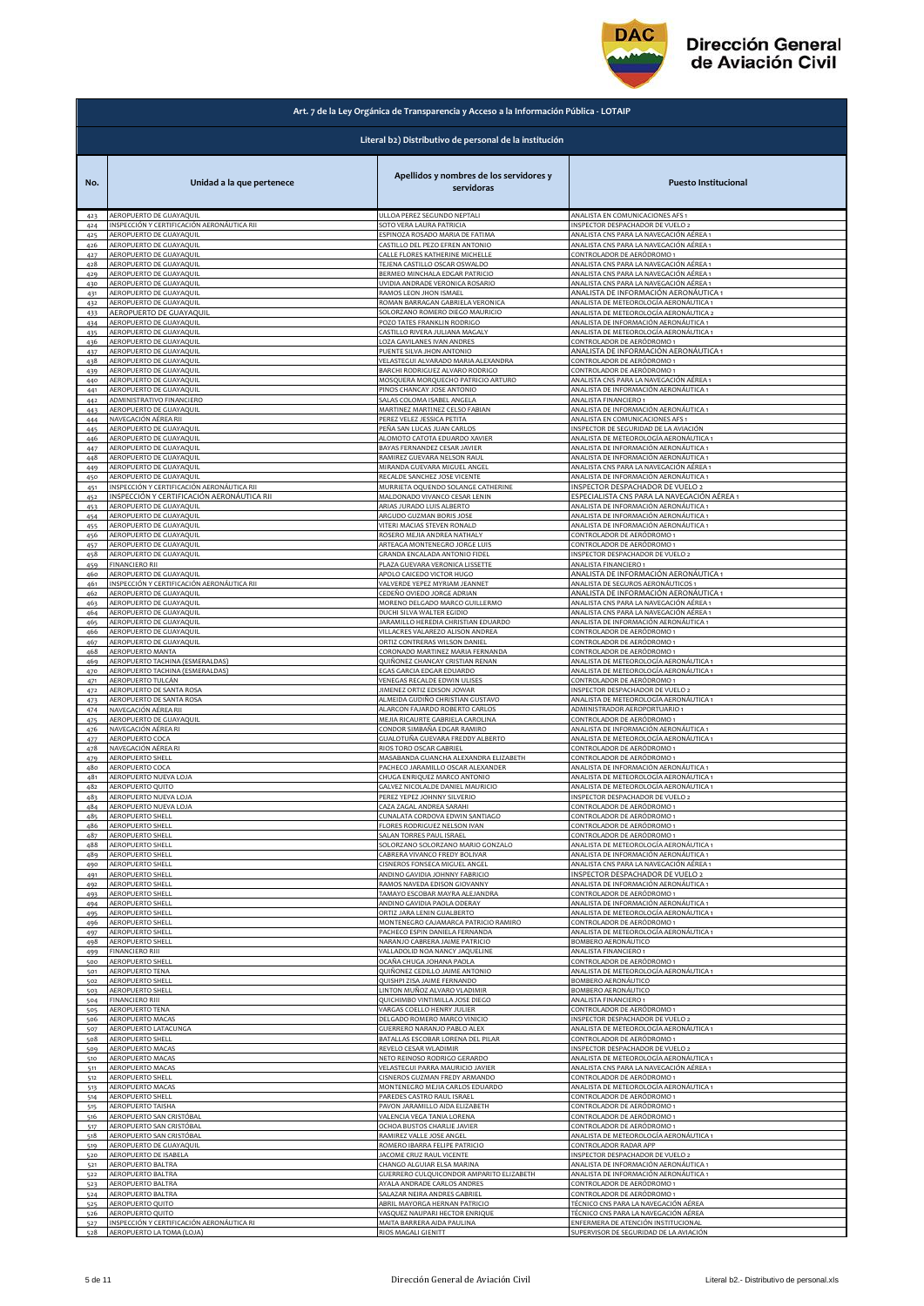

|            | Art. 7 de la Ley Orgánica de Transparencia y Acceso a la Información Pública - LOTAIP |                                                        |                                                                      |
|------------|---------------------------------------------------------------------------------------|--------------------------------------------------------|----------------------------------------------------------------------|
|            |                                                                                       | Literal b2) Distributivo de personal de la institución |                                                                      |
| No.        | Unidad a la que pertenece                                                             | Apellidos y nombres de los servidores y<br>servidoras  | <b>Puesto Institucional</b>                                          |
| 423        | AEROPUERTO DE GUAYAQUIL                                                               | ULLOA PEREZ SEGUNDO NEPTALI                            | ANALISTA EN COMUNICACIONES AFS 1                                     |
| 424        | INSPECCIÓN Y CERTIFICACIÓN AERONÁUTICA RII                                            | SOTO VERA LAURA PATRICIA                               | INSPECTOR DESPACHADOR DE VUELO :                                     |
| 425        | AEROPUERTO DE GUAYAQUIL                                                               | ESPINOZA ROSADO MARIA DE FATIMA                        | ANALISTA CNS PARA LA NAVEGACIÓN AÉREA 1                              |
| 426        | AEROPUERTO DE GUAYAQUIL                                                               | CASTILLO DEL PEZO EFREN ANTONIO                        | ANALISTA CNS PARA LA NAVEGACIÓN AÉREA 1                              |
| 427        | AEROPUERTO DE GUAYAQUIL                                                               | CALLE FLORES KATHERINE MICHELLE                        | CONTROLADOR DE AERÓDROMO 1                                           |
| 428        | AEROPUERTO DE GUAYAQUIL                                                               | TEJENA CASTILLO OSCAR OSWALDO                          | ANALISTA CNS PARA LA NAVEGACIÓN AÉREA 1                              |
| 429        | AEROPUERTO DE GUAYAQUIL                                                               | BERMEO MINCHALA EDGAR PATRICIO                         | ANALISTA CNS PARA LA NAVEGACIÓN AÉREA 1                              |
| 430        | AEROPUERTO DE GUAYAQUIL                                                               | UVIDIA ANDRADE VERONICA ROSARIO                        | ANALISTA CNS PARA LA NAVEGACIÓN AÉREA 1                              |
| 431        | AEROPUERTO DE GUAYAQUIL                                                               | RAMOS LEON JHON ISMAEL                                 | ANALISTA DE INFORMACIÓN AERONÁUTICA 1                                |
| 432        | AEROPUERTO DE GUAYAQUIL                                                               | ROMAN BARRAGAN GABRIELA VERONICA                       | ANALISTA DE METEOROLOGÍA AERONÁUTICA 1                               |
| 433        | AEROPUERTO DE GUAYAQUIL                                                               | SOLORZANO ROMERO DIEGO MAURICIO                        | ANALISTA DE METEOROLOGÍA AERONÁUTICA 2                               |
| 434        | AEROPUERTO DE GUAYAQUIL                                                               | POZO TATES FRANKLIN RODRIGO                            | ANALISTA DE INFORMACIÓN AERONÁUTICA 1                                |
| 435        | AEROPUERTO DE GUAYAQUIL                                                               | CASTILLO RIVERA JULIANA MAGALY                         | ANALISTA DE METEOROLOGÍA AERONÁUTICA 1                               |
| 436        | AEROPUERTO DE GUAYAQUIL                                                               | LOZA GAVILANES IVAN ANDRES                             | CONTROLADOR DE AERÓDROMO 1                                           |
| 437        | AEROPUERTO DE GUAYAQUIL                                                               | PUENTE SILVA JHON ANTONIO                              | ANALISTA DE INFORMACIÓN AERONÁUTICA 1                                |
| 438        | AEROPUERTO DE GUAYAQUIL                                                               | VELASTEGUI ALVARADO MARIA ALEXANDRA                    | CONTROLADOR DE AERÓDROMO 1                                           |
| 439        | AEROPUERTO DE GUAYAQUIL                                                               | BARCHI RODRIGUEZ ALVARO RODRIGO                        | CONTROLADOR DE AERÓDROMO 1                                           |
|            | AEROPUERTO DE GUAYAQUIL                                                               | MOSQUERA MORQUECHO PATRICIO ARTURO                     | ANALISTA CNS PARA LA NAVEGACIÓN AÉREA 1                              |
| 440<br>441 | AEROPUERTO DE GUAYAQUIL                                                               | PINOS CHANCAY JOSE ANTONIO                             | ANALISTA DE INFORMACIÓN AERONÁUTICA 1                                |
| 442        | ADMINISTRATIVO FINANCIERO                                                             | SALAS COLOMA ISABEL ANGELA                             | ANALISTA FINANCIERO 1                                                |
| 443        | AEROPUERTO DE GUAYAQUIL                                                               | MARTINEZ MARTINEZ CELSO FABIAN                         | ANALISTA DE INFORMACIÓN AERONÁUTICA 1                                |
| 444        | NAVEGACIÓN AÉREA RII                                                                  | PEREZ VELEZ JESSICA PETITA                             | ANALISTA EN COMUNICACIONES AFS 1                                     |
| 445        | AEROPUERTO DE GUAYAQUIL                                                               | PEÑA SAN LUCAS JUAN CARLOS                             | INSPECTOR DE SEGURIDAD DE LA AVIACIÓN                                |
| 446        | AEROPUERTO DE GUAYAQUIL                                                               | ALOMOTO CATOTA EDUARDO XAVIER                          | ANALISTA DE METEOROLOGÍA AERONÁUTICA 1                               |
| 447        | AEROPUERTO DE GUAYAQUIL                                                               | BAYAS FERNANDEZ CESAR JAVIER                           | ANALISTA DE INFORMACIÓN AERONÁUTICA 1                                |
| 448        | AEROPUERTO DE GUAYAQUIL                                                               | RAMIREZ GUEVARA NELSON RAUL                            | ANALISTA DE INFORMACIÓN AERONÁUTICA 1                                |
| 449        | AEROPUERTO DE GUAYAQUIL                                                               | MIRANDA GUEVARA MIGUEL ANGEL                           | ANALISTA CNS PARA LA NAVEGACIÓN AÉREA 1                              |
| 450        | AEROPUERTO DE GUAYAQUIL                                                               | RECALDE SANCHEZ JOSE VICENTE                           | ANALISTA DE INFORMACIÓN AERONÁUTICA 1                                |
| 451        | INSPECCIÓN Y CERTIFICACIÓN AERONÁUTICA RII                                            | MURRIETA OQUENDO SOLANGE CATHERINE                     | INSPECTOR DESPACHADOR DE VUELO 2                                     |
| 452        | INSPECCIÓN Y CERTIFICACIÓN AERONÁUTICA RII                                            | MALDONADO VIVANCO CESAR LENIN                          | ESPECIALISTA CNS PARA LA NAVEGACIÓN AÉREA 1                          |
| 453        | AEROPUERTO DE GUAYAQUIL                                                               | ARIAS JURADO LUIS ALBERTO                              | ANALISTA DE INFORMACIÓN AERONÁUTICA 1                                |
| 454        | AEROPUERTO DE GUAYAQUIL                                                               | ARGUDO GUZMAN BORIS JOSE                               | ANALISTA DE INFORMACIÓN AERONÁUTICA 1                                |
| 455        | AEROPUERTO DE GUAYAQUIL                                                               | VITERI MACIAS STEVEN RONALD                            | ANALISTA DE INFORMACIÓN AERONÁUTICA 1                                |
| 456        | AEROPUERTO DE GUAYAQUIL                                                               | ROSERO MEJIA ANDREA NATHALY                            | CONTROLADOR DE AERÓDROMO 1                                           |
| 457        | AEROPUERTO DE GUAYAQUIL                                                               | ARTEAGA MONTENEGRO JORGE LUIS                          | CONTROLADOR DE AERÓDROMO 1                                           |
| 458        | AEROPUERTO DE GUAYAQUIL                                                               | GRANDA ENCALADA ANTONIO FIDEL                          | INSPECTOR DESPACHADOR DE VUELO 2                                     |
| 459        | <b>FINANCIERO RII</b>                                                                 | PLAZA GUEVARA VERONICA LISSETTE                        | ANALISTA FINANCIERO 1                                                |
| 460        | AEROPUERTO DE GUAYAQUIL                                                               | APOLO CAICEDO VICTOR HUGO                              | ANALISTA DE INFORMACIÓN AERONÁUTICA 1                                |
| 461        | INSPECCIÓN Y CERTIFICACIÓN AERONÁUTICA RII                                            | VALVERDE YEPEZ MYRIAM JEANNET                          | ANALISTA DE SEGUROS AERONÁUTICOS ·                                   |
| 462        | AEROPUERTO DE GUAYAQUIL                                                               | CEDEÑO OVIEDO JORGE ADRIAN                             | ANALISTA DE INFORMACIÓN AERONÁUTICA 1                                |
|            | AEROPUERTO DE GUAYAQUIL                                                               | MORENO DELGADO MARCO GUILLERMO                         | ANALISTA CNS PARA LA NAVEGACIÓN AÉREA 1                              |
| 463<br>464 | AEROPUERTO DE GUAYAQUIL                                                               | DUCHI SILVA WALTER EGIDIO                              | ANALISTA CNS PARA LA NAVEGACIÓN AÉREA 1                              |
| 465        | AEROPUERTO DE GUAYAQUIL                                                               | JARAMILLO HEREDIA CHRISTIAN EDUARDO                    | ANALISTA DE INFORMACIÓN AERONÁUTICA 1                                |
| 466        | AEROPUERTO DE GUAYAQUIL                                                               | VILLACRES VALAREZO ALISON ANDREA                       | CONTROLADOR DE AERÓDROMO 1                                           |
| 467        | AEROPUERTO DE GUAYAQUIL                                                               | ORTIZ CONTRERAS WILSON DANIEL                          | CONTROLADOR DE AERÓDROMO 1                                           |
| 468        | AEROPUERTO MANTA                                                                      | CORONADO MARTINEZ MARIA FERNANDA                       | CONTROLADOR DE AERÓDROMO 1                                           |
| 469        | AEROPUERTO TACHINA (ESMERALDAS)                                                       | QUIÑONEZ CHANCAY CRISTIAN RENAN                        | ANALISTA DE METEOROLOGÍA AERONÁUTICA 1                               |
| 470        | AEROPUERTO TACHINA (ESMERALDAS)                                                       | EGAS GARCIA EDGAR EDUARDO                              | ANALISTA DE METEOROLOGÍA AERONÁUTICA 1                               |
| 471        | AEROPUERTO TULCÁN                                                                     | VENEGAS RECALDE EDWIN ULISES                           | CONTROLADOR DE AERÓDROMO 1                                           |
| 472        | AEROPUERTO DE SANTA ROSA                                                              | JIMENEZ ORTIZ EDISON JOWAR                             | INSPECTOR DESPACHADOR DE VUELO 2                                     |
| 473        | AEROPUERTO DE SANTA ROSA                                                              | ALMEIDA GUDIÑO CHRISTIAN GUSTAVO                       | ANALISTA DE METEOROLOGÍA AERONÁUTICA 1                               |
| 474        | NAVEGACIÓN AÉREA RII                                                                  | ALARCON FAJARDO ROBERTO CARLOS                         | ADMINISTRADOR AEROPORTUARIO 1                                        |
| 475        | AEROPUERTO DE GUAYAQUIL                                                               | MEJIA RICAURTE GABRIELA CAROLINA                       | CONTROLADOR DE AERÓDROMO 1                                           |
| 476        | NAVEGACIÓN AÉREA RI                                                                   | CONDOR SIMBAÑA EDGAR RAMIRO                            | ANALISTA DE INFORMACIÓN AERONÁUTICA 1                                |
| 477        | AEROPUERTO COCA                                                                       | GUALOTUÑA GUEVARA FREDDY ALBERTO                       | ANALISTA DE METEOROLOGÍA AERONÁUTICA 1                               |
| 478        | NAVEGACIÓN AÉREA RI                                                                   | RIOS TORO OSCAR GABRIEL                                | CONTROLADOR DE AERÓDROMO 1                                           |
|            | AEROPUERTO SHELL                                                                      | MASABANDA GUANCHA ALEXANDRA ELIZABETH                  | CONTROLADOR DE AERÓDROMO 1                                           |
| 479<br>480 | AEROPUERTO COCA                                                                       | PACHECO JARAMILLO OSCAR ALEXANDER                      | ANALISTA DE INFORMACIÓN AERONÁUTICA 1                                |
| 481        | AEROPUERTO NUEVA LOJA                                                                 | CHUGA ENRIQUEZ MARCO ANTONIO                           | ANALISTA DE METEOROLOGÍA AERONÁUTICA 1                               |
| 482        | AEROPUERTO QUITO                                                                      | GALVEZ NICOLALDE DANIEL MAURICIO                       | ANALISTA DE METEOROLOGÍA AERONÁUTICA 1                               |
| 483        | AEROPUERTO NUEVA LOJA                                                                 | PEREZ YEPEZ JOHNNY SILVERIO                            | INSPECTOR DESPACHADOR DE VUELO 2                                     |
| 484        | AEROPUERTO NUEVA LOJA                                                                 | CAZA ZAGAL ANDREA SARAHI                               | CONTROLADOR DE AERÓDROMO 1                                           |
| 485        | <b>AEROPUERTO SHELL</b>                                                               | CUNALATA CORDOVA EDWIN SANTIAGO                        | CONTROLADOR DE AERÓDROMO 1                                           |
| 486        | <b>AEROPUERTO SHELI</b>                                                               | FLORES RODRIGUEZ NELSON IVAN                           | CONTROLADOR DE AERÓDROMO 1                                           |
| 487        | AEROPUERTO SHELI<br><b>AEROPUERTO SHELL</b>                                           | SALAN TORRES PAUL ISRAEL                               | CONTROLADOR DE AERÓDROMO 1                                           |
| 488        | AEROPUERTO SHELI                                                                      | SOLORZANO SOLORZANO MARIO GONZALO                      | ANALISTA DE METEOROLOGÍA AERONÁUTICA 1                               |
| 489        |                                                                                       | CABRERA VIVANCO FREDY BOLIVAR                          | ANALISTA DE INFORMACIÓN AERONÁUTICA 1                                |
| 490        | AEROPUERTO SHELL                                                                      | CISNEROS FONSECA MIGUEL ANGEL                          | ANALISTA CNS PARA LA NAVEGACIÓN AÉREA 1                              |
| 491        | AEROPUERTO SHELL                                                                      | ANDINO GAVIDIA JOHNNY FABRICIO                         | INSPECTOR DESPACHADOR DE VUELO 2                                     |
| 492        | <b>AEROPUERTO SHELL</b>                                                               | RAMOS NAVEDA EDISON GIOVANNY                           | ANALISTA DE INFORMACIÓN AERONÁUTICA 1                                |
| 493        | <b>AEROPUERTO SHELL</b>                                                               | TAMAYO ESCOBAR MAYRA ALEJANDRA                         | CONTROLADOR DE AERÓDROMO 1                                           |
| 494        | AEROPUERTO SHELL                                                                      | ANDINO GAVIDIA PAOLA ODERAY                            | ANALISTA DE INFORMACIÓN AERONÁUTICA 1                                |
| 495        | <b>AEROPUERTO SHELL</b>                                                               | ORTIZ JARA LENIN GUALBERTO                             | ANALISTA DE METEOROLOGÍA AERONÁUTICA 1                               |
| 496        | <b>AEROPUERTO SHELL</b>                                                               | MONTENEGRO CAJAMARCA PATRICIO RAMIRO                   | CONTROLADOR DE AERÓDROMO 1<br>ANALISTA DE METEOROLOGÍA AERONÁUTICA 1 |
| 497        | <b>AEROPUERTO SHELL</b>                                                               | PACHECO ESPIN DANIELA FERNANDA                         | BOMBERO AERONÁUTICO                                                  |
| 498        | <b>AEROPUERTO SHELI</b>                                                               | NARANJO CABRERA JAIME PATRICIO                         |                                                                      |
| 499        | <b>FINANCIERO RIII</b>                                                                | VALLADOLID NOA NANCY JAQUELINE                         | ANALISTA FINANCIERO 1                                                |
| 500        | AEROPUERTO SHELL                                                                      | OCAÑA CHUGA JOHANA PAOLA                               | CONTROLADOR DE AERÓDROMO 1                                           |
| 501        | AEROPUERTO TENA                                                                       | QUIÑONEZ CEDILLO JAIME ANTONIO                         | ANALISTA DE METEOROLOGÍA AERONÁUTICA 1                               |
| 502        | AEROPUERTO SHELL                                                                      | QUISHPI ZISA JAIME FERNANDO                            | BOMBERO AERONÁUTICO                                                  |
| 503        | AEROPUERTO SHELL                                                                      | LINTON MUÑOZ ALVARO VLADIMIR                           | BOMBERO AERONÁUTICO                                                  |
|            | <b>FINANCIERO RIII</b>                                                                | QUICHIMBO VINTIMILLA JOSE DIEGO                        | ANALISTA FINANCIERO 1                                                |
| 504<br>505 | <b>AEROPUERTO TENA</b>                                                                | VARGAS COELLO HENRY JULIER                             | CONTROLADOR DE AERÓDROMO 1                                           |
| 506        | AEROPUERTO MACAS                                                                      | DELGADO ROMERO MARCO VINICIO                           | INSPECTOR DESPACHADOR DE VUELO 2                                     |
| 507        | AEROPUERTO LATACUNGA                                                                  | GUERRERO NARANJO PABLO ALEX                            | ANALISTA DE METEOROLOGÍA AERONÁUTICA 1                               |
| 508        | <b>AEROPUERTO SHELL</b>                                                               | BATALLAS ESCOBAR LORENA DEL PILAR                      | CONTROLADOR DE AERÓDROMO 1                                           |
| 509        | AEROPUERTO MACAS                                                                      | REVELO CESAR WLADIMIR                                  | INSPECTOR DESPACHADOR DE VUELO 2                                     |
| 510        | AEROPUERTO MACAS                                                                      | NETO REINOSO RODRIGO GERARDO                           | ANALISTA DE METEOROLOGÍA AERONÁUTICA 1                               |
| 511        | AEROPUERTO MACAS                                                                      | VELASTEGUI PARRA MAURICIO JAVIER                       | ANALISTA CNS PARA LA NAVEGACIÓN AÉREA 1                              |
| 512        | <b>AEROPUERTO SHELL</b>                                                               | CISNEROS GUZMAN FREDY ARMANDO                          | CONTROLADOR DE AERÓDROMO 1                                           |
| 513        | AEROPUERTO MACAS                                                                      | MONTENEGRO MEJIA CARLOS EDUARDO                        | ANALISTA DE METEOROLOGÍA AERONÁUTICA 1                               |
| 514        | AEROPUERTO SHELL                                                                      | PAREDES CASTRO RAUL ISRAEL                             | CONTROLADOR DE AERÓDROMO 1                                           |
| 515        | AEROPUERTO TAISHA                                                                     | PAVON JARAMILLO AIDA ELIZABETH                         | CONTROLADOR DE AERÓDROMO 1                                           |
| 516        | AEROPUERTO SAN CRISTÓBAL                                                              | VALENCIA VEGA TANIA LORENA                             | CONTROLADOR DE AERÓDROMO 1                                           |
| 517        | AEROPUERTO SAN CRISTÓBAL                                                              | OCHOA BUSTOS CHARLIE JAVIER                            | CONTROLADOR DE AERÓDROMO 1                                           |
| 518        | AEROPUERTO SAN CRISTÓBAL                                                              | RAMIREZ VALLE JOSE ANGEL                               | ANALISTA DE METEOROLOGÍA AERONÁUTICA 1                               |
| 519        | AEROPUERTO DE GUAYAQUIL                                                               | ROMERO IBARRA FELIPE PATRICIO                          | CONTROLADOR RADAR APP                                                |
| 520        | AEROPUERTO DE ISABELA                                                                 | JACOME CRUZ RAUL VICENTE                               | INSPECTOR DESPACHADOR DE VUELO 2                                     |
| 521        | AEROPUERTO BALTRA                                                                     | CHANGO ALGUIAR ELSA MARINA                             | ANALISTA DE INFORMACIÓN AERONÁUTICA 1                                |
| 522        | AEROPUERTO BALTRA                                                                     | GUERRERO CULQUICONDOR AMPARITO ELIZABETH               | ANALISTA DE INFORMACIÓN AERONÁUTICA 1                                |
| 523        | AEROPUERTO BALTRA                                                                     | AYALA ANDRADE CARLOS ANDRES                            | CONTROLADOR DE AERÓDROMO 1                                           |
| 524        | AEROPUERTO BALTRA                                                                     | SALAZAR NEIRA ANDRES GABRIEL                           | CONTROLADOR DE AERÓDROMO 1                                           |
| 525        | AEROPUERTO QUITO                                                                      | ABRIL MAYORGA HERNAN PATRICIO                          | TÉCNICO CNS PARA LA NAVEGACIÓN AÉREA                                 |
| 526        | AEROPUERTO QUITO                                                                      | VASQUEZ NAUPARI HECTOR ENRIQUE                         | TÉCNICO CNS PARA LA NAVEGACIÓN AÉREA                                 |
| 527        | INSPECCIÓN Y CERTIFICACIÓN AERONÁUTICA RI                                             | MAITA BARRERA AIDA PAULINA                             | ENFERMERA DE ATENCIÓN INSTITUCIONAL                                  |
| 528        | AEROPUERTO LA TOMA (LOJA)                                                             | RIOS MAGALI GIENITT                                    | SUPERVISOR DE SEGURIDAD DE LA AVIACIÓN                               |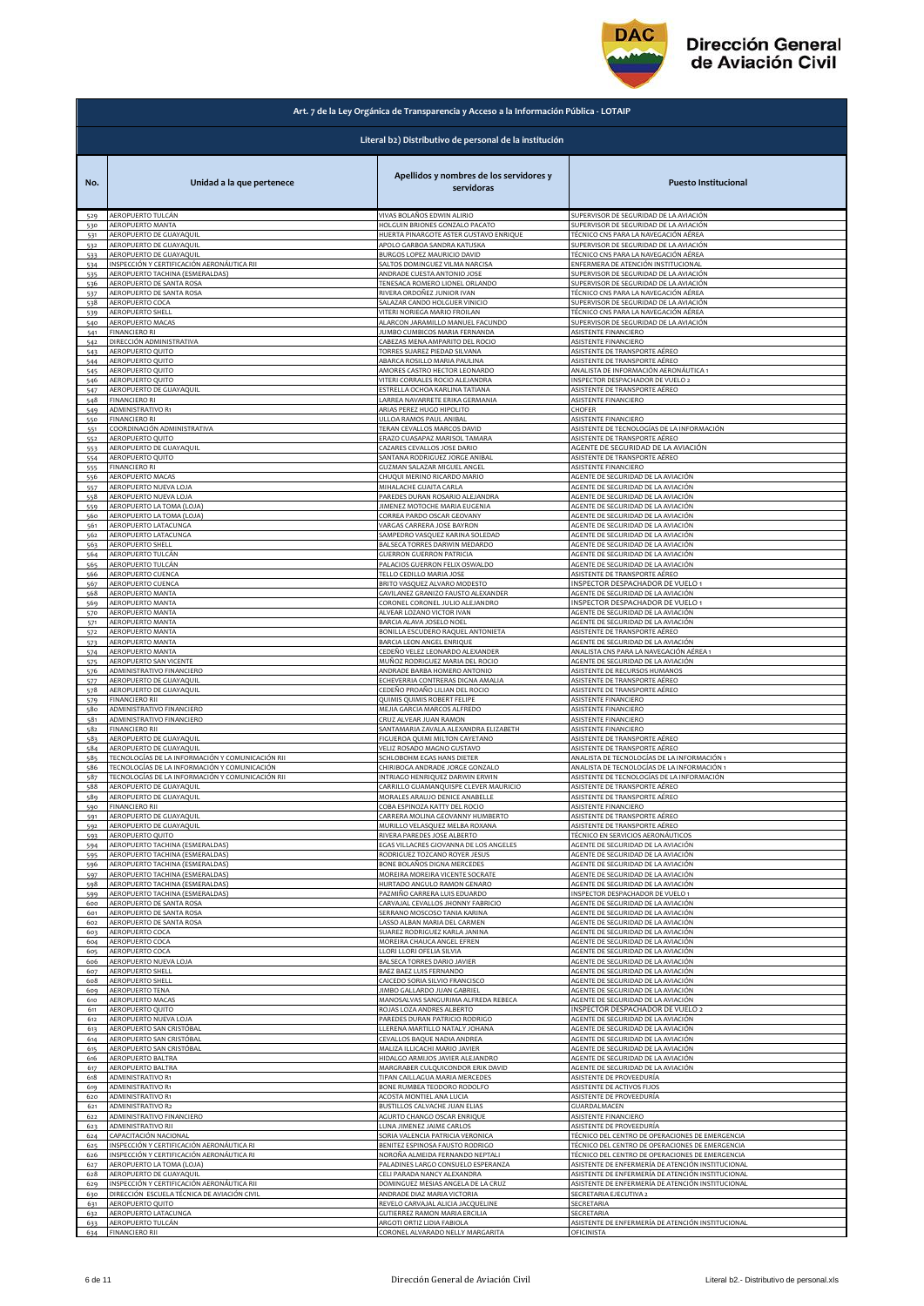

|            | Art. 7 de la Ley Orgánica de Transparencia y Acceso a la Información Pública - LOTAIP |                                                                          |                                                                                |
|------------|---------------------------------------------------------------------------------------|--------------------------------------------------------------------------|--------------------------------------------------------------------------------|
|            |                                                                                       | Literal b2) Distributivo de personal de la institución                   |                                                                                |
| No.        | Unidad a la que pertenece                                                             | Apellidos y nombres de los servidores y<br>servidoras                    | <b>Puesto Institucional</b>                                                    |
| 529        | AEROPUERTO TULCÁN                                                                     | VIVAS BOLAÑOS EDWIN ALIRIO                                               | SUPERVISOR DE SEGURIDAD DE LA AVIACIÓN                                         |
| 530        | <b>AEROPUERTO MANTA</b>                                                               | HOLGUIN BRIONES GONZALO PACATO                                           | SUPERVISOR DE SEGURIDAD DE LA AVIACIÓN                                         |
| 531        | AEROPUERTO DE GUAYAQUIL                                                               | HUERTA PINARGOTE ASTER GUSTAVO ENRIQUE                                   | TÉCNICO CNS PARA LA NAVEGACIÓN AÉREA                                           |
| 532        | AEROPUERTO DE GUAYAQUIL                                                               | APOLO GARBOA SANDRA KATUSKA                                              | SUPERVISOR DE SEGURIDAD DE LA AVIACIÓN                                         |
| 533        | AEROPUERTO DE GUAYAQUIL                                                               | BURGOS LOPEZ MAURICIO DAVID                                              | TÉCNICO CNS PARA LA NAVEGACIÓN AÉREA                                           |
| 534        | INSPECCIÓN Y CERTIFICACIÓN AERONÁUTICA RII                                            | SALTOS DOMINGUEZ VILMA NARCISA                                           | ENFERMERA DE ATENCIÓN INSTITUCIONAL                                            |
| 535        | AEROPUERTO TACHINA (ESMERALDAS)                                                       | ANDRADE CUESTA ANTONIO JOSE                                              | SUPERVISOR DE SEGURIDAD DE LA AVIACIÓN                                         |
| 536        | AEROPUERTO DE SANTA ROSA                                                              | TENESACA ROMERO LIONEL ORLANDO                                           | SUPERVISOR DE SEGURIDAD DE LA AVIACIÓN                                         |
| 537        | AEROPUERTO DE SANTA ROSA                                                              | RIVERA ORDOÑEZ JUNIOR IVAN                                               | TÉCNICO CNS PARA LA NAVEGACIÓN AÉREA                                           |
| 538        | AEROPUERTO COCA                                                                       | SALAZAR CANDO HOLGUER VINICIO<br>VITERI NORIEGA MARIO FROILAN            | SUPERVISOR DE SEGURIDAD DE LA AVIACIÓN<br>TÉCNICO CNS PARA LA NAVEGACIÓN AÉREA |
| 539<br>540 | <b>AEROPUERTO SHELL</b><br>AEROPUERTO MACAS                                           | ALARCON JARAMILLO MANUEL FACUNDO                                         | SUPERVISOR DE SEGURIDAD DE LA AVIACIÓN                                         |
| 541        | FINANCIERO RI                                                                         | JUMBO CUMBICOS MARIA FERNANDA                                            | ASISTENTE FINANCIERO                                                           |
| 542        | DIRECCIÓN ADMINISTRATIVA                                                              | CABEZAS MENA AMPARITO DEL ROCIO                                          | ASISTENTE FINANCIERO                                                           |
| 543        | AEROPUERTO QUITO                                                                      | TORRES SUAREZ PIEDAD SILVANA                                             | ASISTENTE DE TRANSPORTE AÉREO                                                  |
| 544        | AEROPUERTO QUITO                                                                      | ABARCA ROSILLO MARIA PAULINA                                             | ASISTENTE DE TRANSPORTE AÉREO                                                  |
| 545        | AEROPUERTO QUITO                                                                      | AMORES CASTRO HECTOR LEONARDO                                            | ANALISTA DE INFORMACIÓN AERONÁUTICA 1<br>INSPECTOR DESPACHADOR DE VUELO 2      |
| 546        | AEROPUERTO QUITO                                                                      | VITERI CORRALES ROCIO ALEJANDRA                                          | ASISTENTE DE TRANSPORTE AÉREO                                                  |
| 547        | AEROPUERTO DE GUAYAQUIL                                                               | <b>ESTRELLA OCHOA KARLINA TATIANA</b>                                    |                                                                                |
| 548        | FINANCIERO RI                                                                         | LARREA NAVARRETE ERIKA GERMANIA                                          | ASISTENTE FINANCIERO                                                           |
| 549        | ADMINISTRATIVO R1                                                                     | ARIAS PEREZ HUGO HIPOLITO                                                | CHOFER                                                                         |
| 550        | <b>FINANCIERO RI</b>                                                                  | ULLOA RAMOS PAUL ANIBAL                                                  | ASISTENTE FINANCIERO                                                           |
| 551        | COORDINACIÓN ADMINISTRATIVA                                                           | TERAN CEVALLOS MARCOS DAVID                                              | ASISTENTE DE TECNOLOGÍAS DE LA INFORMACIÓN                                     |
| 552        | AEROPUERTO QUITO                                                                      | ERAZO CUASAPAZ MARISOL TAMARA                                            | ASISTENTE DE TRANSPORTE AÉREO                                                  |
|            | AEROPUERTO DE GUAYAQUIL                                                               | CAZARES CEVALLOS JOSE DARIO                                              | AGENTE DE SEGURIDAD DE LA AVIACIÓN                                             |
| 553<br>554 | AEROPUERTO QUITO                                                                      | SANTANA RODRIGUEZ JORGE ANIBAL                                           | ASISTENTE DE TRANSPORTE AÉREO                                                  |
| 555        | <b>FINANCIERO RI</b>                                                                  | GUZMAN SALAZAR MIGUEL ANGEL                                              | ASISTENTE FINANCIERO                                                           |
| 556        | AEROPUERTO MACAS                                                                      | CHUQUI MERINO RICARDO MARIO                                              | AGENTE DE SEGURIDAD DE LA AVIACIÓN                                             |
| 557        | AEROPUERTO NUEVA LOJA                                                                 | MIHALACHE GUAITA CARLA                                                   | AGENTE DE SEGURIDAD DE LA AVIACIÓN                                             |
| 558        | AEROPUERTO NUEVA LOJA                                                                 | PAREDES DURAN ROSARIO ALEJANDRA                                          | AGENTE DE SEGURIDAD DE LA AVIACIÓN                                             |
| 559        | AEROPUERTO LA TOMA (LOJA)                                                             | JIMENEZ MOTOCHE MARIA EUGENIA                                            | AGENTE DE SEGURIDAD DE LA AVIACIÓN                                             |
| 560        | AEROPUERTO LA TOMA (LOJA)                                                             | CORREA PARDO OSCAR GEOVANY                                               | AGENTE DE SEGURIDAD DE LA AVIACIÓN                                             |
| 561        | AEROPUERTO LATACUNGA                                                                  | VARGAS CARRERA JOSE BAYRON                                               | AGENTE DE SEGURIDAD DE LA AVIACIÓN                                             |
|            | AEROPUERTO LATACUNGA                                                                  | SAMPEDRO VASQUEZ KARINA SOLEDAD                                          | AGENTE DE SEGURIDAD DE LA AVIACIÓN                                             |
| 562<br>563 | AEROPUERTO SHELL                                                                      | BALSECA TORRES DARWIN MEDARDO                                            | AGENTE DE SEGURIDAD DE LA AVIACIÓN                                             |
| 564        | AEROPUERTO TULCÁN                                                                     | <b>GUERRON GUERRON PATRICIA</b>                                          | AGENTE DE SEGURIDAD DE LA AVIACIÓN                                             |
| 565        | AEROPUERTO TULCÁN                                                                     | PALACIOS GUERRON FELIX OSWALDO                                           | AGENTE DE SEGURIDAD DE LA AVIACIÓN                                             |
| 566        | AEROPUERTO CUENCA                                                                     | TELLO CEDILLO MARIA JOSE                                                 | ASISTENTE DE TRANSPORTE AÉREO                                                  |
| 567        | AEROPUERTO CUENCA                                                                     | BRITO VASQUEZ ALVARO MODESTO                                             | INSPECTOR DESPACHADOR DE VUELO 1                                               |
| 568        | AEROPUERTO MANTA                                                                      | GAVILANEZ GRANIZO FAUSTO ALEXANDER                                       | AGENTE DE SEGURIDAD DE LA AVIACIÓN                                             |
| 569        | AEROPUERTO MANTA                                                                      | CORONEL CORONEL JULIO ALEJANDRO                                          | INSPECTOR DESPACHADOR DE VUELO 1                                               |
| 570        | <b>AEROPUERTO MANTA</b>                                                               | ALVEAR LOZANO VICTOR IVAN                                                | AGENTE DE SEGURIDAD DE LA AVIACIÓN                                             |
| 571        | AEROPUERTO MANTA                                                                      | BARCIA ALAVA JOSELO NOEL                                                 | AGENTE DE SEGURIDAD DE LA AVIACIÓN                                             |
| 572        | AEROPUERTO MANTA                                                                      | BONILLA ESCUDERO RAQUEL ANTONIETA                                        | ASISTENTE DE TRANSPORTE AÉREO                                                  |
| 573        | AEROPUERTO MANTA                                                                      | BARCIA LEON ANGEL ENRIQUE                                                | AGENTE DE SEGURIDAD DE LA AVIACIÓN                                             |
| 574        | AEROPUERTO MANTA                                                                      | CEDEÑO VELEZ LEONARDO ALEXANDER                                          | ANALISTA CNS PARA LA NAVEGACIÓN AÉREA 1                                        |
| 575        | AEROPUERTO SAN VICENTE                                                                | MUÑOZ RODRIGUEZ MARIA DEL ROCIO                                          | AGENTE DE SEGURIDAD DE LA AVIACIÓN                                             |
| 576        | ADMINISTRATIVO FINANCIERO                                                             | ANDRADE BARBA HOMERO ANTONIO                                             | ASISTENTE DE RECURSOS HUMANOS                                                  |
| 577        | AEROPUERTO DE GUAYAQUIL                                                               | ECHEVERRIA CONTRERAS DIGNA AMALIA                                        | ASISTENTE DE TRANSPORTE AÉREO                                                  |
| 578        | AEROPUERTO DE GUAYAQUIL                                                               | CEDEÑO PROAÑO LILIAN DEL ROCIO                                           | ASISTENTE DE TRANSPORTE AÉREO                                                  |
| 579        | <b>INANCIERO RII</b>                                                                  | QUIMIS QUIMIS ROBERT FELIPE                                              | ASISTENTE FINANCIERO                                                           |
| 580        | ADMINISTRATIVO FINANCIERO                                                             | MEJIA GARCIA MARCOS ALFREDO                                              | ASISTENTE FINANCIERO                                                           |
| 581        | ADMINISTRATIVO FINANCIERO                                                             | CRUZ ALVEAR JUAN RAMON                                                   | ASISTENTE FINANCIERO                                                           |
| 582        | <b>FINANCIERO RII</b>                                                                 | SANTAMARIA ZAVALA ALEXANDRA ELIZABETH                                    | ASISTENTE FINANCIERO                                                           |
| 583        | AEROPUERTO DE GUAYAQUIL                                                               | FIGUEROA QUIMI MILTON CAYETANO                                           | ASISTENTE DE TRANSPORTE AÉREO                                                  |
| 584        | AEROPUERTO DE GUAYAQUIL                                                               | VELIZ ROSADO MAGNO GUSTAVO                                               | ASISTENTE DE TRANSPORTE AÉREO                                                  |
| 585        | TECNOLOGÍAS DE LA INFORMACIÓN Y COMUNICACIÓN RII                                      | SCHLOBOHM EGAS HANS DIETER                                               | ANALISTA DE TECNOLOGÍAS DE LA INFORMACIÓN 1                                    |
| 586        | TECNOLOGÍAS DE LA INFORMACIÓN Y COMUNICACIÓN                                          | CHIRIBOGA ANDRADE JORGE GONZALO                                          | ANALISTA DE TECNOLOGÍAS DE LA INFORMACIÓN 1                                    |
| 587        | TECNOLOGÍAS DE LA INFORMACIÓN Y COMUNICACIÓN RII                                      | INTRIAGO HENRIQUEZ DARWIN ERWIN                                          | ASISTENTE DE TECNOLOGÍAS DE LA INFORMACIÓN                                     |
| 588        | AEROPUERTO DE GUAYAQUIL                                                               | CARRILLO GUAMANQUISPE CLEVER MAURICIO<br>MORALES ARALLIO DENICE ANARELLE | ASISTENTE DE TRANSPORTE AÉREO                                                  |
| 580        | AFROPUFRTO DE GUAYAOUII                                                               | OBA ESPINOZA KATTY DEL ROCIO                                             | ASISTENTE DE TRANSPORTE AÉREC                                                  |
| 590        | <b>FINANCIERO RII</b>                                                                 |                                                                          | ASISTENTE FINANCIERO                                                           |
| 591        | AEROPUERTO DE GUAYAQUIL                                                               | CARRERA MOLINA GEOVANNY HUMBERTO                                         | ASISTENTE DE TRANSPORTE AÉREO                                                  |
| 592        | AEROPUERTO DE GUAYAQUIL                                                               | MURILLO VELASQUEZ MELBA ROXANA                                           | ASISTENTE DE TRANSPORTE AÉREO                                                  |
| 593        | AEROPUERTO QUITO                                                                      | RIVERA PAREDES JOSE ALBERTO                                              | TÉCNICO EN SERVICIOS AERONÁUTICOS                                              |
| 594        | AEROPUERTO TACHINA (ESMERALDAS)                                                       | EGAS VILLACRES GIOVANNA DE LOS ANGELES                                   | AGENTE DE SEGURIDAD DE LA AVIACIÓN                                             |
| 595        | <b>AEROPUERTO TACHINA (ESMERALDAS)</b><br>AEROPUERTO TACHINA (ESMERALDAS)             | RODRIGUEZ TOZCANO ROYER JESUS<br>BONE BOLAÑOS DIGNA MERCEDES             | AGENTE DE SEGURIDAD DE LA AVIACIÓN                                             |
| 596<br>597 | AEROPUERTO TACHINA (ESMERALDAS)                                                       | MOREIRA MOREIRA VICENTE SOCRATE                                          | AGENTE DE SEGURIDAD DE LA AVIACIÓN<br>AGENTE DE SEGURIDAD DE LA AVIACIÓN       |
| 598        | AEROPUERTO TACHINA (ESMERALDAS)                                                       | HURTADO ANGULO RAMON GENARO                                              | AGENTE DE SEGURIDAD DE LA AVIACIÓN                                             |
| 599        | AEROPUERTO TACHINA (ESMERALDAS)                                                       | PAZMIÑO CARRERA LUIS EDUARDO                                             | INSPECTOR DESPACHADOR DE VUELO 1                                               |
| 600        | AEROPUERTO DE SANTA ROSA                                                              | CARVAJAL CEVALLOS JHONNY FABRICIO                                        | AGENTE DE SEGURIDAD DE LA AVIACIÓN                                             |
| 601        | AEROPUERTO DE SANTA ROSA                                                              | SERRANO MOSCOSO TANIA KARINA                                             | AGENTE DE SEGURIDAD DE LA AVIACIÓN                                             |
| 602        | AEROPUERTO DE SANTA ROSA                                                              | LASSO ALBAN MARIA DEL CARMEN                                             | AGENTE DE SEGURIDAD DE LA AVIACIÓN                                             |
| 603        | AEROPUERTO COCA                                                                       | SUAREZ RODRIGUEZ KARLA JANINA                                            | AGENTE DE SEGURIDAD DE LA AVIACIÓN                                             |
| 604        | AEROPUERTO COCA                                                                       | MOREIRA CHAUCA ANGEL EFREN                                               | AGENTE DE SEGURIDAD DE LA AVIACIÓN                                             |
| 605        | AEROPUERTO COCA                                                                       | LLORI LLORI OFELIA SILVIA                                                | AGENTE DE SEGURIDAD DE LA AVIACIÓN                                             |
| 606        | AEROPUERTO NUEVA LOJA                                                                 | BALSECA TORRES DARIO JAVIER                                              | AGENTE DE SEGURIDAD DE LA AVIACIÓN                                             |
| 607        | <b>AEROPUERTO SHELL</b>                                                               | BAEZ BAEZ LUIS FERNANDO                                                  | AGENTE DE SEGURIDAD DE LA AVIACIÓN                                             |
| 608        | <b>AEROPUERTO SHELL</b>                                                               | CAICEDO SORIA SILVIO FRANCISCO                                           | AGENTE DE SEGURIDAD DE LA AVIACIÓN                                             |
| 609        | AEROPUERTO TENA                                                                       | JIMBO GALLARDO JUAN GABRIEL                                              | AGENTE DE SEGURIDAD DE LA AVIACIÓN                                             |
| 610        | AEROPUERTO MACAS                                                                      | MANOSALVAS SANGURIMA ALFREDA REBECA                                      | AGENTE DE SEGURIDAD DE LA AVIACIÓN                                             |
| 611        | AEROPUERTO QUITO                                                                      | ROJAS LOZA ANDRES ALBERTO                                                | INSPECTOR DESPACHADOR DE VUELO 2                                               |
| 612        | AEROPUERTO NUEVA LOJA                                                                 | PAREDES DURAN PATRICIO RODRIGO                                           | AGENTE DE SEGURIDAD DE LA AVIACIÓN                                             |
| 613        | AEROPUERTO SAN CRISTÓBAL                                                              | LLERENA MARTILLO NATALY JOHANA                                           | AGENTE DE SEGURIDAD DE LA AVIACIÓN                                             |
| 614        | AEROPUERTO SAN CRISTÓBAL                                                              | CEVALLOS BAQUE NADIA ANDREA                                              | AGENTE DE SEGURIDAD DE LA AVIACIÓN                                             |
| 615        | AEROPUERTO SAN CRISTÓBAL                                                              | MALIZA ILLICACHI MARIO JAVIER                                            | AGENTE DE SEGURIDAD DE LA AVIACIÓN                                             |
| 616        | AEROPUERTO BALTRA                                                                     | HIDALGO ARMIJOS JAVIER ALEJANDRO                                         | AGENTE DE SEGURIDAD DE LA AVIACIÓN                                             |
| 617        | AEROPUERTO BALTRA                                                                     | MARGRABER CULQUICONDOR ERIK DAVID                                        | AGENTE DE SEGURIDAD DE LA AVIACIÓN                                             |
| 618        | <b>ADMINISTRATIVO R1</b>                                                              | TIPAN CAILLAGUA MARIA MERCEDES                                           | ASISTENTE DE PROVEEDURÍA                                                       |
| 619        | ADMINISTRATIVO R1                                                                     | BONE RUMBEA TEODORO RODOLFO                                              | ASISTENTE DE ACTIVOS FIJOS                                                     |
| 620        | <b>ADMINISTRATIVO R1</b>                                                              | ACOSTA MONTIEL ANA LUCIA                                                 | ASISTENTE DE PROVEEDURÍA                                                       |
| 621        | ADMINISTRATIVO R2                                                                     | BUSTILLOS CALVACHE JUAN ELIAS                                            | GUARDALMACEN                                                                   |
| 622        | ADMINISTRATIVO FINANCIERO                                                             | AGURTO CHANGO OSCAR ENRIQUE                                              | ASISTENTE FINANCIERO                                                           |
| 623        | ADMINISTRATIVO RII                                                                    | LUNA JIMENEZ JAIME CARLOS                                                | ASISTENTE DE PROVEEDURÍA                                                       |
| 624        | CAPACITACIÓN NACIONAL                                                                 | SORIA VALENCIA PATRICIA VERONICA                                         | TÉCNICO DEL CENTRO DE OPERACIONES DE EMERGENCIA                                |
| 625        | INSPECCIÓN Y CERTIFICACIÓN AERONÁUTICA RI                                             | BENITEZ ESPINOSA FAUSTO RODRIGO                                          | TÉCNICO DEL CENTRO DE OPERACIONES DE EMERGENCIA                                |
| 626        | INSPECCIÓN Y CERTIFICACIÓN AERONÁUTICA RI                                             | NOROÑA ALMEIDA FERNANDO NEPTALI                                          | TÉCNICO DEL CENTRO DE OPERACIONES DE EMERGENCIA                                |
| 627        | AEROPUERTO LA TOMA (LOJA)                                                             | PALADINES LARGO CONSUELO ESPERANZA                                       | ASISTENTE DE ENFERMERÍA DE ATENCIÓN INSTITUCIONAL                              |
| 628        | AEROPUERTO DE GUAYAQUIL                                                               | CELI PARADA NANCY ALEXANDRA                                              | ASISTENTE DE ENFERMERÍA DE ATENCIÓN INSTITUCIONAL                              |
| 629        | INSPECCIÓN Y CERTIFICACIÓN AERONÁUTICA RII                                            | DOMINGUEZ MESIAS ANGELA DE LA CRUZ                                       | ASISTENTE DE ENFERMERÍA DE ATENCIÓN INSTITUCIONAL                              |
| 630        | DIRECCIÓN ESCUELA TÉCNICA DE AVIACIÓN CIVIL                                           | ANDRADE DIAZ MARIA VICTORIA                                              | SECRETARIA EJECUTIVA 2                                                         |
| 631        | AEROPUERTO QUITO                                                                      | REVELO CARVAJAL ALICIA JACQUELINE                                        | SECRETARIA                                                                     |
| 632        | AEROPUERTO LATACUNGA                                                                  | GUTIERREZ RAMON MARIA ERCILIA                                            | SECRETARIA                                                                     |
| 633        | AEROPUERTO TULCÁN                                                                     | ARGOTI ORTIZ LIDIA FABIOLA                                               | ASISTENTE DE ENFERMERÍA DE ATENCIÓN INSTITUCIONAL                              |
| 634        | <b>FINANCIERO RII</b>                                                                 | CORONEL ALVARADO NELLY MARGARITA                                         | OFICINISTA                                                                     |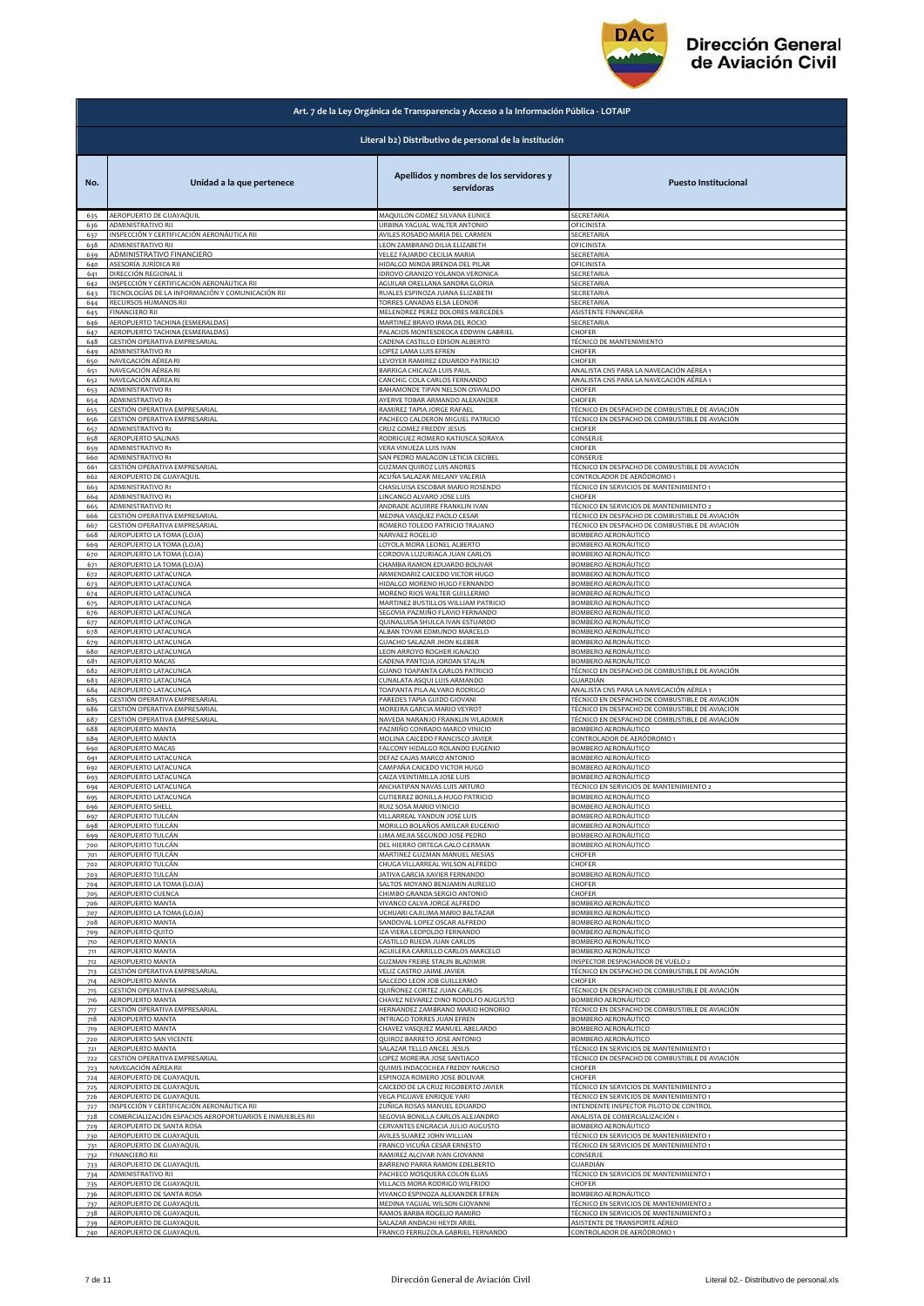

| Literal b2) Distributivo de personal de la institución<br>Apellidos y nombres de los servidores y<br>No.<br>Unidad a la que pertenece<br><b>Puesto Institucional</b><br>servidoras<br>MAQUILON GOMEZ SILVANA EUNICE<br>AEROPUERTO DE GUAYAQUIL<br>SECRETARIA<br>635<br>ADMINISTRATIVO RII<br>URBINA YAGUAL WALTER ANTONIO<br>OFICINISTA<br>636<br>INSPECCIÓN Y CERTIFICACIÓN AERONÁUTICA RII<br>AVILES ROSADO MARIA DEL CARMEN<br>SECRETARIA<br>637<br>ADMINISTRATIVO RII<br>LEON ZAMBRANO DILIA ELIZABETH<br>OFICINISTA<br>638<br>ADMINISTRATIVO FINANCIERO<br>VELEZ FAJARDO CECILIA MARIA<br>SECRETARIA<br>639<br>ASESORÍA JURÍDICA RII<br>HIDALGO MINDA BRENDA DEL PILAR<br>OFICINISTA<br>640<br>DIRECCIÓN REGIONAL II<br>SECRETARIA<br>IDROVO GRANIZO YOLANDA VERONICA<br>641<br>INSPECCIÓN Y CERTIFICACIÓN AERONÁUTICA RII<br>AGUILAR ORELLANA SANDRA GLORIA<br>SECRETARIA<br>642<br>TECNOLOGÍAS DE LA INFORMACIÓN Y COMUNICACIÓN RII<br>643<br>RUALES ESPINOZA JUANA ELIZABETH<br>SECRETARIA<br>RECURSOS HUMANOS RII<br>TORRES CANADAS ELSA LEONOR<br>SECRETARIA<br>644<br><b>FINANCIERO RII</b><br>MELENDREZ PEREZ DOLORES MERCEDES<br>ASISTENTE FINANCIERA<br>645<br>AEROPUERTO TACHINA (ESMERALDAS)<br>MARTINEZ BRAVO IRMA DEL ROCIO<br>SECRETARIA<br>646<br>AEROPUERTO TACHINA (ESMERALDAS)<br>PALACIOS MONTESDEOCA EDDWIN GABRIEL<br>CHOFER<br>647<br>GESTIÓN OPERATIVA EMPRESARIAL<br>CADENA CASTILLO EDISON ALBERTO<br>TÉCNICO DE MANTENIMIENTO<br>648<br>ADMINISTRATIVO R1<br>649<br>LOPEZ LAMA LUIS EFREN<br>CHOFER<br>NAVEGACIÓN AÉREA RI<br>LEVOYER RAMIREZ EDUARDO PATRICIO<br>CHOFER<br>650<br>ANALISTA CNS PARA LA NAVEGACIÓN AÉREA 1<br>NAVEGACIÓN AÉREA RI<br>BARRIGA CHICAIZA LUIS PAUL<br>651<br>NAVEGACIÓN AÉREA RI<br>CANCHIG COLA CARLOS FERNANDO<br>ANALISTA CNS PARA LA NAVEGACIÓN AÉREA 1<br>652<br>ADMINISTRATIVO R1<br>BAHAMONDE TIPAN NELSON OSWALDO<br>CHOFER<br>653<br><b>ADMINISTRATIVO R1</b><br>CHOFER<br>AYERVE TOBAR ARMANDO ALEXANDER<br>654<br>GESTIÓN OPERATIVA EMPRESARIAL<br>RAMIREZ TAPIA JORGE RAFAEL<br>TÉCNICO EN DESPACHO DE COMBUSTIBLE DE AVIACIÓN<br>655<br>GESTIÓN OPERATIVA EMPRESARIAL<br>PACHECO CALDERON MIGUEL PATRICIO<br>TÉCNICO EN DESPACHO DE COMBUSTIBLE DE AVIACIÓN<br>656<br>ADMINISTRATIVO R1<br>CRUZ GOMEZ FREDDY JESUS<br>CHOFER<br>657<br>AEROPUERTO SALINAS<br>RODRIGUEZ ROMERO KATIUSCA SORAYA<br>CONSERJE<br>658<br>ADMINISTRATIVO R1<br>VERA VINUEZA LUIS IVAN<br>CHOFER<br>659<br>SAN PEDRO MALAGON LETICIA CECIBEL<br>CONSERJE<br>ADMINISTRATIVO R1<br>660<br>GESTIÓN OPERATIVA EMPRESARIAL<br><b>GUZMAN QUIROZ LUIS ANDRES</b><br>TÉCNICO EN DESPACHO DE COMBUSTIBLE DE AVIACIÓN<br>661<br>AEROPUERTO DE GUAYAQUIL<br>ACUÑA SALAZAR MELANY VALERIA<br>CONTROLADOR DE AERÓDROMO 1<br>662<br>ADMINISTRATIVO R1<br>CHASILUISA ESCOBAR MARIO ROSENDO<br>TÉCNICO EN SERVICIOS DE MANTENIMIENTO 1<br>663<br>ADMINISTRATIVO R1<br>LINCANGO ALVARO JOSE LUIS<br>CHOFER<br>664<br>TÉCNICO EN SERVICIOS DE MANTENIMIENTO 2<br>ADMINISTRATIVO R1<br>ANDRADE AGUIRRE FRANKLIN IVAN<br>665<br>GESTIÓN OPERATIVA EMPRESARIAL<br>TÉCNICO EN DESPACHO DE COMBUSTIBLE DE AVIACIÓN<br>MEDINA VASQUEZ PAOLO CESAR<br>666<br>GESTIÓN OPERATIVA EMPRESARIAL<br>ROMERO TOLEDO PATRICIO TRAJANO<br>TÉCNICO EN DESPACHO DE COMBUSTIBLE DE AVIACIÓN<br>667<br>AEROPUERTO LA TOMA (LOJA)<br>NARVAEZ ROGELIO<br>BOMBERO AERONÁUTICO<br>668<br>AEROPUERTO LA TOMA (LOJA)<br>LOYOLA MORA LEONEL ALBERTO<br>BOMBERO AERONÁUTICO<br>669<br>AEROPUERTO LA TOMA (LOJA)<br>BOMBERO AERONÁUTICO<br>CORDOVA LUZURIAGA JUAN CARLOS<br>670<br>AEROPUERTO LA TOMA (LOJA)<br>CHAMBA RAMON EDUARDO BOLIVAR<br>BOMBERO AERONÁUTICO<br>671<br>ARMENDARIZ CAICEDO VICTOR HUGO<br>BOMBERO AERONÁUTICO<br>AEROPUERTO LATACUNGA<br>672<br>BOMBERO AERONÁUTICO<br>AEROPUERTO LATACUNGA<br>HIDALGO MORENO HUGO FERNANDO<br>673<br>BOMBERO AERONÁUTICO<br>674<br>AEROPUERTO LATACUNGA<br>MORENO RIOS WALTER GUILLERMO<br>AEROPUERTO LATACUNGA<br>MARTINEZ BUSTILLOS WILLIAM PATRICIO<br>BOMBERO AERONÁUTICO<br>675<br>SEGOVIA PAZMIÑO FLAVIO FERNANDO<br>AEROPUERTO LATACUNGA<br>BOMBERO AERONÁUTICO<br>676<br>AEROPUERTO LATACUNGA<br>QUINALUISA SHULCA IVAN ESTUARDO<br>BOMBERO AERONÁUTICO<br>677<br>AEROPUERTO LATACUNGA<br>ALBAN TOVAR EDMUNDO MARCELO<br>BOMBERO AERONÁUTICO<br>678<br>BOMBERO AERONÁUTICO<br>AEROPUERTO LATACUNGA<br>GUACHO SALAZAR JHON KLEBER<br>679<br>AEROPUERTO LATACUNGA<br>LEON ARROYO ROGHER IGNACIO<br>BOMBERO AERONÁUTICO<br>680<br>AEROPUERTO MACAS<br>CADENA PANTOJA JORDAN STALIN<br>BOMBERO AERONÁUTICO<br>681<br>AEROPUERTO LATACUNGA<br>GUANO TOAPANTA CARLOS PATRICIO<br>TÉCNICO EN DESPACHO DE COMBUSTIBLE DE AVIACIÓN<br>682<br>683<br>AEROPUERTO LATACUNGA<br>CUNALATA ASQUI LUIS ARMANDO<br>GUARDIÁN<br>TOAPANTA PILA ALVARO RODRIGO<br>ANALISTA CNS PARA LA NAVEGACIÓN AÉREA 1<br>684<br>AEROPUERTO LATACUNGA<br>PAREDES TAPIA GUIDO GIOVANI<br>TÉCNICO EN DESPACHO DE COMBUSTIBLE DE AVIACIÓN<br><b>GESTIÓN OPERATIVA EMPRESARIAL</b><br>685<br>GESTIÓN OPERATIVA EMPRESARIAL<br>MOREIRA GARCIA MARIO VEYROT<br>TÉCNICO EN DESPACHO DE COMBUSTIBLE DE AVIACIÓN<br>686<br>GESTIÓN OPERATIVA EMPRESARIAL<br>NAVEDA NARANJO FRANKLIN WLADIMIR<br>TÉCNICO EN DESPACHO DE COMBUSTIBLE DE AVIACIÓN<br>687<br>688<br>AEROPUERTO MANTA<br>PAZMIÑO CONRADO MARCO VINICIO<br>BOMBERO AERONÁUTICO<br>689<br>AEROPUERTO MANTA<br>MOLINA CAICEDO FRANCISCO JAVIER<br>CONTROLADOR DE AERÓDROMO 1<br>AEROPUERTO MACAS<br>FALCONY HIDALGO ROLANDO EUGENIO<br>BOMBERO AERONÁUTICO<br>690<br>BOMBERO AERONÁUTICO<br>AEROPUERTO LATACUNGA<br>DEFAZ CAJAS MARCO ANTONIO<br>691<br>AEROPUERTO LATACUNGA<br>CAMPAÑA CAICEDO VICTOR HUGO<br>BOMBERO AERONÁUTICO<br>692<br>AEROPUERTO LATACUNGA<br>CAIZA VEINTIMILLA JOSE LUIS<br>BOMBERO AERONÁUTICO<br>693<br>TÉCNICO EN SERVICIOS DE MANTENIMIENTO 2<br>AEROPUERTO LATACUNGA<br>ANCHATIPAN NAVAS LUIS ARTURO<br>694<br>AFROPUFRTO LATACUNGA<br>GUTIFRREZ BONILLA HUGO PATRICIO<br><b>BOMBERO AFRONÁLITICO</b><br>605<br>AEROPUERTO SHELI<br>RUIZ SOSA MARIO VINICIO<br>BOMBERO AERONÁUTICO<br>696<br>VILLARREAL YANDUN JOSE LUIS<br>BOMBERO AERONÁUTICO<br>AEROPUERTO TULCÁN<br>697<br>MORILLO BOLAÑOS AMILCAR EUGENIO<br>BOMBERO AERONÁUTICO<br>AEROPUERTO TULCÁN<br>698<br>AEROPUERTO TULCÁN<br>LIMA MEJIA SEGUNDO JOSE PEDRO<br>BOMBERO AERONÁUTICO<br>699<br>AEROPUERTO TULCÁN<br>DEL HIERRO ORTEGA GALO GERMAN<br>BOMBERO AERONÁUTICO<br>700<br>AEROPUERTO TULCÁN<br>MARTINEZ GUZMAN MANUEL MESIAS<br>CHOFER<br>701<br>AEROPUERTO TULCÁN<br>CHUGA VILLARREAL WILSON ALFREDO<br>CHOFER<br>702<br>BOMBERO AERONÁUTICO<br>AEROPUERTO TULCÁN<br>JATIVA GARCIA XAVIER FERNANDO<br>703<br>AEROPUERTO LA TOMA (LOJA)<br>SALTOS MOYANO BENJAMIN AURELIO<br>CHOFER<br>704<br>AEROPUERTO CUENCA<br>CHIMBO GRANDA SERGIO ANTONIO<br>CHOFER<br>705<br>AEROPUERTO MANTA<br>VIVANCO CALVA JORGE ALFREDO<br>BOMBERO AERONÁUTICO<br>706<br>AEROPUERTO LA TOMA (LOJA)<br>UCHUARI CAJILIMA MARIO BALTAZAR<br>BOMBERO AERONÁUTICO<br>707<br>AEROPUERTO MANTA<br>SANDOVAL LOPEZ OSCAR ALFREDO<br>BOMBERO AERONÁUTICO<br>708<br>IZA VIERA LEOPOLDO FERNANDO<br>BOMBERO AERONÁUTICO<br>AEROPUERTO QUITO<br>709<br>BOMBERO AERONÁUTICO<br><b>AEROPUERTO MANTA</b><br>CASTILLO RUEDA JUAN CARLOS<br>710<br>AGUILERA CARRILLO CARLOS MARCELO<br>BOMBERO AERONÁUTICO<br>AEROPUERTO MANTA<br>711<br>AEROPUERTO MANTA<br><b>GUZMAN FREIRE STALIN BLADIMIR</b><br>INSPECTOR DESPACHADOR DE VUELO 2<br>712<br>GESTIÓN OPERATIVA EMPRESARIAL<br>VELIZ CASTRO JAIME JAVIER<br>TÉCNICO EN DESPACHO DE COMBUSTIBLE DE AVIACIÓN<br>713<br>SALCEDO LEON JOB GUILLERMO<br>AEROPUERTO MANTA<br>CHOFER<br>714<br>GESTIÓN OPERATIVA EMPRESARIAL<br>QUIÑONEZ CORTEZ JUAN CARLOS<br>TÉCNICO EN DESPACHO DE COMBUSTIBLE DE AVIACIÓN<br>715<br>CHAVEZ NEVAREZ DINO RODOLFO AUGUSTO<br>BOMBERO AERONÁUTICO<br>AEROPUERTO MANTA<br>716<br>GESTIÓN OPERATIVA EMPRESARIAL<br>TÉCNICO EN DESPACHO DE COMBUSTIBLE DE AVIACIÓN<br>HERNANDEZ ZAMBRANO MARIO HONORIO<br>717<br>AEROPUERTO MANTA<br>INTRIAGO TORRES JUAN EFREN<br>BOMBERO AERONÁUTICO<br>718<br>AEROPUERTO MANTA<br>CHAVEZ VASQUEZ MANUEL ABELARDO<br>BOMBERO AERONÁUTICO<br>719<br>AEROPUERTO SAN VICENTE<br>QUIROZ BARRETO JOSE ANTONIO<br>BOMBERO AERONÁUTICO<br>720<br>AEROPUERTO MANTA<br>SALAZAR TELLO ANGEL JESUS<br>TÉCNICO EN SERVICIOS DE MANTENIMIENTO 1<br>721<br>GESTIÓN OPERATIVA EMPRESARIAL<br>TÉCNICO EN DESPACHO DE COMBUSTIBLE DE AVIACIÓN<br>LOPEZ MOREIRA JOSE SANTIAGO<br>722<br>NAVEGACIÓN AÉREA RII<br>QUIMIS INDACOCHEA FREDDY NARCISO<br>CHOFER<br>723<br>AEROPUERTO DE GUAYAQUIL<br>ESPINOZA ROMERO JOSE BOLIVAR<br>CHOFER<br>724<br>AEROPUERTO DE GUAYAQUIL<br>CAICEDO DE LA CRUZ RIGOBERTO JAVIER<br>TÉCNICO EN SERVICIOS DE MANTENIMIENTO 2<br>725<br><b>VEGA PIGUAVE ENRIQUE YARI</b><br>TÉCNICO EN SERVICIOS DE MANTENIMIENTO 1<br>AEROPUERTO DE GUAYAQUIL<br>726<br>INSPECCIÓN Y CERTIFICACIÓN AERONÁUTICA RII<br>ZUÑIGA ROSAS MANUEL EDUARDO<br>INTENDENTE INSPECTOR PILOTO DE CONTROL<br>727<br>COMERCIALIZACIÓN ESPACIOS AEROPORTUARIOS E INMUEBLES RII<br>SEGOVIA BONILLA CARLOS ALEJANDRO<br>ANALISTA DE COMERCIALIZACIÓN 1<br>728<br>AEROPUERTO DE SANTA ROSA<br>CERVANTES ENGRACIA JULIO AUGUSTO<br>BOMBERO AERONÁUTICO<br>729<br>AEROPUERTO DE GUAYAQUIL<br>AVILES SUAREZ JOHN WILLIAN<br>TÉCNICO EN SERVICIOS DE MANTENIMIENTO 1<br>730<br>AEROPUERTO DE GUAYAQUIL<br>FRANCO VICUÑA CESAR ERNESTO<br>TÉCNICO EN SERVICIOS DE MANTENIMIENTO 1<br>731<br>RAMIREZ ALCIVAR IVAN GIOVANNI<br><b>FINANCIERO RII</b><br>CONSERJE<br>732<br>AEROPUERTO DE GUAYAQUIL<br>BARRENO PARRA RAMON EDELBERTO<br>GUARDIÁN<br>733<br>PACHECO MOSQUERA COLON ELIAS<br>TÉCNICO EN SERVICIOS DE MANTENIMIENTO 1<br>ADMINISTRATIVO RII<br>734<br>VILLACIS MORA RODRIGO WILFRIDO<br>AEROPUERTO DE GUAYAQUIL<br>CHOFER<br>735<br>BOMBERO AERONÁUTICO<br>VIVANCO ESPINOZA ALEXANDER EFREN<br>AEROPUERTO DE SANTA ROSA<br>736<br>AEROPUERTO DE GUAYAQUIL<br>MEDINA YAGUAL WILSON GIOVANNI<br>TÉCNICO EN SERVICIOS DE MANTENIMIENTO 2<br>737<br>RAMOS BARBA ROGELIO RAMIRO<br>TÉCNICO EN SERVICIOS DE MANTENIMIENTO 2<br>AEROPUERTO DE GUAYAQUIL<br>738<br>AEROPUERTO DE GUAYAQUIL<br>SALAZAR ANDACHI HEYDI ARIEL<br>ASISTENTE DE TRANSPORTE AÉREO<br>739<br>FRANCO FERRUZOLA GABRIEL FERNANDO<br>CONTROLADOR DE AERÓDROMO 1<br>AEROPUERTO DE GUAYAQUIL<br>740 | Art. 7 de la Ley Orgánica de Transparencia y Acceso a la Información Pública - LOTAIP |  |  |  |
|--------------------------------------------------------------------------------------------------------------------------------------------------------------------------------------------------------------------------------------------------------------------------------------------------------------------------------------------------------------------------------------------------------------------------------------------------------------------------------------------------------------------------------------------------------------------------------------------------------------------------------------------------------------------------------------------------------------------------------------------------------------------------------------------------------------------------------------------------------------------------------------------------------------------------------------------------------------------------------------------------------------------------------------------------------------------------------------------------------------------------------------------------------------------------------------------------------------------------------------------------------------------------------------------------------------------------------------------------------------------------------------------------------------------------------------------------------------------------------------------------------------------------------------------------------------------------------------------------------------------------------------------------------------------------------------------------------------------------------------------------------------------------------------------------------------------------------------------------------------------------------------------------------------------------------------------------------------------------------------------------------------------------------------------------------------------------------------------------------------------------------------------------------------------------------------------------------------------------------------------------------------------------------------------------------------------------------------------------------------------------------------------------------------------------------------------------------------------------------------------------------------------------------------------------------------------------------------------------------------------------------------------------------------------------------------------------------------------------------------------------------------------------------------------------------------------------------------------------------------------------------------------------------------------------------------------------------------------------------------------------------------------------------------------------------------------------------------------------------------------------------------------------------------------------------------------------------------------------------------------------------------------------------------------------------------------------------------------------------------------------------------------------------------------------------------------------------------------------------------------------------------------------------------------------------------------------------------------------------------------------------------------------------------------------------------------------------------------------------------------------------------------------------------------------------------------------------------------------------------------------------------------------------------------------------------------------------------------------------------------------------------------------------------------------------------------------------------------------------------------------------------------------------------------------------------------------------------------------------------------------------------------------------------------------------------------------------------------------------------------------------------------------------------------------------------------------------------------------------------------------------------------------------------------------------------------------------------------------------------------------------------------------------------------------------------------------------------------------------------------------------------------------------------------------------------------------------------------------------------------------------------------------------------------------------------------------------------------------------------------------------------------------------------------------------------------------------------------------------------------------------------------------------------------------------------------------------------------------------------------------------------------------------------------------------------------------------------------------------------------------------------------------------------------------------------------------------------------------------------------------------------------------------------------------------------------------------------------------------------------------------------------------------------------------------------------------------------------------------------------------------------------------------------------------------------------------------------------------------------------------------------------------------------------------------------------------------------------------------------------------------------------------------------------------------------------------------------------------------------------------------------------------------------------------------------------------------------------------------------------------------------------------------------------------------------------------------------------------------------------------------------------------------------------------------------------------------------------------------------------------------------------------------------------------------------------------------------------------------------------------------------------------------------------------------------------------------------------------------------------------------------------------------------------------------------------------------------------------------------------------------------------------------------------------------------------------------------------------------------------------------------------------------------------------------------------------------------------------------------------------------------------------------------------------------------------------------------------------------------------------------------------------------------------------------------------------------------------------------------------------------------------------------------------------------------------------------------------------------------------------------------------------------------------------------------------------------------------------------------------------------------------------------------------------------------------------------------------------------------------------------------------------------------------------------------------------------------------------------------------------------------------------------------------------------------------------------------------------------------------------------------------------------------------------------------------------------------------------------------------------------------------------------------------------------------------------------------------------------------------------------------------------------------------------------------------------------------------------------------------------------------------------------------------------------------------------------------------------------------------------------------------------------------------------------------------------------------------------------------------------------------------------------------------------------------------------------------------------------------------------------------------------------------------------------------------------------------------------------------------------------------------------------------------------------------------------------------------------------------------------------------------------------------------------------------------------------------------------------------------------------------------------------------------------------------------------------------------------------------------------------------------------------------------------------------------------------------------------------------------------------------------------------------------------------------------------------------------------------------------------------------------------------------------------------------------------------------------------------------------------------------------------------------------------------------------------------------------------------------------------------------------------------------------------------------------------------------------------------------------------------------------------------------------------------------------------------------------------------------------------------------------------------------------------------------------------------------------------------------------------------------------------------------------------------------------------------------------------------------------------------------------------------------------------------------------------------------------------------------------------------------------------|---------------------------------------------------------------------------------------|--|--|--|
|                                                                                                                                                                                                                                                                                                                                                                                                                                                                                                                                                                                                                                                                                                                                                                                                                                                                                                                                                                                                                                                                                                                                                                                                                                                                                                                                                                                                                                                                                                                                                                                                                                                                                                                                                                                                                                                                                                                                                                                                                                                                                                                                                                                                                                                                                                                                                                                                                                                                                                                                                                                                                                                                                                                                                                                                                                                                                                                                                                                                                                                                                                                                                                                                                                                                                                                                                                                                                                                                                                                                                                                                                                                                                                                                                                                                                                                                                                                                                                                                                                                                                                                                                                                                                                                                                                                                                                                                                                                                                                                                                                                                                                                                                                                                                                                                                                                                                                                                                                                                                                                                                                                                                                                                                                                                                                                                                                                                                                                                                                                                                                                                                                                                                                                                                                                                                                                                                                                                                                                                                                                                                                                                                                                                                                                                                                                                                                                                                                                                                                                                                                                                                                                                                                                                                                                                                                                                                                                                                                                                                                                                                                                                                                                                                                                                                                                                                                                                                                                                                                                                                                                                                                                                                                                                                                                                                                                                                                                                                                                                                                                                                                                                                                                                                                                                                                                                                                                                                                                                                                                                                                                                                                                                                                                                                                                                                                                                                                                                                                                                                                                                                                                                                                                                                                                                                                                                                                                                                                                                                                                                                                                                                                                                                                                                                                                                                                                                                                                                                                                                                                                                                                                                                                                                                                                                                                                                                                                                  |                                                                                       |  |  |  |
|                                                                                                                                                                                                                                                                                                                                                                                                                                                                                                                                                                                                                                                                                                                                                                                                                                                                                                                                                                                                                                                                                                                                                                                                                                                                                                                                                                                                                                                                                                                                                                                                                                                                                                                                                                                                                                                                                                                                                                                                                                                                                                                                                                                                                                                                                                                                                                                                                                                                                                                                                                                                                                                                                                                                                                                                                                                                                                                                                                                                                                                                                                                                                                                                                                                                                                                                                                                                                                                                                                                                                                                                                                                                                                                                                                                                                                                                                                                                                                                                                                                                                                                                                                                                                                                                                                                                                                                                                                                                                                                                                                                                                                                                                                                                                                                                                                                                                                                                                                                                                                                                                                                                                                                                                                                                                                                                                                                                                                                                                                                                                                                                                                                                                                                                                                                                                                                                                                                                                                                                                                                                                                                                                                                                                                                                                                                                                                                                                                                                                                                                                                                                                                                                                                                                                                                                                                                                                                                                                                                                                                                                                                                                                                                                                                                                                                                                                                                                                                                                                                                                                                                                                                                                                                                                                                                                                                                                                                                                                                                                                                                                                                                                                                                                                                                                                                                                                                                                                                                                                                                                                                                                                                                                                                                                                                                                                                                                                                                                                                                                                                                                                                                                                                                                                                                                                                                                                                                                                                                                                                                                                                                                                                                                                                                                                                                                                                                                                                                                                                                                                                                                                                                                                                                                                                                                                                                                                                                                  |                                                                                       |  |  |  |
|                                                                                                                                                                                                                                                                                                                                                                                                                                                                                                                                                                                                                                                                                                                                                                                                                                                                                                                                                                                                                                                                                                                                                                                                                                                                                                                                                                                                                                                                                                                                                                                                                                                                                                                                                                                                                                                                                                                                                                                                                                                                                                                                                                                                                                                                                                                                                                                                                                                                                                                                                                                                                                                                                                                                                                                                                                                                                                                                                                                                                                                                                                                                                                                                                                                                                                                                                                                                                                                                                                                                                                                                                                                                                                                                                                                                                                                                                                                                                                                                                                                                                                                                                                                                                                                                                                                                                                                                                                                                                                                                                                                                                                                                                                                                                                                                                                                                                                                                                                                                                                                                                                                                                                                                                                                                                                                                                                                                                                                                                                                                                                                                                                                                                                                                                                                                                                                                                                                                                                                                                                                                                                                                                                                                                                                                                                                                                                                                                                                                                                                                                                                                                                                                                                                                                                                                                                                                                                                                                                                                                                                                                                                                                                                                                                                                                                                                                                                                                                                                                                                                                                                                                                                                                                                                                                                                                                                                                                                                                                                                                                                                                                                                                                                                                                                                                                                                                                                                                                                                                                                                                                                                                                                                                                                                                                                                                                                                                                                                                                                                                                                                                                                                                                                                                                                                                                                                                                                                                                                                                                                                                                                                                                                                                                                                                                                                                                                                                                                                                                                                                                                                                                                                                                                                                                                                                                                                                                                                  |                                                                                       |  |  |  |
|                                                                                                                                                                                                                                                                                                                                                                                                                                                                                                                                                                                                                                                                                                                                                                                                                                                                                                                                                                                                                                                                                                                                                                                                                                                                                                                                                                                                                                                                                                                                                                                                                                                                                                                                                                                                                                                                                                                                                                                                                                                                                                                                                                                                                                                                                                                                                                                                                                                                                                                                                                                                                                                                                                                                                                                                                                                                                                                                                                                                                                                                                                                                                                                                                                                                                                                                                                                                                                                                                                                                                                                                                                                                                                                                                                                                                                                                                                                                                                                                                                                                                                                                                                                                                                                                                                                                                                                                                                                                                                                                                                                                                                                                                                                                                                                                                                                                                                                                                                                                                                                                                                                                                                                                                                                                                                                                                                                                                                                                                                                                                                                                                                                                                                                                                                                                                                                                                                                                                                                                                                                                                                                                                                                                                                                                                                                                                                                                                                                                                                                                                                                                                                                                                                                                                                                                                                                                                                                                                                                                                                                                                                                                                                                                                                                                                                                                                                                                                                                                                                                                                                                                                                                                                                                                                                                                                                                                                                                                                                                                                                                                                                                                                                                                                                                                                                                                                                                                                                                                                                                                                                                                                                                                                                                                                                                                                                                                                                                                                                                                                                                                                                                                                                                                                                                                                                                                                                                                                                                                                                                                                                                                                                                                                                                                                                                                                                                                                                                                                                                                                                                                                                                                                                                                                                                                                                                                                                                                  |                                                                                       |  |  |  |
|                                                                                                                                                                                                                                                                                                                                                                                                                                                                                                                                                                                                                                                                                                                                                                                                                                                                                                                                                                                                                                                                                                                                                                                                                                                                                                                                                                                                                                                                                                                                                                                                                                                                                                                                                                                                                                                                                                                                                                                                                                                                                                                                                                                                                                                                                                                                                                                                                                                                                                                                                                                                                                                                                                                                                                                                                                                                                                                                                                                                                                                                                                                                                                                                                                                                                                                                                                                                                                                                                                                                                                                                                                                                                                                                                                                                                                                                                                                                                                                                                                                                                                                                                                                                                                                                                                                                                                                                                                                                                                                                                                                                                                                                                                                                                                                                                                                                                                                                                                                                                                                                                                                                                                                                                                                                                                                                                                                                                                                                                                                                                                                                                                                                                                                                                                                                                                                                                                                                                                                                                                                                                                                                                                                                                                                                                                                                                                                                                                                                                                                                                                                                                                                                                                                                                                                                                                                                                                                                                                                                                                                                                                                                                                                                                                                                                                                                                                                                                                                                                                                                                                                                                                                                                                                                                                                                                                                                                                                                                                                                                                                                                                                                                                                                                                                                                                                                                                                                                                                                                                                                                                                                                                                                                                                                                                                                                                                                                                                                                                                                                                                                                                                                                                                                                                                                                                                                                                                                                                                                                                                                                                                                                                                                                                                                                                                                                                                                                                                                                                                                                                                                                                                                                                                                                                                                                                                                                                                                  |                                                                                       |  |  |  |
|                                                                                                                                                                                                                                                                                                                                                                                                                                                                                                                                                                                                                                                                                                                                                                                                                                                                                                                                                                                                                                                                                                                                                                                                                                                                                                                                                                                                                                                                                                                                                                                                                                                                                                                                                                                                                                                                                                                                                                                                                                                                                                                                                                                                                                                                                                                                                                                                                                                                                                                                                                                                                                                                                                                                                                                                                                                                                                                                                                                                                                                                                                                                                                                                                                                                                                                                                                                                                                                                                                                                                                                                                                                                                                                                                                                                                                                                                                                                                                                                                                                                                                                                                                                                                                                                                                                                                                                                                                                                                                                                                                                                                                                                                                                                                                                                                                                                                                                                                                                                                                                                                                                                                                                                                                                                                                                                                                                                                                                                                                                                                                                                                                                                                                                                                                                                                                                                                                                                                                                                                                                                                                                                                                                                                                                                                                                                                                                                                                                                                                                                                                                                                                                                                                                                                                                                                                                                                                                                                                                                                                                                                                                                                                                                                                                                                                                                                                                                                                                                                                                                                                                                                                                                                                                                                                                                                                                                                                                                                                                                                                                                                                                                                                                                                                                                                                                                                                                                                                                                                                                                                                                                                                                                                                                                                                                                                                                                                                                                                                                                                                                                                                                                                                                                                                                                                                                                                                                                                                                                                                                                                                                                                                                                                                                                                                                                                                                                                                                                                                                                                                                                                                                                                                                                                                                                                                                                                                                                  |                                                                                       |  |  |  |
|                                                                                                                                                                                                                                                                                                                                                                                                                                                                                                                                                                                                                                                                                                                                                                                                                                                                                                                                                                                                                                                                                                                                                                                                                                                                                                                                                                                                                                                                                                                                                                                                                                                                                                                                                                                                                                                                                                                                                                                                                                                                                                                                                                                                                                                                                                                                                                                                                                                                                                                                                                                                                                                                                                                                                                                                                                                                                                                                                                                                                                                                                                                                                                                                                                                                                                                                                                                                                                                                                                                                                                                                                                                                                                                                                                                                                                                                                                                                                                                                                                                                                                                                                                                                                                                                                                                                                                                                                                                                                                                                                                                                                                                                                                                                                                                                                                                                                                                                                                                                                                                                                                                                                                                                                                                                                                                                                                                                                                                                                                                                                                                                                                                                                                                                                                                                                                                                                                                                                                                                                                                                                                                                                                                                                                                                                                                                                                                                                                                                                                                                                                                                                                                                                                                                                                                                                                                                                                                                                                                                                                                                                                                                                                                                                                                                                                                                                                                                                                                                                                                                                                                                                                                                                                                                                                                                                                                                                                                                                                                                                                                                                                                                                                                                                                                                                                                                                                                                                                                                                                                                                                                                                                                                                                                                                                                                                                                                                                                                                                                                                                                                                                                                                                                                                                                                                                                                                                                                                                                                                                                                                                                                                                                                                                                                                                                                                                                                                                                                                                                                                                                                                                                                                                                                                                                                                                                                                                                                  |                                                                                       |  |  |  |
|                                                                                                                                                                                                                                                                                                                                                                                                                                                                                                                                                                                                                                                                                                                                                                                                                                                                                                                                                                                                                                                                                                                                                                                                                                                                                                                                                                                                                                                                                                                                                                                                                                                                                                                                                                                                                                                                                                                                                                                                                                                                                                                                                                                                                                                                                                                                                                                                                                                                                                                                                                                                                                                                                                                                                                                                                                                                                                                                                                                                                                                                                                                                                                                                                                                                                                                                                                                                                                                                                                                                                                                                                                                                                                                                                                                                                                                                                                                                                                                                                                                                                                                                                                                                                                                                                                                                                                                                                                                                                                                                                                                                                                                                                                                                                                                                                                                                                                                                                                                                                                                                                                                                                                                                                                                                                                                                                                                                                                                                                                                                                                                                                                                                                                                                                                                                                                                                                                                                                                                                                                                                                                                                                                                                                                                                                                                                                                                                                                                                                                                                                                                                                                                                                                                                                                                                                                                                                                                                                                                                                                                                                                                                                                                                                                                                                                                                                                                                                                                                                                                                                                                                                                                                                                                                                                                                                                                                                                                                                                                                                                                                                                                                                                                                                                                                                                                                                                                                                                                                                                                                                                                                                                                                                                                                                                                                                                                                                                                                                                                                                                                                                                                                                                                                                                                                                                                                                                                                                                                                                                                                                                                                                                                                                                                                                                                                                                                                                                                                                                                                                                                                                                                                                                                                                                                                                                                                                                                                  |                                                                                       |  |  |  |
|                                                                                                                                                                                                                                                                                                                                                                                                                                                                                                                                                                                                                                                                                                                                                                                                                                                                                                                                                                                                                                                                                                                                                                                                                                                                                                                                                                                                                                                                                                                                                                                                                                                                                                                                                                                                                                                                                                                                                                                                                                                                                                                                                                                                                                                                                                                                                                                                                                                                                                                                                                                                                                                                                                                                                                                                                                                                                                                                                                                                                                                                                                                                                                                                                                                                                                                                                                                                                                                                                                                                                                                                                                                                                                                                                                                                                                                                                                                                                                                                                                                                                                                                                                                                                                                                                                                                                                                                                                                                                                                                                                                                                                                                                                                                                                                                                                                                                                                                                                                                                                                                                                                                                                                                                                                                                                                                                                                                                                                                                                                                                                                                                                                                                                                                                                                                                                                                                                                                                                                                                                                                                                                                                                                                                                                                                                                                                                                                                                                                                                                                                                                                                                                                                                                                                                                                                                                                                                                                                                                                                                                                                                                                                                                                                                                                                                                                                                                                                                                                                                                                                                                                                                                                                                                                                                                                                                                                                                                                                                                                                                                                                                                                                                                                                                                                                                                                                                                                                                                                                                                                                                                                                                                                                                                                                                                                                                                                                                                                                                                                                                                                                                                                                                                                                                                                                                                                                                                                                                                                                                                                                                                                                                                                                                                                                                                                                                                                                                                                                                                                                                                                                                                                                                                                                                                                                                                                                                                                  |                                                                                       |  |  |  |
|                                                                                                                                                                                                                                                                                                                                                                                                                                                                                                                                                                                                                                                                                                                                                                                                                                                                                                                                                                                                                                                                                                                                                                                                                                                                                                                                                                                                                                                                                                                                                                                                                                                                                                                                                                                                                                                                                                                                                                                                                                                                                                                                                                                                                                                                                                                                                                                                                                                                                                                                                                                                                                                                                                                                                                                                                                                                                                                                                                                                                                                                                                                                                                                                                                                                                                                                                                                                                                                                                                                                                                                                                                                                                                                                                                                                                                                                                                                                                                                                                                                                                                                                                                                                                                                                                                                                                                                                                                                                                                                                                                                                                                                                                                                                                                                                                                                                                                                                                                                                                                                                                                                                                                                                                                                                                                                                                                                                                                                                                                                                                                                                                                                                                                                                                                                                                                                                                                                                                                                                                                                                                                                                                                                                                                                                                                                                                                                                                                                                                                                                                                                                                                                                                                                                                                                                                                                                                                                                                                                                                                                                                                                                                                                                                                                                                                                                                                                                                                                                                                                                                                                                                                                                                                                                                                                                                                                                                                                                                                                                                                                                                                                                                                                                                                                                                                                                                                                                                                                                                                                                                                                                                                                                                                                                                                                                                                                                                                                                                                                                                                                                                                                                                                                                                                                                                                                                                                                                                                                                                                                                                                                                                                                                                                                                                                                                                                                                                                                                                                                                                                                                                                                                                                                                                                                                                                                                                                                                  |                                                                                       |  |  |  |
|                                                                                                                                                                                                                                                                                                                                                                                                                                                                                                                                                                                                                                                                                                                                                                                                                                                                                                                                                                                                                                                                                                                                                                                                                                                                                                                                                                                                                                                                                                                                                                                                                                                                                                                                                                                                                                                                                                                                                                                                                                                                                                                                                                                                                                                                                                                                                                                                                                                                                                                                                                                                                                                                                                                                                                                                                                                                                                                                                                                                                                                                                                                                                                                                                                                                                                                                                                                                                                                                                                                                                                                                                                                                                                                                                                                                                                                                                                                                                                                                                                                                                                                                                                                                                                                                                                                                                                                                                                                                                                                                                                                                                                                                                                                                                                                                                                                                                                                                                                                                                                                                                                                                                                                                                                                                                                                                                                                                                                                                                                                                                                                                                                                                                                                                                                                                                                                                                                                                                                                                                                                                                                                                                                                                                                                                                                                                                                                                                                                                                                                                                                                                                                                                                                                                                                                                                                                                                                                                                                                                                                                                                                                                                                                                                                                                                                                                                                                                                                                                                                                                                                                                                                                                                                                                                                                                                                                                                                                                                                                                                                                                                                                                                                                                                                                                                                                                                                                                                                                                                                                                                                                                                                                                                                                                                                                                                                                                                                                                                                                                                                                                                                                                                                                                                                                                                                                                                                                                                                                                                                                                                                                                                                                                                                                                                                                                                                                                                                                                                                                                                                                                                                                                                                                                                                                                                                                                                                                                  |                                                                                       |  |  |  |
|                                                                                                                                                                                                                                                                                                                                                                                                                                                                                                                                                                                                                                                                                                                                                                                                                                                                                                                                                                                                                                                                                                                                                                                                                                                                                                                                                                                                                                                                                                                                                                                                                                                                                                                                                                                                                                                                                                                                                                                                                                                                                                                                                                                                                                                                                                                                                                                                                                                                                                                                                                                                                                                                                                                                                                                                                                                                                                                                                                                                                                                                                                                                                                                                                                                                                                                                                                                                                                                                                                                                                                                                                                                                                                                                                                                                                                                                                                                                                                                                                                                                                                                                                                                                                                                                                                                                                                                                                                                                                                                                                                                                                                                                                                                                                                                                                                                                                                                                                                                                                                                                                                                                                                                                                                                                                                                                                                                                                                                                                                                                                                                                                                                                                                                                                                                                                                                                                                                                                                                                                                                                                                                                                                                                                                                                                                                                                                                                                                                                                                                                                                                                                                                                                                                                                                                                                                                                                                                                                                                                                                                                                                                                                                                                                                                                                                                                                                                                                                                                                                                                                                                                                                                                                                                                                                                                                                                                                                                                                                                                                                                                                                                                                                                                                                                                                                                                                                                                                                                                                                                                                                                                                                                                                                                                                                                                                                                                                                                                                                                                                                                                                                                                                                                                                                                                                                                                                                                                                                                                                                                                                                                                                                                                                                                                                                                                                                                                                                                                                                                                                                                                                                                                                                                                                                                                                                                                                                                                  |                                                                                       |  |  |  |
|                                                                                                                                                                                                                                                                                                                                                                                                                                                                                                                                                                                                                                                                                                                                                                                                                                                                                                                                                                                                                                                                                                                                                                                                                                                                                                                                                                                                                                                                                                                                                                                                                                                                                                                                                                                                                                                                                                                                                                                                                                                                                                                                                                                                                                                                                                                                                                                                                                                                                                                                                                                                                                                                                                                                                                                                                                                                                                                                                                                                                                                                                                                                                                                                                                                                                                                                                                                                                                                                                                                                                                                                                                                                                                                                                                                                                                                                                                                                                                                                                                                                                                                                                                                                                                                                                                                                                                                                                                                                                                                                                                                                                                                                                                                                                                                                                                                                                                                                                                                                                                                                                                                                                                                                                                                                                                                                                                                                                                                                                                                                                                                                                                                                                                                                                                                                                                                                                                                                                                                                                                                                                                                                                                                                                                                                                                                                                                                                                                                                                                                                                                                                                                                                                                                                                                                                                                                                                                                                                                                                                                                                                                                                                                                                                                                                                                                                                                                                                                                                                                                                                                                                                                                                                                                                                                                                                                                                                                                                                                                                                                                                                                                                                                                                                                                                                                                                                                                                                                                                                                                                                                                                                                                                                                                                                                                                                                                                                                                                                                                                                                                                                                                                                                                                                                                                                                                                                                                                                                                                                                                                                                                                                                                                                                                                                                                                                                                                                                                                                                                                                                                                                                                                                                                                                                                                                                                                                                                                  |                                                                                       |  |  |  |
|                                                                                                                                                                                                                                                                                                                                                                                                                                                                                                                                                                                                                                                                                                                                                                                                                                                                                                                                                                                                                                                                                                                                                                                                                                                                                                                                                                                                                                                                                                                                                                                                                                                                                                                                                                                                                                                                                                                                                                                                                                                                                                                                                                                                                                                                                                                                                                                                                                                                                                                                                                                                                                                                                                                                                                                                                                                                                                                                                                                                                                                                                                                                                                                                                                                                                                                                                                                                                                                                                                                                                                                                                                                                                                                                                                                                                                                                                                                                                                                                                                                                                                                                                                                                                                                                                                                                                                                                                                                                                                                                                                                                                                                                                                                                                                                                                                                                                                                                                                                                                                                                                                                                                                                                                                                                                                                                                                                                                                                                                                                                                                                                                                                                                                                                                                                                                                                                                                                                                                                                                                                                                                                                                                                                                                                                                                                                                                                                                                                                                                                                                                                                                                                                                                                                                                                                                                                                                                                                                                                                                                                                                                                                                                                                                                                                                                                                                                                                                                                                                                                                                                                                                                                                                                                                                                                                                                                                                                                                                                                                                                                                                                                                                                                                                                                                                                                                                                                                                                                                                                                                                                                                                                                                                                                                                                                                                                                                                                                                                                                                                                                                                                                                                                                                                                                                                                                                                                                                                                                                                                                                                                                                                                                                                                                                                                                                                                                                                                                                                                                                                                                                                                                                                                                                                                                                                                                                                                                                  |                                                                                       |  |  |  |
|                                                                                                                                                                                                                                                                                                                                                                                                                                                                                                                                                                                                                                                                                                                                                                                                                                                                                                                                                                                                                                                                                                                                                                                                                                                                                                                                                                                                                                                                                                                                                                                                                                                                                                                                                                                                                                                                                                                                                                                                                                                                                                                                                                                                                                                                                                                                                                                                                                                                                                                                                                                                                                                                                                                                                                                                                                                                                                                                                                                                                                                                                                                                                                                                                                                                                                                                                                                                                                                                                                                                                                                                                                                                                                                                                                                                                                                                                                                                                                                                                                                                                                                                                                                                                                                                                                                                                                                                                                                                                                                                                                                                                                                                                                                                                                                                                                                                                                                                                                                                                                                                                                                                                                                                                                                                                                                                                                                                                                                                                                                                                                                                                                                                                                                                                                                                                                                                                                                                                                                                                                                                                                                                                                                                                                                                                                                                                                                                                                                                                                                                                                                                                                                                                                                                                                                                                                                                                                                                                                                                                                                                                                                                                                                                                                                                                                                                                                                                                                                                                                                                                                                                                                                                                                                                                                                                                                                                                                                                                                                                                                                                                                                                                                                                                                                                                                                                                                                                                                                                                                                                                                                                                                                                                                                                                                                                                                                                                                                                                                                                                                                                                                                                                                                                                                                                                                                                                                                                                                                                                                                                                                                                                                                                                                                                                                                                                                                                                                                                                                                                                                                                                                                                                                                                                                                                                                                                                                                                  |                                                                                       |  |  |  |
|                                                                                                                                                                                                                                                                                                                                                                                                                                                                                                                                                                                                                                                                                                                                                                                                                                                                                                                                                                                                                                                                                                                                                                                                                                                                                                                                                                                                                                                                                                                                                                                                                                                                                                                                                                                                                                                                                                                                                                                                                                                                                                                                                                                                                                                                                                                                                                                                                                                                                                                                                                                                                                                                                                                                                                                                                                                                                                                                                                                                                                                                                                                                                                                                                                                                                                                                                                                                                                                                                                                                                                                                                                                                                                                                                                                                                                                                                                                                                                                                                                                                                                                                                                                                                                                                                                                                                                                                                                                                                                                                                                                                                                                                                                                                                                                                                                                                                                                                                                                                                                                                                                                                                                                                                                                                                                                                                                                                                                                                                                                                                                                                                                                                                                                                                                                                                                                                                                                                                                                                                                                                                                                                                                                                                                                                                                                                                                                                                                                                                                                                                                                                                                                                                                                                                                                                                                                                                                                                                                                                                                                                                                                                                                                                                                                                                                                                                                                                                                                                                                                                                                                                                                                                                                                                                                                                                                                                                                                                                                                                                                                                                                                                                                                                                                                                                                                                                                                                                                                                                                                                                                                                                                                                                                                                                                                                                                                                                                                                                                                                                                                                                                                                                                                                                                                                                                                                                                                                                                                                                                                                                                                                                                                                                                                                                                                                                                                                                                                                                                                                                                                                                                                                                                                                                                                                                                                                                                                                  |                                                                                       |  |  |  |
|                                                                                                                                                                                                                                                                                                                                                                                                                                                                                                                                                                                                                                                                                                                                                                                                                                                                                                                                                                                                                                                                                                                                                                                                                                                                                                                                                                                                                                                                                                                                                                                                                                                                                                                                                                                                                                                                                                                                                                                                                                                                                                                                                                                                                                                                                                                                                                                                                                                                                                                                                                                                                                                                                                                                                                                                                                                                                                                                                                                                                                                                                                                                                                                                                                                                                                                                                                                                                                                                                                                                                                                                                                                                                                                                                                                                                                                                                                                                                                                                                                                                                                                                                                                                                                                                                                                                                                                                                                                                                                                                                                                                                                                                                                                                                                                                                                                                                                                                                                                                                                                                                                                                                                                                                                                                                                                                                                                                                                                                                                                                                                                                                                                                                                                                                                                                                                                                                                                                                                                                                                                                                                                                                                                                                                                                                                                                                                                                                                                                                                                                                                                                                                                                                                                                                                                                                                                                                                                                                                                                                                                                                                                                                                                                                                                                                                                                                                                                                                                                                                                                                                                                                                                                                                                                                                                                                                                                                                                                                                                                                                                                                                                                                                                                                                                                                                                                                                                                                                                                                                                                                                                                                                                                                                                                                                                                                                                                                                                                                                                                                                                                                                                                                                                                                                                                                                                                                                                                                                                                                                                                                                                                                                                                                                                                                                                                                                                                                                                                                                                                                                                                                                                                                                                                                                                                                                                                                                                                  |                                                                                       |  |  |  |
|                                                                                                                                                                                                                                                                                                                                                                                                                                                                                                                                                                                                                                                                                                                                                                                                                                                                                                                                                                                                                                                                                                                                                                                                                                                                                                                                                                                                                                                                                                                                                                                                                                                                                                                                                                                                                                                                                                                                                                                                                                                                                                                                                                                                                                                                                                                                                                                                                                                                                                                                                                                                                                                                                                                                                                                                                                                                                                                                                                                                                                                                                                                                                                                                                                                                                                                                                                                                                                                                                                                                                                                                                                                                                                                                                                                                                                                                                                                                                                                                                                                                                                                                                                                                                                                                                                                                                                                                                                                                                                                                                                                                                                                                                                                                                                                                                                                                                                                                                                                                                                                                                                                                                                                                                                                                                                                                                                                                                                                                                                                                                                                                                                                                                                                                                                                                                                                                                                                                                                                                                                                                                                                                                                                                                                                                                                                                                                                                                                                                                                                                                                                                                                                                                                                                                                                                                                                                                                                                                                                                                                                                                                                                                                                                                                                                                                                                                                                                                                                                                                                                                                                                                                                                                                                                                                                                                                                                                                                                                                                                                                                                                                                                                                                                                                                                                                                                                                                                                                                                                                                                                                                                                                                                                                                                                                                                                                                                                                                                                                                                                                                                                                                                                                                                                                                                                                                                                                                                                                                                                                                                                                                                                                                                                                                                                                                                                                                                                                                                                                                                                                                                                                                                                                                                                                                                                                                                                                                                  |                                                                                       |  |  |  |
|                                                                                                                                                                                                                                                                                                                                                                                                                                                                                                                                                                                                                                                                                                                                                                                                                                                                                                                                                                                                                                                                                                                                                                                                                                                                                                                                                                                                                                                                                                                                                                                                                                                                                                                                                                                                                                                                                                                                                                                                                                                                                                                                                                                                                                                                                                                                                                                                                                                                                                                                                                                                                                                                                                                                                                                                                                                                                                                                                                                                                                                                                                                                                                                                                                                                                                                                                                                                                                                                                                                                                                                                                                                                                                                                                                                                                                                                                                                                                                                                                                                                                                                                                                                                                                                                                                                                                                                                                                                                                                                                                                                                                                                                                                                                                                                                                                                                                                                                                                                                                                                                                                                                                                                                                                                                                                                                                                                                                                                                                                                                                                                                                                                                                                                                                                                                                                                                                                                                                                                                                                                                                                                                                                                                                                                                                                                                                                                                                                                                                                                                                                                                                                                                                                                                                                                                                                                                                                                                                                                                                                                                                                                                                                                                                                                                                                                                                                                                                                                                                                                                                                                                                                                                                                                                                                                                                                                                                                                                                                                                                                                                                                                                                                                                                                                                                                                                                                                                                                                                                                                                                                                                                                                                                                                                                                                                                                                                                                                                                                                                                                                                                                                                                                                                                                                                                                                                                                                                                                                                                                                                                                                                                                                                                                                                                                                                                                                                                                                                                                                                                                                                                                                                                                                                                                                                                                                                                                                                  |                                                                                       |  |  |  |
|                                                                                                                                                                                                                                                                                                                                                                                                                                                                                                                                                                                                                                                                                                                                                                                                                                                                                                                                                                                                                                                                                                                                                                                                                                                                                                                                                                                                                                                                                                                                                                                                                                                                                                                                                                                                                                                                                                                                                                                                                                                                                                                                                                                                                                                                                                                                                                                                                                                                                                                                                                                                                                                                                                                                                                                                                                                                                                                                                                                                                                                                                                                                                                                                                                                                                                                                                                                                                                                                                                                                                                                                                                                                                                                                                                                                                                                                                                                                                                                                                                                                                                                                                                                                                                                                                                                                                                                                                                                                                                                                                                                                                                                                                                                                                                                                                                                                                                                                                                                                                                                                                                                                                                                                                                                                                                                                                                                                                                                                                                                                                                                                                                                                                                                                                                                                                                                                                                                                                                                                                                                                                                                                                                                                                                                                                                                                                                                                                                                                                                                                                                                                                                                                                                                                                                                                                                                                                                                                                                                                                                                                                                                                                                                                                                                                                                                                                                                                                                                                                                                                                                                                                                                                                                                                                                                                                                                                                                                                                                                                                                                                                                                                                                                                                                                                                                                                                                                                                                                                                                                                                                                                                                                                                                                                                                                                                                                                                                                                                                                                                                                                                                                                                                                                                                                                                                                                                                                                                                                                                                                                                                                                                                                                                                                                                                                                                                                                                                                                                                                                                                                                                                                                                                                                                                                                                                                                                                                                  |                                                                                       |  |  |  |
|                                                                                                                                                                                                                                                                                                                                                                                                                                                                                                                                                                                                                                                                                                                                                                                                                                                                                                                                                                                                                                                                                                                                                                                                                                                                                                                                                                                                                                                                                                                                                                                                                                                                                                                                                                                                                                                                                                                                                                                                                                                                                                                                                                                                                                                                                                                                                                                                                                                                                                                                                                                                                                                                                                                                                                                                                                                                                                                                                                                                                                                                                                                                                                                                                                                                                                                                                                                                                                                                                                                                                                                                                                                                                                                                                                                                                                                                                                                                                                                                                                                                                                                                                                                                                                                                                                                                                                                                                                                                                                                                                                                                                                                                                                                                                                                                                                                                                                                                                                                                                                                                                                                                                                                                                                                                                                                                                                                                                                                                                                                                                                                                                                                                                                                                                                                                                                                                                                                                                                                                                                                                                                                                                                                                                                                                                                                                                                                                                                                                                                                                                                                                                                                                                                                                                                                                                                                                                                                                                                                                                                                                                                                                                                                                                                                                                                                                                                                                                                                                                                                                                                                                                                                                                                                                                                                                                                                                                                                                                                                                                                                                                                                                                                                                                                                                                                                                                                                                                                                                                                                                                                                                                                                                                                                                                                                                                                                                                                                                                                                                                                                                                                                                                                                                                                                                                                                                                                                                                                                                                                                                                                                                                                                                                                                                                                                                                                                                                                                                                                                                                                                                                                                                                                                                                                                                                                                                                                                                  |                                                                                       |  |  |  |
|                                                                                                                                                                                                                                                                                                                                                                                                                                                                                                                                                                                                                                                                                                                                                                                                                                                                                                                                                                                                                                                                                                                                                                                                                                                                                                                                                                                                                                                                                                                                                                                                                                                                                                                                                                                                                                                                                                                                                                                                                                                                                                                                                                                                                                                                                                                                                                                                                                                                                                                                                                                                                                                                                                                                                                                                                                                                                                                                                                                                                                                                                                                                                                                                                                                                                                                                                                                                                                                                                                                                                                                                                                                                                                                                                                                                                                                                                                                                                                                                                                                                                                                                                                                                                                                                                                                                                                                                                                                                                                                                                                                                                                                                                                                                                                                                                                                                                                                                                                                                                                                                                                                                                                                                                                                                                                                                                                                                                                                                                                                                                                                                                                                                                                                                                                                                                                                                                                                                                                                                                                                                                                                                                                                                                                                                                                                                                                                                                                                                                                                                                                                                                                                                                                                                                                                                                                                                                                                                                                                                                                                                                                                                                                                                                                                                                                                                                                                                                                                                                                                                                                                                                                                                                                                                                                                                                                                                                                                                                                                                                                                                                                                                                                                                                                                                                                                                                                                                                                                                                                                                                                                                                                                                                                                                                                                                                                                                                                                                                                                                                                                                                                                                                                                                                                                                                                                                                                                                                                                                                                                                                                                                                                                                                                                                                                                                                                                                                                                                                                                                                                                                                                                                                                                                                                                                                                                                                                                                  |                                                                                       |  |  |  |
|                                                                                                                                                                                                                                                                                                                                                                                                                                                                                                                                                                                                                                                                                                                                                                                                                                                                                                                                                                                                                                                                                                                                                                                                                                                                                                                                                                                                                                                                                                                                                                                                                                                                                                                                                                                                                                                                                                                                                                                                                                                                                                                                                                                                                                                                                                                                                                                                                                                                                                                                                                                                                                                                                                                                                                                                                                                                                                                                                                                                                                                                                                                                                                                                                                                                                                                                                                                                                                                                                                                                                                                                                                                                                                                                                                                                                                                                                                                                                                                                                                                                                                                                                                                                                                                                                                                                                                                                                                                                                                                                                                                                                                                                                                                                                                                                                                                                                                                                                                                                                                                                                                                                                                                                                                                                                                                                                                                                                                                                                                                                                                                                                                                                                                                                                                                                                                                                                                                                                                                                                                                                                                                                                                                                                                                                                                                                                                                                                                                                                                                                                                                                                                                                                                                                                                                                                                                                                                                                                                                                                                                                                                                                                                                                                                                                                                                                                                                                                                                                                                                                                                                                                                                                                                                                                                                                                                                                                                                                                                                                                                                                                                                                                                                                                                                                                                                                                                                                                                                                                                                                                                                                                                                                                                                                                                                                                                                                                                                                                                                                                                                                                                                                                                                                                                                                                                                                                                                                                                                                                                                                                                                                                                                                                                                                                                                                                                                                                                                                                                                                                                                                                                                                                                                                                                                                                                                                                                                                  |                                                                                       |  |  |  |
|                                                                                                                                                                                                                                                                                                                                                                                                                                                                                                                                                                                                                                                                                                                                                                                                                                                                                                                                                                                                                                                                                                                                                                                                                                                                                                                                                                                                                                                                                                                                                                                                                                                                                                                                                                                                                                                                                                                                                                                                                                                                                                                                                                                                                                                                                                                                                                                                                                                                                                                                                                                                                                                                                                                                                                                                                                                                                                                                                                                                                                                                                                                                                                                                                                                                                                                                                                                                                                                                                                                                                                                                                                                                                                                                                                                                                                                                                                                                                                                                                                                                                                                                                                                                                                                                                                                                                                                                                                                                                                                                                                                                                                                                                                                                                                                                                                                                                                                                                                                                                                                                                                                                                                                                                                                                                                                                                                                                                                                                                                                                                                                                                                                                                                                                                                                                                                                                                                                                                                                                                                                                                                                                                                                                                                                                                                                                                                                                                                                                                                                                                                                                                                                                                                                                                                                                                                                                                                                                                                                                                                                                                                                                                                                                                                                                                                                                                                                                                                                                                                                                                                                                                                                                                                                                                                                                                                                                                                                                                                                                                                                                                                                                                                                                                                                                                                                                                                                                                                                                                                                                                                                                                                                                                                                                                                                                                                                                                                                                                                                                                                                                                                                                                                                                                                                                                                                                                                                                                                                                                                                                                                                                                                                                                                                                                                                                                                                                                                                                                                                                                                                                                                                                                                                                                                                                                                                                                                                                  |                                                                                       |  |  |  |
|                                                                                                                                                                                                                                                                                                                                                                                                                                                                                                                                                                                                                                                                                                                                                                                                                                                                                                                                                                                                                                                                                                                                                                                                                                                                                                                                                                                                                                                                                                                                                                                                                                                                                                                                                                                                                                                                                                                                                                                                                                                                                                                                                                                                                                                                                                                                                                                                                                                                                                                                                                                                                                                                                                                                                                                                                                                                                                                                                                                                                                                                                                                                                                                                                                                                                                                                                                                                                                                                                                                                                                                                                                                                                                                                                                                                                                                                                                                                                                                                                                                                                                                                                                                                                                                                                                                                                                                                                                                                                                                                                                                                                                                                                                                                                                                                                                                                                                                                                                                                                                                                                                                                                                                                                                                                                                                                                                                                                                                                                                                                                                                                                                                                                                                                                                                                                                                                                                                                                                                                                                                                                                                                                                                                                                                                                                                                                                                                                                                                                                                                                                                                                                                                                                                                                                                                                                                                                                                                                                                                                                                                                                                                                                                                                                                                                                                                                                                                                                                                                                                                                                                                                                                                                                                                                                                                                                                                                                                                                                                                                                                                                                                                                                                                                                                                                                                                                                                                                                                                                                                                                                                                                                                                                                                                                                                                                                                                                                                                                                                                                                                                                                                                                                                                                                                                                                                                                                                                                                                                                                                                                                                                                                                                                                                                                                                                                                                                                                                                                                                                                                                                                                                                                                                                                                                                                                                                                                                                  |                                                                                       |  |  |  |
|                                                                                                                                                                                                                                                                                                                                                                                                                                                                                                                                                                                                                                                                                                                                                                                                                                                                                                                                                                                                                                                                                                                                                                                                                                                                                                                                                                                                                                                                                                                                                                                                                                                                                                                                                                                                                                                                                                                                                                                                                                                                                                                                                                                                                                                                                                                                                                                                                                                                                                                                                                                                                                                                                                                                                                                                                                                                                                                                                                                                                                                                                                                                                                                                                                                                                                                                                                                                                                                                                                                                                                                                                                                                                                                                                                                                                                                                                                                                                                                                                                                                                                                                                                                                                                                                                                                                                                                                                                                                                                                                                                                                                                                                                                                                                                                                                                                                                                                                                                                                                                                                                                                                                                                                                                                                                                                                                                                                                                                                                                                                                                                                                                                                                                                                                                                                                                                                                                                                                                                                                                                                                                                                                                                                                                                                                                                                                                                                                                                                                                                                                                                                                                                                                                                                                                                                                                                                                                                                                                                                                                                                                                                                                                                                                                                                                                                                                                                                                                                                                                                                                                                                                                                                                                                                                                                                                                                                                                                                                                                                                                                                                                                                                                                                                                                                                                                                                                                                                                                                                                                                                                                                                                                                                                                                                                                                                                                                                                                                                                                                                                                                                                                                                                                                                                                                                                                                                                                                                                                                                                                                                                                                                                                                                                                                                                                                                                                                                                                                                                                                                                                                                                                                                                                                                                                                                                                                                                                                  |                                                                                       |  |  |  |
|                                                                                                                                                                                                                                                                                                                                                                                                                                                                                                                                                                                                                                                                                                                                                                                                                                                                                                                                                                                                                                                                                                                                                                                                                                                                                                                                                                                                                                                                                                                                                                                                                                                                                                                                                                                                                                                                                                                                                                                                                                                                                                                                                                                                                                                                                                                                                                                                                                                                                                                                                                                                                                                                                                                                                                                                                                                                                                                                                                                                                                                                                                                                                                                                                                                                                                                                                                                                                                                                                                                                                                                                                                                                                                                                                                                                                                                                                                                                                                                                                                                                                                                                                                                                                                                                                                                                                                                                                                                                                                                                                                                                                                                                                                                                                                                                                                                                                                                                                                                                                                                                                                                                                                                                                                                                                                                                                                                                                                                                                                                                                                                                                                                                                                                                                                                                                                                                                                                                                                                                                                                                                                                                                                                                                                                                                                                                                                                                                                                                                                                                                                                                                                                                                                                                                                                                                                                                                                                                                                                                                                                                                                                                                                                                                                                                                                                                                                                                                                                                                                                                                                                                                                                                                                                                                                                                                                                                                                                                                                                                                                                                                                                                                                                                                                                                                                                                                                                                                                                                                                                                                                                                                                                                                                                                                                                                                                                                                                                                                                                                                                                                                                                                                                                                                                                                                                                                                                                                                                                                                                                                                                                                                                                                                                                                                                                                                                                                                                                                                                                                                                                                                                                                                                                                                                                                                                                                                                                                  |                                                                                       |  |  |  |
|                                                                                                                                                                                                                                                                                                                                                                                                                                                                                                                                                                                                                                                                                                                                                                                                                                                                                                                                                                                                                                                                                                                                                                                                                                                                                                                                                                                                                                                                                                                                                                                                                                                                                                                                                                                                                                                                                                                                                                                                                                                                                                                                                                                                                                                                                                                                                                                                                                                                                                                                                                                                                                                                                                                                                                                                                                                                                                                                                                                                                                                                                                                                                                                                                                                                                                                                                                                                                                                                                                                                                                                                                                                                                                                                                                                                                                                                                                                                                                                                                                                                                                                                                                                                                                                                                                                                                                                                                                                                                                                                                                                                                                                                                                                                                                                                                                                                                                                                                                                                                                                                                                                                                                                                                                                                                                                                                                                                                                                                                                                                                                                                                                                                                                                                                                                                                                                                                                                                                                                                                                                                                                                                                                                                                                                                                                                                                                                                                                                                                                                                                                                                                                                                                                                                                                                                                                                                                                                                                                                                                                                                                                                                                                                                                                                                                                                                                                                                                                                                                                                                                                                                                                                                                                                                                                                                                                                                                                                                                                                                                                                                                                                                                                                                                                                                                                                                                                                                                                                                                                                                                                                                                                                                                                                                                                                                                                                                                                                                                                                                                                                                                                                                                                                                                                                                                                                                                                                                                                                                                                                                                                                                                                                                                                                                                                                                                                                                                                                                                                                                                                                                                                                                                                                                                                                                                                                                                                                                  |                                                                                       |  |  |  |
|                                                                                                                                                                                                                                                                                                                                                                                                                                                                                                                                                                                                                                                                                                                                                                                                                                                                                                                                                                                                                                                                                                                                                                                                                                                                                                                                                                                                                                                                                                                                                                                                                                                                                                                                                                                                                                                                                                                                                                                                                                                                                                                                                                                                                                                                                                                                                                                                                                                                                                                                                                                                                                                                                                                                                                                                                                                                                                                                                                                                                                                                                                                                                                                                                                                                                                                                                                                                                                                                                                                                                                                                                                                                                                                                                                                                                                                                                                                                                                                                                                                                                                                                                                                                                                                                                                                                                                                                                                                                                                                                                                                                                                                                                                                                                                                                                                                                                                                                                                                                                                                                                                                                                                                                                                                                                                                                                                                                                                                                                                                                                                                                                                                                                                                                                                                                                                                                                                                                                                                                                                                                                                                                                                                                                                                                                                                                                                                                                                                                                                                                                                                                                                                                                                                                                                                                                                                                                                                                                                                                                                                                                                                                                                                                                                                                                                                                                                                                                                                                                                                                                                                                                                                                                                                                                                                                                                                                                                                                                                                                                                                                                                                                                                                                                                                                                                                                                                                                                                                                                                                                                                                                                                                                                                                                                                                                                                                                                                                                                                                                                                                                                                                                                                                                                                                                                                                                                                                                                                                                                                                                                                                                                                                                                                                                                                                                                                                                                                                                                                                                                                                                                                                                                                                                                                                                                                                                                                                                  |                                                                                       |  |  |  |
|                                                                                                                                                                                                                                                                                                                                                                                                                                                                                                                                                                                                                                                                                                                                                                                                                                                                                                                                                                                                                                                                                                                                                                                                                                                                                                                                                                                                                                                                                                                                                                                                                                                                                                                                                                                                                                                                                                                                                                                                                                                                                                                                                                                                                                                                                                                                                                                                                                                                                                                                                                                                                                                                                                                                                                                                                                                                                                                                                                                                                                                                                                                                                                                                                                                                                                                                                                                                                                                                                                                                                                                                                                                                                                                                                                                                                                                                                                                                                                                                                                                                                                                                                                                                                                                                                                                                                                                                                                                                                                                                                                                                                                                                                                                                                                                                                                                                                                                                                                                                                                                                                                                                                                                                                                                                                                                                                                                                                                                                                                                                                                                                                                                                                                                                                                                                                                                                                                                                                                                                                                                                                                                                                                                                                                                                                                                                                                                                                                                                                                                                                                                                                                                                                                                                                                                                                                                                                                                                                                                                                                                                                                                                                                                                                                                                                                                                                                                                                                                                                                                                                                                                                                                                                                                                                                                                                                                                                                                                                                                                                                                                                                                                                                                                                                                                                                                                                                                                                                                                                                                                                                                                                                                                                                                                                                                                                                                                                                                                                                                                                                                                                                                                                                                                                                                                                                                                                                                                                                                                                                                                                                                                                                                                                                                                                                                                                                                                                                                                                                                                                                                                                                                                                                                                                                                                                                                                                                                                  |                                                                                       |  |  |  |
|                                                                                                                                                                                                                                                                                                                                                                                                                                                                                                                                                                                                                                                                                                                                                                                                                                                                                                                                                                                                                                                                                                                                                                                                                                                                                                                                                                                                                                                                                                                                                                                                                                                                                                                                                                                                                                                                                                                                                                                                                                                                                                                                                                                                                                                                                                                                                                                                                                                                                                                                                                                                                                                                                                                                                                                                                                                                                                                                                                                                                                                                                                                                                                                                                                                                                                                                                                                                                                                                                                                                                                                                                                                                                                                                                                                                                                                                                                                                                                                                                                                                                                                                                                                                                                                                                                                                                                                                                                                                                                                                                                                                                                                                                                                                                                                                                                                                                                                                                                                                                                                                                                                                                                                                                                                                                                                                                                                                                                                                                                                                                                                                                                                                                                                                                                                                                                                                                                                                                                                                                                                                                                                                                                                                                                                                                                                                                                                                                                                                                                                                                                                                                                                                                                                                                                                                                                                                                                                                                                                                                                                                                                                                                                                                                                                                                                                                                                                                                                                                                                                                                                                                                                                                                                                                                                                                                                                                                                                                                                                                                                                                                                                                                                                                                                                                                                                                                                                                                                                                                                                                                                                                                                                                                                                                                                                                                                                                                                                                                                                                                                                                                                                                                                                                                                                                                                                                                                                                                                                                                                                                                                                                                                                                                                                                                                                                                                                                                                                                                                                                                                                                                                                                                                                                                                                                                                                                                                                                  |                                                                                       |  |  |  |
|                                                                                                                                                                                                                                                                                                                                                                                                                                                                                                                                                                                                                                                                                                                                                                                                                                                                                                                                                                                                                                                                                                                                                                                                                                                                                                                                                                                                                                                                                                                                                                                                                                                                                                                                                                                                                                                                                                                                                                                                                                                                                                                                                                                                                                                                                                                                                                                                                                                                                                                                                                                                                                                                                                                                                                                                                                                                                                                                                                                                                                                                                                                                                                                                                                                                                                                                                                                                                                                                                                                                                                                                                                                                                                                                                                                                                                                                                                                                                                                                                                                                                                                                                                                                                                                                                                                                                                                                                                                                                                                                                                                                                                                                                                                                                                                                                                                                                                                                                                                                                                                                                                                                                                                                                                                                                                                                                                                                                                                                                                                                                                                                                                                                                                                                                                                                                                                                                                                                                                                                                                                                                                                                                                                                                                                                                                                                                                                                                                                                                                                                                                                                                                                                                                                                                                                                                                                                                                                                                                                                                                                                                                                                                                                                                                                                                                                                                                                                                                                                                                                                                                                                                                                                                                                                                                                                                                                                                                                                                                                                                                                                                                                                                                                                                                                                                                                                                                                                                                                                                                                                                                                                                                                                                                                                                                                                                                                                                                                                                                                                                                                                                                                                                                                                                                                                                                                                                                                                                                                                                                                                                                                                                                                                                                                                                                                                                                                                                                                                                                                                                                                                                                                                                                                                                                                                                                                                                                                                  |                                                                                       |  |  |  |
|                                                                                                                                                                                                                                                                                                                                                                                                                                                                                                                                                                                                                                                                                                                                                                                                                                                                                                                                                                                                                                                                                                                                                                                                                                                                                                                                                                                                                                                                                                                                                                                                                                                                                                                                                                                                                                                                                                                                                                                                                                                                                                                                                                                                                                                                                                                                                                                                                                                                                                                                                                                                                                                                                                                                                                                                                                                                                                                                                                                                                                                                                                                                                                                                                                                                                                                                                                                                                                                                                                                                                                                                                                                                                                                                                                                                                                                                                                                                                                                                                                                                                                                                                                                                                                                                                                                                                                                                                                                                                                                                                                                                                                                                                                                                                                                                                                                                                                                                                                                                                                                                                                                                                                                                                                                                                                                                                                                                                                                                                                                                                                                                                                                                                                                                                                                                                                                                                                                                                                                                                                                                                                                                                                                                                                                                                                                                                                                                                                                                                                                                                                                                                                                                                                                                                                                                                                                                                                                                                                                                                                                                                                                                                                                                                                                                                                                                                                                                                                                                                                                                                                                                                                                                                                                                                                                                                                                                                                                                                                                                                                                                                                                                                                                                                                                                                                                                                                                                                                                                                                                                                                                                                                                                                                                                                                                                                                                                                                                                                                                                                                                                                                                                                                                                                                                                                                                                                                                                                                                                                                                                                                                                                                                                                                                                                                                                                                                                                                                                                                                                                                                                                                                                                                                                                                                                                                                                                                                                  |                                                                                       |  |  |  |
|                                                                                                                                                                                                                                                                                                                                                                                                                                                                                                                                                                                                                                                                                                                                                                                                                                                                                                                                                                                                                                                                                                                                                                                                                                                                                                                                                                                                                                                                                                                                                                                                                                                                                                                                                                                                                                                                                                                                                                                                                                                                                                                                                                                                                                                                                                                                                                                                                                                                                                                                                                                                                                                                                                                                                                                                                                                                                                                                                                                                                                                                                                                                                                                                                                                                                                                                                                                                                                                                                                                                                                                                                                                                                                                                                                                                                                                                                                                                                                                                                                                                                                                                                                                                                                                                                                                                                                                                                                                                                                                                                                                                                                                                                                                                                                                                                                                                                                                                                                                                                                                                                                                                                                                                                                                                                                                                                                                                                                                                                                                                                                                                                                                                                                                                                                                                                                                                                                                                                                                                                                                                                                                                                                                                                                                                                                                                                                                                                                                                                                                                                                                                                                                                                                                                                                                                                                                                                                                                                                                                                                                                                                                                                                                                                                                                                                                                                                                                                                                                                                                                                                                                                                                                                                                                                                                                                                                                                                                                                                                                                                                                                                                                                                                                                                                                                                                                                                                                                                                                                                                                                                                                                                                                                                                                                                                                                                                                                                                                                                                                                                                                                                                                                                                                                                                                                                                                                                                                                                                                                                                                                                                                                                                                                                                                                                                                                                                                                                                                                                                                                                                                                                                                                                                                                                                                                                                                                                                                  |                                                                                       |  |  |  |
|                                                                                                                                                                                                                                                                                                                                                                                                                                                                                                                                                                                                                                                                                                                                                                                                                                                                                                                                                                                                                                                                                                                                                                                                                                                                                                                                                                                                                                                                                                                                                                                                                                                                                                                                                                                                                                                                                                                                                                                                                                                                                                                                                                                                                                                                                                                                                                                                                                                                                                                                                                                                                                                                                                                                                                                                                                                                                                                                                                                                                                                                                                                                                                                                                                                                                                                                                                                                                                                                                                                                                                                                                                                                                                                                                                                                                                                                                                                                                                                                                                                                                                                                                                                                                                                                                                                                                                                                                                                                                                                                                                                                                                                                                                                                                                                                                                                                                                                                                                                                                                                                                                                                                                                                                                                                                                                                                                                                                                                                                                                                                                                                                                                                                                                                                                                                                                                                                                                                                                                                                                                                                                                                                                                                                                                                                                                                                                                                                                                                                                                                                                                                                                                                                                                                                                                                                                                                                                                                                                                                                                                                                                                                                                                                                                                                                                                                                                                                                                                                                                                                                                                                                                                                                                                                                                                                                                                                                                                                                                                                                                                                                                                                                                                                                                                                                                                                                                                                                                                                                                                                                                                                                                                                                                                                                                                                                                                                                                                                                                                                                                                                                                                                                                                                                                                                                                                                                                                                                                                                                                                                                                                                                                                                                                                                                                                                                                                                                                                                                                                                                                                                                                                                                                                                                                                                                                                                                                                                  |                                                                                       |  |  |  |
|                                                                                                                                                                                                                                                                                                                                                                                                                                                                                                                                                                                                                                                                                                                                                                                                                                                                                                                                                                                                                                                                                                                                                                                                                                                                                                                                                                                                                                                                                                                                                                                                                                                                                                                                                                                                                                                                                                                                                                                                                                                                                                                                                                                                                                                                                                                                                                                                                                                                                                                                                                                                                                                                                                                                                                                                                                                                                                                                                                                                                                                                                                                                                                                                                                                                                                                                                                                                                                                                                                                                                                                                                                                                                                                                                                                                                                                                                                                                                                                                                                                                                                                                                                                                                                                                                                                                                                                                                                                                                                                                                                                                                                                                                                                                                                                                                                                                                                                                                                                                                                                                                                                                                                                                                                                                                                                                                                                                                                                                                                                                                                                                                                                                                                                                                                                                                                                                                                                                                                                                                                                                                                                                                                                                                                                                                                                                                                                                                                                                                                                                                                                                                                                                                                                                                                                                                                                                                                                                                                                                                                                                                                                                                                                                                                                                                                                                                                                                                                                                                                                                                                                                                                                                                                                                                                                                                                                                                                                                                                                                                                                                                                                                                                                                                                                                                                                                                                                                                                                                                                                                                                                                                                                                                                                                                                                                                                                                                                                                                                                                                                                                                                                                                                                                                                                                                                                                                                                                                                                                                                                                                                                                                                                                                                                                                                                                                                                                                                                                                                                                                                                                                                                                                                                                                                                                                                                                                                                                  |                                                                                       |  |  |  |
|                                                                                                                                                                                                                                                                                                                                                                                                                                                                                                                                                                                                                                                                                                                                                                                                                                                                                                                                                                                                                                                                                                                                                                                                                                                                                                                                                                                                                                                                                                                                                                                                                                                                                                                                                                                                                                                                                                                                                                                                                                                                                                                                                                                                                                                                                                                                                                                                                                                                                                                                                                                                                                                                                                                                                                                                                                                                                                                                                                                                                                                                                                                                                                                                                                                                                                                                                                                                                                                                                                                                                                                                                                                                                                                                                                                                                                                                                                                                                                                                                                                                                                                                                                                                                                                                                                                                                                                                                                                                                                                                                                                                                                                                                                                                                                                                                                                                                                                                                                                                                                                                                                                                                                                                                                                                                                                                                                                                                                                                                                                                                                                                                                                                                                                                                                                                                                                                                                                                                                                                                                                                                                                                                                                                                                                                                                                                                                                                                                                                                                                                                                                                                                                                                                                                                                                                                                                                                                                                                                                                                                                                                                                                                                                                                                                                                                                                                                                                                                                                                                                                                                                                                                                                                                                                                                                                                                                                                                                                                                                                                                                                                                                                                                                                                                                                                                                                                                                                                                                                                                                                                                                                                                                                                                                                                                                                                                                                                                                                                                                                                                                                                                                                                                                                                                                                                                                                                                                                                                                                                                                                                                                                                                                                                                                                                                                                                                                                                                                                                                                                                                                                                                                                                                                                                                                                                                                                                                                                  |                                                                                       |  |  |  |
|                                                                                                                                                                                                                                                                                                                                                                                                                                                                                                                                                                                                                                                                                                                                                                                                                                                                                                                                                                                                                                                                                                                                                                                                                                                                                                                                                                                                                                                                                                                                                                                                                                                                                                                                                                                                                                                                                                                                                                                                                                                                                                                                                                                                                                                                                                                                                                                                                                                                                                                                                                                                                                                                                                                                                                                                                                                                                                                                                                                                                                                                                                                                                                                                                                                                                                                                                                                                                                                                                                                                                                                                                                                                                                                                                                                                                                                                                                                                                                                                                                                                                                                                                                                                                                                                                                                                                                                                                                                                                                                                                                                                                                                                                                                                                                                                                                                                                                                                                                                                                                                                                                                                                                                                                                                                                                                                                                                                                                                                                                                                                                                                                                                                                                                                                                                                                                                                                                                                                                                                                                                                                                                                                                                                                                                                                                                                                                                                                                                                                                                                                                                                                                                                                                                                                                                                                                                                                                                                                                                                                                                                                                                                                                                                                                                                                                                                                                                                                                                                                                                                                                                                                                                                                                                                                                                                                                                                                                                                                                                                                                                                                                                                                                                                                                                                                                                                                                                                                                                                                                                                                                                                                                                                                                                                                                                                                                                                                                                                                                                                                                                                                                                                                                                                                                                                                                                                                                                                                                                                                                                                                                                                                                                                                                                                                                                                                                                                                                                                                                                                                                                                                                                                                                                                                                                                                                                                                                                                  |                                                                                       |  |  |  |
|                                                                                                                                                                                                                                                                                                                                                                                                                                                                                                                                                                                                                                                                                                                                                                                                                                                                                                                                                                                                                                                                                                                                                                                                                                                                                                                                                                                                                                                                                                                                                                                                                                                                                                                                                                                                                                                                                                                                                                                                                                                                                                                                                                                                                                                                                                                                                                                                                                                                                                                                                                                                                                                                                                                                                                                                                                                                                                                                                                                                                                                                                                                                                                                                                                                                                                                                                                                                                                                                                                                                                                                                                                                                                                                                                                                                                                                                                                                                                                                                                                                                                                                                                                                                                                                                                                                                                                                                                                                                                                                                                                                                                                                                                                                                                                                                                                                                                                                                                                                                                                                                                                                                                                                                                                                                                                                                                                                                                                                                                                                                                                                                                                                                                                                                                                                                                                                                                                                                                                                                                                                                                                                                                                                                                                                                                                                                                                                                                                                                                                                                                                                                                                                                                                                                                                                                                                                                                                                                                                                                                                                                                                                                                                                                                                                                                                                                                                                                                                                                                                                                                                                                                                                                                                                                                                                                                                                                                                                                                                                                                                                                                                                                                                                                                                                                                                                                                                                                                                                                                                                                                                                                                                                                                                                                                                                                                                                                                                                                                                                                                                                                                                                                                                                                                                                                                                                                                                                                                                                                                                                                                                                                                                                                                                                                                                                                                                                                                                                                                                                                                                                                                                                                                                                                                                                                                                                                                                                                  |                                                                                       |  |  |  |
|                                                                                                                                                                                                                                                                                                                                                                                                                                                                                                                                                                                                                                                                                                                                                                                                                                                                                                                                                                                                                                                                                                                                                                                                                                                                                                                                                                                                                                                                                                                                                                                                                                                                                                                                                                                                                                                                                                                                                                                                                                                                                                                                                                                                                                                                                                                                                                                                                                                                                                                                                                                                                                                                                                                                                                                                                                                                                                                                                                                                                                                                                                                                                                                                                                                                                                                                                                                                                                                                                                                                                                                                                                                                                                                                                                                                                                                                                                                                                                                                                                                                                                                                                                                                                                                                                                                                                                                                                                                                                                                                                                                                                                                                                                                                                                                                                                                                                                                                                                                                                                                                                                                                                                                                                                                                                                                                                                                                                                                                                                                                                                                                                                                                                                                                                                                                                                                                                                                                                                                                                                                                                                                                                                                                                                                                                                                                                                                                                                                                                                                                                                                                                                                                                                                                                                                                                                                                                                                                                                                                                                                                                                                                                                                                                                                                                                                                                                                                                                                                                                                                                                                                                                                                                                                                                                                                                                                                                                                                                                                                                                                                                                                                                                                                                                                                                                                                                                                                                                                                                                                                                                                                                                                                                                                                                                                                                                                                                                                                                                                                                                                                                                                                                                                                                                                                                                                                                                                                                                                                                                                                                                                                                                                                                                                                                                                                                                                                                                                                                                                                                                                                                                                                                                                                                                                                                                                                                                                                  |                                                                                       |  |  |  |
|                                                                                                                                                                                                                                                                                                                                                                                                                                                                                                                                                                                                                                                                                                                                                                                                                                                                                                                                                                                                                                                                                                                                                                                                                                                                                                                                                                                                                                                                                                                                                                                                                                                                                                                                                                                                                                                                                                                                                                                                                                                                                                                                                                                                                                                                                                                                                                                                                                                                                                                                                                                                                                                                                                                                                                                                                                                                                                                                                                                                                                                                                                                                                                                                                                                                                                                                                                                                                                                                                                                                                                                                                                                                                                                                                                                                                                                                                                                                                                                                                                                                                                                                                                                                                                                                                                                                                                                                                                                                                                                                                                                                                                                                                                                                                                                                                                                                                                                                                                                                                                                                                                                                                                                                                                                                                                                                                                                                                                                                                                                                                                                                                                                                                                                                                                                                                                                                                                                                                                                                                                                                                                                                                                                                                                                                                                                                                                                                                                                                                                                                                                                                                                                                                                                                                                                                                                                                                                                                                                                                                                                                                                                                                                                                                                                                                                                                                                                                                                                                                                                                                                                                                                                                                                                                                                                                                                                                                                                                                                                                                                                                                                                                                                                                                                                                                                                                                                                                                                                                                                                                                                                                                                                                                                                                                                                                                                                                                                                                                                                                                                                                                                                                                                                                                                                                                                                                                                                                                                                                                                                                                                                                                                                                                                                                                                                                                                                                                                                                                                                                                                                                                                                                                                                                                                                                                                                                                                                                  |                                                                                       |  |  |  |
|                                                                                                                                                                                                                                                                                                                                                                                                                                                                                                                                                                                                                                                                                                                                                                                                                                                                                                                                                                                                                                                                                                                                                                                                                                                                                                                                                                                                                                                                                                                                                                                                                                                                                                                                                                                                                                                                                                                                                                                                                                                                                                                                                                                                                                                                                                                                                                                                                                                                                                                                                                                                                                                                                                                                                                                                                                                                                                                                                                                                                                                                                                                                                                                                                                                                                                                                                                                                                                                                                                                                                                                                                                                                                                                                                                                                                                                                                                                                                                                                                                                                                                                                                                                                                                                                                                                                                                                                                                                                                                                                                                                                                                                                                                                                                                                                                                                                                                                                                                                                                                                                                                                                                                                                                                                                                                                                                                                                                                                                                                                                                                                                                                                                                                                                                                                                                                                                                                                                                                                                                                                                                                                                                                                                                                                                                                                                                                                                                                                                                                                                                                                                                                                                                                                                                                                                                                                                                                                                                                                                                                                                                                                                                                                                                                                                                                                                                                                                                                                                                                                                                                                                                                                                                                                                                                                                                                                                                                                                                                                                                                                                                                                                                                                                                                                                                                                                                                                                                                                                                                                                                                                                                                                                                                                                                                                                                                                                                                                                                                                                                                                                                                                                                                                                                                                                                                                                                                                                                                                                                                                                                                                                                                                                                                                                                                                                                                                                                                                                                                                                                                                                                                                                                                                                                                                                                                                                                                                                  |                                                                                       |  |  |  |
|                                                                                                                                                                                                                                                                                                                                                                                                                                                                                                                                                                                                                                                                                                                                                                                                                                                                                                                                                                                                                                                                                                                                                                                                                                                                                                                                                                                                                                                                                                                                                                                                                                                                                                                                                                                                                                                                                                                                                                                                                                                                                                                                                                                                                                                                                                                                                                                                                                                                                                                                                                                                                                                                                                                                                                                                                                                                                                                                                                                                                                                                                                                                                                                                                                                                                                                                                                                                                                                                                                                                                                                                                                                                                                                                                                                                                                                                                                                                                                                                                                                                                                                                                                                                                                                                                                                                                                                                                                                                                                                                                                                                                                                                                                                                                                                                                                                                                                                                                                                                                                                                                                                                                                                                                                                                                                                                                                                                                                                                                                                                                                                                                                                                                                                                                                                                                                                                                                                                                                                                                                                                                                                                                                                                                                                                                                                                                                                                                                                                                                                                                                                                                                                                                                                                                                                                                                                                                                                                                                                                                                                                                                                                                                                                                                                                                                                                                                                                                                                                                                                                                                                                                                                                                                                                                                                                                                                                                                                                                                                                                                                                                                                                                                                                                                                                                                                                                                                                                                                                                                                                                                                                                                                                                                                                                                                                                                                                                                                                                                                                                                                                                                                                                                                                                                                                                                                                                                                                                                                                                                                                                                                                                                                                                                                                                                                                                                                                                                                                                                                                                                                                                                                                                                                                                                                                                                                                                                                                  |                                                                                       |  |  |  |
|                                                                                                                                                                                                                                                                                                                                                                                                                                                                                                                                                                                                                                                                                                                                                                                                                                                                                                                                                                                                                                                                                                                                                                                                                                                                                                                                                                                                                                                                                                                                                                                                                                                                                                                                                                                                                                                                                                                                                                                                                                                                                                                                                                                                                                                                                                                                                                                                                                                                                                                                                                                                                                                                                                                                                                                                                                                                                                                                                                                                                                                                                                                                                                                                                                                                                                                                                                                                                                                                                                                                                                                                                                                                                                                                                                                                                                                                                                                                                                                                                                                                                                                                                                                                                                                                                                                                                                                                                                                                                                                                                                                                                                                                                                                                                                                                                                                                                                                                                                                                                                                                                                                                                                                                                                                                                                                                                                                                                                                                                                                                                                                                                                                                                                                                                                                                                                                                                                                                                                                                                                                                                                                                                                                                                                                                                                                                                                                                                                                                                                                                                                                                                                                                                                                                                                                                                                                                                                                                                                                                                                                                                                                                                                                                                                                                                                                                                                                                                                                                                                                                                                                                                                                                                                                                                                                                                                                                                                                                                                                                                                                                                                                                                                                                                                                                                                                                                                                                                                                                                                                                                                                                                                                                                                                                                                                                                                                                                                                                                                                                                                                                                                                                                                                                                                                                                                                                                                                                                                                                                                                                                                                                                                                                                                                                                                                                                                                                                                                                                                                                                                                                                                                                                                                                                                                                                                                                                                                                  |                                                                                       |  |  |  |
|                                                                                                                                                                                                                                                                                                                                                                                                                                                                                                                                                                                                                                                                                                                                                                                                                                                                                                                                                                                                                                                                                                                                                                                                                                                                                                                                                                                                                                                                                                                                                                                                                                                                                                                                                                                                                                                                                                                                                                                                                                                                                                                                                                                                                                                                                                                                                                                                                                                                                                                                                                                                                                                                                                                                                                                                                                                                                                                                                                                                                                                                                                                                                                                                                                                                                                                                                                                                                                                                                                                                                                                                                                                                                                                                                                                                                                                                                                                                                                                                                                                                                                                                                                                                                                                                                                                                                                                                                                                                                                                                                                                                                                                                                                                                                                                                                                                                                                                                                                                                                                                                                                                                                                                                                                                                                                                                                                                                                                                                                                                                                                                                                                                                                                                                                                                                                                                                                                                                                                                                                                                                                                                                                                                                                                                                                                                                                                                                                                                                                                                                                                                                                                                                                                                                                                                                                                                                                                                                                                                                                                                                                                                                                                                                                                                                                                                                                                                                                                                                                                                                                                                                                                                                                                                                                                                                                                                                                                                                                                                                                                                                                                                                                                                                                                                                                                                                                                                                                                                                                                                                                                                                                                                                                                                                                                                                                                                                                                                                                                                                                                                                                                                                                                                                                                                                                                                                                                                                                                                                                                                                                                                                                                                                                                                                                                                                                                                                                                                                                                                                                                                                                                                                                                                                                                                                                                                                                                                                  |                                                                                       |  |  |  |
|                                                                                                                                                                                                                                                                                                                                                                                                                                                                                                                                                                                                                                                                                                                                                                                                                                                                                                                                                                                                                                                                                                                                                                                                                                                                                                                                                                                                                                                                                                                                                                                                                                                                                                                                                                                                                                                                                                                                                                                                                                                                                                                                                                                                                                                                                                                                                                                                                                                                                                                                                                                                                                                                                                                                                                                                                                                                                                                                                                                                                                                                                                                                                                                                                                                                                                                                                                                                                                                                                                                                                                                                                                                                                                                                                                                                                                                                                                                                                                                                                                                                                                                                                                                                                                                                                                                                                                                                                                                                                                                                                                                                                                                                                                                                                                                                                                                                                                                                                                                                                                                                                                                                                                                                                                                                                                                                                                                                                                                                                                                                                                                                                                                                                                                                                                                                                                                                                                                                                                                                                                                                                                                                                                                                                                                                                                                                                                                                                                                                                                                                                                                                                                                                                                                                                                                                                                                                                                                                                                                                                                                                                                                                                                                                                                                                                                                                                                                                                                                                                                                                                                                                                                                                                                                                                                                                                                                                                                                                                                                                                                                                                                                                                                                                                                                                                                                                                                                                                                                                                                                                                                                                                                                                                                                                                                                                                                                                                                                                                                                                                                                                                                                                                                                                                                                                                                                                                                                                                                                                                                                                                                                                                                                                                                                                                                                                                                                                                                                                                                                                                                                                                                                                                                                                                                                                                                                                                                                                  |                                                                                       |  |  |  |
|                                                                                                                                                                                                                                                                                                                                                                                                                                                                                                                                                                                                                                                                                                                                                                                                                                                                                                                                                                                                                                                                                                                                                                                                                                                                                                                                                                                                                                                                                                                                                                                                                                                                                                                                                                                                                                                                                                                                                                                                                                                                                                                                                                                                                                                                                                                                                                                                                                                                                                                                                                                                                                                                                                                                                                                                                                                                                                                                                                                                                                                                                                                                                                                                                                                                                                                                                                                                                                                                                                                                                                                                                                                                                                                                                                                                                                                                                                                                                                                                                                                                                                                                                                                                                                                                                                                                                                                                                                                                                                                                                                                                                                                                                                                                                                                                                                                                                                                                                                                                                                                                                                                                                                                                                                                                                                                                                                                                                                                                                                                                                                                                                                                                                                                                                                                                                                                                                                                                                                                                                                                                                                                                                                                                                                                                                                                                                                                                                                                                                                                                                                                                                                                                                                                                                                                                                                                                                                                                                                                                                                                                                                                                                                                                                                                                                                                                                                                                                                                                                                                                                                                                                                                                                                                                                                                                                                                                                                                                                                                                                                                                                                                                                                                                                                                                                                                                                                                                                                                                                                                                                                                                                                                                                                                                                                                                                                                                                                                                                                                                                                                                                                                                                                                                                                                                                                                                                                                                                                                                                                                                                                                                                                                                                                                                                                                                                                                                                                                                                                                                                                                                                                                                                                                                                                                                                                                                                                                                  |                                                                                       |  |  |  |
|                                                                                                                                                                                                                                                                                                                                                                                                                                                                                                                                                                                                                                                                                                                                                                                                                                                                                                                                                                                                                                                                                                                                                                                                                                                                                                                                                                                                                                                                                                                                                                                                                                                                                                                                                                                                                                                                                                                                                                                                                                                                                                                                                                                                                                                                                                                                                                                                                                                                                                                                                                                                                                                                                                                                                                                                                                                                                                                                                                                                                                                                                                                                                                                                                                                                                                                                                                                                                                                                                                                                                                                                                                                                                                                                                                                                                                                                                                                                                                                                                                                                                                                                                                                                                                                                                                                                                                                                                                                                                                                                                                                                                                                                                                                                                                                                                                                                                                                                                                                                                                                                                                                                                                                                                                                                                                                                                                                                                                                                                                                                                                                                                                                                                                                                                                                                                                                                                                                                                                                                                                                                                                                                                                                                                                                                                                                                                                                                                                                                                                                                                                                                                                                                                                                                                                                                                                                                                                                                                                                                                                                                                                                                                                                                                                                                                                                                                                                                                                                                                                                                                                                                                                                                                                                                                                                                                                                                                                                                                                                                                                                                                                                                                                                                                                                                                                                                                                                                                                                                                                                                                                                                                                                                                                                                                                                                                                                                                                                                                                                                                                                                                                                                                                                                                                                                                                                                                                                                                                                                                                                                                                                                                                                                                                                                                                                                                                                                                                                                                                                                                                                                                                                                                                                                                                                                                                                                                                                                  |                                                                                       |  |  |  |
|                                                                                                                                                                                                                                                                                                                                                                                                                                                                                                                                                                                                                                                                                                                                                                                                                                                                                                                                                                                                                                                                                                                                                                                                                                                                                                                                                                                                                                                                                                                                                                                                                                                                                                                                                                                                                                                                                                                                                                                                                                                                                                                                                                                                                                                                                                                                                                                                                                                                                                                                                                                                                                                                                                                                                                                                                                                                                                                                                                                                                                                                                                                                                                                                                                                                                                                                                                                                                                                                                                                                                                                                                                                                                                                                                                                                                                                                                                                                                                                                                                                                                                                                                                                                                                                                                                                                                                                                                                                                                                                                                                                                                                                                                                                                                                                                                                                                                                                                                                                                                                                                                                                                                                                                                                                                                                                                                                                                                                                                                                                                                                                                                                                                                                                                                                                                                                                                                                                                                                                                                                                                                                                                                                                                                                                                                                                                                                                                                                                                                                                                                                                                                                                                                                                                                                                                                                                                                                                                                                                                                                                                                                                                                                                                                                                                                                                                                                                                                                                                                                                                                                                                                                                                                                                                                                                                                                                                                                                                                                                                                                                                                                                                                                                                                                                                                                                                                                                                                                                                                                                                                                                                                                                                                                                                                                                                                                                                                                                                                                                                                                                                                                                                                                                                                                                                                                                                                                                                                                                                                                                                                                                                                                                                                                                                                                                                                                                                                                                                                                                                                                                                                                                                                                                                                                                                                                                                                                                                  |                                                                                       |  |  |  |
|                                                                                                                                                                                                                                                                                                                                                                                                                                                                                                                                                                                                                                                                                                                                                                                                                                                                                                                                                                                                                                                                                                                                                                                                                                                                                                                                                                                                                                                                                                                                                                                                                                                                                                                                                                                                                                                                                                                                                                                                                                                                                                                                                                                                                                                                                                                                                                                                                                                                                                                                                                                                                                                                                                                                                                                                                                                                                                                                                                                                                                                                                                                                                                                                                                                                                                                                                                                                                                                                                                                                                                                                                                                                                                                                                                                                                                                                                                                                                                                                                                                                                                                                                                                                                                                                                                                                                                                                                                                                                                                                                                                                                                                                                                                                                                                                                                                                                                                                                                                                                                                                                                                                                                                                                                                                                                                                                                                                                                                                                                                                                                                                                                                                                                                                                                                                                                                                                                                                                                                                                                                                                                                                                                                                                                                                                                                                                                                                                                                                                                                                                                                                                                                                                                                                                                                                                                                                                                                                                                                                                                                                                                                                                                                                                                                                                                                                                                                                                                                                                                                                                                                                                                                                                                                                                                                                                                                                                                                                                                                                                                                                                                                                                                                                                                                                                                                                                                                                                                                                                                                                                                                                                                                                                                                                                                                                                                                                                                                                                                                                                                                                                                                                                                                                                                                                                                                                                                                                                                                                                                                                                                                                                                                                                                                                                                                                                                                                                                                                                                                                                                                                                                                                                                                                                                                                                                                                                                                                  |                                                                                       |  |  |  |
|                                                                                                                                                                                                                                                                                                                                                                                                                                                                                                                                                                                                                                                                                                                                                                                                                                                                                                                                                                                                                                                                                                                                                                                                                                                                                                                                                                                                                                                                                                                                                                                                                                                                                                                                                                                                                                                                                                                                                                                                                                                                                                                                                                                                                                                                                                                                                                                                                                                                                                                                                                                                                                                                                                                                                                                                                                                                                                                                                                                                                                                                                                                                                                                                                                                                                                                                                                                                                                                                                                                                                                                                                                                                                                                                                                                                                                                                                                                                                                                                                                                                                                                                                                                                                                                                                                                                                                                                                                                                                                                                                                                                                                                                                                                                                                                                                                                                                                                                                                                                                                                                                                                                                                                                                                                                                                                                                                                                                                                                                                                                                                                                                                                                                                                                                                                                                                                                                                                                                                                                                                                                                                                                                                                                                                                                                                                                                                                                                                                                                                                                                                                                                                                                                                                                                                                                                                                                                                                                                                                                                                                                                                                                                                                                                                                                                                                                                                                                                                                                                                                                                                                                                                                                                                                                                                                                                                                                                                                                                                                                                                                                                                                                                                                                                                                                                                                                                                                                                                                                                                                                                                                                                                                                                                                                                                                                                                                                                                                                                                                                                                                                                                                                                                                                                                                                                                                                                                                                                                                                                                                                                                                                                                                                                                                                                                                                                                                                                                                                                                                                                                                                                                                                                                                                                                                                                                                                                                                                  |                                                                                       |  |  |  |
|                                                                                                                                                                                                                                                                                                                                                                                                                                                                                                                                                                                                                                                                                                                                                                                                                                                                                                                                                                                                                                                                                                                                                                                                                                                                                                                                                                                                                                                                                                                                                                                                                                                                                                                                                                                                                                                                                                                                                                                                                                                                                                                                                                                                                                                                                                                                                                                                                                                                                                                                                                                                                                                                                                                                                                                                                                                                                                                                                                                                                                                                                                                                                                                                                                                                                                                                                                                                                                                                                                                                                                                                                                                                                                                                                                                                                                                                                                                                                                                                                                                                                                                                                                                                                                                                                                                                                                                                                                                                                                                                                                                                                                                                                                                                                                                                                                                                                                                                                                                                                                                                                                                                                                                                                                                                                                                                                                                                                                                                                                                                                                                                                                                                                                                                                                                                                                                                                                                                                                                                                                                                                                                                                                                                                                                                                                                                                                                                                                                                                                                                                                                                                                                                                                                                                                                                                                                                                                                                                                                                                                                                                                                                                                                                                                                                                                                                                                                                                                                                                                                                                                                                                                                                                                                                                                                                                                                                                                                                                                                                                                                                                                                                                                                                                                                                                                                                                                                                                                                                                                                                                                                                                                                                                                                                                                                                                                                                                                                                                                                                                                                                                                                                                                                                                                                                                                                                                                                                                                                                                                                                                                                                                                                                                                                                                                                                                                                                                                                                                                                                                                                                                                                                                                                                                                                                                                                                                                                                  |                                                                                       |  |  |  |
|                                                                                                                                                                                                                                                                                                                                                                                                                                                                                                                                                                                                                                                                                                                                                                                                                                                                                                                                                                                                                                                                                                                                                                                                                                                                                                                                                                                                                                                                                                                                                                                                                                                                                                                                                                                                                                                                                                                                                                                                                                                                                                                                                                                                                                                                                                                                                                                                                                                                                                                                                                                                                                                                                                                                                                                                                                                                                                                                                                                                                                                                                                                                                                                                                                                                                                                                                                                                                                                                                                                                                                                                                                                                                                                                                                                                                                                                                                                                                                                                                                                                                                                                                                                                                                                                                                                                                                                                                                                                                                                                                                                                                                                                                                                                                                                                                                                                                                                                                                                                                                                                                                                                                                                                                                                                                                                                                                                                                                                                                                                                                                                                                                                                                                                                                                                                                                                                                                                                                                                                                                                                                                                                                                                                                                                                                                                                                                                                                                                                                                                                                                                                                                                                                                                                                                                                                                                                                                                                                                                                                                                                                                                                                                                                                                                                                                                                                                                                                                                                                                                                                                                                                                                                                                                                                                                                                                                                                                                                                                                                                                                                                                                                                                                                                                                                                                                                                                                                                                                                                                                                                                                                                                                                                                                                                                                                                                                                                                                                                                                                                                                                                                                                                                                                                                                                                                                                                                                                                                                                                                                                                                                                                                                                                                                                                                                                                                                                                                                                                                                                                                                                                                                                                                                                                                                                                                                                                                                                  |                                                                                       |  |  |  |
|                                                                                                                                                                                                                                                                                                                                                                                                                                                                                                                                                                                                                                                                                                                                                                                                                                                                                                                                                                                                                                                                                                                                                                                                                                                                                                                                                                                                                                                                                                                                                                                                                                                                                                                                                                                                                                                                                                                                                                                                                                                                                                                                                                                                                                                                                                                                                                                                                                                                                                                                                                                                                                                                                                                                                                                                                                                                                                                                                                                                                                                                                                                                                                                                                                                                                                                                                                                                                                                                                                                                                                                                                                                                                                                                                                                                                                                                                                                                                                                                                                                                                                                                                                                                                                                                                                                                                                                                                                                                                                                                                                                                                                                                                                                                                                                                                                                                                                                                                                                                                                                                                                                                                                                                                                                                                                                                                                                                                                                                                                                                                                                                                                                                                                                                                                                                                                                                                                                                                                                                                                                                                                                                                                                                                                                                                                                                                                                                                                                                                                                                                                                                                                                                                                                                                                                                                                                                                                                                                                                                                                                                                                                                                                                                                                                                                                                                                                                                                                                                                                                                                                                                                                                                                                                                                                                                                                                                                                                                                                                                                                                                                                                                                                                                                                                                                                                                                                                                                                                                                                                                                                                                                                                                                                                                                                                                                                                                                                                                                                                                                                                                                                                                                                                                                                                                                                                                                                                                                                                                                                                                                                                                                                                                                                                                                                                                                                                                                                                                                                                                                                                                                                                                                                                                                                                                                                                                                                                                  |                                                                                       |  |  |  |
|                                                                                                                                                                                                                                                                                                                                                                                                                                                                                                                                                                                                                                                                                                                                                                                                                                                                                                                                                                                                                                                                                                                                                                                                                                                                                                                                                                                                                                                                                                                                                                                                                                                                                                                                                                                                                                                                                                                                                                                                                                                                                                                                                                                                                                                                                                                                                                                                                                                                                                                                                                                                                                                                                                                                                                                                                                                                                                                                                                                                                                                                                                                                                                                                                                                                                                                                                                                                                                                                                                                                                                                                                                                                                                                                                                                                                                                                                                                                                                                                                                                                                                                                                                                                                                                                                                                                                                                                                                                                                                                                                                                                                                                                                                                                                                                                                                                                                                                                                                                                                                                                                                                                                                                                                                                                                                                                                                                                                                                                                                                                                                                                                                                                                                                                                                                                                                                                                                                                                                                                                                                                                                                                                                                                                                                                                                                                                                                                                                                                                                                                                                                                                                                                                                                                                                                                                                                                                                                                                                                                                                                                                                                                                                                                                                                                                                                                                                                                                                                                                                                                                                                                                                                                                                                                                                                                                                                                                                                                                                                                                                                                                                                                                                                                                                                                                                                                                                                                                                                                                                                                                                                                                                                                                                                                                                                                                                                                                                                                                                                                                                                                                                                                                                                                                                                                                                                                                                                                                                                                                                                                                                                                                                                                                                                                                                                                                                                                                                                                                                                                                                                                                                                                                                                                                                                                                                                                                                                                  |                                                                                       |  |  |  |
|                                                                                                                                                                                                                                                                                                                                                                                                                                                                                                                                                                                                                                                                                                                                                                                                                                                                                                                                                                                                                                                                                                                                                                                                                                                                                                                                                                                                                                                                                                                                                                                                                                                                                                                                                                                                                                                                                                                                                                                                                                                                                                                                                                                                                                                                                                                                                                                                                                                                                                                                                                                                                                                                                                                                                                                                                                                                                                                                                                                                                                                                                                                                                                                                                                                                                                                                                                                                                                                                                                                                                                                                                                                                                                                                                                                                                                                                                                                                                                                                                                                                                                                                                                                                                                                                                                                                                                                                                                                                                                                                                                                                                                                                                                                                                                                                                                                                                                                                                                                                                                                                                                                                                                                                                                                                                                                                                                                                                                                                                                                                                                                                                                                                                                                                                                                                                                                                                                                                                                                                                                                                                                                                                                                                                                                                                                                                                                                                                                                                                                                                                                                                                                                                                                                                                                                                                                                                                                                                                                                                                                                                                                                                                                                                                                                                                                                                                                                                                                                                                                                                                                                                                                                                                                                                                                                                                                                                                                                                                                                                                                                                                                                                                                                                                                                                                                                                                                                                                                                                                                                                                                                                                                                                                                                                                                                                                                                                                                                                                                                                                                                                                                                                                                                                                                                                                                                                                                                                                                                                                                                                                                                                                                                                                                                                                                                                                                                                                                                                                                                                                                                                                                                                                                                                                                                                                                                                                                                                  |                                                                                       |  |  |  |
|                                                                                                                                                                                                                                                                                                                                                                                                                                                                                                                                                                                                                                                                                                                                                                                                                                                                                                                                                                                                                                                                                                                                                                                                                                                                                                                                                                                                                                                                                                                                                                                                                                                                                                                                                                                                                                                                                                                                                                                                                                                                                                                                                                                                                                                                                                                                                                                                                                                                                                                                                                                                                                                                                                                                                                                                                                                                                                                                                                                                                                                                                                                                                                                                                                                                                                                                                                                                                                                                                                                                                                                                                                                                                                                                                                                                                                                                                                                                                                                                                                                                                                                                                                                                                                                                                                                                                                                                                                                                                                                                                                                                                                                                                                                                                                                                                                                                                                                                                                                                                                                                                                                                                                                                                                                                                                                                                                                                                                                                                                                                                                                                                                                                                                                                                                                                                                                                                                                                                                                                                                                                                                                                                                                                                                                                                                                                                                                                                                                                                                                                                                                                                                                                                                                                                                                                                                                                                                                                                                                                                                                                                                                                                                                                                                                                                                                                                                                                                                                                                                                                                                                                                                                                                                                                                                                                                                                                                                                                                                                                                                                                                                                                                                                                                                                                                                                                                                                                                                                                                                                                                                                                                                                                                                                                                                                                                                                                                                                                                                                                                                                                                                                                                                                                                                                                                                                                                                                                                                                                                                                                                                                                                                                                                                                                                                                                                                                                                                                                                                                                                                                                                                                                                                                                                                                                                                                                                                                                  |                                                                                       |  |  |  |
|                                                                                                                                                                                                                                                                                                                                                                                                                                                                                                                                                                                                                                                                                                                                                                                                                                                                                                                                                                                                                                                                                                                                                                                                                                                                                                                                                                                                                                                                                                                                                                                                                                                                                                                                                                                                                                                                                                                                                                                                                                                                                                                                                                                                                                                                                                                                                                                                                                                                                                                                                                                                                                                                                                                                                                                                                                                                                                                                                                                                                                                                                                                                                                                                                                                                                                                                                                                                                                                                                                                                                                                                                                                                                                                                                                                                                                                                                                                                                                                                                                                                                                                                                                                                                                                                                                                                                                                                                                                                                                                                                                                                                                                                                                                                                                                                                                                                                                                                                                                                                                                                                                                                                                                                                                                                                                                                                                                                                                                                                                                                                                                                                                                                                                                                                                                                                                                                                                                                                                                                                                                                                                                                                                                                                                                                                                                                                                                                                                                                                                                                                                                                                                                                                                                                                                                                                                                                                                                                                                                                                                                                                                                                                                                                                                                                                                                                                                                                                                                                                                                                                                                                                                                                                                                                                                                                                                                                                                                                                                                                                                                                                                                                                                                                                                                                                                                                                                                                                                                                                                                                                                                                                                                                                                                                                                                                                                                                                                                                                                                                                                                                                                                                                                                                                                                                                                                                                                                                                                                                                                                                                                                                                                                                                                                                                                                                                                                                                                                                                                                                                                                                                                                                                                                                                                                                                                                                                                                                  |                                                                                       |  |  |  |
|                                                                                                                                                                                                                                                                                                                                                                                                                                                                                                                                                                                                                                                                                                                                                                                                                                                                                                                                                                                                                                                                                                                                                                                                                                                                                                                                                                                                                                                                                                                                                                                                                                                                                                                                                                                                                                                                                                                                                                                                                                                                                                                                                                                                                                                                                                                                                                                                                                                                                                                                                                                                                                                                                                                                                                                                                                                                                                                                                                                                                                                                                                                                                                                                                                                                                                                                                                                                                                                                                                                                                                                                                                                                                                                                                                                                                                                                                                                                                                                                                                                                                                                                                                                                                                                                                                                                                                                                                                                                                                                                                                                                                                                                                                                                                                                                                                                                                                                                                                                                                                                                                                                                                                                                                                                                                                                                                                                                                                                                                                                                                                                                                                                                                                                                                                                                                                                                                                                                                                                                                                                                                                                                                                                                                                                                                                                                                                                                                                                                                                                                                                                                                                                                                                                                                                                                                                                                                                                                                                                                                                                                                                                                                                                                                                                                                                                                                                                                                                                                                                                                                                                                                                                                                                                                                                                                                                                                                                                                                                                                                                                                                                                                                                                                                                                                                                                                                                                                                                                                                                                                                                                                                                                                                                                                                                                                                                                                                                                                                                                                                                                                                                                                                                                                                                                                                                                                                                                                                                                                                                                                                                                                                                                                                                                                                                                                                                                                                                                                                                                                                                                                                                                                                                                                                                                                                                                                                                                                  |                                                                                       |  |  |  |
|                                                                                                                                                                                                                                                                                                                                                                                                                                                                                                                                                                                                                                                                                                                                                                                                                                                                                                                                                                                                                                                                                                                                                                                                                                                                                                                                                                                                                                                                                                                                                                                                                                                                                                                                                                                                                                                                                                                                                                                                                                                                                                                                                                                                                                                                                                                                                                                                                                                                                                                                                                                                                                                                                                                                                                                                                                                                                                                                                                                                                                                                                                                                                                                                                                                                                                                                                                                                                                                                                                                                                                                                                                                                                                                                                                                                                                                                                                                                                                                                                                                                                                                                                                                                                                                                                                                                                                                                                                                                                                                                                                                                                                                                                                                                                                                                                                                                                                                                                                                                                                                                                                                                                                                                                                                                                                                                                                                                                                                                                                                                                                                                                                                                                                                                                                                                                                                                                                                                                                                                                                                                                                                                                                                                                                                                                                                                                                                                                                                                                                                                                                                                                                                                                                                                                                                                                                                                                                                                                                                                                                                                                                                                                                                                                                                                                                                                                                                                                                                                                                                                                                                                                                                                                                                                                                                                                                                                                                                                                                                                                                                                                                                                                                                                                                                                                                                                                                                                                                                                                                                                                                                                                                                                                                                                                                                                                                                                                                                                                                                                                                                                                                                                                                                                                                                                                                                                                                                                                                                                                                                                                                                                                                                                                                                                                                                                                                                                                                                                                                                                                                                                                                                                                                                                                                                                                                                                                                                                  |                                                                                       |  |  |  |
|                                                                                                                                                                                                                                                                                                                                                                                                                                                                                                                                                                                                                                                                                                                                                                                                                                                                                                                                                                                                                                                                                                                                                                                                                                                                                                                                                                                                                                                                                                                                                                                                                                                                                                                                                                                                                                                                                                                                                                                                                                                                                                                                                                                                                                                                                                                                                                                                                                                                                                                                                                                                                                                                                                                                                                                                                                                                                                                                                                                                                                                                                                                                                                                                                                                                                                                                                                                                                                                                                                                                                                                                                                                                                                                                                                                                                                                                                                                                                                                                                                                                                                                                                                                                                                                                                                                                                                                                                                                                                                                                                                                                                                                                                                                                                                                                                                                                                                                                                                                                                                                                                                                                                                                                                                                                                                                                                                                                                                                                                                                                                                                                                                                                                                                                                                                                                                                                                                                                                                                                                                                                                                                                                                                                                                                                                                                                                                                                                                                                                                                                                                                                                                                                                                                                                                                                                                                                                                                                                                                                                                                                                                                                                                                                                                                                                                                                                                                                                                                                                                                                                                                                                                                                                                                                                                                                                                                                                                                                                                                                                                                                                                                                                                                                                                                                                                                                                                                                                                                                                                                                                                                                                                                                                                                                                                                                                                                                                                                                                                                                                                                                                                                                                                                                                                                                                                                                                                                                                                                                                                                                                                                                                                                                                                                                                                                                                                                                                                                                                                                                                                                                                                                                                                                                                                                                                                                                                                                                  |                                                                                       |  |  |  |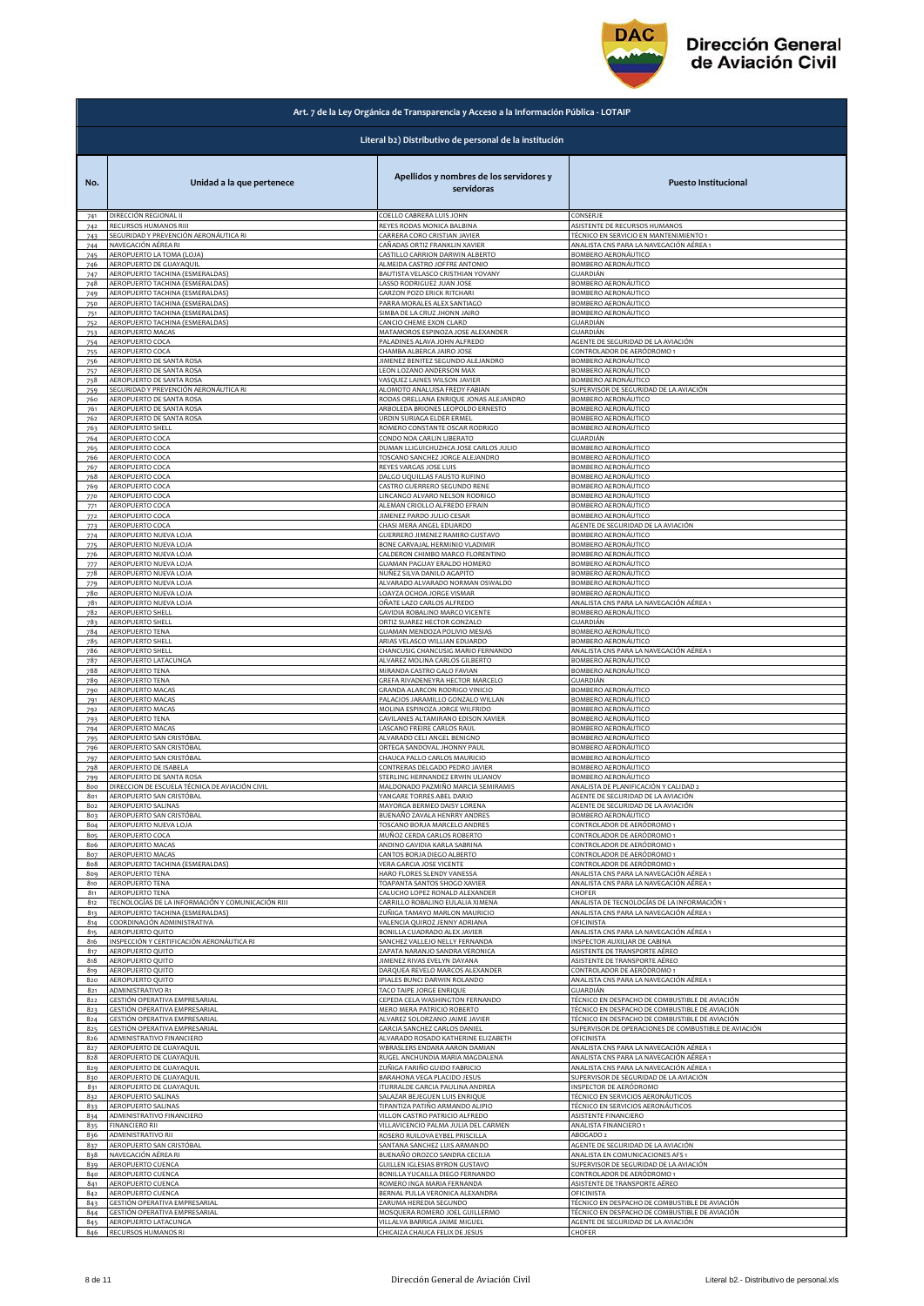

|            | Art. 7 de la Ley Orgánica de Transparencia y Acceso a la Información Pública - LOTAIP |                                                                |                                                                                                        |
|------------|---------------------------------------------------------------------------------------|----------------------------------------------------------------|--------------------------------------------------------------------------------------------------------|
|            |                                                                                       | Literal b2) Distributivo de personal de la institución         |                                                                                                        |
| No.        | Unidad a la que pertenece                                                             | Apellidos y nombres de los servidores y<br>servidoras          | <b>Puesto Institucional</b>                                                                            |
| 741        | DIRECCIÓN REGIONAL II                                                                 | COELLO CABRERA LUIS JOHN                                       | CONSERJE                                                                                               |
| 742        | RECURSOS HUMANOS RIII                                                                 | REYES RODAS MONICA BALBINA                                     | ASISTENTE DE RECURSOS HUMANOS                                                                          |
| 743        | EGURIDAD Y PREVENCIÓN AERONÁUTICA RI                                                  | CARRERA CORO CRISTIAN JAVIER                                   | TÉCNICO EN SERVICIO EN MANTENIMIENTO 1                                                                 |
| 744        | NAVEGACIÓN AÉREA RI                                                                   | CAÑADAS ORTIZ FRANKLIN XAVIER                                  | ANALISTA CNS PARA LA NAVEGACIÓN AÉREA 1                                                                |
| 745        | AEROPUERTO LA TOMA (LOJA)                                                             | CASTILLO CARRION DARWIN ALBERTO                                | BOMBERO AERONÁUTICO                                                                                    |
| 746        | AEROPUERTO DE GUAYAQUIL                                                               | ALMEIDA CASTRO JOFFRE ANTONIO                                  | BOMBERO AERONÁUTICO                                                                                    |
| 747        | AEROPUERTO TACHINA (ESMERALDAS)                                                       | BAUTISTA VELASCO CRISTHIAN YOVANY                              | GUARDIÁN                                                                                               |
| 748        | AEROPUERTO TACHINA (ESMERALDAS)                                                       | LASSO RODRIGUEZ JUAN JOSE                                      | BOMBERO AERONÁUTICO                                                                                    |
| 749        | AEROPUERTO TACHINA (ESMERALDAS)                                                       | <b>GARZON POZO ERICK RITCHARI</b>                              | BOMBERO AERONÁUTICO                                                                                    |
| 750        | AEROPUERTO TACHINA (ESMERALDAS)                                                       | PARRA MORALES ALEX SANTIAGO                                    | BOMBERO AERONÁUTICO                                                                                    |
|            | AEROPUERTO TACHINA (ESMERALDAS)                                                       | SIMBA DE LA CRUZ JHONN JAIRO                                   | BOMBERO AERONÁUTICO                                                                                    |
| 751<br>752 | AEROPUERTO TACHINA (ESMERALDAS)                                                       | CANCIO CHEME EXON CLARD                                        | GUARDIÁN                                                                                               |
| 753        | AEROPUERTO MACAS                                                                      | MATAMOROS ESPINOZA JOSE ALEXANDER                              | GUARDIÁN                                                                                               |
| 754        | AEROPUERTO COCA                                                                       | PALADINES ALAVA JOHN ALFREDO                                   | AGENTE DE SEGURIDAD DE LA AVIACIÓN                                                                     |
| 755        | AEROPUERTO COCA                                                                       | CHAMBA ALBERCA JAIRO JOSE                                      | CONTROLADOR DE AERÓDROMO 1                                                                             |
| 756        | AEROPUERTO DE SANTA ROSA                                                              | JIMENEZ BENITEZ SEGUNDO ALEJANDRO                              | BOMBERO AERONÁUTICO                                                                                    |
| 757        | AEROPUERTO DE SANTA ROSA                                                              | LEON LOZANO ANDERSON MAX                                       | BOMBERO AERONÁUTICO                                                                                    |
| 758        | AEROPUERTO DE SANTA ROSA                                                              | VASQUEZ LAINES WILSON JAVIER                                   | BOMBERO AERONÁUTICO                                                                                    |
| 759        | SEGURIDAD Y PREVENCIÓN AERONÁUTICA RI                                                 | ALOMOTO ANALUISA FREDY FABIAN                                  | SUPERVISOR DE SEGURIDAD DE LA AVIACIÓN                                                                 |
| 760        | AEROPUERTO DE SANTA ROSA                                                              | RODAS ORELLANA ENRIQUE JONAS ALEJANDRO                         | BOMBERO AERONÁUTICO                                                                                    |
| 761        | AEROPUERTO DE SANTA ROSA<br>AEROPUERTO DE SANTA ROSA                                  | ARBOLEDA BRIONES LEOPOLDO ERNESTO<br>URDIN SURIAGA ELDER ERMEL | BOMBERO AERONÁUTICO                                                                                    |
| 762<br>763 | <b>AEROPUERTO SHELL</b>                                                               | ROMERO CONSTANTE OSCAR RODRIGO                                 | BOMBERO AERONÁUTICO<br>BOMBERO AERONÁUTICO                                                             |
| 764        | AEROPUERTO COCA                                                                       | CONDO NOA CARLIN LIBERATO                                      | GUARDIÁN                                                                                               |
| 765        | AEROPUERTO COCA                                                                       | DUMAN LLIGUICHUZHCA JOSE CARLOS JULIO                          | BOMBERO AERONÁUTICO                                                                                    |
| 766        | AEROPUERTO COCA                                                                       | TOSCANO SANCHEZ JORGE ALEJANDRO                                | BOMBERO AERONÁUTICO                                                                                    |
| 767        | AEROPUERTO COCA                                                                       | REYES VARGAS JOSE LUIS                                         | BOMBERO AERONÁUTICO                                                                                    |
| 768        | <b>AEROPUERTO COCA</b>                                                                | DALGO UQUILLAS FAUSTO RUFINO                                   | BOMBERO AERONÁUTICO                                                                                    |
| 769        | <b>AEROPUERTO COCA</b>                                                                | CASTRO GUERRERO SEGUNDO RENE                                   | BOMBERO AERONÁUTICO                                                                                    |
| 770        | AEROPUERTO COCA                                                                       | LINCANGO ALVARO NELSON RODRIGO                                 | BOMBERO AERONÁUTICO                                                                                    |
| 771        | AEROPUERTO COCA                                                                       | ALEMAN CRIOLLO ALFREDO EFRAIN                                  | BOMBERO AERONÁUTICO                                                                                    |
| 772        | AEROPUERTO COCA                                                                       | JIMENEZ PARDO JULIO CESAR<br>CHASI MERA ANGEL EDUARDO          | BOMBERO AERONÁUTICO                                                                                    |
| 773        | AEROPUERTO COCA                                                                       | GUERRERO JIMENEZ RAMIRO GUSTAVO                                | AGENTE DE SEGURIDAD DE LA AVIACIÓN                                                                     |
| 774        | AEROPUERTO NUEVA LOJA                                                                 |                                                                | BOMBERO AERONÁUTICO                                                                                    |
| 775        | AEROPUERTO NUEVA LOJA                                                                 | BONE CARVAJAL HERMINIO VLADIMIR                                | BOMBERO AERONÁUTICO                                                                                    |
| 776        | AEROPUERTO NUEVA LOJA                                                                 | CALDERON CHIMBO MARCO FLORENTINO                               | BOMBERO AERONÁUTICO                                                                                    |
| 778        | AEROPUERTO NUEVA LOJA                                                                 | GUAMAN PAGUAY ERALDO HOMERO                                    | BOMBERO AERONÁUTICO                                                                                    |
|            | AEROPUERTO NUEVA LOJA                                                                 | NUÑEZ SILVA DANILO AGAPITO                                     | <b>BOMBERO AERONÁUTICO</b>                                                                             |
| 779        | AEROPUERTO NUEVA LOJA                                                                 | ALVARADO ALVARADO NORMAN OSWALDO                               | BOMBERO AERONÁUTICO                                                                                    |
| 780        | AEROPUERTO NUEVA LOJA                                                                 | LOAYZA OCHOA JORGE VISMAR                                      | BOMBERO AERONÁUTICO                                                                                    |
| 781        | AEROPUERTO NUEVA LOJA                                                                 | OÑATE LAZO CARLOS ALFREDO                                      | ANALISTA CNS PARA LA NAVEGACIÓN AÉREA 1                                                                |
| 782        | <b>AEROPUERTO SHELL</b>                                                               | GAVIDIA ROBALINO MARCO VICENTE                                 | BOMBERO AERONÁUTICO                                                                                    |
| 783        | AEROPUERTO SHELL                                                                      | ORTIZ SUAREZ HECTOR GONZALO                                    | GUARDIÁN                                                                                               |
|            | AEROPUERTO TENA                                                                       | <b>GUAMAN MENDOZA POLIVIO MESIAS</b>                           | BOMBERO AERONÁUTICO                                                                                    |
| 784<br>785 | AEROPUERTO SHELL                                                                      | ARIAS VELASCO WILLIAN EDUARDO                                  | BOMBERO AERONÁUTICO                                                                                    |
| 786        | <b>AEROPUERTO SHELL</b>                                                               | CHANCUSIG CHANCUSIG MARIO FERNANDO                             | ANALISTA CNS PARA LA NAVEGACIÓN AÉREA 1                                                                |
| 787        | AEROPUERTO LATACUNGA                                                                  | ALVAREZ MOLINA CARLOS GILBERTO                                 | BOMBERO AERONÁUTICO                                                                                    |
| 788        | <b>AEROPUERTO TENA</b>                                                                | MIRANDA CASTRO GALO FAVIAN                                     | BOMBERO AERONÁUTICO                                                                                    |
| 789        | <b>AEROPUERTO TENA</b>                                                                | GREFA RIVADENEYRA HECTOR MARCELO                               | GUARDIÁN                                                                                               |
| 790        | AEROPUERTO MACAS                                                                      | GRANDA ALARCON RODRIGO VINICIO                                 | <b>BOMBERO AERONÁUTICO</b>                                                                             |
| 791        | <b><i>AEROPUERTO MACAS</i></b>                                                        | PALACIOS JARAMILLO GONZALO WILLAN                              | BOMBERO AERONÁUTICO                                                                                    |
| 792        | AEROPUERTO MACAS                                                                      | MOLINA ESPINOZA JORGE WILFRIDO                                 | BOMBERO AERONÁUTICO                                                                                    |
| 793        | AEROPUERTO TENA                                                                       | GAVILANES ALTAMIRANO EDISON XAVIER                             | BOMBERO AERONÁUTICO                                                                                    |
| 794        | <b>AEROPUERTO MACAS</b>                                                               | LASCANO FREIRE CARLOS RAUL                                     | BOMBERO AERONÁUTICO                                                                                    |
| 795        | AEROPUERTO SAN CRISTÓBAL                                                              | ALVARADO CELI ANGEL BENIGNO                                    | BOMBERO AERONÁUTICO                                                                                    |
| 796        | AEROPUERTO SAN CRISTÓBAL                                                              | ORTEGA SANDOVAL JHONNY PAUL                                    | BOMBERO AERONÁUTICO                                                                                    |
| 797        | AEROPUERTO SAN CRISTÓBAL                                                              | CHAUCA PALLO CARLOS MAURICIO                                   | BOMBERO AERONÁUTICO                                                                                    |
| 798        | AEROPUERTO DE ISABELA                                                                 | CONTRERAS DELGADO PEDRO JAVIER                                 | BOMBERO AERONÁUTICO                                                                                    |
| 799        | AEROPUERTO DE SANTA ROSA                                                              | STERLING HERNANDEZ ERWIN ULIANOV                               | BOMBERO AERONÁUTICO                                                                                    |
| 800        | DIRECCION DE ESCUELA TÉCNICA DE AVIACIÓN CIVIL                                        | MALDONADO PAZMIÑO MARCIA SEMIRAMIS                             | ANALISTA DE PLANIFICACIÓN Y CALIDAD 2                                                                  |
| 801        | AFROPLIERTO SAN CRISTÓRAL                                                             | YANGARE TORRES ABEL DARIO                                      | ACENTE DE SECURIDAD DE LA AVIACIÓN                                                                     |
| 802        | AEROPUERTO SALINAS                                                                    | MAYORGA BERMEO DAISY LORENA                                    | AGENTE DE SEGURIDAD DE LA AVIACIÓN                                                                     |
| 803        | AEROPUERTO SAN CRISTÓBAL                                                              | BUENAÑO ZAVALA HENRRY ANDRES                                   | BOMBERO AERONÁUTICO                                                                                    |
| 804        | AEROPUERTO NUEVA LOJA                                                                 | TOSCANO BORJA MARCELO ANDRES                                   | CONTROLADOR DE AERÓDROMO 1                                                                             |
| 805        | AEROPUERTO COCA                                                                       | MUÑOZ CERDA CARLOS ROBERTO                                     | CONTROLADOR DE AERÓDROMO 1                                                                             |
| 806        | AEROPUERTO MACAS                                                                      | ANDINO GAVIDIA KARLA SABRINA                                   | ONTROLADOR DE AERÓDROMO 1                                                                              |
| 807        | <b>AEROPUERTO MACAS</b>                                                               | CANTOS BORJA DIEGO ALBERTO                                     | ONTROLADOR DE AERÓDROMO 1                                                                              |
| 808        | AEROPUERTO TACHINA (ESMERALDAS)                                                       | VERA GARCIA JOSE VICENTE                                       | ONTROLADOR DE AERÓDROMO 1                                                                              |
| 809        | AEROPUERTO TENA                                                                       | HARO FLORES SLENDY VANESSA                                     | ANALISTA CNS PARA LA NAVEGACIÓN AÉREA 1                                                                |
| 810        | AEROPUERTO TENA                                                                       | TOAPANTA SANTOS SHOGO XAVIER                                   | ANALISTA CNS PARA LA NAVEGACIÓN AÉREA 1                                                                |
| 811        | <b>AEROPUERTO TENA</b>                                                                | CALUCHO LOPEZ RONALD ALEXANDER                                 | CHOFER                                                                                                 |
| 812        | TECNOLOGÍAS DE LA INFORMACIÓN Y COMUNICACIÓN RIII                                     | CARRILLO ROBALINO EULALIA XIMENA                               | ANALISTA DE TECNOLOGÍAS DE LA INFORMACIÓN 1                                                            |
| 813        | AEROPUERTO TACHINA (ESMERALDAS)                                                       | ZUÑIGA TAMAYO MARLON MAURICIO                                  | ANALISTA CNS PARA LA NAVEGACIÓN AÉREA 1                                                                |
| 814        | COORDINACIÓN ADMINISTRATIVA                                                           | VALENCIA QUIROZ JENNY ADRIANA                                  | OFICINISTA                                                                                             |
| 815        | AEROPUERTO QUITO                                                                      | BONILLA CUADRADO ALEX JAVIER                                   | ANALISTA CNS PARA LA NAVEGACIÓN AÉREA 1                                                                |
| 816        | INSPECCIÓN Y CERTIFICACIÓN AERONÁUTICA RI                                             | SANCHEZ VALLEJO NELLY FERNANDA                                 | INSPECTOR AUXILIAR DE CABINA                                                                           |
| 817        | <b>AEROPUERTO QUITO</b>                                                               | ZAPATA NARANJO SANDRA VERONICA                                 | ASISTENTE DE TRANSPORTE AÉREO                                                                          |
| 818        | AEROPUERTO QUITO                                                                      | JIMENEZ RIVAS EVELYN DAYANA                                    | ASISTENTE DE TRANSPORTE AÉREO                                                                          |
| 819        | <b>AEROPUERTO QUITO</b>                                                               | DARQUEA REVELO MARCOS ALEXANDER                                | CONTROLADOR DE AERÓDROMO 1                                                                             |
| 820        | AEROPUERTO QUITO                                                                      | PIALES BUNCI DARWIN ROLANDO                                    | ANALISTA CNS PARA LA NAVEGACIÓN AÉREA 1                                                                |
| 821        | ADMINISTRATIVO R1                                                                     | TACO TAIPE JORGE ENRIQUE                                       | GUARDIÁN                                                                                               |
| 822        | GESTIÓN OPERATIVA EMPRESARIAL                                                         | CEPEDA CELA WASHINGTON FERNANDO                                | TÉCNICO EN DESPACHO DE COMBUSTIBLE DE AVIACIÓN                                                         |
| 823        | GESTIÓN OPERATIVA EMPRESARIAL                                                         | MERO MERA PATRICIO ROBERTO                                     | TÉCNICO EN DESPACHO DE COMBUSTIBLE DE AVIACIÓN                                                         |
| 824        | GESTIÓN OPERATIVA EMPRESARIAL                                                         | ALVAREZ SOLORZANO JAIME JAVIER<br>GARCIA SANCHEZ CARLOS DANIEL | TÉCNICO EN DESPACHO DE COMBUSTIBLE DE AVIACIÓN<br>SUPERVISOR DE OPERACIONES DE COMBUSTIBLE DE AVIACIÓN |
| 825<br>826 | GESTIÓN OPERATIVA EMPRESARIAL<br>ADMINISTRATIVO FINANCIERO                            | ALVARADO ROSADO KATHERINE ELIZABETH                            | OFICINISTA                                                                                             |
| 827        | AEROPUERTO DE GUAYAQUIL                                                               | WBRASLERS ENDARA AARON DAMIAN                                  | ANALISTA CNS PARA LA NAVEGACIÓN AÉREA 1                                                                |
| 828        | AEROPUERTO DE GUAYAQUIL                                                               | RUGEL ANCHUNDIA MARIA MAGDALENA                                | ANALISTA CNS PARA LA NAVEGACIÓN AÉREA 1                                                                |
| 829        | AEROPUERTO DE GUAYAQUIL                                                               | ZUÑIGA FARIÑO GUIDO FABRICIO                                   | ANALISTA CNS PARA LA NAVEGACIÓN AÉREA 1                                                                |
| 830        | AEROPUERTO DE GUAYAQUIL                                                               | BARAHONA VEGA PLACIDO JESUS                                    | SUPERVISOR DE SEGURIDAD DE LA AVIACIÓN                                                                 |
| 831        | <b>AEROPUERTO DE GUAYAQUIL</b>                                                        | <b>TURRALDE GARCIA PAULINA ANDREA</b>                          | NSPECTOR DE AERÓDROMO                                                                                  |
| 832        | AEROPUERTO SALINAS                                                                    | SALAZAR BEJEGUEN LUIS ENRIQUE                                  | TÉCNICO EN SERVICIOS AERONÁUTICOS                                                                      |
| 833        | AEROPUERTO SALINAS                                                                    | TIPANTIZA PATIÑO ARMANDO ALIPIO                                | TÉCNICO EN SERVICIOS AERONÁUTICOS                                                                      |
| 834        | ADMINISTRATIVO FINANCIERO                                                             | VILLON CASTRO PATRICIO ALFREDO                                 | ASISTENTE FINANCIERO                                                                                   |
| 835        | FINANCIERO RII                                                                        | VILLAVICENCIO PALMA JULIA DEL CARMEN                           | ANALISTA FINANCIERO 1                                                                                  |
| 836        | ADMINISTRATIVO RII                                                                    | ROSERO RUILOVA EYBEL PRISCILLA                                 | ABOGADO 2                                                                                              |
| 837        | AEROPUERTO SAN CRISTÓBAL                                                              | SANTANA SANCHEZ LUIS ARMANDO                                   | AGENTE DE SEGURIDAD DE LA AVIACIÓN                                                                     |
| 838        | NAVEGACIÓN AÉREA RI                                                                   | BUENAÑO OROZCO SANDRA CECILIA                                  | ANALISTA EN COMUNICACIONES AFS 1                                                                       |
| 8a         | AEROPUERTO CUENCA                                                                     | GUILLEN IGLESIAS BYRON GUSTAVO                                 | SUPERVISOR DE SEGURIDAD DE LA AVIACIÓN                                                                 |
| 840        | AEROPUERTO CUENCA                                                                     | BONILLA YUCAILLA DIEGO FERNANDO                                | CONTROLADOR DE AERÓDROMO                                                                               |
| 841        | AEROPUERTO CUENCA                                                                     | ROMERO INGA MARIA FERNANDA                                     | ASISTENTE DE TRANSPORTE AÉREO                                                                          |
| 842        | AEROPUERTO CUENCA                                                                     | BERNAL PULLA VERONICA ALEXANDRA                                | OFICINISTA                                                                                             |
| 843        | GESTIÓN OPERATIVA EMPRESARIAL                                                         | ZARUMA HEREDIA SEGUNDO                                         | TÉCNICO EN DESPACHO DE COMBUSTIBLE DE AVIACIÓN                                                         |
| 844        | GESTIÓN OPERATIVA EMPRESARIAL                                                         | MOSQUERA ROMERO JOEL GUILLERMO                                 | TÉCNICO EN DESPACHO DE COMBUSTIBLE DE AVIACIÓN                                                         |
| 845        | AEROPUERTO LATACUNGA                                                                  | VILLALVA BARRIGA JAIME MIGUEL                                  | AGENTE DE SEGURIDAD DE LA AVIACIÓN                                                                     |
| 846        | RECURSOS HUMANOS RI                                                                   | CHICAIZA CHAUCA FELIX DE JESUS                                 | CHOFER                                                                                                 |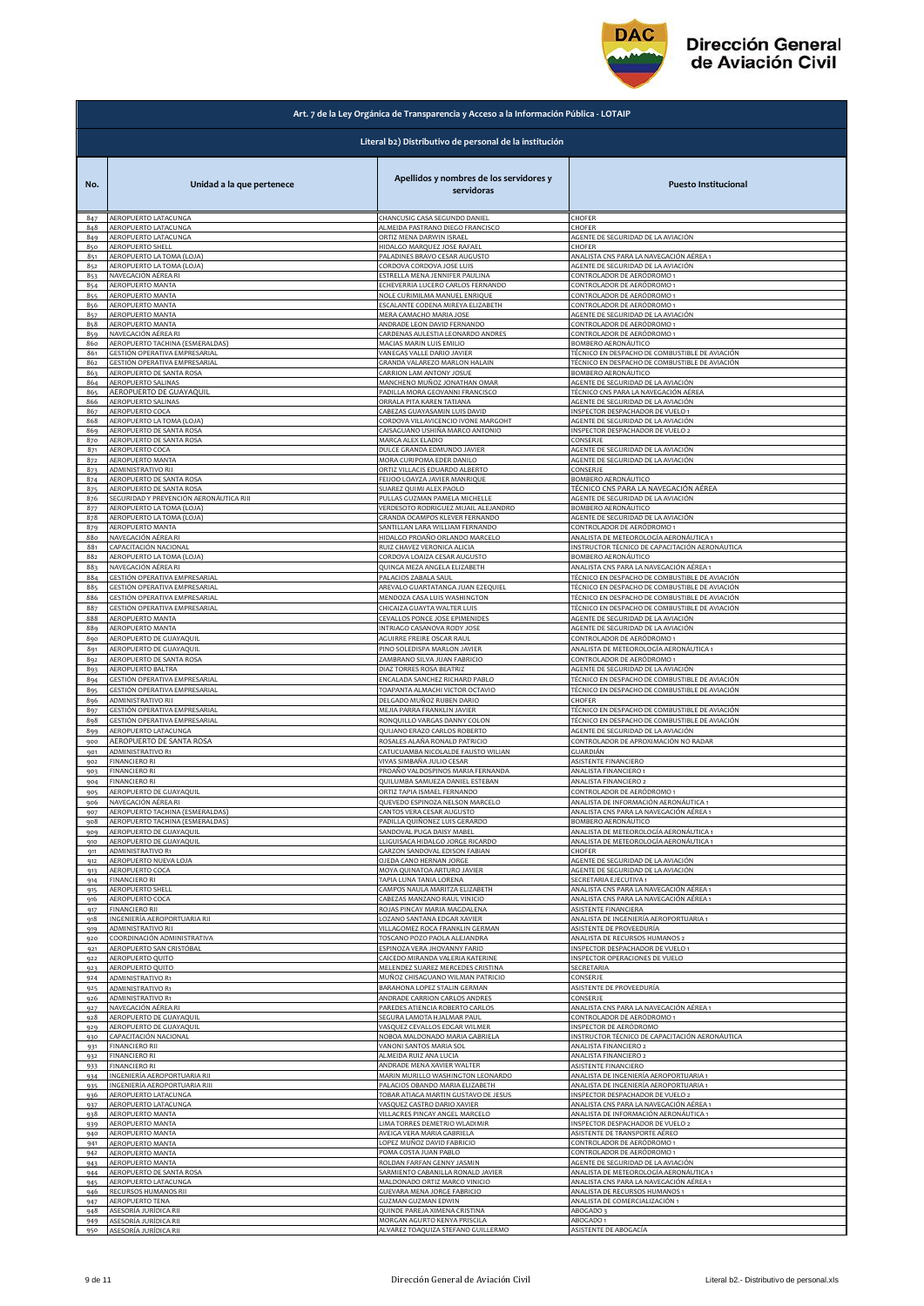

|                 | Art. 7 de la Ley Orgánica de Transparencia y Acceso a la Información Pública - LOTAIP |                                                                  |                                                       |
|-----------------|---------------------------------------------------------------------------------------|------------------------------------------------------------------|-------------------------------------------------------|
|                 |                                                                                       | Literal b2) Distributivo de personal de la institución           |                                                       |
| No.             | Unidad a la que pertenece                                                             | Apellidos y nombres de los servidores y<br>servidoras            | <b>Puesto Institucional</b>                           |
| 847             | AEROPUERTO LATACUNGA                                                                  | CHANCUSIG CASA SEGUNDO DANIEL                                    | CHOFER                                                |
| 848             | AEROPUERTO LATACUNGA                                                                  | ALMEIDA PASTRANO DIEGO FRANCISCO                                 | <b>HOFER</b>                                          |
| 849             | AEROPUERTO LATACUNGA<br>AEROPUERTO SHELL                                              | ORTIZ MENA DARWIN ISRAEL                                         | AGENTE DE SEGURIDAD DE LA AVIACIÓN<br>CHOFER          |
| 850<br>851      | AEROPUERTO LA TOMA (LOJA)                                                             | HIDALGO MARQUEZ JOSE RAFAEL<br>PALADINES BRAVO CESAR AUGUSTO     | ANALISTA CNS PARA LA NAVEGACIÓN AÉREA 1               |
| 852             | AEROPUERTO LA TOMA (LOJA)                                                             | CORDOVA CORDOVA JOSE LUIS                                        | AGENTE DE SEGURIDAD DE LA AVIACIÓN                    |
| 853             | NAVEGACIÓN AÉREA RI                                                                   | ESTRELLA MENA JENNIFER PAULINA                                   | ONTROLADOR DE AERÓDROMO 1                             |
| 854             | AEROPUERTO MANTA                                                                      | ECHEVERRIA LUCERO CARLOS FERNANDO                                | CONTROLADOR DE AERÓDROMO 1                            |
| 855             | AEROPUERTO MANTA                                                                      | NOLE CURIMILMA MANUEL ENRIQUE                                    | ONTROLADOR DE AERÓDROMO 1                             |
| 856             | <b>AEROPUERTO MANTA</b>                                                               | ESCALANTE CODENA MIREYA ELIZABETH                                | ONTROLADOR DE AERÓDROMO 1                             |
| 857             | AEROPUERTO MANTA                                                                      | MERA CAMACHO MARIA JOSE                                          | AGENTE DE SEGURIDAD DE LA AVIACIÓN                    |
| 858             | AEROPUERTO MANTA                                                                      | ANDRADE LEON DAVID FERNANDO                                      | ONTROLADOR DE AERÓDROMO 1                             |
| 859             | NAVEGACIÓN AÉREA RI                                                                   | CARDENAS AULESTIA LEONARDO ANDRES                                | ONTROLADOR DE AERÓDROMO 1                             |
| 860             | AEROPUERTO TACHINA (ESMERALDAS)                                                       | MACIAS MARIN LUIS EMILIO                                         | BOMBERO AERONÁUTICO                                   |
| 861             | GESTIÓN OPERATIVA EMPRESARIAL                                                         | VANEGAS VALLE DARIO JAVIER                                       | <u>FÉCNICO EN DESPACHO DE COMBUSTIBLE DE AVIACIÓN</u> |
| 862             | GESTIÓN OPERATIVA EMPRESARIAL                                                         | GRANDA VALAREZO MARLON HALAIN                                    | FÉCNICO EN DESPACHO DE COMBUSTIBLE DE AVIACIÓN        |
| 863             | AEROPUERTO DE SANTA ROSA                                                              | CARRION LAM ANTONY JOSUE                                         | BOMBERO AERONÁUTICO                                   |
| 864             | AEROPUERTO SALINAS                                                                    | MANCHENO MUÑOZ JONATHAN OMAR                                     | AGENTE DE SEGURIDAD DE LA AVIACIÓN                    |
| 865             | AEROPUERTO DE GUAYAQUIL                                                               | PADILLA MORA GEOVANNI FRANCISCO                                  | TÉCNICO CNS PARA LA NAVEGACIÓN AÉREA                  |
| 866             | AEROPUERTO SALINAS                                                                    | ORRALA PITA KAREN TATIANA                                        | AGENTE DE SEGURIDAD DE LA AVIACIÓN                    |
| 867             | AEROPUERTO COCA                                                                       | CABEZAS GUAYASAMIN LUIS DAVID                                    | INSPECTOR DESPACHADOR DE VUELO 1                      |
| 868             | AEROPUERTO LA TOMA (LOJA)                                                             | CORDOVA VILLAVICENCIO IVONE MARGOHT                              | AGENTE DE SEGURIDAD DE LA AVIACIÓN                    |
| 869             | AEROPUERTO DE SANTA ROSA                                                              | CAISAGUANO USHIÑA MARCO ANTONIO                                  | INSPECTOR DESPACHADOR DE VUELO 2                      |
| 870             | AEROPUERTO DE SANTA ROSA                                                              | MARCA ALEX ELADIO                                                | CONSERJE                                              |
| 871             | AEROPUERTO COCA                                                                       | DULCE GRANDA EDMUNDO JAVIER                                      | AGENTE DE SEGURIDAD DE LA AVIACIÓN                    |
| 872             | AEROPUERTO MANTA                                                                      | MORA CURIPOMA EDER DANILO                                        | AGENTE DE SEGURIDAD DE LA AVIACIÓN                    |
| 873             | ADMINISTRATIVO RII                                                                    | ORTIZ VILLACIS EDUARDO ALBERTO                                   | ONSERJE                                               |
| 874             | AEROPUERTO DE SANTA ROSA                                                              | FEIJOO LOAYZA JAVIER MANRIQUE                                    | <b>BOMBERO AERONÁUTICO</b>                            |
| 875             | AEROPUERTO DE SANTA ROSA                                                              | SUAREZ QUIMI ALEX PAOLO                                          | TÉCNICO CNS PARA LA NAVEGACIÓN AÉREA                  |
| 876             | SEGURIDAD Y PREVENCIÓN AERONÁUTICA RIII                                               | PULLAS GUZMAN PAMELA MICHELLE                                    | AGENTE DE SEGURIDAD DE LA AVIACIÓN                    |
| 877             | AEROPUERTO LA TOMA (LOJA)                                                             | VERDESOTO RODRIGUEZ MIJAIL ALEJANDRO                             | BOMBERO AERONÁUTICO                                   |
| 878             | AEROPUERTO LA TOMA (LOJA)                                                             | GRANDA OCAMPOS KLEVER FERNANDO                                   | AGENTE DE SEGURIDAD DE LA AVIACIÓN                    |
| 879             | AEROPUERTO MANTA                                                                      | SANTILLAN LARA WILLIAM FERNANDO                                  | CONTROLADOR DE AERÓDROMO 1                            |
| 880             | NAVEGACIÓN AÉREA RI                                                                   | HIDALGO PROAÑO ORLANDO MARCELO                                   | ANALISTA DE METEOROLOGÍA AERONÁUTICA 1                |
| 88 <sub>1</sub> | CAPACITACIÓN NACIONAL                                                                 | RUIZ CHAVEZ VERONICA ALICIA                                      | INSTRUCTOR TÉCNICO DE CAPACITACIÓN AERONÁUTICA        |
| 882             | AEROPUERTO LA TOMA (LOJA)                                                             | CORDOVA LOAIZA CESAR AUGUSTO                                     | BOMBERO AERONÁUTICO                                   |
| 883             | NAVEGACIÓN AÉREA RI                                                                   | QUINGA MEZA ANGELA ELIZABETH                                     | ANALISTA CNS PARA LA NAVEGACIÓN AÉREA 1               |
| 884             | GESTIÓN OPERATIVA EMPRESARIAL                                                         | PALACIOS ZABALA SAUL                                             | TÉCNICO EN DESPACHO DE COMBUSTIBLE DE AVIACIÓN        |
| 885             | GESTIÓN OPERATIVA EMPRESARIAL                                                         | AREVALO GUARTATANGA JUAN EZEQUIEL                                | TÉCNICO EN DESPACHO DE COMBUSTIBLE DE AVIACIÓN        |
| 886             | GESTIÓN OPERATIVA EMPRESARIAL                                                         | MENDOZA CASA LUIS WASHINGTON                                     | FÉCNICO EN DESPACHO DE COMBUSTIBLE DE AVIACIÓN        |
| 887             | GESTIÓN OPERATIVA EMPRESARIAL                                                         | CHICAIZA GUAYTA WALTER LUIS                                      | TÉCNICO EN DESPACHO DE COMBUSTIBLE DE AVIACIÓN        |
| 888             | AEROPUERTO MANTA                                                                      | CEVALLOS PONCE JOSE EPIMENIDES                                   | AGENTE DE SEGURIDAD DE LA AVIACIÓN                    |
| 889             | AEROPUERTO MANTA                                                                      | INTRIAGO CASANOVA RODY JOSE                                      | AGENTE DE SEGURIDAD DE LA AVIACIÓN                    |
| 890             | AEROPUERTO DE GUAYAQUIL                                                               | AGUIRRE FREIRE OSCAR RAUL                                        | CONTROLADOR DE AERÓDROMO 1                            |
| 8q1             | AEROPUERTO DE GUAYAQUIL                                                               | PINO SOLEDISPA MARLON JAVIER                                     | ANALISTA DE METEOROLOGÍA AERONÁUTICA 1                |
| 892             | AEROPUERTO DE SANTA ROSA                                                              | ZAMBRANO SILVA JUAN FABRICIO                                     | ONTROLADOR DE AERÓDROMO 1                             |
| 893             | AEROPUERTO BALTRA                                                                     | DIAZ TORRES ROSA BEATRIZ                                         | AGENTE DE SEGURIDAD DE LA AVIACIÓN                    |
| 894             | GESTIÓN OPERATIVA EMPRESARIAL                                                         | ENCALADA SANCHEZ RICHARD PABLO                                   | TÉCNICO EN DESPACHO DE COMBUSTIBLE DE AVIACIÓN        |
| 895             | GESTIÓN OPERATIVA EMPRESARIAL                                                         | TOAPANTA ALMACHI VICTOR OCTAVIO                                  | TÉCNICO EN DESPACHO DE COMBUSTIBLE DE AVIACIÓN        |
| 896             | ADMINISTRATIVO RII                                                                    | DELGADO MUÑOZ RUBEN DARIO                                        | <b>CHOFER</b>                                         |
| 897             | GESTIÓN OPERATIVA EMPRESARIAL                                                         | MEJIA PARRA FRANKLIN JAVIER                                      | TÉCNICO EN DESPACHO DE COMBUSTIBLE DE AVIACIÓN        |
| 898             | GESTIÓN OPERATIVA EMPRESARIAL                                                         | RONQUILLO VARGAS DANNY COLON                                     | FÉCNICO EN DESPACHO DE COMBUSTIBLE DE AVIACIÓN        |
| 899             | AEROPUERTO LATACUNGA                                                                  | QUIJANO ERAZO CARLOS ROBERTO                                     | AGENTE DE SEGURIDAD DE LA AVIACIÓN                    |
| 900             | AEROPUERTO DE SANTA ROSA                                                              | ROSALES ALAÑA RONALD PATRICIO                                    | CONTROLADOR DE APROXIMACIÓN NO RADAR                  |
| 901             | ADMINISTRATIVO R1<br><b>FINANCIERO RI</b>                                             | CATUCUAMBA NICOLALDE FAUSTO WILIAN<br>VIVAS SIMBAÑA JULIO CESAR  | GUARDIÁN                                              |
| 902<br>903      | <b>FINANCIERO RI</b>                                                                  | PROAÑO VALDOSPINOS MARIA FERNANDA                                | ASISTENTE FINANCIERO<br>ANALISTA FINANCIERO 1         |
| 904             | <b>FINANCIERO RI</b>                                                                  | QUILUMBA SAMUEZA DANIEL ESTEBAN                                  | ANALISTA FINANCIERO 2                                 |
| 905             | AEROPUERTO DE GUAYAQUIL                                                               | ORTIZ TAPIA ISMAEL FERNANDO                                      | CONTROLADOR DE AERÓDROMO 1                            |
| 906             | NAVEGACIÓN AÉREA RI                                                                   | QUEVEDO ESPINOZA NELSON MARCELO                                  | ANALISTA DE INFORMACIÓN AERONÁUTICA 1                 |
| 907             | AEROPUERTO TACHINA (ESMERALDAS)                                                       | CANTOS VERA CESAR AUGUSTO                                        | ANALISTA CNS PARA LA NAVEGACIÓN AÉREA 1               |
| 908             | AEROPUERTO TACHINA (ESMERALDAS)                                                       | PADILLA QUIÑONEZ LUIS GERARDO                                    | BOMBERO AERONÁUTICO                                   |
| 909             | AEROPUERTO DE GUAYAQUIL                                                               | SANDOVAL PUGA DAISY MABEL                                        | ANALISTA DE METEOROLOGÍA AERONÁUTICA 1                |
| 910             | AEROPUERTO DE GUAYAQUIL                                                               | LLIGUISACA HIDALGO JORGE RICARDO                                 | ANALISTA DE METEOROLOGÍA AERONÁUTICA 1                |
| 911             | <b>ADMINISTRATIVO R1</b>                                                              | GARZON SANDOVAL EDISON FABIAN                                    | <b>CHOFER</b>                                         |
| 912             | AEROPUERTO NUEVA LOJA                                                                 | OJEDA CANO HERNAN JORGE                                          | AGENTE DE SEGURIDAD DE LA AVIACIÓN                    |
| 913             | AEROPUERTO COCA                                                                       | MOYA QUINATOA ARTURO JAVIER                                      | AGENTE DE SEGURIDAD DE LA AVIACIÓN                    |
| 914             | FINANCIERO RI                                                                         | TAPIA LUNA TANIA LORENA                                          | SECRETARIA EJECUTIVA 1                                |
| 915             | <b>AEROPUERTO SHELI</b>                                                               | CAMPOS NAULA MARITZA ELIZABETH                                   | ANALISTA CNS PARA LA NAVEGACIÓN AÉREA 1               |
| 916             | AEROPUERTO COCA                                                                       | CABEZAS MANZANO RAUL VINICIO                                     | ANALISTA CNS PARA LA NAVEGACIÓN AÉREA 1               |
| 917             | <b>FINANCIERO RII</b>                                                                 | ROJAS PINCAY MARIA MAGDALENA                                     | ASISTENTE FINANCIERA                                  |
| 918             | INGENIERÍA AEROPORTUARIA RII                                                          | LOZANO SANTANA EDGAR XAVIER                                      | ANALISTA DE INGENIERÍA AEROPORTUARIA 1                |
| 919             | ADMINISTRATIVO RII                                                                    | VILLAGOMEZ ROCA FRANKLIN GERMAN                                  | ASISTENTE DE PROVEEDURÍA                              |
| 920             | COORDINACIÓN ADMINISTRATIVA                                                           | TOSCANO POZO PAOLA ALEJANDRA                                     | ANALISTA DE RECURSOS HUMANOS 2                        |
| 921             | AEROPUERTO SAN CRISTÓBAL<br>AEROPUERTO QUITO                                          | ESPINOZA VERA JHOVANNY FARID<br>CAICEDO MIRANDA VALERIA KATERINE | NSPECTOR DESPACHADOR DE VUELO 1                       |
| 922<br>923      | AEROPUERTO QUITO                                                                      | MELENDEZ SUAREZ MERCEDES CRISTINA                                | NSPECTOR OPERACIONES DE VUELO<br><b>SECRETARIA</b>    |
| 924             | ADMINISTRATIVO R1                                                                     | MUÑOZ CHISAGUANO WILMAN PATRICIO                                 | <b>CONSERJE</b>                                       |
| 925             | <b>ADMINISTRATIVO R1</b>                                                              | BARAHONA LOPEZ STALIN GERMAN                                     | ASISTENTE DE PROVEEDURÍA                              |
| 926             | <b>ADMINISTRATIVO R1</b>                                                              | ANDRADE CARRION CARLOS ANDRES                                    | CONSERJE                                              |
| 927             | NAVEGACIÓN AÉREA RI                                                                   | PAREDES ATIENCIA ROBERTO CARLOS                                  | ANALISTA CNS PARA LA NAVEGACIÓN AÉREA 1               |
| 928             | AEROPUERTO DE GUAYAQUIL                                                               | SEGURA LAMOTA HJALMAR PAUL                                       | CONTROLADOR DE AERÓDROMO 1                            |
| 929             | AEROPUERTO DE GUAYAQUIL                                                               | VASQUEZ CEVALLOS EDGAR WILMER                                    | INSPECTOR DE AERÓDROMO                                |
| 930             | CAPACITACIÓN NACIONAL                                                                 | NOBOA MALDONADO MARIA GABRIELA                                   | INSTRUCTOR TÉCNICO DE CAPACITACIÓN AERONÁUTICA        |
| 931             | <b>FINANCIERO RII</b>                                                                 | VANONI SANTOS MARIA SOL                                          | ANALISTA FINANCIERO 2                                 |
| 932             | <b>FINANCIERO RI</b>                                                                  | ALMEIDA RUIZ ANA LUCIA                                           | ANALISTA FINANCIERO 2                                 |
| 933             | <b>FINANCIERO RI</b>                                                                  | ANDRADE MENA XAVIER WALTER                                       | ASISTENTE FINANCIERO                                  |
| 934             | INGENIERÍA AEROPORTUARIA RII                                                          | MARIN MURILLO WASHINGTON LEONARDO                                | ANALISTA DE INGENIERÍA AEROPORTUARIA 1                |
| 935             | INGENIERÍA AEROPORTUARIA RIII                                                         | PALACIOS OBANDO MARIA ELIZABETH                                  | ANALISTA DE INGENIERÍA AEROPORTUARIA 1                |
| 936             | AEROPUERTO LATACUNGA                                                                  | TOBAR ATIAGA MARTIN GUSTAVO DE JESUS                             | INSPECTOR DESPACHADOR DE VUELO 2                      |
| 937             | AEROPUERTO LATACUNGA                                                                  | VASQUEZ CASTRO DARIO XAVIER                                      | ANALISTA CNS PARA LA NAVEGACIÓN AÉREA 1               |
| 938             | <b>AEROPUERTO MANTA</b>                                                               | VILLACRES PINCAY ANGEL MARCELO                                   | ANALISTA DE INFORMACIÓN AERONÁUTICA 1                 |
| 939             | AEROPUERTO MANTA                                                                      | LIMA TORRES DEMETRIO WLADIMIR                                    | INSPECTOR DESPACHADOR DE VUELO 2                      |
| 940             | AEROPUERTO MANTA                                                                      | AVEIGA VERA MARIA GABRIELA                                       | ASISTENTE DE TRANSPORTE AÉREO                         |
| 941             | AEROPUERTO MANTA                                                                      | LOPEZ MUÑOZ DAVID FABRICIO                                       | CONTROLADOR DE AERÓDROMO 1                            |
|                 | AEROPUERTO MANTA                                                                      | POMA COSTA JUAN PABLO                                            | ONTROLADOR DE AERÓDROMO 1                             |
| 942<br>943      | AEROPUERTO MANTA                                                                      | ROLDAN FARFAN GENNY JASMIN                                       | AGENTE DE SEGURIDAD DE LA AVIACIÓN                    |
| 944             | <b>AEROPUERTO DE SANTA ROSA</b>                                                       | SARMIENTO CABANILLA RONALD JAVIER                                | ANALISTA DE METEOROLOGÍA AERONÁUTICA 1                |
| 945             | AEROPUERTO LATACUNGA                                                                  | MALDONADO ORTIZ MARCO VINICIO                                    | ANALISTA CNS PARA LA NAVEGACIÓN AÉREA 1               |
| 946             | RECURSOS HUMANOS RII                                                                  | GUEVARA MENA JORGE FABRICIO                                      | ANALISTA DE RECURSOS HUMANOS 1                        |
| 947             | AEROPUERTO TENA                                                                       | <b>GUZMAN GUZMAN EDWIN</b>                                       | ANALISTA DE COMERCIALIZACIÓN 1                        |
| 948             | ASESORÍA JURÍDICA RII                                                                 | QUINDE PAREJA XIMENA CRISTINA                                    | ABOGADO 3                                             |
| 949             | ASESORÍA JURÍDICA RII                                                                 | MORGAN AGURTO KENYA PRISCILA                                     | ABOGADO 1                                             |
| 950             | ASESORÍA JURÍDICA RII                                                                 | ALVAREZ TOAQUIZA STEFANO GUILLERMO                               | ASISTENTE DE ABOGACÍA                                 |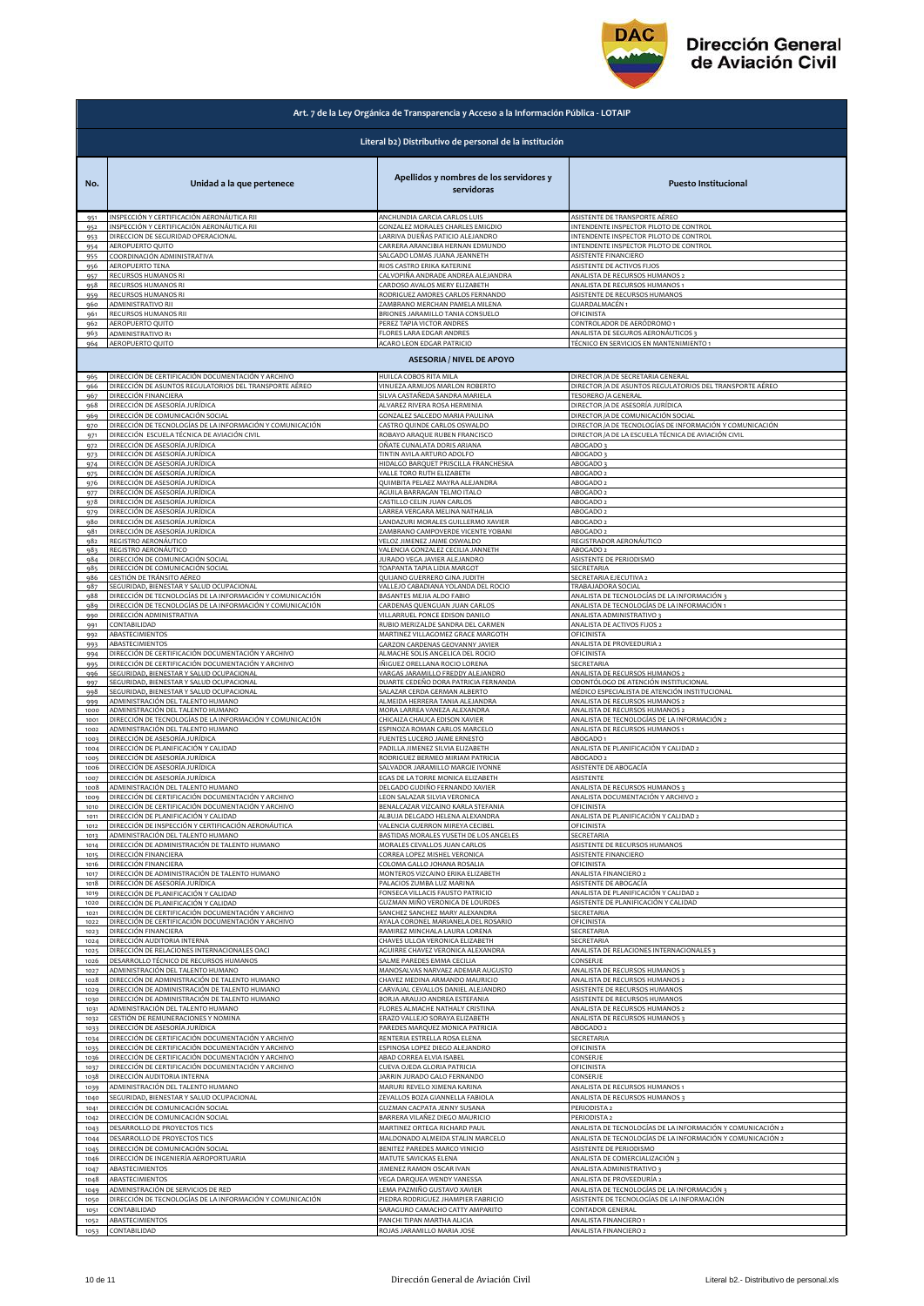

| Literal b2) Distributivo de personal de la institución<br>Apellidos y nombres de los servidores y<br>Unidad a la que pertenece<br><b>Puesto Institucional</b><br>No.<br>servidoras<br>INSPECCIÓN Y CERTIFICACIÓN AERONÁUTICA RII<br>ANCHUNDIA GARCIA CARLOS LUIS<br>ASISTENTE DE TRANSPORTE AÉREO<br>951<br>GONZALEZ MORALES CHARLES EMIGDIO<br>INTENDENTE INSPECTOR PILOTO DE CONTROL<br>INSPECCIÓN Y CERTIFICACIÓN AERONÁUTICA RII<br>952<br>LARRIVA DUEÑAS PATICIO ALEJANDRO<br>INTENDENTE INSPECTOR PILOTO DE CONTROL<br>DIRECCION DE SEGURIDAD OPERACIONAL<br>953<br>AEROPUERTO QUITO<br>CARRERA ARANCIBIA HERNAN EDMUNDO<br>INTENDENTE INSPECTOR PILOTO DE CONTROL<br>954<br>ASISTENTE FINANCIERO<br>COORDINACIÓN ADMINISTRATIVA<br>SALGADO LOMAS JUANA JEANNETH<br>955<br>AEROPUERTO TENA<br>RIOS CASTRO ERIKA KATERINE<br>ASISTENTE DE ACTIVOS FIJOS<br>956<br>CALVOPIÑA ANDRADE ANDREA ALEJANDRA<br>RECURSOS HUMANOS RI<br>ANALISTA DE RECURSOS HUMANOS 2<br>957<br>RECURSOS HUMANOS RI<br>CARDOSO AVALOS MERY ELIZABETH<br>ANALISTA DE RECURSOS HUMANOS 1<br>958<br>RECURSOS HUMANOS RI<br>RODRIGUEZ AMORES CARLOS FERNANDO<br>ASISTENTE DE RECURSOS HUMANOS<br>959<br><b>GUARDALMACÉN 1</b><br>ADMINISTRATIVO RII<br>ZAMBRANO MERCHAN PAMELA MILENA<br>960<br>RECURSOS HUMANOS RII<br>BRIONES JARAMILLO TANIA CONSUELO<br>OFICINISTA<br>961<br>AEROPUERTO QUITO<br>PEREZ TAPIA VICTOR ANDRES<br>CONTROLADOR DE AERÓDROMO 1<br>962<br>ADMINISTRATIVO R1<br>FLORES LARA EDGAR ANDRES<br>ANALISTA DE SEGUROS AERONÁUTICOS 3<br>963<br>AEROPUERTO QUITO<br>ACARO LEON EDGAR PATRICIO<br>TÉCNICO EN SERVICIOS EN MANTENIMIENTO 1<br>964<br><b>ASESORIA / NIVEL DE APOYO</b><br>DIRECCIÓN DE CERTIFICACIÓN DOCUMENTACIÓN Y ARCHIVO<br>HUILCA COBOS RITA MILA<br>DIRECTOR / A DE SECRETARIA GENERAL<br>965<br>DIRECCIÓN DE ASUNTOS REGULATORIOS DEL TRANSPORTE AÉREO<br>VINUEZA ARMIJOS MARLON ROBERTO<br>DIRECTOR / A DE ASUNTOS REGULATORIOS DEL TRANSPORTE AÉREO<br>966<br>DIRECCIÓN FINANCIERA<br>SILVA CASTAÑEDA SANDRA MARIELA<br><b>TESORERO /A GENERAL</b><br>967<br>DIRECTOR / A DE ASESORÍA JURÍDICA<br>DIRECCIÓN DE ASESORÍA JURÍDICA<br>ALVAREZ RIVERA ROSA HERMINIA<br>968<br>DIRECCIÓN DE COMUNICACIÓN SOCIAL<br>DIRECTOR / A DE COMUNICACIÓN SOCIAL<br>GONZALEZ SALCEDO MARIA PAULINA<br>969<br>DIRECCIÓN DE TECNOLOGÍAS DE LA INFORMACIÓN Y COMUNICACIÓN<br>CASTRO QUINDE CARLOS OSWALDO<br>DIRECTOR /A DE TECNOLOGÍAS DE INFORMACIÓN Y COMUNICACIÓN<br>970<br>DIRECCIÓN ESCUELA TÉCNICA DE AVIACIÓN CIVIL<br>ROBAYO ARAQUE RUBEN FRANCISCO<br>DIRECTOR /A DE LA ESCUELA TÉCNICA DE AVIACIÓN CIVIL<br>971<br>)IRECCIÓN DE ASESORÍA JURÍDICA<br><u>DÑATE CUNALATA DORIS ARIANA</u><br><b>ABOGADO3</b><br>972<br>DIRECCIÓN DE ASESORÍA JURÍDICA<br>TINTIN AVILA ARTURO ADOLFO<br><b>ABOGADO 3</b><br>973<br>DIRECCIÓN DE ASESORÍA JURÍDICA<br>HIDALGO BARQUET PRISCILLA FRANCHESKA<br><b>ABOGADO 3</b><br>974<br>DIRECCIÓN DE ASESORÍA JURÍDICA<br>VALLE TORO RUTH ELIZABETH<br>ABOGADO 2<br>975<br>DIRECCIÓN DE ASESORÍA JURÍDICA<br>QUIMBITA PELAEZ MAYRA ALEJANDRA<br>ABOGADO 2<br>976<br>DIRECCIÓN DE ASESORÍA JURÍDICA<br>AGUILA BARRAGAN TELMO ITALO<br>ABOGADO 2<br>977<br>DIRECCIÓN DE ASESORÍA JURÍDICA<br>CASTILLO CELIN JUAN CARLOS<br>978<br>ABOGADO 2<br>LARREA VERGARA MELINA NATHALIA<br>DIRECCIÓN DE ASESORÍA JURÍDICA<br>ABOGADO 2<br>979<br>DIRECCIÓN DE ASESORÍA JURÍDICA<br>LANDAZURI MORALES GUILLERMO XAVIER<br>ABOGADO 2<br>980<br>DIRECCIÓN DE ASESORÍA JURÍDICA<br>ZAMBRANO CAMPOVERDE VICENTE YOBANI<br>ABOGADO 2<br>981<br>REGISTRO AERONÁUTICO<br>VELOZ JIMENEZ JAIME OSWALDO<br>REGISTRADOR AERONÁUTICO<br>982<br>VALENCIA GONZALEZ CECILIA JANNETH<br>REGISTRO AERONÁUTICO<br>ABOGADO 2<br>983<br>ASISTENTE DE PERIODISMO<br>DIRECCIÓN DE COMUNICACIÓN SOCIAL<br>JURADO VEGA JAVIER ALEJANDRO<br>984<br>DIRECCIÓN DE COMUNICACIÓN SOCIAL<br>TOAPANTA TAPIA LIDIA MARGOT<br>SECRETARIA<br>985<br>GESTIÓN DE TRÁNSITO AÉREO<br>QUIJANO GUERRERO GINA JUDITH<br>SECRETARIA EJECUTIVA 2<br>986<br>SEGURIDAD, BIENESTAR Y SALUD OCUPACIONAL<br>VALLEJO CABADIANA YOLANDA DEL ROCIO<br>TRABAJADORA SOCIAL<br>987<br>DIRECCIÓN DE TECNOLOGÍAS DE LA INFORMACIÓN Y COMUNICACIÓN<br>BASANTES MEJIA ALDO FABIO<br>ANALISTA DE TECNOLOGÍAS DE LA INFORMACIÓN 3<br>988<br>DIRECCIÓN DE TECNOLOGÍAS DE LA INFORMACIÓN Y COMUNICACIÓN<br>CARDENAS QUENGUAN JUAN CARLOS<br>ANALISTA DE TECNOLOGÍAS DE LA INFORMACIÓN 1<br>989<br>ANALISTA ADMINISTRATIVO 3<br>DIRECCIÓN ADMINISTRATIVA<br>VILLARRUEL PONCE EDISON DANILO<br>990<br>RUBIO MERIZALDE SANDRA DEL CARMEN<br>ANALISTA DE ACTIVOS FIJOS 2<br><b>CONTABILIDAD</b><br>991<br>MARTINEZ VILLAGOMEZ GRACE MARGOTH<br>ABASTECIMIENTOS<br>OFICINISTA<br>992<br>ANALISTA DE PROVEEDURIA 2<br>GARZON CARDENAS GEOVANNY JAVIER<br>ABASTECIMIENTOS<br>993<br>DIRECCIÓN DE CERTIFICACIÓN DOCUMENTACIÓN Y ARCHIVO<br>ALMACHE SOLIS ANGELICA DEL ROCIO<br>OFICINISTA<br>994<br>DIRECCIÓN DE CERTIFICACIÓN DOCUMENTACIÓN Y ARCHIVO<br>IÑIGUEZ ORELLANA ROCIO LORENA<br>SECRETARIA<br>995<br>EGURIDAD, BIENESTAR Y SALUD OCUPACIONAL<br>VARGAS JARAMILLO FREDDY ALEJANDRO<br>ANALISTA DE RECURSOS HUMANOS 2<br>996<br>EGURIDAD, BIENESTAR Y SALUD OCUPACIONAL<br>DUARTE CEDEÑO DORA PATRICIA FERNANDA<br>ODONTÓLOGO DE ATENCIÓN INSTITUCIONAL<br>997<br>EGURIDAD, BIENESTAR Y SALUD OCUPACIONAL<br>SALAZAR CERDA GERMAN ALBERTO<br>MÉDICO ESPECIALISTA DE ATENCIÓN INSTITUCIONAL<br>998<br>ADMINISTRACIÓN DEL TALENTO HUMANO<br>ALMEIDA HERRERA TANIA ALEJANDRA<br>ANALISTA DE RECURSOS HUMANOS 2<br>999<br>ADMINISTRACIÓN DEL TALENTO HUMANO<br>MORA LARREA VANEZA ALEXANDRA<br>ANALISTA DE RECURSOS HUMANOS 2<br>1000<br>DIRECCIÓN DE TECNOLOGÍAS DE LA INFORMACIÓN Y COMUNICACIÓN<br>CHICAIZA CHAUCA EDISON XAVIER<br>ANALISTA DE TECNOLOGÍAS DE LA INFORMACIÓN 2<br>1001<br>ANALISTA DE RECURSOS HUMANOS 1<br>ADMINISTRACIÓN DEL TALENTO HUMANO<br>ESPINOZA ROMAN CARLOS MARCELO<br>1002<br>DIRECCIÓN DE ASESORÍA JURÍDICA<br>FUENTES LUCERO JAIME ERNESTO<br>ABOGADO 1<br>1003<br>DIRECCIÓN DE PLANIFICACIÓN Y CALIDAD<br>ANALISTA DE PLANIFICACIÓN Y CALIDAD 2<br>PADILLA JIMENEZ SILVIA ELIZABETH<br>1004<br>DIRECCIÓN DE ASESORÍA JURÍDICA<br>1005<br>RODRIGUEZ BERMEO MIRIAM PATRICIA<br>ABOGADO 2<br>ASISTENTE DE ABOGACÍA<br>DIRECCIÓN DE ASESORÍA JURÍDICA<br>SALVADOR JARAMILLO MARGIE IVONNE<br>1006<br>DIRECCIÓN DE ASESORÍA JURÍDICA<br>EGAS DE LA TORRE MONICA ELIZABETH<br>ASISTENTE<br>1007<br>DELGADO GUDIÑO FERNANDO XAVIER<br>ADMINISTRACIÓN DEL TALENTO HUMANO<br>ANALISTA DE RECURSOS HUMANOS 3<br>1008<br>DIRECCIÓN DE CERTIFICACIÓN DOCUMENTACIÓN Y ARCHIVO<br><b>LEON SALAZAR SILVIA VERONICA</b><br>ANALISTA DOCUMENTACIÓN Y ARCHIVO<br>1009<br>DIRECCIÓN DE CERTIFICACIÓN DOCUMENTACIÓN Y ARCHIVO<br>BENALCAZAR VIZCAINO KARLA STEFANIA<br>OFICINISTA<br>1010<br>DIRECCIÓN DE PLANIFICACIÓN Y CALIDAD<br>ALBUJA DELGADO HELENA ALEXANDRA<br>ANALISTA DE PLANIFICACIÓN Y CALIDAD 2<br>1011<br>DIRECCIÓN DE INSPECCIÓN Y CERTIFICACIÓN AERONÁUTICA<br>VALENCIA GUERRON MIREYA CECIBEL<br>1012<br><b>OFICINISTA</b><br>ADMINISTRACIÓN DEL TALENTO HUMANO<br>BASTIDAS MORALES YUSETH DE LOS ANGELES<br>SECRETARIA<br>1013<br>DIRECCIÓN DE ADMINISTRACIÓN DE TALENTO HUMANO<br>MORALES CEVALLOS JUAN CARLOS<br>ASISTENTE DE RECURSOS HUMANOS<br>1014<br>CORREA LOPEZ MISHEL VERONICA<br>ASISTENTE FINANCIERO<br><b>DIRECCIÓN FINANCIERA</b><br>1015<br>COLOMA GALLO JOHANA ROSALIA<br>)IRECCIÓN FINANCIERA<br>OFICINISTA<br>1016<br><u>DIRECCIÓN DE ADMINISTRACIÓN DE TALENTO HUMANO</u><br>MONTEROS VIZCAINO ERIKA ELIZABETH<br>ANALISTA FINANCIERO 2<br>1017<br>DIRECCIÓN DE ASESORÍA JURÍDICA<br>PALACIOS ZUMBA LUZ MARINA<br>ASISTENTE DE ABOGACÍA<br>1018<br>ANALISTA DE PLANIFICACIÓN Y CALIDAD 2<br>DIRECCIÓN DE PLANIFICACIÓN Y CALIDAD<br>FONSECA VILLACIS FAUSTO PATRICIO<br>1019<br>GUZMAN MIÑO VERONICA DE LOURDES<br>ASISTENTE DE PLANIFICACIÓN Y CALIDAD<br>1020<br>DIRECCIÓN DE PLANIFICACIÓN Y CALIDAD<br>DIRECCIÓN DE CERTIFICACIÓN DOCUMENTACIÓN Y ARCHIVO<br>SANCHEZ SANCHEZ MARY ALEXANDRA<br>SECRETARIA<br>1021<br>DIRECCIÓN DE CERTIFICACIÓN DOCUMENTACIÓN Y ARCHIVO<br>AYALA CORONEL MARIANELA DEL ROSARIO<br>OFICINISTA<br>1022<br>DIRECCIÓN FINANCIERA<br>RAMIREZ MINCHALA LAURA LORENA<br>SECRETARIA<br>1023<br>DIRECCIÓN AUDITORIA INTERNA<br>CHAVES ULLOA VERONICA ELIZABETH<br>SECRETARIA<br>1024<br>DIRECCIÓN DE RELACIONES INTERNACIONALES OACI<br>AGUIRRE CHAVEZ VERONICA ALEXANDRA<br>ANALISTA DE RELACIONES INTERNACIONALES 3<br>102 <sup>6</sup><br>DESARROLLO TÉCNICO DE RECURSOS HUMANOS<br>SALME PAREDES EMMA CECILIA<br>CONSERJE<br>1026<br>ADMINISTRACIÓN DEL TALENTO HUMANO<br>MANOSALVAS NARVAEZ ADEMAR AUGUSTO<br>ANALISTA DE RECURSOS HUMANOS 3<br>1027<br>DIRECCIÓN DE ADMINISTRACIÓN DE TALENTO HUMANO<br>CHAVEZ MEDINA ARMANDO MAURICIO<br>ANALISTA DE RECURSOS HUMANOS :<br>1028<br>DIRECCIÓN DE ADMINISTRACIÓN DE TALENTO HUMANO<br>CARVAJAL CEVALLOS DANIEL ALEJANDRO<br>ASISTENTE DE RECURSOS HUMANOS<br>1029<br>ASISTENTE DE RECURSOS HUMANOS<br>DIRECCIÓN DE ADMINISTRACIÓN DE TALENTO HUMANO<br>BORJA ARAUJO ANDREA ESTEFANIA<br>1030<br>FLORES ALMACHE NATHALY CRISTINA<br>ANALISTA DE RECURSOS HUMANOS 2<br>ADMINISTRACIÓN DEL TALENTO HUMANO<br>1031<br>ANALISTA DE RECURSOS HUMANOS 3<br>SESTIÓN DE REMUNERACIONES Y NOMINA<br>ERAZO VALLEJO SORAYA ELIZABETH<br>1032<br>DIRECCIÓN DE ASESORÍA JURÍDICA<br>PAREDES MARQUEZ MONICA PATRICIA<br>ABOGADO 2<br>1033<br>DIRECCIÓN DE CERTIFICACIÓN DOCUMENTACIÓN Y ARCHIVO<br>RENTERIA ESTRELLA ROSA ELENA<br>SECRETARIA<br>1034<br>DIRECCIÓN DE CERTIFICACIÓN DOCUMENTACIÓN Y ARCHIVO<br>ESPINOSA LOPEZ DIEGO ALEJANDRO<br>OFICINISTA<br>1035<br>DIRECCIÓN DE CERTIFICACIÓN DOCUMENTACIÓN Y ARCHIVO<br>ABAD CORREA ELVIA ISABEL<br>CONSERJE<br>1036<br>DIRECCIÓN DE CERTIFICACIÓN DOCUMENTACIÓN Y ARCHIVO<br>CUEVA OJEDA GLORIA PATRICIA<br>OFICINISTA<br>1037<br>DIRECCIÓN AUDITORIA INTERNA<br>JARRIN JURADO GALO FERNANDO<br>CONSERJE<br>1038<br>ADMINISTRACIÓN DEL TALENTO HUMANO<br>MARURI REVELO XIMENA KARINA<br>ANALISTA DE RECURSOS HUMANOS 1<br>1039<br>EGURIDAD, BIENESTAR Y SALUD OCUPACIONAL<br>ZEVALLOS BOZA GIANNELLA FABIOLA<br>ANALISTA DE RECURSOS HUMANOS 3<br>1040<br>DIRECCIÓN DE COMUNICACIÓN SOCIAL<br>GUZMAN CACPATA JENNY SUSANA<br>1041<br>PERIODISTA 2<br>DIRECCIÓN DE COMUNICACIÓN SOCIAL<br>BARRERA VILAÑEZ DIEGO MAURICIO<br>PERIODISTA 2<br>1042<br>ANALISTA DE TECNOLOGÍAS DE LA INFORMACIÓN Y COMUNICACIÓN 2<br>DESARROLLO DE PROYECTOS TICS<br>MARTINEZ ORTEGA RICHARD PAUL<br>1043<br>DESARROLLO DE PROYECTOS TICS<br>MALDONADO ALMEIDA STALIN MARCELO<br>ANALISTA DE TECNOLOGÍAS DE LA INFORMACIÓN Y COMUNICACIÓN 2<br>1044<br>BENITEZ PAREDES MARCO VINICIO<br>ASISTENTE DE PERIODISMO<br>DIRECCIÓN DE COMUNICACIÓN SOCIAL<br>1045<br>DIRECCIÓN DE INGENIERÍA AEROPORTUARIA<br>MATUTE SAVICKAS ELENA<br>ANALISTA DE COMERCIALIZACIÓN 3<br>1046<br>ABASTECIMIENTOS<br>JIMENEZ RAMON OSCAR IVAN<br>ANALISTA ADMINISTRATIVO 3<br>1047<br>ANALISTA DE PROVEEDURÍA 2<br>ABASTECIMIENTOS<br>VEGA DARQUEA WENDY VANESSA<br>1048<br>ADMINISTRACIÓN DE SERVICIOS DE RED<br>LEMA PAZMIÑO GUSTAVO XAVIER<br>ANALISTA DE TECNOLOGÍAS DE LA INFORMACIÓN :<br>1049<br>DIRECCIÓN DE TECNOLOGÍAS DE LA INFORMACIÓN Y COMUNICACIÓN<br>PIEDRA RODRIGUEZ JHAMPIER FABRICIO<br>ASISTENTE DE TECNOLOGÍAS DE LA INFORMACIÓN<br>1050<br>SARAGURO CAMACHO CATTY AMPARITO<br>1051<br>CONTABILIDAD<br>CONTADOR GENERAL<br>ABASTECIMIENTOS<br>PANCHI TIPAN MARTHA ALICIA<br>ANALISTA FINANCIERO 1<br>1052<br>ROJAS JARAMILLO MARIA JOSE<br>ANALISTA FINANCIERO 2<br>CONTABILIDAD<br>1053 | Art. 7 de la Ley Orgánica de Transparencia y Acceso a la Información Pública - LOTAIP |  |  |
|-------------------------------------------------------------------------------------------------------------------------------------------------------------------------------------------------------------------------------------------------------------------------------------------------------------------------------------------------------------------------------------------------------------------------------------------------------------------------------------------------------------------------------------------------------------------------------------------------------------------------------------------------------------------------------------------------------------------------------------------------------------------------------------------------------------------------------------------------------------------------------------------------------------------------------------------------------------------------------------------------------------------------------------------------------------------------------------------------------------------------------------------------------------------------------------------------------------------------------------------------------------------------------------------------------------------------------------------------------------------------------------------------------------------------------------------------------------------------------------------------------------------------------------------------------------------------------------------------------------------------------------------------------------------------------------------------------------------------------------------------------------------------------------------------------------------------------------------------------------------------------------------------------------------------------------------------------------------------------------------------------------------------------------------------------------------------------------------------------------------------------------------------------------------------------------------------------------------------------------------------------------------------------------------------------------------------------------------------------------------------------------------------------------------------------------------------------------------------------------------------------------------------------------------------------------------------------------------------------------------------------------------------------------------------------------------------------------------------------------------------------------------------------------------------------------------------------------------------------------------------------------------------------------------------------------------------------------------------------------------------------------------------------------------------------------------------------------------------------------------------------------------------------------------------------------------------------------------------------------------------------------------------------------------------------------------------------------------------------------------------------------------------------------------------------------------------------------------------------------------------------------------------------------------------------------------------------------------------------------------------------------------------------------------------------------------------------------------------------------------------------------------------------------------------------------------------------------------------------------------------------------------------------------------------------------------------------------------------------------------------------------------------------------------------------------------------------------------------------------------------------------------------------------------------------------------------------------------------------------------------------------------------------------------------------------------------------------------------------------------------------------------------------------------------------------------------------------------------------------------------------------------------------------------------------------------------------------------------------------------------------------------------------------------------------------------------------------------------------------------------------------------------------------------------------------------------------------------------------------------------------------------------------------------------------------------------------------------------------------------------------------------------------------------------------------------------------------------------------------------------------------------------------------------------------------------------------------------------------------------------------------------------------------------------------------------------------------------------------------------------------------------------------------------------------------------------------------------------------------------------------------------------------------------------------------------------------------------------------------------------------------------------------------------------------------------------------------------------------------------------------------------------------------------------------------------------------------------------------------------------------------------------------------------------------------------------------------------------------------------------------------------------------------------------------------------------------------------------------------------------------------------------------------------------------------------------------------------------------------------------------------------------------------------------------------------------------------------------------------------------------------------------------------------------------------------------------------------------------------------------------------------------------------------------------------------------------------------------------------------------------------------------------------------------------------------------------------------------------------------------------------------------------------------------------------------------------------------------------------------------------------------------------------------------------------------------------------------------------------------------------------------------------------------------------------------------------------------------------------------------------------------------------------------------------------------------------------------------------------------------------------------------------------------------------------------------------------------------------------------------------------------------------------------------------------------------------------------------------------------------------------------------------------------------------------------------------------------------------------------------------------------------------------------------------------------------------------------------------------------------------------------------------------------------------------------------------------------------------------------------------------------------------------------------------------------------------------------------------------------------------------------------------------------------------------------------------------------------------------------------------------------------------------------------------------------------------------------------------------------------------------------------------------------------------------------------------------------------------------------------------------------------------------------------------------------------------------------------------------------------------------------------------------------------------------------------------------------------------------------------------------------------------------------------------------------------------------------------------------------------------------------------------------------------------------------------------------------------------------------------------------------------------------------------------------------------------------------------------------------------------------------------------------------------------------------------------------------------------------------------------------------------------------------------------------------------------------------------------------------------------------------------------------------------------------------------------------------------------------------------------------------------------------------------------------------------------------------------------------------------------------------------------------------------------------------------------------------------------------------------------------------------------------------------------------------------------------------------------------------------------------------------------------------------------------------------------------------------------------------------------------------------------------------------------------------------------------------------------------------------------------------------------------------------------------------------------------------------------------------------------------------------------------------------------------------------------------------------------------------------------------------------------------------------------------------------------------------------------------------------------------------------------------------------------------------------------------------------------------------------------------------------------------------------------------------------------------------------------------------------------------------------------------------------------------------------------------------------------------------------------------------------------------------------------------------------------------------------------------------------------------------------------------------------------------------------------------------------------------------------------------------------------------------------------------------------------------------------------------------------------------------------------------------------------------------------------------------------------------------------------------------------------------------------------------------------------------------------------------------------------------------------------------------------------------------------------------------------------------------------------------------------------------------------------------------------------------------------------------------------------------------------------------------------------------------------------------|---------------------------------------------------------------------------------------|--|--|
|                                                                                                                                                                                                                                                                                                                                                                                                                                                                                                                                                                                                                                                                                                                                                                                                                                                                                                                                                                                                                                                                                                                                                                                                                                                                                                                                                                                                                                                                                                                                                                                                                                                                                                                                                                                                                                                                                                                                                                                                                                                                                                                                                                                                                                                                                                                                                                                                                                                                                                                                                                                                                                                                                                                                                                                                                                                                                                                                                                                                                                                                                                                                                                                                                                                                                                                                                                                                                                                                                                                                                                                                                                                                                                                                                                                                                                                                                                                                                                                                                                                                                                                                                                                                                                                                                                                                                                                                                                                                                                                                                                                                                                                                                                                                                                                                                                                                                                                                                                                                                                                                                                                                                                                                                                                                                                                                                                                                                                                                                                                                                                                                                                                                                                                                                                                                                                                                                                                                                                                                                                                                                                                                                                                                                                                                                                                                                                                                                                                                                                                                                                                                                                                                                                                                                                                                                                                                                                                                                                                                                                                                                                                                                                                                                                                                                                                                                                                                                                                                                                                                                                                                                                                                                                                                                                                                                                                                                                                                                                                                                                                                                                                                                                                                                                                                                                                                                                                                                                                                                                                                                                                                                                                                                                                                                                                                                                                                                                                                                                                                                                                                                                                                                                                                                                                                                                                                                                                                                                                                                                                                                                                                                                                                                                                                                                                                                                                                                                                                                                                                                                                                                                                                                                                                                                                                                                                                                                                                                                                                                                                                                                                                                                                                                                                                                                                                                                                                                                                                                                                                                                                                                                                                                                                                                                                                                                                                                                                                                                                                                                                                                                                                                                                                                                             |                                                                                       |  |  |
|                                                                                                                                                                                                                                                                                                                                                                                                                                                                                                                                                                                                                                                                                                                                                                                                                                                                                                                                                                                                                                                                                                                                                                                                                                                                                                                                                                                                                                                                                                                                                                                                                                                                                                                                                                                                                                                                                                                                                                                                                                                                                                                                                                                                                                                                                                                                                                                                                                                                                                                                                                                                                                                                                                                                                                                                                                                                                                                                                                                                                                                                                                                                                                                                                                                                                                                                                                                                                                                                                                                                                                                                                                                                                                                                                                                                                                                                                                                                                                                                                                                                                                                                                                                                                                                                                                                                                                                                                                                                                                                                                                                                                                                                                                                                                                                                                                                                                                                                                                                                                                                                                                                                                                                                                                                                                                                                                                                                                                                                                                                                                                                                                                                                                                                                                                                                                                                                                                                                                                                                                                                                                                                                                                                                                                                                                                                                                                                                                                                                                                                                                                                                                                                                                                                                                                                                                                                                                                                                                                                                                                                                                                                                                                                                                                                                                                                                                                                                                                                                                                                                                                                                                                                                                                                                                                                                                                                                                                                                                                                                                                                                                                                                                                                                                                                                                                                                                                                                                                                                                                                                                                                                                                                                                                                                                                                                                                                                                                                                                                                                                                                                                                                                                                                                                                                                                                                                                                                                                                                                                                                                                                                                                                                                                                                                                                                                                                                                                                                                                                                                                                                                                                                                                                                                                                                                                                                                                                                                                                                                                                                                                                                                                                                                                                                                                                                                                                                                                                                                                                                                                                                                                                                                                                                                                                                                                                                                                                                                                                                                                                                                                                                                                                                                                                             |                                                                                       |  |  |
|                                                                                                                                                                                                                                                                                                                                                                                                                                                                                                                                                                                                                                                                                                                                                                                                                                                                                                                                                                                                                                                                                                                                                                                                                                                                                                                                                                                                                                                                                                                                                                                                                                                                                                                                                                                                                                                                                                                                                                                                                                                                                                                                                                                                                                                                                                                                                                                                                                                                                                                                                                                                                                                                                                                                                                                                                                                                                                                                                                                                                                                                                                                                                                                                                                                                                                                                                                                                                                                                                                                                                                                                                                                                                                                                                                                                                                                                                                                                                                                                                                                                                                                                                                                                                                                                                                                                                                                                                                                                                                                                                                                                                                                                                                                                                                                                                                                                                                                                                                                                                                                                                                                                                                                                                                                                                                                                                                                                                                                                                                                                                                                                                                                                                                                                                                                                                                                                                                                                                                                                                                                                                                                                                                                                                                                                                                                                                                                                                                                                                                                                                                                                                                                                                                                                                                                                                                                                                                                                                                                                                                                                                                                                                                                                                                                                                                                                                                                                                                                                                                                                                                                                                                                                                                                                                                                                                                                                                                                                                                                                                                                                                                                                                                                                                                                                                                                                                                                                                                                                                                                                                                                                                                                                                                                                                                                                                                                                                                                                                                                                                                                                                                                                                                                                                                                                                                                                                                                                                                                                                                                                                                                                                                                                                                                                                                                                                                                                                                                                                                                                                                                                                                                                                                                                                                                                                                                                                                                                                                                                                                                                                                                                                                                                                                                                                                                                                                                                                                                                                                                                                                                                                                                                                                                                                                                                                                                                                                                                                                                                                                                                                                                                                                                                                                             |                                                                                       |  |  |
|                                                                                                                                                                                                                                                                                                                                                                                                                                                                                                                                                                                                                                                                                                                                                                                                                                                                                                                                                                                                                                                                                                                                                                                                                                                                                                                                                                                                                                                                                                                                                                                                                                                                                                                                                                                                                                                                                                                                                                                                                                                                                                                                                                                                                                                                                                                                                                                                                                                                                                                                                                                                                                                                                                                                                                                                                                                                                                                                                                                                                                                                                                                                                                                                                                                                                                                                                                                                                                                                                                                                                                                                                                                                                                                                                                                                                                                                                                                                                                                                                                                                                                                                                                                                                                                                                                                                                                                                                                                                                                                                                                                                                                                                                                                                                                                                                                                                                                                                                                                                                                                                                                                                                                                                                                                                                                                                                                                                                                                                                                                                                                                                                                                                                                                                                                                                                                                                                                                                                                                                                                                                                                                                                                                                                                                                                                                                                                                                                                                                                                                                                                                                                                                                                                                                                                                                                                                                                                                                                                                                                                                                                                                                                                                                                                                                                                                                                                                                                                                                                                                                                                                                                                                                                                                                                                                                                                                                                                                                                                                                                                                                                                                                                                                                                                                                                                                                                                                                                                                                                                                                                                                                                                                                                                                                                                                                                                                                                                                                                                                                                                                                                                                                                                                                                                                                                                                                                                                                                                                                                                                                                                                                                                                                                                                                                                                                                                                                                                                                                                                                                                                                                                                                                                                                                                                                                                                                                                                                                                                                                                                                                                                                                                                                                                                                                                                                                                                                                                                                                                                                                                                                                                                                                                                                                                                                                                                                                                                                                                                                                                                                                                                                                                                                                                             |                                                                                       |  |  |
|                                                                                                                                                                                                                                                                                                                                                                                                                                                                                                                                                                                                                                                                                                                                                                                                                                                                                                                                                                                                                                                                                                                                                                                                                                                                                                                                                                                                                                                                                                                                                                                                                                                                                                                                                                                                                                                                                                                                                                                                                                                                                                                                                                                                                                                                                                                                                                                                                                                                                                                                                                                                                                                                                                                                                                                                                                                                                                                                                                                                                                                                                                                                                                                                                                                                                                                                                                                                                                                                                                                                                                                                                                                                                                                                                                                                                                                                                                                                                                                                                                                                                                                                                                                                                                                                                                                                                                                                                                                                                                                                                                                                                                                                                                                                                                                                                                                                                                                                                                                                                                                                                                                                                                                                                                                                                                                                                                                                                                                                                                                                                                                                                                                                                                                                                                                                                                                                                                                                                                                                                                                                                                                                                                                                                                                                                                                                                                                                                                                                                                                                                                                                                                                                                                                                                                                                                                                                                                                                                                                                                                                                                                                                                                                                                                                                                                                                                                                                                                                                                                                                                                                                                                                                                                                                                                                                                                                                                                                                                                                                                                                                                                                                                                                                                                                                                                                                                                                                                                                                                                                                                                                                                                                                                                                                                                                                                                                                                                                                                                                                                                                                                                                                                                                                                                                                                                                                                                                                                                                                                                                                                                                                                                                                                                                                                                                                                                                                                                                                                                                                                                                                                                                                                                                                                                                                                                                                                                                                                                                                                                                                                                                                                                                                                                                                                                                                                                                                                                                                                                                                                                                                                                                                                                                                                                                                                                                                                                                                                                                                                                                                                                                                                                                                                                             |                                                                                       |  |  |
|                                                                                                                                                                                                                                                                                                                                                                                                                                                                                                                                                                                                                                                                                                                                                                                                                                                                                                                                                                                                                                                                                                                                                                                                                                                                                                                                                                                                                                                                                                                                                                                                                                                                                                                                                                                                                                                                                                                                                                                                                                                                                                                                                                                                                                                                                                                                                                                                                                                                                                                                                                                                                                                                                                                                                                                                                                                                                                                                                                                                                                                                                                                                                                                                                                                                                                                                                                                                                                                                                                                                                                                                                                                                                                                                                                                                                                                                                                                                                                                                                                                                                                                                                                                                                                                                                                                                                                                                                                                                                                                                                                                                                                                                                                                                                                                                                                                                                                                                                                                                                                                                                                                                                                                                                                                                                                                                                                                                                                                                                                                                                                                                                                                                                                                                                                                                                                                                                                                                                                                                                                                                                                                                                                                                                                                                                                                                                                                                                                                                                                                                                                                                                                                                                                                                                                                                                                                                                                                                                                                                                                                                                                                                                                                                                                                                                                                                                                                                                                                                                                                                                                                                                                                                                                                                                                                                                                                                                                                                                                                                                                                                                                                                                                                                                                                                                                                                                                                                                                                                                                                                                                                                                                                                                                                                                                                                                                                                                                                                                                                                                                                                                                                                                                                                                                                                                                                                                                                                                                                                                                                                                                                                                                                                                                                                                                                                                                                                                                                                                                                                                                                                                                                                                                                                                                                                                                                                                                                                                                                                                                                                                                                                                                                                                                                                                                                                                                                                                                                                                                                                                                                                                                                                                                                                                                                                                                                                                                                                                                                                                                                                                                                                                                                                                                             |                                                                                       |  |  |
|                                                                                                                                                                                                                                                                                                                                                                                                                                                                                                                                                                                                                                                                                                                                                                                                                                                                                                                                                                                                                                                                                                                                                                                                                                                                                                                                                                                                                                                                                                                                                                                                                                                                                                                                                                                                                                                                                                                                                                                                                                                                                                                                                                                                                                                                                                                                                                                                                                                                                                                                                                                                                                                                                                                                                                                                                                                                                                                                                                                                                                                                                                                                                                                                                                                                                                                                                                                                                                                                                                                                                                                                                                                                                                                                                                                                                                                                                                                                                                                                                                                                                                                                                                                                                                                                                                                                                                                                                                                                                                                                                                                                                                                                                                                                                                                                                                                                                                                                                                                                                                                                                                                                                                                                                                                                                                                                                                                                                                                                                                                                                                                                                                                                                                                                                                                                                                                                                                                                                                                                                                                                                                                                                                                                                                                                                                                                                                                                                                                                                                                                                                                                                                                                                                                                                                                                                                                                                                                                                                                                                                                                                                                                                                                                                                                                                                                                                                                                                                                                                                                                                                                                                                                                                                                                                                                                                                                                                                                                                                                                                                                                                                                                                                                                                                                                                                                                                                                                                                                                                                                                                                                                                                                                                                                                                                                                                                                                                                                                                                                                                                                                                                                                                                                                                                                                                                                                                                                                                                                                                                                                                                                                                                                                                                                                                                                                                                                                                                                                                                                                                                                                                                                                                                                                                                                                                                                                                                                                                                                                                                                                                                                                                                                                                                                                                                                                                                                                                                                                                                                                                                                                                                                                                                                                                                                                                                                                                                                                                                                                                                                                                                                                                                                                                                             |                                                                                       |  |  |
|                                                                                                                                                                                                                                                                                                                                                                                                                                                                                                                                                                                                                                                                                                                                                                                                                                                                                                                                                                                                                                                                                                                                                                                                                                                                                                                                                                                                                                                                                                                                                                                                                                                                                                                                                                                                                                                                                                                                                                                                                                                                                                                                                                                                                                                                                                                                                                                                                                                                                                                                                                                                                                                                                                                                                                                                                                                                                                                                                                                                                                                                                                                                                                                                                                                                                                                                                                                                                                                                                                                                                                                                                                                                                                                                                                                                                                                                                                                                                                                                                                                                                                                                                                                                                                                                                                                                                                                                                                                                                                                                                                                                                                                                                                                                                                                                                                                                                                                                                                                                                                                                                                                                                                                                                                                                                                                                                                                                                                                                                                                                                                                                                                                                                                                                                                                                                                                                                                                                                                                                                                                                                                                                                                                                                                                                                                                                                                                                                                                                                                                                                                                                                                                                                                                                                                                                                                                                                                                                                                                                                                                                                                                                                                                                                                                                                                                                                                                                                                                                                                                                                                                                                                                                                                                                                                                                                                                                                                                                                                                                                                                                                                                                                                                                                                                                                                                                                                                                                                                                                                                                                                                                                                                                                                                                                                                                                                                                                                                                                                                                                                                                                                                                                                                                                                                                                                                                                                                                                                                                                                                                                                                                                                                                                                                                                                                                                                                                                                                                                                                                                                                                                                                                                                                                                                                                                                                                                                                                                                                                                                                                                                                                                                                                                                                                                                                                                                                                                                                                                                                                                                                                                                                                                                                                                                                                                                                                                                                                                                                                                                                                                                                                                                                                                                             |                                                                                       |  |  |
|                                                                                                                                                                                                                                                                                                                                                                                                                                                                                                                                                                                                                                                                                                                                                                                                                                                                                                                                                                                                                                                                                                                                                                                                                                                                                                                                                                                                                                                                                                                                                                                                                                                                                                                                                                                                                                                                                                                                                                                                                                                                                                                                                                                                                                                                                                                                                                                                                                                                                                                                                                                                                                                                                                                                                                                                                                                                                                                                                                                                                                                                                                                                                                                                                                                                                                                                                                                                                                                                                                                                                                                                                                                                                                                                                                                                                                                                                                                                                                                                                                                                                                                                                                                                                                                                                                                                                                                                                                                                                                                                                                                                                                                                                                                                                                                                                                                                                                                                                                                                                                                                                                                                                                                                                                                                                                                                                                                                                                                                                                                                                                                                                                                                                                                                                                                                                                                                                                                                                                                                                                                                                                                                                                                                                                                                                                                                                                                                                                                                                                                                                                                                                                                                                                                                                                                                                                                                                                                                                                                                                                                                                                                                                                                                                                                                                                                                                                                                                                                                                                                                                                                                                                                                                                                                                                                                                                                                                                                                                                                                                                                                                                                                                                                                                                                                                                                                                                                                                                                                                                                                                                                                                                                                                                                                                                                                                                                                                                                                                                                                                                                                                                                                                                                                                                                                                                                                                                                                                                                                                                                                                                                                                                                                                                                                                                                                                                                                                                                                                                                                                                                                                                                                                                                                                                                                                                                                                                                                                                                                                                                                                                                                                                                                                                                                                                                                                                                                                                                                                                                                                                                                                                                                                                                                                                                                                                                                                                                                                                                                                                                                                                                                                                                                                                             |                                                                                       |  |  |
|                                                                                                                                                                                                                                                                                                                                                                                                                                                                                                                                                                                                                                                                                                                                                                                                                                                                                                                                                                                                                                                                                                                                                                                                                                                                                                                                                                                                                                                                                                                                                                                                                                                                                                                                                                                                                                                                                                                                                                                                                                                                                                                                                                                                                                                                                                                                                                                                                                                                                                                                                                                                                                                                                                                                                                                                                                                                                                                                                                                                                                                                                                                                                                                                                                                                                                                                                                                                                                                                                                                                                                                                                                                                                                                                                                                                                                                                                                                                                                                                                                                                                                                                                                                                                                                                                                                                                                                                                                                                                                                                                                                                                                                                                                                                                                                                                                                                                                                                                                                                                                                                                                                                                                                                                                                                                                                                                                                                                                                                                                                                                                                                                                                                                                                                                                                                                                                                                                                                                                                                                                                                                                                                                                                                                                                                                                                                                                                                                                                                                                                                                                                                                                                                                                                                                                                                                                                                                                                                                                                                                                                                                                                                                                                                                                                                                                                                                                                                                                                                                                                                                                                                                                                                                                                                                                                                                                                                                                                                                                                                                                                                                                                                                                                                                                                                                                                                                                                                                                                                                                                                                                                                                                                                                                                                                                                                                                                                                                                                                                                                                                                                                                                                                                                                                                                                                                                                                                                                                                                                                                                                                                                                                                                                                                                                                                                                                                                                                                                                                                                                                                                                                                                                                                                                                                                                                                                                                                                                                                                                                                                                                                                                                                                                                                                                                                                                                                                                                                                                                                                                                                                                                                                                                                                                                                                                                                                                                                                                                                                                                                                                                                                                                                                                                                             |                                                                                       |  |  |
|                                                                                                                                                                                                                                                                                                                                                                                                                                                                                                                                                                                                                                                                                                                                                                                                                                                                                                                                                                                                                                                                                                                                                                                                                                                                                                                                                                                                                                                                                                                                                                                                                                                                                                                                                                                                                                                                                                                                                                                                                                                                                                                                                                                                                                                                                                                                                                                                                                                                                                                                                                                                                                                                                                                                                                                                                                                                                                                                                                                                                                                                                                                                                                                                                                                                                                                                                                                                                                                                                                                                                                                                                                                                                                                                                                                                                                                                                                                                                                                                                                                                                                                                                                                                                                                                                                                                                                                                                                                                                                                                                                                                                                                                                                                                                                                                                                                                                                                                                                                                                                                                                                                                                                                                                                                                                                                                                                                                                                                                                                                                                                                                                                                                                                                                                                                                                                                                                                                                                                                                                                                                                                                                                                                                                                                                                                                                                                                                                                                                                                                                                                                                                                                                                                                                                                                                                                                                                                                                                                                                                                                                                                                                                                                                                                                                                                                                                                                                                                                                                                                                                                                                                                                                                                                                                                                                                                                                                                                                                                                                                                                                                                                                                                                                                                                                                                                                                                                                                                                                                                                                                                                                                                                                                                                                                                                                                                                                                                                                                                                                                                                                                                                                                                                                                                                                                                                                                                                                                                                                                                                                                                                                                                                                                                                                                                                                                                                                                                                                                                                                                                                                                                                                                                                                                                                                                                                                                                                                                                                                                                                                                                                                                                                                                                                                                                                                                                                                                                                                                                                                                                                                                                                                                                                                                                                                                                                                                                                                                                                                                                                                                                                                                                                                                                             |                                                                                       |  |  |
|                                                                                                                                                                                                                                                                                                                                                                                                                                                                                                                                                                                                                                                                                                                                                                                                                                                                                                                                                                                                                                                                                                                                                                                                                                                                                                                                                                                                                                                                                                                                                                                                                                                                                                                                                                                                                                                                                                                                                                                                                                                                                                                                                                                                                                                                                                                                                                                                                                                                                                                                                                                                                                                                                                                                                                                                                                                                                                                                                                                                                                                                                                                                                                                                                                                                                                                                                                                                                                                                                                                                                                                                                                                                                                                                                                                                                                                                                                                                                                                                                                                                                                                                                                                                                                                                                                                                                                                                                                                                                                                                                                                                                                                                                                                                                                                                                                                                                                                                                                                                                                                                                                                                                                                                                                                                                                                                                                                                                                                                                                                                                                                                                                                                                                                                                                                                                                                                                                                                                                                                                                                                                                                                                                                                                                                                                                                                                                                                                                                                                                                                                                                                                                                                                                                                                                                                                                                                                                                                                                                                                                                                                                                                                                                                                                                                                                                                                                                                                                                                                                                                                                                                                                                                                                                                                                                                                                                                                                                                                                                                                                                                                                                                                                                                                                                                                                                                                                                                                                                                                                                                                                                                                                                                                                                                                                                                                                                                                                                                                                                                                                                                                                                                                                                                                                                                                                                                                                                                                                                                                                                                                                                                                                                                                                                                                                                                                                                                                                                                                                                                                                                                                                                                                                                                                                                                                                                                                                                                                                                                                                                                                                                                                                                                                                                                                                                                                                                                                                                                                                                                                                                                                                                                                                                                                                                                                                                                                                                                                                                                                                                                                                                                                                                                                                             |                                                                                       |  |  |
|                                                                                                                                                                                                                                                                                                                                                                                                                                                                                                                                                                                                                                                                                                                                                                                                                                                                                                                                                                                                                                                                                                                                                                                                                                                                                                                                                                                                                                                                                                                                                                                                                                                                                                                                                                                                                                                                                                                                                                                                                                                                                                                                                                                                                                                                                                                                                                                                                                                                                                                                                                                                                                                                                                                                                                                                                                                                                                                                                                                                                                                                                                                                                                                                                                                                                                                                                                                                                                                                                                                                                                                                                                                                                                                                                                                                                                                                                                                                                                                                                                                                                                                                                                                                                                                                                                                                                                                                                                                                                                                                                                                                                                                                                                                                                                                                                                                                                                                                                                                                                                                                                                                                                                                                                                                                                                                                                                                                                                                                                                                                                                                                                                                                                                                                                                                                                                                                                                                                                                                                                                                                                                                                                                                                                                                                                                                                                                                                                                                                                                                                                                                                                                                                                                                                                                                                                                                                                                                                                                                                                                                                                                                                                                                                                                                                                                                                                                                                                                                                                                                                                                                                                                                                                                                                                                                                                                                                                                                                                                                                                                                                                                                                                                                                                                                                                                                                                                                                                                                                                                                                                                                                                                                                                                                                                                                                                                                                                                                                                                                                                                                                                                                                                                                                                                                                                                                                                                                                                                                                                                                                                                                                                                                                                                                                                                                                                                                                                                                                                                                                                                                                                                                                                                                                                                                                                                                                                                                                                                                                                                                                                                                                                                                                                                                                                                                                                                                                                                                                                                                                                                                                                                                                                                                                                                                                                                                                                                                                                                                                                                                                                                                                                                                                                                             |                                                                                       |  |  |
|                                                                                                                                                                                                                                                                                                                                                                                                                                                                                                                                                                                                                                                                                                                                                                                                                                                                                                                                                                                                                                                                                                                                                                                                                                                                                                                                                                                                                                                                                                                                                                                                                                                                                                                                                                                                                                                                                                                                                                                                                                                                                                                                                                                                                                                                                                                                                                                                                                                                                                                                                                                                                                                                                                                                                                                                                                                                                                                                                                                                                                                                                                                                                                                                                                                                                                                                                                                                                                                                                                                                                                                                                                                                                                                                                                                                                                                                                                                                                                                                                                                                                                                                                                                                                                                                                                                                                                                                                                                                                                                                                                                                                                                                                                                                                                                                                                                                                                                                                                                                                                                                                                                                                                                                                                                                                                                                                                                                                                                                                                                                                                                                                                                                                                                                                                                                                                                                                                                                                                                                                                                                                                                                                                                                                                                                                                                                                                                                                                                                                                                                                                                                                                                                                                                                                                                                                                                                                                                                                                                                                                                                                                                                                                                                                                                                                                                                                                                                                                                                                                                                                                                                                                                                                                                                                                                                                                                                                                                                                                                                                                                                                                                                                                                                                                                                                                                                                                                                                                                                                                                                                                                                                                                                                                                                                                                                                                                                                                                                                                                                                                                                                                                                                                                                                                                                                                                                                                                                                                                                                                                                                                                                                                                                                                                                                                                                                                                                                                                                                                                                                                                                                                                                                                                                                                                                                                                                                                                                                                                                                                                                                                                                                                                                                                                                                                                                                                                                                                                                                                                                                                                                                                                                                                                                                                                                                                                                                                                                                                                                                                                                                                                                                                                                                                             |                                                                                       |  |  |
|                                                                                                                                                                                                                                                                                                                                                                                                                                                                                                                                                                                                                                                                                                                                                                                                                                                                                                                                                                                                                                                                                                                                                                                                                                                                                                                                                                                                                                                                                                                                                                                                                                                                                                                                                                                                                                                                                                                                                                                                                                                                                                                                                                                                                                                                                                                                                                                                                                                                                                                                                                                                                                                                                                                                                                                                                                                                                                                                                                                                                                                                                                                                                                                                                                                                                                                                                                                                                                                                                                                                                                                                                                                                                                                                                                                                                                                                                                                                                                                                                                                                                                                                                                                                                                                                                                                                                                                                                                                                                                                                                                                                                                                                                                                                                                                                                                                                                                                                                                                                                                                                                                                                                                                                                                                                                                                                                                                                                                                                                                                                                                                                                                                                                                                                                                                                                                                                                                                                                                                                                                                                                                                                                                                                                                                                                                                                                                                                                                                                                                                                                                                                                                                                                                                                                                                                                                                                                                                                                                                                                                                                                                                                                                                                                                                                                                                                                                                                                                                                                                                                                                                                                                                                                                                                                                                                                                                                                                                                                                                                                                                                                                                                                                                                                                                                                                                                                                                                                                                                                                                                                                                                                                                                                                                                                                                                                                                                                                                                                                                                                                                                                                                                                                                                                                                                                                                                                                                                                                                                                                                                                                                                                                                                                                                                                                                                                                                                                                                                                                                                                                                                                                                                                                                                                                                                                                                                                                                                                                                                                                                                                                                                                                                                                                                                                                                                                                                                                                                                                                                                                                                                                                                                                                                                                                                                                                                                                                                                                                                                                                                                                                                                                                                                                                             |                                                                                       |  |  |
|                                                                                                                                                                                                                                                                                                                                                                                                                                                                                                                                                                                                                                                                                                                                                                                                                                                                                                                                                                                                                                                                                                                                                                                                                                                                                                                                                                                                                                                                                                                                                                                                                                                                                                                                                                                                                                                                                                                                                                                                                                                                                                                                                                                                                                                                                                                                                                                                                                                                                                                                                                                                                                                                                                                                                                                                                                                                                                                                                                                                                                                                                                                                                                                                                                                                                                                                                                                                                                                                                                                                                                                                                                                                                                                                                                                                                                                                                                                                                                                                                                                                                                                                                                                                                                                                                                                                                                                                                                                                                                                                                                                                                                                                                                                                                                                                                                                                                                                                                                                                                                                                                                                                                                                                                                                                                                                                                                                                                                                                                                                                                                                                                                                                                                                                                                                                                                                                                                                                                                                                                                                                                                                                                                                                                                                                                                                                                                                                                                                                                                                                                                                                                                                                                                                                                                                                                                                                                                                                                                                                                                                                                                                                                                                                                                                                                                                                                                                                                                                                                                                                                                                                                                                                                                                                                                                                                                                                                                                                                                                                                                                                                                                                                                                                                                                                                                                                                                                                                                                                                                                                                                                                                                                                                                                                                                                                                                                                                                                                                                                                                                                                                                                                                                                                                                                                                                                                                                                                                                                                                                                                                                                                                                                                                                                                                                                                                                                                                                                                                                                                                                                                                                                                                                                                                                                                                                                                                                                                                                                                                                                                                                                                                                                                                                                                                                                                                                                                                                                                                                                                                                                                                                                                                                                                                                                                                                                                                                                                                                                                                                                                                                                                                                                                                                             |                                                                                       |  |  |
|                                                                                                                                                                                                                                                                                                                                                                                                                                                                                                                                                                                                                                                                                                                                                                                                                                                                                                                                                                                                                                                                                                                                                                                                                                                                                                                                                                                                                                                                                                                                                                                                                                                                                                                                                                                                                                                                                                                                                                                                                                                                                                                                                                                                                                                                                                                                                                                                                                                                                                                                                                                                                                                                                                                                                                                                                                                                                                                                                                                                                                                                                                                                                                                                                                                                                                                                                                                                                                                                                                                                                                                                                                                                                                                                                                                                                                                                                                                                                                                                                                                                                                                                                                                                                                                                                                                                                                                                                                                                                                                                                                                                                                                                                                                                                                                                                                                                                                                                                                                                                                                                                                                                                                                                                                                                                                                                                                                                                                                                                                                                                                                                                                                                                                                                                                                                                                                                                                                                                                                                                                                                                                                                                                                                                                                                                                                                                                                                                                                                                                                                                                                                                                                                                                                                                                                                                                                                                                                                                                                                                                                                                                                                                                                                                                                                                                                                                                                                                                                                                                                                                                                                                                                                                                                                                                                                                                                                                                                                                                                                                                                                                                                                                                                                                                                                                                                                                                                                                                                                                                                                                                                                                                                                                                                                                                                                                                                                                                                                                                                                                                                                                                                                                                                                                                                                                                                                                                                                                                                                                                                                                                                                                                                                                                                                                                                                                                                                                                                                                                                                                                                                                                                                                                                                                                                                                                                                                                                                                                                                                                                                                                                                                                                                                                                                                                                                                                                                                                                                                                                                                                                                                                                                                                                                                                                                                                                                                                                                                                                                                                                                                                                                                                                                                                             |                                                                                       |  |  |
|                                                                                                                                                                                                                                                                                                                                                                                                                                                                                                                                                                                                                                                                                                                                                                                                                                                                                                                                                                                                                                                                                                                                                                                                                                                                                                                                                                                                                                                                                                                                                                                                                                                                                                                                                                                                                                                                                                                                                                                                                                                                                                                                                                                                                                                                                                                                                                                                                                                                                                                                                                                                                                                                                                                                                                                                                                                                                                                                                                                                                                                                                                                                                                                                                                                                                                                                                                                                                                                                                                                                                                                                                                                                                                                                                                                                                                                                                                                                                                                                                                                                                                                                                                                                                                                                                                                                                                                                                                                                                                                                                                                                                                                                                                                                                                                                                                                                                                                                                                                                                                                                                                                                                                                                                                                                                                                                                                                                                                                                                                                                                                                                                                                                                                                                                                                                                                                                                                                                                                                                                                                                                                                                                                                                                                                                                                                                                                                                                                                                                                                                                                                                                                                                                                                                                                                                                                                                                                                                                                                                                                                                                                                                                                                                                                                                                                                                                                                                                                                                                                                                                                                                                                                                                                                                                                                                                                                                                                                                                                                                                                                                                                                                                                                                                                                                                                                                                                                                                                                                                                                                                                                                                                                                                                                                                                                                                                                                                                                                                                                                                                                                                                                                                                                                                                                                                                                                                                                                                                                                                                                                                                                                                                                                                                                                                                                                                                                                                                                                                                                                                                                                                                                                                                                                                                                                                                                                                                                                                                                                                                                                                                                                                                                                                                                                                                                                                                                                                                                                                                                                                                                                                                                                                                                                                                                                                                                                                                                                                                                                                                                                                                                                                                                                                                             |                                                                                       |  |  |
|                                                                                                                                                                                                                                                                                                                                                                                                                                                                                                                                                                                                                                                                                                                                                                                                                                                                                                                                                                                                                                                                                                                                                                                                                                                                                                                                                                                                                                                                                                                                                                                                                                                                                                                                                                                                                                                                                                                                                                                                                                                                                                                                                                                                                                                                                                                                                                                                                                                                                                                                                                                                                                                                                                                                                                                                                                                                                                                                                                                                                                                                                                                                                                                                                                                                                                                                                                                                                                                                                                                                                                                                                                                                                                                                                                                                                                                                                                                                                                                                                                                                                                                                                                                                                                                                                                                                                                                                                                                                                                                                                                                                                                                                                                                                                                                                                                                                                                                                                                                                                                                                                                                                                                                                                                                                                                                                                                                                                                                                                                                                                                                                                                                                                                                                                                                                                                                                                                                                                                                                                                                                                                                                                                                                                                                                                                                                                                                                                                                                                                                                                                                                                                                                                                                                                                                                                                                                                                                                                                                                                                                                                                                                                                                                                                                                                                                                                                                                                                                                                                                                                                                                                                                                                                                                                                                                                                                                                                                                                                                                                                                                                                                                                                                                                                                                                                                                                                                                                                                                                                                                                                                                                                                                                                                                                                                                                                                                                                                                                                                                                                                                                                                                                                                                                                                                                                                                                                                                                                                                                                                                                                                                                                                                                                                                                                                                                                                                                                                                                                                                                                                                                                                                                                                                                                                                                                                                                                                                                                                                                                                                                                                                                                                                                                                                                                                                                                                                                                                                                                                                                                                                                                                                                                                                                                                                                                                                                                                                                                                                                                                                                                                                                                                                                                             |                                                                                       |  |  |
|                                                                                                                                                                                                                                                                                                                                                                                                                                                                                                                                                                                                                                                                                                                                                                                                                                                                                                                                                                                                                                                                                                                                                                                                                                                                                                                                                                                                                                                                                                                                                                                                                                                                                                                                                                                                                                                                                                                                                                                                                                                                                                                                                                                                                                                                                                                                                                                                                                                                                                                                                                                                                                                                                                                                                                                                                                                                                                                                                                                                                                                                                                                                                                                                                                                                                                                                                                                                                                                                                                                                                                                                                                                                                                                                                                                                                                                                                                                                                                                                                                                                                                                                                                                                                                                                                                                                                                                                                                                                                                                                                                                                                                                                                                                                                                                                                                                                                                                                                                                                                                                                                                                                                                                                                                                                                                                                                                                                                                                                                                                                                                                                                                                                                                                                                                                                                                                                                                                                                                                                                                                                                                                                                                                                                                                                                                                                                                                                                                                                                                                                                                                                                                                                                                                                                                                                                                                                                                                                                                                                                                                                                                                                                                                                                                                                                                                                                                                                                                                                                                                                                                                                                                                                                                                                                                                                                                                                                                                                                                                                                                                                                                                                                                                                                                                                                                                                                                                                                                                                                                                                                                                                                                                                                                                                                                                                                                                                                                                                                                                                                                                                                                                                                                                                                                                                                                                                                                                                                                                                                                                                                                                                                                                                                                                                                                                                                                                                                                                                                                                                                                                                                                                                                                                                                                                                                                                                                                                                                                                                                                                                                                                                                                                                                                                                                                                                                                                                                                                                                                                                                                                                                                                                                                                                                                                                                                                                                                                                                                                                                                                                                                                                                                                                                                             |                                                                                       |  |  |
|                                                                                                                                                                                                                                                                                                                                                                                                                                                                                                                                                                                                                                                                                                                                                                                                                                                                                                                                                                                                                                                                                                                                                                                                                                                                                                                                                                                                                                                                                                                                                                                                                                                                                                                                                                                                                                                                                                                                                                                                                                                                                                                                                                                                                                                                                                                                                                                                                                                                                                                                                                                                                                                                                                                                                                                                                                                                                                                                                                                                                                                                                                                                                                                                                                                                                                                                                                                                                                                                                                                                                                                                                                                                                                                                                                                                                                                                                                                                                                                                                                                                                                                                                                                                                                                                                                                                                                                                                                                                                                                                                                                                                                                                                                                                                                                                                                                                                                                                                                                                                                                                                                                                                                                                                                                                                                                                                                                                                                                                                                                                                                                                                                                                                                                                                                                                                                                                                                                                                                                                                                                                                                                                                                                                                                                                                                                                                                                                                                                                                                                                                                                                                                                                                                                                                                                                                                                                                                                                                                                                                                                                                                                                                                                                                                                                                                                                                                                                                                                                                                                                                                                                                                                                                                                                                                                                                                                                                                                                                                                                                                                                                                                                                                                                                                                                                                                                                                                                                                                                                                                                                                                                                                                                                                                                                                                                                                                                                                                                                                                                                                                                                                                                                                                                                                                                                                                                                                                                                                                                                                                                                                                                                                                                                                                                                                                                                                                                                                                                                                                                                                                                                                                                                                                                                                                                                                                                                                                                                                                                                                                                                                                                                                                                                                                                                                                                                                                                                                                                                                                                                                                                                                                                                                                                                                                                                                                                                                                                                                                                                                                                                                                                                                                                                                             |                                                                                       |  |  |
|                                                                                                                                                                                                                                                                                                                                                                                                                                                                                                                                                                                                                                                                                                                                                                                                                                                                                                                                                                                                                                                                                                                                                                                                                                                                                                                                                                                                                                                                                                                                                                                                                                                                                                                                                                                                                                                                                                                                                                                                                                                                                                                                                                                                                                                                                                                                                                                                                                                                                                                                                                                                                                                                                                                                                                                                                                                                                                                                                                                                                                                                                                                                                                                                                                                                                                                                                                                                                                                                                                                                                                                                                                                                                                                                                                                                                                                                                                                                                                                                                                                                                                                                                                                                                                                                                                                                                                                                                                                                                                                                                                                                                                                                                                                                                                                                                                                                                                                                                                                                                                                                                                                                                                                                                                                                                                                                                                                                                                                                                                                                                                                                                                                                                                                                                                                                                                                                                                                                                                                                                                                                                                                                                                                                                                                                                                                                                                                                                                                                                                                                                                                                                                                                                                                                                                                                                                                                                                                                                                                                                                                                                                                                                                                                                                                                                                                                                                                                                                                                                                                                                                                                                                                                                                                                                                                                                                                                                                                                                                                                                                                                                                                                                                                                                                                                                                                                                                                                                                                                                                                                                                                                                                                                                                                                                                                                                                                                                                                                                                                                                                                                                                                                                                                                                                                                                                                                                                                                                                                                                                                                                                                                                                                                                                                                                                                                                                                                                                                                                                                                                                                                                                                                                                                                                                                                                                                                                                                                                                                                                                                                                                                                                                                                                                                                                                                                                                                                                                                                                                                                                                                                                                                                                                                                                                                                                                                                                                                                                                                                                                                                                                                                                                                                                                             |                                                                                       |  |  |
|                                                                                                                                                                                                                                                                                                                                                                                                                                                                                                                                                                                                                                                                                                                                                                                                                                                                                                                                                                                                                                                                                                                                                                                                                                                                                                                                                                                                                                                                                                                                                                                                                                                                                                                                                                                                                                                                                                                                                                                                                                                                                                                                                                                                                                                                                                                                                                                                                                                                                                                                                                                                                                                                                                                                                                                                                                                                                                                                                                                                                                                                                                                                                                                                                                                                                                                                                                                                                                                                                                                                                                                                                                                                                                                                                                                                                                                                                                                                                                                                                                                                                                                                                                                                                                                                                                                                                                                                                                                                                                                                                                                                                                                                                                                                                                                                                                                                                                                                                                                                                                                                                                                                                                                                                                                                                                                                                                                                                                                                                                                                                                                                                                                                                                                                                                                                                                                                                                                                                                                                                                                                                                                                                                                                                                                                                                                                                                                                                                                                                                                                                                                                                                                                                                                                                                                                                                                                                                                                                                                                                                                                                                                                                                                                                                                                                                                                                                                                                                                                                                                                                                                                                                                                                                                                                                                                                                                                                                                                                                                                                                                                                                                                                                                                                                                                                                                                                                                                                                                                                                                                                                                                                                                                                                                                                                                                                                                                                                                                                                                                                                                                                                                                                                                                                                                                                                                                                                                                                                                                                                                                                                                                                                                                                                                                                                                                                                                                                                                                                                                                                                                                                                                                                                                                                                                                                                                                                                                                                                                                                                                                                                                                                                                                                                                                                                                                                                                                                                                                                                                                                                                                                                                                                                                                                                                                                                                                                                                                                                                                                                                                                                                                                                                                                                             |                                                                                       |  |  |
|                                                                                                                                                                                                                                                                                                                                                                                                                                                                                                                                                                                                                                                                                                                                                                                                                                                                                                                                                                                                                                                                                                                                                                                                                                                                                                                                                                                                                                                                                                                                                                                                                                                                                                                                                                                                                                                                                                                                                                                                                                                                                                                                                                                                                                                                                                                                                                                                                                                                                                                                                                                                                                                                                                                                                                                                                                                                                                                                                                                                                                                                                                                                                                                                                                                                                                                                                                                                                                                                                                                                                                                                                                                                                                                                                                                                                                                                                                                                                                                                                                                                                                                                                                                                                                                                                                                                                                                                                                                                                                                                                                                                                                                                                                                                                                                                                                                                                                                                                                                                                                                                                                                                                                                                                                                                                                                                                                                                                                                                                                                                                                                                                                                                                                                                                                                                                                                                                                                                                                                                                                                                                                                                                                                                                                                                                                                                                                                                                                                                                                                                                                                                                                                                                                                                                                                                                                                                                                                                                                                                                                                                                                                                                                                                                                                                                                                                                                                                                                                                                                                                                                                                                                                                                                                                                                                                                                                                                                                                                                                                                                                                                                                                                                                                                                                                                                                                                                                                                                                                                                                                                                                                                                                                                                                                                                                                                                                                                                                                                                                                                                                                                                                                                                                                                                                                                                                                                                                                                                                                                                                                                                                                                                                                                                                                                                                                                                                                                                                                                                                                                                                                                                                                                                                                                                                                                                                                                                                                                                                                                                                                                                                                                                                                                                                                                                                                                                                                                                                                                                                                                                                                                                                                                                                                                                                                                                                                                                                                                                                                                                                                                                                                                                                                                                             |                                                                                       |  |  |
|                                                                                                                                                                                                                                                                                                                                                                                                                                                                                                                                                                                                                                                                                                                                                                                                                                                                                                                                                                                                                                                                                                                                                                                                                                                                                                                                                                                                                                                                                                                                                                                                                                                                                                                                                                                                                                                                                                                                                                                                                                                                                                                                                                                                                                                                                                                                                                                                                                                                                                                                                                                                                                                                                                                                                                                                                                                                                                                                                                                                                                                                                                                                                                                                                                                                                                                                                                                                                                                                                                                                                                                                                                                                                                                                                                                                                                                                                                                                                                                                                                                                                                                                                                                                                                                                                                                                                                                                                                                                                                                                                                                                                                                                                                                                                                                                                                                                                                                                                                                                                                                                                                                                                                                                                                                                                                                                                                                                                                                                                                                                                                                                                                                                                                                                                                                                                                                                                                                                                                                                                                                                                                                                                                                                                                                                                                                                                                                                                                                                                                                                                                                                                                                                                                                                                                                                                                                                                                                                                                                                                                                                                                                                                                                                                                                                                                                                                                                                                                                                                                                                                                                                                                                                                                                                                                                                                                                                                                                                                                                                                                                                                                                                                                                                                                                                                                                                                                                                                                                                                                                                                                                                                                                                                                                                                                                                                                                                                                                                                                                                                                                                                                                                                                                                                                                                                                                                                                                                                                                                                                                                                                                                                                                                                                                                                                                                                                                                                                                                                                                                                                                                                                                                                                                                                                                                                                                                                                                                                                                                                                                                                                                                                                                                                                                                                                                                                                                                                                                                                                                                                                                                                                                                                                                                                                                                                                                                                                                                                                                                                                                                                                                                                                                                                                             |                                                                                       |  |  |
|                                                                                                                                                                                                                                                                                                                                                                                                                                                                                                                                                                                                                                                                                                                                                                                                                                                                                                                                                                                                                                                                                                                                                                                                                                                                                                                                                                                                                                                                                                                                                                                                                                                                                                                                                                                                                                                                                                                                                                                                                                                                                                                                                                                                                                                                                                                                                                                                                                                                                                                                                                                                                                                                                                                                                                                                                                                                                                                                                                                                                                                                                                                                                                                                                                                                                                                                                                                                                                                                                                                                                                                                                                                                                                                                                                                                                                                                                                                                                                                                                                                                                                                                                                                                                                                                                                                                                                                                                                                                                                                                                                                                                                                                                                                                                                                                                                                                                                                                                                                                                                                                                                                                                                                                                                                                                                                                                                                                                                                                                                                                                                                                                                                                                                                                                                                                                                                                                                                                                                                                                                                                                                                                                                                                                                                                                                                                                                                                                                                                                                                                                                                                                                                                                                                                                                                                                                                                                                                                                                                                                                                                                                                                                                                                                                                                                                                                                                                                                                                                                                                                                                                                                                                                                                                                                                                                                                                                                                                                                                                                                                                                                                                                                                                                                                                                                                                                                                                                                                                                                                                                                                                                                                                                                                                                                                                                                                                                                                                                                                                                                                                                                                                                                                                                                                                                                                                                                                                                                                                                                                                                                                                                                                                                                                                                                                                                                                                                                                                                                                                                                                                                                                                                                                                                                                                                                                                                                                                                                                                                                                                                                                                                                                                                                                                                                                                                                                                                                                                                                                                                                                                                                                                                                                                                                                                                                                                                                                                                                                                                                                                                                                                                                                                                                                             |                                                                                       |  |  |
|                                                                                                                                                                                                                                                                                                                                                                                                                                                                                                                                                                                                                                                                                                                                                                                                                                                                                                                                                                                                                                                                                                                                                                                                                                                                                                                                                                                                                                                                                                                                                                                                                                                                                                                                                                                                                                                                                                                                                                                                                                                                                                                                                                                                                                                                                                                                                                                                                                                                                                                                                                                                                                                                                                                                                                                                                                                                                                                                                                                                                                                                                                                                                                                                                                                                                                                                                                                                                                                                                                                                                                                                                                                                                                                                                                                                                                                                                                                                                                                                                                                                                                                                                                                                                                                                                                                                                                                                                                                                                                                                                                                                                                                                                                                                                                                                                                                                                                                                                                                                                                                                                                                                                                                                                                                                                                                                                                                                                                                                                                                                                                                                                                                                                                                                                                                                                                                                                                                                                                                                                                                                                                                                                                                                                                                                                                                                                                                                                                                                                                                                                                                                                                                                                                                                                                                                                                                                                                                                                                                                                                                                                                                                                                                                                                                                                                                                                                                                                                                                                                                                                                                                                                                                                                                                                                                                                                                                                                                                                                                                                                                                                                                                                                                                                                                                                                                                                                                                                                                                                                                                                                                                                                                                                                                                                                                                                                                                                                                                                                                                                                                                                                                                                                                                                                                                                                                                                                                                                                                                                                                                                                                                                                                                                                                                                                                                                                                                                                                                                                                                                                                                                                                                                                                                                                                                                                                                                                                                                                                                                                                                                                                                                                                                                                                                                                                                                                                                                                                                                                                                                                                                                                                                                                                                                                                                                                                                                                                                                                                                                                                                                                                                                                                                                                             |                                                                                       |  |  |
|                                                                                                                                                                                                                                                                                                                                                                                                                                                                                                                                                                                                                                                                                                                                                                                                                                                                                                                                                                                                                                                                                                                                                                                                                                                                                                                                                                                                                                                                                                                                                                                                                                                                                                                                                                                                                                                                                                                                                                                                                                                                                                                                                                                                                                                                                                                                                                                                                                                                                                                                                                                                                                                                                                                                                                                                                                                                                                                                                                                                                                                                                                                                                                                                                                                                                                                                                                                                                                                                                                                                                                                                                                                                                                                                                                                                                                                                                                                                                                                                                                                                                                                                                                                                                                                                                                                                                                                                                                                                                                                                                                                                                                                                                                                                                                                                                                                                                                                                                                                                                                                                                                                                                                                                                                                                                                                                                                                                                                                                                                                                                                                                                                                                                                                                                                                                                                                                                                                                                                                                                                                                                                                                                                                                                                                                                                                                                                                                                                                                                                                                                                                                                                                                                                                                                                                                                                                                                                                                                                                                                                                                                                                                                                                                                                                                                                                                                                                                                                                                                                                                                                                                                                                                                                                                                                                                                                                                                                                                                                                                                                                                                                                                                                                                                                                                                                                                                                                                                                                                                                                                                                                                                                                                                                                                                                                                                                                                                                                                                                                                                                                                                                                                                                                                                                                                                                                                                                                                                                                                                                                                                                                                                                                                                                                                                                                                                                                                                                                                                                                                                                                                                                                                                                                                                                                                                                                                                                                                                                                                                                                                                                                                                                                                                                                                                                                                                                                                                                                                                                                                                                                                                                                                                                                                                                                                                                                                                                                                                                                                                                                                                                                                                                                                                                             |                                                                                       |  |  |
|                                                                                                                                                                                                                                                                                                                                                                                                                                                                                                                                                                                                                                                                                                                                                                                                                                                                                                                                                                                                                                                                                                                                                                                                                                                                                                                                                                                                                                                                                                                                                                                                                                                                                                                                                                                                                                                                                                                                                                                                                                                                                                                                                                                                                                                                                                                                                                                                                                                                                                                                                                                                                                                                                                                                                                                                                                                                                                                                                                                                                                                                                                                                                                                                                                                                                                                                                                                                                                                                                                                                                                                                                                                                                                                                                                                                                                                                                                                                                                                                                                                                                                                                                                                                                                                                                                                                                                                                                                                                                                                                                                                                                                                                                                                                                                                                                                                                                                                                                                                                                                                                                                                                                                                                                                                                                                                                                                                                                                                                                                                                                                                                                                                                                                                                                                                                                                                                                                                                                                                                                                                                                                                                                                                                                                                                                                                                                                                                                                                                                                                                                                                                                                                                                                                                                                                                                                                                                                                                                                                                                                                                                                                                                                                                                                                                                                                                                                                                                                                                                                                                                                                                                                                                                                                                                                                                                                                                                                                                                                                                                                                                                                                                                                                                                                                                                                                                                                                                                                                                                                                                                                                                                                                                                                                                                                                                                                                                                                                                                                                                                                                                                                                                                                                                                                                                                                                                                                                                                                                                                                                                                                                                                                                                                                                                                                                                                                                                                                                                                                                                                                                                                                                                                                                                                                                                                                                                                                                                                                                                                                                                                                                                                                                                                                                                                                                                                                                                                                                                                                                                                                                                                                                                                                                                                                                                                                                                                                                                                                                                                                                                                                                                                                                                                                             |                                                                                       |  |  |
|                                                                                                                                                                                                                                                                                                                                                                                                                                                                                                                                                                                                                                                                                                                                                                                                                                                                                                                                                                                                                                                                                                                                                                                                                                                                                                                                                                                                                                                                                                                                                                                                                                                                                                                                                                                                                                                                                                                                                                                                                                                                                                                                                                                                                                                                                                                                                                                                                                                                                                                                                                                                                                                                                                                                                                                                                                                                                                                                                                                                                                                                                                                                                                                                                                                                                                                                                                                                                                                                                                                                                                                                                                                                                                                                                                                                                                                                                                                                                                                                                                                                                                                                                                                                                                                                                                                                                                                                                                                                                                                                                                                                                                                                                                                                                                                                                                                                                                                                                                                                                                                                                                                                                                                                                                                                                                                                                                                                                                                                                                                                                                                                                                                                                                                                                                                                                                                                                                                                                                                                                                                                                                                                                                                                                                                                                                                                                                                                                                                                                                                                                                                                                                                                                                                                                                                                                                                                                                                                                                                                                                                                                                                                                                                                                                                                                                                                                                                                                                                                                                                                                                                                                                                                                                                                                                                                                                                                                                                                                                                                                                                                                                                                                                                                                                                                                                                                                                                                                                                                                                                                                                                                                                                                                                                                                                                                                                                                                                                                                                                                                                                                                                                                                                                                                                                                                                                                                                                                                                                                                                                                                                                                                                                                                                                                                                                                                                                                                                                                                                                                                                                                                                                                                                                                                                                                                                                                                                                                                                                                                                                                                                                                                                                                                                                                                                                                                                                                                                                                                                                                                                                                                                                                                                                                                                                                                                                                                                                                                                                                                                                                                                                                                                                                                                             |                                                                                       |  |  |
|                                                                                                                                                                                                                                                                                                                                                                                                                                                                                                                                                                                                                                                                                                                                                                                                                                                                                                                                                                                                                                                                                                                                                                                                                                                                                                                                                                                                                                                                                                                                                                                                                                                                                                                                                                                                                                                                                                                                                                                                                                                                                                                                                                                                                                                                                                                                                                                                                                                                                                                                                                                                                                                                                                                                                                                                                                                                                                                                                                                                                                                                                                                                                                                                                                                                                                                                                                                                                                                                                                                                                                                                                                                                                                                                                                                                                                                                                                                                                                                                                                                                                                                                                                                                                                                                                                                                                                                                                                                                                                                                                                                                                                                                                                                                                                                                                                                                                                                                                                                                                                                                                                                                                                                                                                                                                                                                                                                                                                                                                                                                                                                                                                                                                                                                                                                                                                                                                                                                                                                                                                                                                                                                                                                                                                                                                                                                                                                                                                                                                                                                                                                                                                                                                                                                                                                                                                                                                                                                                                                                                                                                                                                                                                                                                                                                                                                                                                                                                                                                                                                                                                                                                                                                                                                                                                                                                                                                                                                                                                                                                                                                                                                                                                                                                                                                                                                                                                                                                                                                                                                                                                                                                                                                                                                                                                                                                                                                                                                                                                                                                                                                                                                                                                                                                                                                                                                                                                                                                                                                                                                                                                                                                                                                                                                                                                                                                                                                                                                                                                                                                                                                                                                                                                                                                                                                                                                                                                                                                                                                                                                                                                                                                                                                                                                                                                                                                                                                                                                                                                                                                                                                                                                                                                                                                                                                                                                                                                                                                                                                                                                                                                                                                                                                                                             |                                                                                       |  |  |
|                                                                                                                                                                                                                                                                                                                                                                                                                                                                                                                                                                                                                                                                                                                                                                                                                                                                                                                                                                                                                                                                                                                                                                                                                                                                                                                                                                                                                                                                                                                                                                                                                                                                                                                                                                                                                                                                                                                                                                                                                                                                                                                                                                                                                                                                                                                                                                                                                                                                                                                                                                                                                                                                                                                                                                                                                                                                                                                                                                                                                                                                                                                                                                                                                                                                                                                                                                                                                                                                                                                                                                                                                                                                                                                                                                                                                                                                                                                                                                                                                                                                                                                                                                                                                                                                                                                                                                                                                                                                                                                                                                                                                                                                                                                                                                                                                                                                                                                                                                                                                                                                                                                                                                                                                                                                                                                                                                                                                                                                                                                                                                                                                                                                                                                                                                                                                                                                                                                                                                                                                                                                                                                                                                                                                                                                                                                                                                                                                                                                                                                                                                                                                                                                                                                                                                                                                                                                                                                                                                                                                                                                                                                                                                                                                                                                                                                                                                                                                                                                                                                                                                                                                                                                                                                                                                                                                                                                                                                                                                                                                                                                                                                                                                                                                                                                                                                                                                                                                                                                                                                                                                                                                                                                                                                                                                                                                                                                                                                                                                                                                                                                                                                                                                                                                                                                                                                                                                                                                                                                                                                                                                                                                                                                                                                                                                                                                                                                                                                                                                                                                                                                                                                                                                                                                                                                                                                                                                                                                                                                                                                                                                                                                                                                                                                                                                                                                                                                                                                                                                                                                                                                                                                                                                                                                                                                                                                                                                                                                                                                                                                                                                                                                                                                                                             |                                                                                       |  |  |
|                                                                                                                                                                                                                                                                                                                                                                                                                                                                                                                                                                                                                                                                                                                                                                                                                                                                                                                                                                                                                                                                                                                                                                                                                                                                                                                                                                                                                                                                                                                                                                                                                                                                                                                                                                                                                                                                                                                                                                                                                                                                                                                                                                                                                                                                                                                                                                                                                                                                                                                                                                                                                                                                                                                                                                                                                                                                                                                                                                                                                                                                                                                                                                                                                                                                                                                                                                                                                                                                                                                                                                                                                                                                                                                                                                                                                                                                                                                                                                                                                                                                                                                                                                                                                                                                                                                                                                                                                                                                                                                                                                                                                                                                                                                                                                                                                                                                                                                                                                                                                                                                                                                                                                                                                                                                                                                                                                                                                                                                                                                                                                                                                                                                                                                                                                                                                                                                                                                                                                                                                                                                                                                                                                                                                                                                                                                                                                                                                                                                                                                                                                                                                                                                                                                                                                                                                                                                                                                                                                                                                                                                                                                                                                                                                                                                                                                                                                                                                                                                                                                                                                                                                                                                                                                                                                                                                                                                                                                                                                                                                                                                                                                                                                                                                                                                                                                                                                                                                                                                                                                                                                                                                                                                                                                                                                                                                                                                                                                                                                                                                                                                                                                                                                                                                                                                                                                                                                                                                                                                                                                                                                                                                                                                                                                                                                                                                                                                                                                                                                                                                                                                                                                                                                                                                                                                                                                                                                                                                                                                                                                                                                                                                                                                                                                                                                                                                                                                                                                                                                                                                                                                                                                                                                                                                                                                                                                                                                                                                                                                                                                                                                                                                                                                                                             |                                                                                       |  |  |
|                                                                                                                                                                                                                                                                                                                                                                                                                                                                                                                                                                                                                                                                                                                                                                                                                                                                                                                                                                                                                                                                                                                                                                                                                                                                                                                                                                                                                                                                                                                                                                                                                                                                                                                                                                                                                                                                                                                                                                                                                                                                                                                                                                                                                                                                                                                                                                                                                                                                                                                                                                                                                                                                                                                                                                                                                                                                                                                                                                                                                                                                                                                                                                                                                                                                                                                                                                                                                                                                                                                                                                                                                                                                                                                                                                                                                                                                                                                                                                                                                                                                                                                                                                                                                                                                                                                                                                                                                                                                                                                                                                                                                                                                                                                                                                                                                                                                                                                                                                                                                                                                                                                                                                                                                                                                                                                                                                                                                                                                                                                                                                                                                                                                                                                                                                                                                                                                                                                                                                                                                                                                                                                                                                                                                                                                                                                                                                                                                                                                                                                                                                                                                                                                                                                                                                                                                                                                                                                                                                                                                                                                                                                                                                                                                                                                                                                                                                                                                                                                                                                                                                                                                                                                                                                                                                                                                                                                                                                                                                                                                                                                                                                                                                                                                                                                                                                                                                                                                                                                                                                                                                                                                                                                                                                                                                                                                                                                                                                                                                                                                                                                                                                                                                                                                                                                                                                                                                                                                                                                                                                                                                                                                                                                                                                                                                                                                                                                                                                                                                                                                                                                                                                                                                                                                                                                                                                                                                                                                                                                                                                                                                                                                                                                                                                                                                                                                                                                                                                                                                                                                                                                                                                                                                                                                                                                                                                                                                                                                                                                                                                                                                                                                                                                                                             |                                                                                       |  |  |
|                                                                                                                                                                                                                                                                                                                                                                                                                                                                                                                                                                                                                                                                                                                                                                                                                                                                                                                                                                                                                                                                                                                                                                                                                                                                                                                                                                                                                                                                                                                                                                                                                                                                                                                                                                                                                                                                                                                                                                                                                                                                                                                                                                                                                                                                                                                                                                                                                                                                                                                                                                                                                                                                                                                                                                                                                                                                                                                                                                                                                                                                                                                                                                                                                                                                                                                                                                                                                                                                                                                                                                                                                                                                                                                                                                                                                                                                                                                                                                                                                                                                                                                                                                                                                                                                                                                                                                                                                                                                                                                                                                                                                                                                                                                                                                                                                                                                                                                                                                                                                                                                                                                                                                                                                                                                                                                                                                                                                                                                                                                                                                                                                                                                                                                                                                                                                                                                                                                                                                                                                                                                                                                                                                                                                                                                                                                                                                                                                                                                                                                                                                                                                                                                                                                                                                                                                                                                                                                                                                                                                                                                                                                                                                                                                                                                                                                                                                                                                                                                                                                                                                                                                                                                                                                                                                                                                                                                                                                                                                                                                                                                                                                                                                                                                                                                                                                                                                                                                                                                                                                                                                                                                                                                                                                                                                                                                                                                                                                                                                                                                                                                                                                                                                                                                                                                                                                                                                                                                                                                                                                                                                                                                                                                                                                                                                                                                                                                                                                                                                                                                                                                                                                                                                                                                                                                                                                                                                                                                                                                                                                                                                                                                                                                                                                                                                                                                                                                                                                                                                                                                                                                                                                                                                                                                                                                                                                                                                                                                                                                                                                                                                                                                                                                                                             |                                                                                       |  |  |
|                                                                                                                                                                                                                                                                                                                                                                                                                                                                                                                                                                                                                                                                                                                                                                                                                                                                                                                                                                                                                                                                                                                                                                                                                                                                                                                                                                                                                                                                                                                                                                                                                                                                                                                                                                                                                                                                                                                                                                                                                                                                                                                                                                                                                                                                                                                                                                                                                                                                                                                                                                                                                                                                                                                                                                                                                                                                                                                                                                                                                                                                                                                                                                                                                                                                                                                                                                                                                                                                                                                                                                                                                                                                                                                                                                                                                                                                                                                                                                                                                                                                                                                                                                                                                                                                                                                                                                                                                                                                                                                                                                                                                                                                                                                                                                                                                                                                                                                                                                                                                                                                                                                                                                                                                                                                                                                                                                                                                                                                                                                                                                                                                                                                                                                                                                                                                                                                                                                                                                                                                                                                                                                                                                                                                                                                                                                                                                                                                                                                                                                                                                                                                                                                                                                                                                                                                                                                                                                                                                                                                                                                                                                                                                                                                                                                                                                                                                                                                                                                                                                                                                                                                                                                                                                                                                                                                                                                                                                                                                                                                                                                                                                                                                                                                                                                                                                                                                                                                                                                                                                                                                                                                                                                                                                                                                                                                                                                                                                                                                                                                                                                                                                                                                                                                                                                                                                                                                                                                                                                                                                                                                                                                                                                                                                                                                                                                                                                                                                                                                                                                                                                                                                                                                                                                                                                                                                                                                                                                                                                                                                                                                                                                                                                                                                                                                                                                                                                                                                                                                                                                                                                                                                                                                                                                                                                                                                                                                                                                                                                                                                                                                                                                                                                                                             |                                                                                       |  |  |
|                                                                                                                                                                                                                                                                                                                                                                                                                                                                                                                                                                                                                                                                                                                                                                                                                                                                                                                                                                                                                                                                                                                                                                                                                                                                                                                                                                                                                                                                                                                                                                                                                                                                                                                                                                                                                                                                                                                                                                                                                                                                                                                                                                                                                                                                                                                                                                                                                                                                                                                                                                                                                                                                                                                                                                                                                                                                                                                                                                                                                                                                                                                                                                                                                                                                                                                                                                                                                                                                                                                                                                                                                                                                                                                                                                                                                                                                                                                                                                                                                                                                                                                                                                                                                                                                                                                                                                                                                                                                                                                                                                                                                                                                                                                                                                                                                                                                                                                                                                                                                                                                                                                                                                                                                                                                                                                                                                                                                                                                                                                                                                                                                                                                                                                                                                                                                                                                                                                                                                                                                                                                                                                                                                                                                                                                                                                                                                                                                                                                                                                                                                                                                                                                                                                                                                                                                                                                                                                                                                                                                                                                                                                                                                                                                                                                                                                                                                                                                                                                                                                                                                                                                                                                                                                                                                                                                                                                                                                                                                                                                                                                                                                                                                                                                                                                                                                                                                                                                                                                                                                                                                                                                                                                                                                                                                                                                                                                                                                                                                                                                                                                                                                                                                                                                                                                                                                                                                                                                                                                                                                                                                                                                                                                                                                                                                                                                                                                                                                                                                                                                                                                                                                                                                                                                                                                                                                                                                                                                                                                                                                                                                                                                                                                                                                                                                                                                                                                                                                                                                                                                                                                                                                                                                                                                                                                                                                                                                                                                                                                                                                                                                                                                                                                                                             |                                                                                       |  |  |
|                                                                                                                                                                                                                                                                                                                                                                                                                                                                                                                                                                                                                                                                                                                                                                                                                                                                                                                                                                                                                                                                                                                                                                                                                                                                                                                                                                                                                                                                                                                                                                                                                                                                                                                                                                                                                                                                                                                                                                                                                                                                                                                                                                                                                                                                                                                                                                                                                                                                                                                                                                                                                                                                                                                                                                                                                                                                                                                                                                                                                                                                                                                                                                                                                                                                                                                                                                                                                                                                                                                                                                                                                                                                                                                                                                                                                                                                                                                                                                                                                                                                                                                                                                                                                                                                                                                                                                                                                                                                                                                                                                                                                                                                                                                                                                                                                                                                                                                                                                                                                                                                                                                                                                                                                                                                                                                                                                                                                                                                                                                                                                                                                                                                                                                                                                                                                                                                                                                                                                                                                                                                                                                                                                                                                                                                                                                                                                                                                                                                                                                                                                                                                                                                                                                                                                                                                                                                                                                                                                                                                                                                                                                                                                                                                                                                                                                                                                                                                                                                                                                                                                                                                                                                                                                                                                                                                                                                                                                                                                                                                                                                                                                                                                                                                                                                                                                                                                                                                                                                                                                                                                                                                                                                                                                                                                                                                                                                                                                                                                                                                                                                                                                                                                                                                                                                                                                                                                                                                                                                                                                                                                                                                                                                                                                                                                                                                                                                                                                                                                                                                                                                                                                                                                                                                                                                                                                                                                                                                                                                                                                                                                                                                                                                                                                                                                                                                                                                                                                                                                                                                                                                                                                                                                                                                                                                                                                                                                                                                                                                                                                                                                                                                                                                                                             |                                                                                       |  |  |
|                                                                                                                                                                                                                                                                                                                                                                                                                                                                                                                                                                                                                                                                                                                                                                                                                                                                                                                                                                                                                                                                                                                                                                                                                                                                                                                                                                                                                                                                                                                                                                                                                                                                                                                                                                                                                                                                                                                                                                                                                                                                                                                                                                                                                                                                                                                                                                                                                                                                                                                                                                                                                                                                                                                                                                                                                                                                                                                                                                                                                                                                                                                                                                                                                                                                                                                                                                                                                                                                                                                                                                                                                                                                                                                                                                                                                                                                                                                                                                                                                                                                                                                                                                                                                                                                                                                                                                                                                                                                                                                                                                                                                                                                                                                                                                                                                                                                                                                                                                                                                                                                                                                                                                                                                                                                                                                                                                                                                                                                                                                                                                                                                                                                                                                                                                                                                                                                                                                                                                                                                                                                                                                                                                                                                                                                                                                                                                                                                                                                                                                                                                                                                                                                                                                                                                                                                                                                                                                                                                                                                                                                                                                                                                                                                                                                                                                                                                                                                                                                                                                                                                                                                                                                                                                                                                                                                                                                                                                                                                                                                                                                                                                                                                                                                                                                                                                                                                                                                                                                                                                                                                                                                                                                                                                                                                                                                                                                                                                                                                                                                                                                                                                                                                                                                                                                                                                                                                                                                                                                                                                                                                                                                                                                                                                                                                                                                                                                                                                                                                                                                                                                                                                                                                                                                                                                                                                                                                                                                                                                                                                                                                                                                                                                                                                                                                                                                                                                                                                                                                                                                                                                                                                                                                                                                                                                                                                                                                                                                                                                                                                                                                                                                                                                                                             |                                                                                       |  |  |
|                                                                                                                                                                                                                                                                                                                                                                                                                                                                                                                                                                                                                                                                                                                                                                                                                                                                                                                                                                                                                                                                                                                                                                                                                                                                                                                                                                                                                                                                                                                                                                                                                                                                                                                                                                                                                                                                                                                                                                                                                                                                                                                                                                                                                                                                                                                                                                                                                                                                                                                                                                                                                                                                                                                                                                                                                                                                                                                                                                                                                                                                                                                                                                                                                                                                                                                                                                                                                                                                                                                                                                                                                                                                                                                                                                                                                                                                                                                                                                                                                                                                                                                                                                                                                                                                                                                                                                                                                                                                                                                                                                                                                                                                                                                                                                                                                                                                                                                                                                                                                                                                                                                                                                                                                                                                                                                                                                                                                                                                                                                                                                                                                                                                                                                                                                                                                                                                                                                                                                                                                                                                                                                                                                                                                                                                                                                                                                                                                                                                                                                                                                                                                                                                                                                                                                                                                                                                                                                                                                                                                                                                                                                                                                                                                                                                                                                                                                                                                                                                                                                                                                                                                                                                                                                                                                                                                                                                                                                                                                                                                                                                                                                                                                                                                                                                                                                                                                                                                                                                                                                                                                                                                                                                                                                                                                                                                                                                                                                                                                                                                                                                                                                                                                                                                                                                                                                                                                                                                                                                                                                                                                                                                                                                                                                                                                                                                                                                                                                                                                                                                                                                                                                                                                                                                                                                                                                                                                                                                                                                                                                                                                                                                                                                                                                                                                                                                                                                                                                                                                                                                                                                                                                                                                                                                                                                                                                                                                                                                                                                                                                                                                                                                                                                                                             |                                                                                       |  |  |
|                                                                                                                                                                                                                                                                                                                                                                                                                                                                                                                                                                                                                                                                                                                                                                                                                                                                                                                                                                                                                                                                                                                                                                                                                                                                                                                                                                                                                                                                                                                                                                                                                                                                                                                                                                                                                                                                                                                                                                                                                                                                                                                                                                                                                                                                                                                                                                                                                                                                                                                                                                                                                                                                                                                                                                                                                                                                                                                                                                                                                                                                                                                                                                                                                                                                                                                                                                                                                                                                                                                                                                                                                                                                                                                                                                                                                                                                                                                                                                                                                                                                                                                                                                                                                                                                                                                                                                                                                                                                                                                                                                                                                                                                                                                                                                                                                                                                                                                                                                                                                                                                                                                                                                                                                                                                                                                                                                                                                                                                                                                                                                                                                                                                                                                                                                                                                                                                                                                                                                                                                                                                                                                                                                                                                                                                                                                                                                                                                                                                                                                                                                                                                                                                                                                                                                                                                                                                                                                                                                                                                                                                                                                                                                                                                                                                                                                                                                                                                                                                                                                                                                                                                                                                                                                                                                                                                                                                                                                                                                                                                                                                                                                                                                                                                                                                                                                                                                                                                                                                                                                                                                                                                                                                                                                                                                                                                                                                                                                                                                                                                                                                                                                                                                                                                                                                                                                                                                                                                                                                                                                                                                                                                                                                                                                                                                                                                                                                                                                                                                                                                                                                                                                                                                                                                                                                                                                                                                                                                                                                                                                                                                                                                                                                                                                                                                                                                                                                                                                                                                                                                                                                                                                                                                                                                                                                                                                                                                                                                                                                                                                                                                                                                                                                                                             |                                                                                       |  |  |
|                                                                                                                                                                                                                                                                                                                                                                                                                                                                                                                                                                                                                                                                                                                                                                                                                                                                                                                                                                                                                                                                                                                                                                                                                                                                                                                                                                                                                                                                                                                                                                                                                                                                                                                                                                                                                                                                                                                                                                                                                                                                                                                                                                                                                                                                                                                                                                                                                                                                                                                                                                                                                                                                                                                                                                                                                                                                                                                                                                                                                                                                                                                                                                                                                                                                                                                                                                                                                                                                                                                                                                                                                                                                                                                                                                                                                                                                                                                                                                                                                                                                                                                                                                                                                                                                                                                                                                                                                                                                                                                                                                                                                                                                                                                                                                                                                                                                                                                                                                                                                                                                                                                                                                                                                                                                                                                                                                                                                                                                                                                                                                                                                                                                                                                                                                                                                                                                                                                                                                                                                                                                                                                                                                                                                                                                                                                                                                                                                                                                                                                                                                                                                                                                                                                                                                                                                                                                                                                                                                                                                                                                                                                                                                                                                                                                                                                                                                                                                                                                                                                                                                                                                                                                                                                                                                                                                                                                                                                                                                                                                                                                                                                                                                                                                                                                                                                                                                                                                                                                                                                                                                                                                                                                                                                                                                                                                                                                                                                                                                                                                                                                                                                                                                                                                                                                                                                                                                                                                                                                                                                                                                                                                                                                                                                                                                                                                                                                                                                                                                                                                                                                                                                                                                                                                                                                                                                                                                                                                                                                                                                                                                                                                                                                                                                                                                                                                                                                                                                                                                                                                                                                                                                                                                                                                                                                                                                                                                                                                                                                                                                                                                                                                                                                                                             |                                                                                       |  |  |
|                                                                                                                                                                                                                                                                                                                                                                                                                                                                                                                                                                                                                                                                                                                                                                                                                                                                                                                                                                                                                                                                                                                                                                                                                                                                                                                                                                                                                                                                                                                                                                                                                                                                                                                                                                                                                                                                                                                                                                                                                                                                                                                                                                                                                                                                                                                                                                                                                                                                                                                                                                                                                                                                                                                                                                                                                                                                                                                                                                                                                                                                                                                                                                                                                                                                                                                                                                                                                                                                                                                                                                                                                                                                                                                                                                                                                                                                                                                                                                                                                                                                                                                                                                                                                                                                                                                                                                                                                                                                                                                                                                                                                                                                                                                                                                                                                                                                                                                                                                                                                                                                                                                                                                                                                                                                                                                                                                                                                                                                                                                                                                                                                                                                                                                                                                                                                                                                                                                                                                                                                                                                                                                                                                                                                                                                                                                                                                                                                                                                                                                                                                                                                                                                                                                                                                                                                                                                                                                                                                                                                                                                                                                                                                                                                                                                                                                                                                                                                                                                                                                                                                                                                                                                                                                                                                                                                                                                                                                                                                                                                                                                                                                                                                                                                                                                                                                                                                                                                                                                                                                                                                                                                                                                                                                                                                                                                                                                                                                                                                                                                                                                                                                                                                                                                                                                                                                                                                                                                                                                                                                                                                                                                                                                                                                                                                                                                                                                                                                                                                                                                                                                                                                                                                                                                                                                                                                                                                                                                                                                                                                                                                                                                                                                                                                                                                                                                                                                                                                                                                                                                                                                                                                                                                                                                                                                                                                                                                                                                                                                                                                                                                                                                                                                                                             |                                                                                       |  |  |
|                                                                                                                                                                                                                                                                                                                                                                                                                                                                                                                                                                                                                                                                                                                                                                                                                                                                                                                                                                                                                                                                                                                                                                                                                                                                                                                                                                                                                                                                                                                                                                                                                                                                                                                                                                                                                                                                                                                                                                                                                                                                                                                                                                                                                                                                                                                                                                                                                                                                                                                                                                                                                                                                                                                                                                                                                                                                                                                                                                                                                                                                                                                                                                                                                                                                                                                                                                                                                                                                                                                                                                                                                                                                                                                                                                                                                                                                                                                                                                                                                                                                                                                                                                                                                                                                                                                                                                                                                                                                                                                                                                                                                                                                                                                                                                                                                                                                                                                                                                                                                                                                                                                                                                                                                                                                                                                                                                                                                                                                                                                                                                                                                                                                                                                                                                                                                                                                                                                                                                                                                                                                                                                                                                                                                                                                                                                                                                                                                                                                                                                                                                                                                                                                                                                                                                                                                                                                                                                                                                                                                                                                                                                                                                                                                                                                                                                                                                                                                                                                                                                                                                                                                                                                                                                                                                                                                                                                                                                                                                                                                                                                                                                                                                                                                                                                                                                                                                                                                                                                                                                                                                                                                                                                                                                                                                                                                                                                                                                                                                                                                                                                                                                                                                                                                                                                                                                                                                                                                                                                                                                                                                                                                                                                                                                                                                                                                                                                                                                                                                                                                                                                                                                                                                                                                                                                                                                                                                                                                                                                                                                                                                                                                                                                                                                                                                                                                                                                                                                                                                                                                                                                                                                                                                                                                                                                                                                                                                                                                                                                                                                                                                                                                                                                                                             |                                                                                       |  |  |
|                                                                                                                                                                                                                                                                                                                                                                                                                                                                                                                                                                                                                                                                                                                                                                                                                                                                                                                                                                                                                                                                                                                                                                                                                                                                                                                                                                                                                                                                                                                                                                                                                                                                                                                                                                                                                                                                                                                                                                                                                                                                                                                                                                                                                                                                                                                                                                                                                                                                                                                                                                                                                                                                                                                                                                                                                                                                                                                                                                                                                                                                                                                                                                                                                                                                                                                                                                                                                                                                                                                                                                                                                                                                                                                                                                                                                                                                                                                                                                                                                                                                                                                                                                                                                                                                                                                                                                                                                                                                                                                                                                                                                                                                                                                                                                                                                                                                                                                                                                                                                                                                                                                                                                                                                                                                                                                                                                                                                                                                                                                                                                                                                                                                                                                                                                                                                                                                                                                                                                                                                                                                                                                                                                                                                                                                                                                                                                                                                                                                                                                                                                                                                                                                                                                                                                                                                                                                                                                                                                                                                                                                                                                                                                                                                                                                                                                                                                                                                                                                                                                                                                                                                                                                                                                                                                                                                                                                                                                                                                                                                                                                                                                                                                                                                                                                                                                                                                                                                                                                                                                                                                                                                                                                                                                                                                                                                                                                                                                                                                                                                                                                                                                                                                                                                                                                                                                                                                                                                                                                                                                                                                                                                                                                                                                                                                                                                                                                                                                                                                                                                                                                                                                                                                                                                                                                                                                                                                                                                                                                                                                                                                                                                                                                                                                                                                                                                                                                                                                                                                                                                                                                                                                                                                                                                                                                                                                                                                                                                                                                                                                                                                                                                                                                                                             |                                                                                       |  |  |
|                                                                                                                                                                                                                                                                                                                                                                                                                                                                                                                                                                                                                                                                                                                                                                                                                                                                                                                                                                                                                                                                                                                                                                                                                                                                                                                                                                                                                                                                                                                                                                                                                                                                                                                                                                                                                                                                                                                                                                                                                                                                                                                                                                                                                                                                                                                                                                                                                                                                                                                                                                                                                                                                                                                                                                                                                                                                                                                                                                                                                                                                                                                                                                                                                                                                                                                                                                                                                                                                                                                                                                                                                                                                                                                                                                                                                                                                                                                                                                                                                                                                                                                                                                                                                                                                                                                                                                                                                                                                                                                                                                                                                                                                                                                                                                                                                                                                                                                                                                                                                                                                                                                                                                                                                                                                                                                                                                                                                                                                                                                                                                                                                                                                                                                                                                                                                                                                                                                                                                                                                                                                                                                                                                                                                                                                                                                                                                                                                                                                                                                                                                                                                                                                                                                                                                                                                                                                                                                                                                                                                                                                                                                                                                                                                                                                                                                                                                                                                                                                                                                                                                                                                                                                                                                                                                                                                                                                                                                                                                                                                                                                                                                                                                                                                                                                                                                                                                                                                                                                                                                                                                                                                                                                                                                                                                                                                                                                                                                                                                                                                                                                                                                                                                                                                                                                                                                                                                                                                                                                                                                                                                                                                                                                                                                                                                                                                                                                                                                                                                                                                                                                                                                                                                                                                                                                                                                                                                                                                                                                                                                                                                                                                                                                                                                                                                                                                                                                                                                                                                                                                                                                                                                                                                                                                                                                                                                                                                                                                                                                                                                                                                                                                                                                                                             |                                                                                       |  |  |
|                                                                                                                                                                                                                                                                                                                                                                                                                                                                                                                                                                                                                                                                                                                                                                                                                                                                                                                                                                                                                                                                                                                                                                                                                                                                                                                                                                                                                                                                                                                                                                                                                                                                                                                                                                                                                                                                                                                                                                                                                                                                                                                                                                                                                                                                                                                                                                                                                                                                                                                                                                                                                                                                                                                                                                                                                                                                                                                                                                                                                                                                                                                                                                                                                                                                                                                                                                                                                                                                                                                                                                                                                                                                                                                                                                                                                                                                                                                                                                                                                                                                                                                                                                                                                                                                                                                                                                                                                                                                                                                                                                                                                                                                                                                                                                                                                                                                                                                                                                                                                                                                                                                                                                                                                                                                                                                                                                                                                                                                                                                                                                                                                                                                                                                                                                                                                                                                                                                                                                                                                                                                                                                                                                                                                                                                                                                                                                                                                                                                                                                                                                                                                                                                                                                                                                                                                                                                                                                                                                                                                                                                                                                                                                                                                                                                                                                                                                                                                                                                                                                                                                                                                                                                                                                                                                                                                                                                                                                                                                                                                                                                                                                                                                                                                                                                                                                                                                                                                                                                                                                                                                                                                                                                                                                                                                                                                                                                                                                                                                                                                                                                                                                                                                                                                                                                                                                                                                                                                                                                                                                                                                                                                                                                                                                                                                                                                                                                                                                                                                                                                                                                                                                                                                                                                                                                                                                                                                                                                                                                                                                                                                                                                                                                                                                                                                                                                                                                                                                                                                                                                                                                                                                                                                                                                                                                                                                                                                                                                                                                                                                                                                                                                                                                                                             |                                                                                       |  |  |
|                                                                                                                                                                                                                                                                                                                                                                                                                                                                                                                                                                                                                                                                                                                                                                                                                                                                                                                                                                                                                                                                                                                                                                                                                                                                                                                                                                                                                                                                                                                                                                                                                                                                                                                                                                                                                                                                                                                                                                                                                                                                                                                                                                                                                                                                                                                                                                                                                                                                                                                                                                                                                                                                                                                                                                                                                                                                                                                                                                                                                                                                                                                                                                                                                                                                                                                                                                                                                                                                                                                                                                                                                                                                                                                                                                                                                                                                                                                                                                                                                                                                                                                                                                                                                                                                                                                                                                                                                                                                                                                                                                                                                                                                                                                                                                                                                                                                                                                                                                                                                                                                                                                                                                                                                                                                                                                                                                                                                                                                                                                                                                                                                                                                                                                                                                                                                                                                                                                                                                                                                                                                                                                                                                                                                                                                                                                                                                                                                                                                                                                                                                                                                                                                                                                                                                                                                                                                                                                                                                                                                                                                                                                                                                                                                                                                                                                                                                                                                                                                                                                                                                                                                                                                                                                                                                                                                                                                                                                                                                                                                                                                                                                                                                                                                                                                                                                                                                                                                                                                                                                                                                                                                                                                                                                                                                                                                                                                                                                                                                                                                                                                                                                                                                                                                                                                                                                                                                                                                                                                                                                                                                                                                                                                                                                                                                                                                                                                                                                                                                                                                                                                                                                                                                                                                                                                                                                                                                                                                                                                                                                                                                                                                                                                                                                                                                                                                                                                                                                                                                                                                                                                                                                                                                                                                                                                                                                                                                                                                                                                                                                                                                                                                                                                                                             |                                                                                       |  |  |
|                                                                                                                                                                                                                                                                                                                                                                                                                                                                                                                                                                                                                                                                                                                                                                                                                                                                                                                                                                                                                                                                                                                                                                                                                                                                                                                                                                                                                                                                                                                                                                                                                                                                                                                                                                                                                                                                                                                                                                                                                                                                                                                                                                                                                                                                                                                                                                                                                                                                                                                                                                                                                                                                                                                                                                                                                                                                                                                                                                                                                                                                                                                                                                                                                                                                                                                                                                                                                                                                                                                                                                                                                                                                                                                                                                                                                                                                                                                                                                                                                                                                                                                                                                                                                                                                                                                                                                                                                                                                                                                                                                                                                                                                                                                                                                                                                                                                                                                                                                                                                                                                                                                                                                                                                                                                                                                                                                                                                                                                                                                                                                                                                                                                                                                                                                                                                                                                                                                                                                                                                                                                                                                                                                                                                                                                                                                                                                                                                                                                                                                                                                                                                                                                                                                                                                                                                                                                                                                                                                                                                                                                                                                                                                                                                                                                                                                                                                                                                                                                                                                                                                                                                                                                                                                                                                                                                                                                                                                                                                                                                                                                                                                                                                                                                                                                                                                                                                                                                                                                                                                                                                                                                                                                                                                                                                                                                                                                                                                                                                                                                                                                                                                                                                                                                                                                                                                                                                                                                                                                                                                                                                                                                                                                                                                                                                                                                                                                                                                                                                                                                                                                                                                                                                                                                                                                                                                                                                                                                                                                                                                                                                                                                                                                                                                                                                                                                                                                                                                                                                                                                                                                                                                                                                                                                                                                                                                                                                                                                                                                                                                                                                                                                                                                                                             |                                                                                       |  |  |
|                                                                                                                                                                                                                                                                                                                                                                                                                                                                                                                                                                                                                                                                                                                                                                                                                                                                                                                                                                                                                                                                                                                                                                                                                                                                                                                                                                                                                                                                                                                                                                                                                                                                                                                                                                                                                                                                                                                                                                                                                                                                                                                                                                                                                                                                                                                                                                                                                                                                                                                                                                                                                                                                                                                                                                                                                                                                                                                                                                                                                                                                                                                                                                                                                                                                                                                                                                                                                                                                                                                                                                                                                                                                                                                                                                                                                                                                                                                                                                                                                                                                                                                                                                                                                                                                                                                                                                                                                                                                                                                                                                                                                                                                                                                                                                                                                                                                                                                                                                                                                                                                                                                                                                                                                                                                                                                                                                                                                                                                                                                                                                                                                                                                                                                                                                                                                                                                                                                                                                                                                                                                                                                                                                                                                                                                                                                                                                                                                                                                                                                                                                                                                                                                                                                                                                                                                                                                                                                                                                                                                                                                                                                                                                                                                                                                                                                                                                                                                                                                                                                                                                                                                                                                                                                                                                                                                                                                                                                                                                                                                                                                                                                                                                                                                                                                                                                                                                                                                                                                                                                                                                                                                                                                                                                                                                                                                                                                                                                                                                                                                                                                                                                                                                                                                                                                                                                                                                                                                                                                                                                                                                                                                                                                                                                                                                                                                                                                                                                                                                                                                                                                                                                                                                                                                                                                                                                                                                                                                                                                                                                                                                                                                                                                                                                                                                                                                                                                                                                                                                                                                                                                                                                                                                                                                                                                                                                                                                                                                                                                                                                                                                                                                                                                                                             |                                                                                       |  |  |
|                                                                                                                                                                                                                                                                                                                                                                                                                                                                                                                                                                                                                                                                                                                                                                                                                                                                                                                                                                                                                                                                                                                                                                                                                                                                                                                                                                                                                                                                                                                                                                                                                                                                                                                                                                                                                                                                                                                                                                                                                                                                                                                                                                                                                                                                                                                                                                                                                                                                                                                                                                                                                                                                                                                                                                                                                                                                                                                                                                                                                                                                                                                                                                                                                                                                                                                                                                                                                                                                                                                                                                                                                                                                                                                                                                                                                                                                                                                                                                                                                                                                                                                                                                                                                                                                                                                                                                                                                                                                                                                                                                                                                                                                                                                                                                                                                                                                                                                                                                                                                                                                                                                                                                                                                                                                                                                                                                                                                                                                                                                                                                                                                                                                                                                                                                                                                                                                                                                                                                                                                                                                                                                                                                                                                                                                                                                                                                                                                                                                                                                                                                                                                                                                                                                                                                                                                                                                                                                                                                                                                                                                                                                                                                                                                                                                                                                                                                                                                                                                                                                                                                                                                                                                                                                                                                                                                                                                                                                                                                                                                                                                                                                                                                                                                                                                                                                                                                                                                                                                                                                                                                                                                                                                                                                                                                                                                                                                                                                                                                                                                                                                                                                                                                                                                                                                                                                                                                                                                                                                                                                                                                                                                                                                                                                                                                                                                                                                                                                                                                                                                                                                                                                                                                                                                                                                                                                                                                                                                                                                                                                                                                                                                                                                                                                                                                                                                                                                                                                                                                                                                                                                                                                                                                                                                                                                                                                                                                                                                                                                                                                                                                                                                                                                                                             |                                                                                       |  |  |
|                                                                                                                                                                                                                                                                                                                                                                                                                                                                                                                                                                                                                                                                                                                                                                                                                                                                                                                                                                                                                                                                                                                                                                                                                                                                                                                                                                                                                                                                                                                                                                                                                                                                                                                                                                                                                                                                                                                                                                                                                                                                                                                                                                                                                                                                                                                                                                                                                                                                                                                                                                                                                                                                                                                                                                                                                                                                                                                                                                                                                                                                                                                                                                                                                                                                                                                                                                                                                                                                                                                                                                                                                                                                                                                                                                                                                                                                                                                                                                                                                                                                                                                                                                                                                                                                                                                                                                                                                                                                                                                                                                                                                                                                                                                                                                                                                                                                                                                                                                                                                                                                                                                                                                                                                                                                                                                                                                                                                                                                                                                                                                                                                                                                                                                                                                                                                                                                                                                                                                                                                                                                                                                                                                                                                                                                                                                                                                                                                                                                                                                                                                                                                                                                                                                                                                                                                                                                                                                                                                                                                                                                                                                                                                                                                                                                                                                                                                                                                                                                                                                                                                                                                                                                                                                                                                                                                                                                                                                                                                                                                                                                                                                                                                                                                                                                                                                                                                                                                                                                                                                                                                                                                                                                                                                                                                                                                                                                                                                                                                                                                                                                                                                                                                                                                                                                                                                                                                                                                                                                                                                                                                                                                                                                                                                                                                                                                                                                                                                                                                                                                                                                                                                                                                                                                                                                                                                                                                                                                                                                                                                                                                                                                                                                                                                                                                                                                                                                                                                                                                                                                                                                                                                                                                                                                                                                                                                                                                                                                                                                                                                                                                                                                                                                                                             |                                                                                       |  |  |
|                                                                                                                                                                                                                                                                                                                                                                                                                                                                                                                                                                                                                                                                                                                                                                                                                                                                                                                                                                                                                                                                                                                                                                                                                                                                                                                                                                                                                                                                                                                                                                                                                                                                                                                                                                                                                                                                                                                                                                                                                                                                                                                                                                                                                                                                                                                                                                                                                                                                                                                                                                                                                                                                                                                                                                                                                                                                                                                                                                                                                                                                                                                                                                                                                                                                                                                                                                                                                                                                                                                                                                                                                                                                                                                                                                                                                                                                                                                                                                                                                                                                                                                                                                                                                                                                                                                                                                                                                                                                                                                                                                                                                                                                                                                                                                                                                                                                                                                                                                                                                                                                                                                                                                                                                                                                                                                                                                                                                                                                                                                                                                                                                                                                                                                                                                                                                                                                                                                                                                                                                                                                                                                                                                                                                                                                                                                                                                                                                                                                                                                                                                                                                                                                                                                                                                                                                                                                                                                                                                                                                                                                                                                                                                                                                                                                                                                                                                                                                                                                                                                                                                                                                                                                                                                                                                                                                                                                                                                                                                                                                                                                                                                                                                                                                                                                                                                                                                                                                                                                                                                                                                                                                                                                                                                                                                                                                                                                                                                                                                                                                                                                                                                                                                                                                                                                                                                                                                                                                                                                                                                                                                                                                                                                                                                                                                                                                                                                                                                                                                                                                                                                                                                                                                                                                                                                                                                                                                                                                                                                                                                                                                                                                                                                                                                                                                                                                                                                                                                                                                                                                                                                                                                                                                                                                                                                                                                                                                                                                                                                                                                                                                                                                                                                                                             |                                                                                       |  |  |
|                                                                                                                                                                                                                                                                                                                                                                                                                                                                                                                                                                                                                                                                                                                                                                                                                                                                                                                                                                                                                                                                                                                                                                                                                                                                                                                                                                                                                                                                                                                                                                                                                                                                                                                                                                                                                                                                                                                                                                                                                                                                                                                                                                                                                                                                                                                                                                                                                                                                                                                                                                                                                                                                                                                                                                                                                                                                                                                                                                                                                                                                                                                                                                                                                                                                                                                                                                                                                                                                                                                                                                                                                                                                                                                                                                                                                                                                                                                                                                                                                                                                                                                                                                                                                                                                                                                                                                                                                                                                                                                                                                                                                                                                                                                                                                                                                                                                                                                                                                                                                                                                                                                                                                                                                                                                                                                                                                                                                                                                                                                                                                                                                                                                                                                                                                                                                                                                                                                                                                                                                                                                                                                                                                                                                                                                                                                                                                                                                                                                                                                                                                                                                                                                                                                                                                                                                                                                                                                                                                                                                                                                                                                                                                                                                                                                                                                                                                                                                                                                                                                                                                                                                                                                                                                                                                                                                                                                                                                                                                                                                                                                                                                                                                                                                                                                                                                                                                                                                                                                                                                                                                                                                                                                                                                                                                                                                                                                                                                                                                                                                                                                                                                                                                                                                                                                                                                                                                                                                                                                                                                                                                                                                                                                                                                                                                                                                                                                                                                                                                                                                                                                                                                                                                                                                                                                                                                                                                                                                                                                                                                                                                                                                                                                                                                                                                                                                                                                                                                                                                                                                                                                                                                                                                                                                                                                                                                                                                                                                                                                                                                                                                                                                                                                                                             |                                                                                       |  |  |
|                                                                                                                                                                                                                                                                                                                                                                                                                                                                                                                                                                                                                                                                                                                                                                                                                                                                                                                                                                                                                                                                                                                                                                                                                                                                                                                                                                                                                                                                                                                                                                                                                                                                                                                                                                                                                                                                                                                                                                                                                                                                                                                                                                                                                                                                                                                                                                                                                                                                                                                                                                                                                                                                                                                                                                                                                                                                                                                                                                                                                                                                                                                                                                                                                                                                                                                                                                                                                                                                                                                                                                                                                                                                                                                                                                                                                                                                                                                                                                                                                                                                                                                                                                                                                                                                                                                                                                                                                                                                                                                                                                                                                                                                                                                                                                                                                                                                                                                                                                                                                                                                                                                                                                                                                                                                                                                                                                                                                                                                                                                                                                                                                                                                                                                                                                                                                                                                                                                                                                                                                                                                                                                                                                                                                                                                                                                                                                                                                                                                                                                                                                                                                                                                                                                                                                                                                                                                                                                                                                                                                                                                                                                                                                                                                                                                                                                                                                                                                                                                                                                                                                                                                                                                                                                                                                                                                                                                                                                                                                                                                                                                                                                                                                                                                                                                                                                                                                                                                                                                                                                                                                                                                                                                                                                                                                                                                                                                                                                                                                                                                                                                                                                                                                                                                                                                                                                                                                                                                                                                                                                                                                                                                                                                                                                                                                                                                                                                                                                                                                                                                                                                                                                                                                                                                                                                                                                                                                                                                                                                                                                                                                                                                                                                                                                                                                                                                                                                                                                                                                                                                                                                                                                                                                                                                                                                                                                                                                                                                                                                                                                                                                                                                                                                                                             |                                                                                       |  |  |
|                                                                                                                                                                                                                                                                                                                                                                                                                                                                                                                                                                                                                                                                                                                                                                                                                                                                                                                                                                                                                                                                                                                                                                                                                                                                                                                                                                                                                                                                                                                                                                                                                                                                                                                                                                                                                                                                                                                                                                                                                                                                                                                                                                                                                                                                                                                                                                                                                                                                                                                                                                                                                                                                                                                                                                                                                                                                                                                                                                                                                                                                                                                                                                                                                                                                                                                                                                                                                                                                                                                                                                                                                                                                                                                                                                                                                                                                                                                                                                                                                                                                                                                                                                                                                                                                                                                                                                                                                                                                                                                                                                                                                                                                                                                                                                                                                                                                                                                                                                                                                                                                                                                                                                                                                                                                                                                                                                                                                                                                                                                                                                                                                                                                                                                                                                                                                                                                                                                                                                                                                                                                                                                                                                                                                                                                                                                                                                                                                                                                                                                                                                                                                                                                                                                                                                                                                                                                                                                                                                                                                                                                                                                                                                                                                                                                                                                                                                                                                                                                                                                                                                                                                                                                                                                                                                                                                                                                                                                                                                                                                                                                                                                                                                                                                                                                                                                                                                                                                                                                                                                                                                                                                                                                                                                                                                                                                                                                                                                                                                                                                                                                                                                                                                                                                                                                                                                                                                                                                                                                                                                                                                                                                                                                                                                                                                                                                                                                                                                                                                                                                                                                                                                                                                                                                                                                                                                                                                                                                                                                                                                                                                                                                                                                                                                                                                                                                                                                                                                                                                                                                                                                                                                                                                                                                                                                                                                                                                                                                                                                                                                                                                                                                                                                                                             |                                                                                       |  |  |
|                                                                                                                                                                                                                                                                                                                                                                                                                                                                                                                                                                                                                                                                                                                                                                                                                                                                                                                                                                                                                                                                                                                                                                                                                                                                                                                                                                                                                                                                                                                                                                                                                                                                                                                                                                                                                                                                                                                                                                                                                                                                                                                                                                                                                                                                                                                                                                                                                                                                                                                                                                                                                                                                                                                                                                                                                                                                                                                                                                                                                                                                                                                                                                                                                                                                                                                                                                                                                                                                                                                                                                                                                                                                                                                                                                                                                                                                                                                                                                                                                                                                                                                                                                                                                                                                                                                                                                                                                                                                                                                                                                                                                                                                                                                                                                                                                                                                                                                                                                                                                                                                                                                                                                                                                                                                                                                                                                                                                                                                                                                                                                                                                                                                                                                                                                                                                                                                                                                                                                                                                                                                                                                                                                                                                                                                                                                                                                                                                                                                                                                                                                                                                                                                                                                                                                                                                                                                                                                                                                                                                                                                                                                                                                                                                                                                                                                                                                                                                                                                                                                                                                                                                                                                                                                                                                                                                                                                                                                                                                                                                                                                                                                                                                                                                                                                                                                                                                                                                                                                                                                                                                                                                                                                                                                                                                                                                                                                                                                                                                                                                                                                                                                                                                                                                                                                                                                                                                                                                                                                                                                                                                                                                                                                                                                                                                                                                                                                                                                                                                                                                                                                                                                                                                                                                                                                                                                                                                                                                                                                                                                                                                                                                                                                                                                                                                                                                                                                                                                                                                                                                                                                                                                                                                                                                                                                                                                                                                                                                                                                                                                                                                                                                                                                                                             |                                                                                       |  |  |
|                                                                                                                                                                                                                                                                                                                                                                                                                                                                                                                                                                                                                                                                                                                                                                                                                                                                                                                                                                                                                                                                                                                                                                                                                                                                                                                                                                                                                                                                                                                                                                                                                                                                                                                                                                                                                                                                                                                                                                                                                                                                                                                                                                                                                                                                                                                                                                                                                                                                                                                                                                                                                                                                                                                                                                                                                                                                                                                                                                                                                                                                                                                                                                                                                                                                                                                                                                                                                                                                                                                                                                                                                                                                                                                                                                                                                                                                                                                                                                                                                                                                                                                                                                                                                                                                                                                                                                                                                                                                                                                                                                                                                                                                                                                                                                                                                                                                                                                                                                                                                                                                                                                                                                                                                                                                                                                                                                                                                                                                                                                                                                                                                                                                                                                                                                                                                                                                                                                                                                                                                                                                                                                                                                                                                                                                                                                                                                                                                                                                                                                                                                                                                                                                                                                                                                                                                                                                                                                                                                                                                                                                                                                                                                                                                                                                                                                                                                                                                                                                                                                                                                                                                                                                                                                                                                                                                                                                                                                                                                                                                                                                                                                                                                                                                                                                                                                                                                                                                                                                                                                                                                                                                                                                                                                                                                                                                                                                                                                                                                                                                                                                                                                                                                                                                                                                                                                                                                                                                                                                                                                                                                                                                                                                                                                                                                                                                                                                                                                                                                                                                                                                                                                                                                                                                                                                                                                                                                                                                                                                                                                                                                                                                                                                                                                                                                                                                                                                                                                                                                                                                                                                                                                                                                                                                                                                                                                                                                                                                                                                                                                                                                                                                                                                                                             |                                                                                       |  |  |
|                                                                                                                                                                                                                                                                                                                                                                                                                                                                                                                                                                                                                                                                                                                                                                                                                                                                                                                                                                                                                                                                                                                                                                                                                                                                                                                                                                                                                                                                                                                                                                                                                                                                                                                                                                                                                                                                                                                                                                                                                                                                                                                                                                                                                                                                                                                                                                                                                                                                                                                                                                                                                                                                                                                                                                                                                                                                                                                                                                                                                                                                                                                                                                                                                                                                                                                                                                                                                                                                                                                                                                                                                                                                                                                                                                                                                                                                                                                                                                                                                                                                                                                                                                                                                                                                                                                                                                                                                                                                                                                                                                                                                                                                                                                                                                                                                                                                                                                                                                                                                                                                                                                                                                                                                                                                                                                                                                                                                                                                                                                                                                                                                                                                                                                                                                                                                                                                                                                                                                                                                                                                                                                                                                                                                                                                                                                                                                                                                                                                                                                                                                                                                                                                                                                                                                                                                                                                                                                                                                                                                                                                                                                                                                                                                                                                                                                                                                                                                                                                                                                                                                                                                                                                                                                                                                                                                                                                                                                                                                                                                                                                                                                                                                                                                                                                                                                                                                                                                                                                                                                                                                                                                                                                                                                                                                                                                                                                                                                                                                                                                                                                                                                                                                                                                                                                                                                                                                                                                                                                                                                                                                                                                                                                                                                                                                                                                                                                                                                                                                                                                                                                                                                                                                                                                                                                                                                                                                                                                                                                                                                                                                                                                                                                                                                                                                                                                                                                                                                                                                                                                                                                                                                                                                                                                                                                                                                                                                                                                                                                                                                                                                                                                                                                                                             |                                                                                       |  |  |
|                                                                                                                                                                                                                                                                                                                                                                                                                                                                                                                                                                                                                                                                                                                                                                                                                                                                                                                                                                                                                                                                                                                                                                                                                                                                                                                                                                                                                                                                                                                                                                                                                                                                                                                                                                                                                                                                                                                                                                                                                                                                                                                                                                                                                                                                                                                                                                                                                                                                                                                                                                                                                                                                                                                                                                                                                                                                                                                                                                                                                                                                                                                                                                                                                                                                                                                                                                                                                                                                                                                                                                                                                                                                                                                                                                                                                                                                                                                                                                                                                                                                                                                                                                                                                                                                                                                                                                                                                                                                                                                                                                                                                                                                                                                                                                                                                                                                                                                                                                                                                                                                                                                                                                                                                                                                                                                                                                                                                                                                                                                                                                                                                                                                                                                                                                                                                                                                                                                                                                                                                                                                                                                                                                                                                                                                                                                                                                                                                                                                                                                                                                                                                                                                                                                                                                                                                                                                                                                                                                                                                                                                                                                                                                                                                                                                                                                                                                                                                                                                                                                                                                                                                                                                                                                                                                                                                                                                                                                                                                                                                                                                                                                                                                                                                                                                                                                                                                                                                                                                                                                                                                                                                                                                                                                                                                                                                                                                                                                                                                                                                                                                                                                                                                                                                                                                                                                                                                                                                                                                                                                                                                                                                                                                                                                                                                                                                                                                                                                                                                                                                                                                                                                                                                                                                                                                                                                                                                                                                                                                                                                                                                                                                                                                                                                                                                                                                                                                                                                                                                                                                                                                                                                                                                                                                                                                                                                                                                                                                                                                                                                                                                                                                                                                                                             |                                                                                       |  |  |
|                                                                                                                                                                                                                                                                                                                                                                                                                                                                                                                                                                                                                                                                                                                                                                                                                                                                                                                                                                                                                                                                                                                                                                                                                                                                                                                                                                                                                                                                                                                                                                                                                                                                                                                                                                                                                                                                                                                                                                                                                                                                                                                                                                                                                                                                                                                                                                                                                                                                                                                                                                                                                                                                                                                                                                                                                                                                                                                                                                                                                                                                                                                                                                                                                                                                                                                                                                                                                                                                                                                                                                                                                                                                                                                                                                                                                                                                                                                                                                                                                                                                                                                                                                                                                                                                                                                                                                                                                                                                                                                                                                                                                                                                                                                                                                                                                                                                                                                                                                                                                                                                                                                                                                                                                                                                                                                                                                                                                                                                                                                                                                                                                                                                                                                                                                                                                                                                                                                                                                                                                                                                                                                                                                                                                                                                                                                                                                                                                                                                                                                                                                                                                                                                                                                                                                                                                                                                                                                                                                                                                                                                                                                                                                                                                                                                                                                                                                                                                                                                                                                                                                                                                                                                                                                                                                                                                                                                                                                                                                                                                                                                                                                                                                                                                                                                                                                                                                                                                                                                                                                                                                                                                                                                                                                                                                                                                                                                                                                                                                                                                                                                                                                                                                                                                                                                                                                                                                                                                                                                                                                                                                                                                                                                                                                                                                                                                                                                                                                                                                                                                                                                                                                                                                                                                                                                                                                                                                                                                                                                                                                                                                                                                                                                                                                                                                                                                                                                                                                                                                                                                                                                                                                                                                                                                                                                                                                                                                                                                                                                                                                                                                                                                                                                                                             |                                                                                       |  |  |